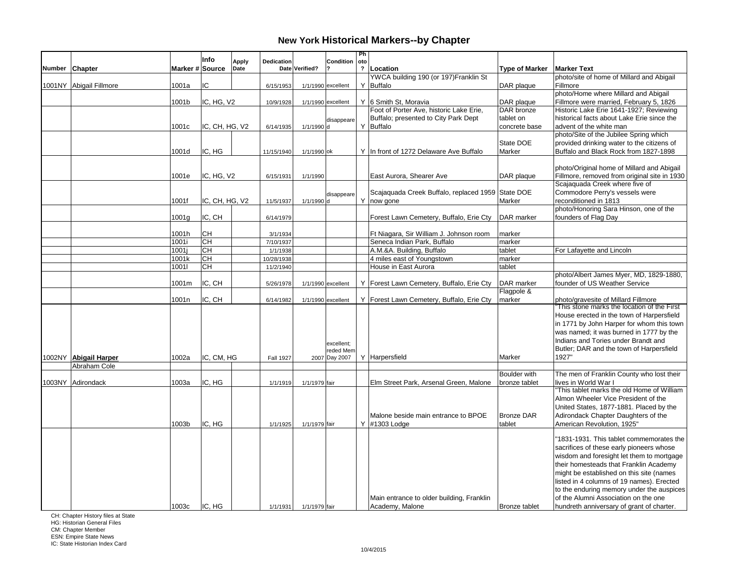|        |                         |                 | Info           | Apply | Dedication       |                | Condition          | Ph<br>oto      |                                                      |                             |                                                                                     |
|--------|-------------------------|-----------------|----------------|-------|------------------|----------------|--------------------|----------------|------------------------------------------------------|-----------------------------|-------------------------------------------------------------------------------------|
| Number | Chapter                 | Marker # Source |                | Date  |                  | Date Verified? |                    | $\overline{?}$ | Location                                             | <b>Type of Marker</b>       | <b>Marker Text</b>                                                                  |
|        |                         |                 |                |       |                  |                |                    |                | YWCA building 190 (or 197) Franklin St               |                             | photo/site of home of Millard and Abigail                                           |
|        | 1001NY Abigail Fillmore | 1001a           | IC             |       | 6/15/1953        |                | 1/1/1990 excellent |                | Y Buffalo                                            | DAR plaque                  | Fillmore                                                                            |
|        |                         |                 |                |       |                  |                |                    |                |                                                      |                             | photo/Home where Millard and Abigail                                                |
|        |                         | 1001b           | IC, HG, V2     |       | 10/9/1928        |                | 1/1/1990 excellent |                | Y 6 Smith St, Moravia                                | DAR plaque                  | Fillmore were married, February 5, 1826                                             |
|        |                         |                 |                |       |                  |                |                    |                | Foot of Porter Ave, historic Lake Erie,              | DAR bronze                  | Historic Lake Erie 1641-1927; Reviewing                                             |
|        |                         |                 |                |       |                  |                | disappeare         |                | Buffalo; presented to City Park Dept                 | tablet on                   | historical facts about Lake Erie since the                                          |
|        |                         | 1001c           | IC, CH, HG, V2 |       | 6/14/1935        | 1/1/1990 d     |                    |                | Y Buffalo                                            | concrete base               | advent of the white man                                                             |
|        |                         |                 |                |       |                  |                |                    |                |                                                      |                             | photo/Site of the Jubilee Spring which                                              |
|        |                         | 1001d           | IC. HG         |       |                  |                |                    |                |                                                      | State DOE<br>Marker         | provided drinking water to the citizens of<br>Buffalo and Black Rock from 1827-1898 |
|        |                         |                 |                |       | 11/15/1940       | 1/1/1990 lok   |                    |                | Y In front of 1272 Delaware Ave Buffalo              |                             |                                                                                     |
|        |                         |                 |                |       |                  |                |                    |                |                                                      |                             | photo/Original home of Millard and Abigail                                          |
|        |                         | 1001e           | IC, HG, V2     |       | 6/15/1931        | 1/1/1990       |                    |                | East Aurora, Shearer Ave                             | DAR plaque                  | Fillmore, removed from original site in 1930                                        |
|        |                         |                 |                |       |                  |                |                    |                |                                                      |                             | Scajaguada Creek where five of                                                      |
|        |                         |                 |                |       |                  |                | disappeare         |                | Scajaquada Creek Buffalo, replaced 1959 State DOE    |                             | Commodore Perry's vessels were                                                      |
|        |                         | 1001f           | IC, CH, HG, V2 |       | 11/5/1937        | 1/1/1990 d     |                    |                | Y now gone                                           | Marker                      | reconditioned in 1813                                                               |
|        |                         |                 |                |       |                  |                |                    |                |                                                      |                             | photo/Honoring Sara Hinson, one of the                                              |
|        |                         | 1001g           | IC, CH         |       | 6/14/1979        |                |                    |                | Forest Lawn Cemetery, Buffalo, Erie Cty              | DAR marker                  | founders of Flag Day                                                                |
|        |                         |                 |                |       |                  |                |                    |                |                                                      |                             |                                                                                     |
|        |                         | 1001h           | lсн            |       | 3/1/1934         |                |                    |                | Ft Niagara, Sir William J. Johnson room              | marker                      |                                                                                     |
|        |                         | 1001i           | <b>CH</b>      |       | 7/10/1937        |                |                    |                | Seneca Indian Park, Buffalo                          | marker                      |                                                                                     |
|        |                         | 1001j           | <b>CH</b>      |       | 1/1/1938         |                |                    |                | A.M.&A. Building, Buffalo                            | tablet                      | For Lafayette and Lincoln                                                           |
|        |                         | 1001k           | <b>CH</b>      |       | 10/28/1938       |                |                    |                | 4 miles east of Youngstown                           | marker                      |                                                                                     |
|        |                         | 10011           | <b>CH</b>      |       | 11/2/1940        |                |                    |                | House in East Aurora                                 | tablet                      |                                                                                     |
|        |                         |                 |                |       |                  |                |                    |                |                                                      |                             | photo/Albert James Myer, MD, 1829-1880,                                             |
|        |                         | 1001m           | IC, CH         |       | 5/26/1978        |                | 1/1/1990 excellent |                | Y   Forest Lawn Cemetery, Buffalo, Erie Cty          | DAR marker<br>Flagpole &    | founder of US Weather Service                                                       |
|        |                         | 1001n           | IC, CH         |       | 6/14/1982        |                | 1/1/1990 excellent |                | Y Forest Lawn Cemetery, Buffalo, Erie Cty            | marker                      | photo/gravesite of Millard Fillmore                                                 |
|        |                         |                 |                |       |                  |                |                    |                |                                                      |                             | This stone marks the location of the First                                          |
|        |                         |                 |                |       |                  |                |                    |                |                                                      |                             | House erected in the town of Harpersfield                                           |
|        |                         |                 |                |       |                  |                |                    |                |                                                      |                             | in 1771 by John Harper for whom this town                                           |
|        |                         |                 |                |       |                  |                |                    |                |                                                      |                             | was named; it was burned in 1777 by the                                             |
|        |                         |                 |                |       |                  |                | excellent:         |                |                                                      |                             | Indians and Tories under Brandt and                                                 |
|        |                         |                 |                |       |                  |                | reded Mem          |                |                                                      |                             | Butler; DAR and the town of Harpersfield                                            |
|        | 1002NY Abigail Harper   | 1002a           | IC, CM, HG     |       | <b>Fall 1927</b> |                | 2007 Day 2007      |                | Y Harpersfield                                       | Marker                      | 1927"                                                                               |
|        | Abraham Cole            |                 |                |       |                  |                |                    |                |                                                      |                             |                                                                                     |
|        |                         |                 |                |       |                  |                |                    |                |                                                      | <b>Boulder</b> with         | The men of Franklin County who lost their                                           |
|        | 1003NY Adirondack       | 1003a           | IC, HG         |       | 1/1/1919         | 1/1/1979 fair  |                    |                | Elm Street Park, Arsenal Green, Malone               | bronze tablet               | lives in World War I                                                                |
|        |                         |                 |                |       |                  |                |                    |                |                                                      |                             | "This tablet marks the old Home of William                                          |
|        |                         |                 |                |       |                  |                |                    |                |                                                      |                             | Almon Wheeler Vice President of the                                                 |
|        |                         |                 |                |       |                  |                |                    |                |                                                      |                             | United States, 1877-1881. Placed by the                                             |
|        |                         | 1003b           | IC, HG         |       |                  |                |                    |                | Malone beside main entrance to BPOE<br>Y #1303 Lodge | <b>Bronze DAR</b><br>tablet | Adirondack Chapter Daughters of the<br>American Revolution, 1925"                   |
|        |                         |                 |                |       | 1/1/1925         | 1/1/1979 fair  |                    |                |                                                      |                             |                                                                                     |
|        |                         |                 |                |       |                  |                |                    |                |                                                      |                             | "1831-1931. This tablet commemorates the                                            |
|        |                         |                 |                |       |                  |                |                    |                |                                                      |                             | sacrifices of these early pioneers whose                                            |
|        |                         |                 |                |       |                  |                |                    |                |                                                      |                             | wisdom and foresight let them to mortgage                                           |
|        |                         |                 |                |       |                  |                |                    |                |                                                      |                             | their homesteads that Franklin Academy                                              |
|        |                         |                 |                |       |                  |                |                    |                |                                                      |                             | might be established on this site (names                                            |
|        |                         |                 |                |       |                  |                |                    |                |                                                      |                             | listed in 4 columns of 19 names). Erected                                           |
|        |                         |                 |                |       |                  |                |                    |                |                                                      |                             | to the enduring memory under the auspices                                           |
|        |                         |                 |                |       |                  |                |                    |                | Main entrance to older building, Franklin            |                             | of the Alumni Association on the one                                                |
|        |                         | 1003c           | IIC. HG        |       | 1/1/1931         | 1/1/1979 fair  |                    |                | Academy, Malone                                      | <b>Bronze tablet</b>        | hundreth anniversary of grant of charter.                                           |

CH: Chapter History files at State

HG: Historian General Files

CM: Chapter Member ESN: Empire State News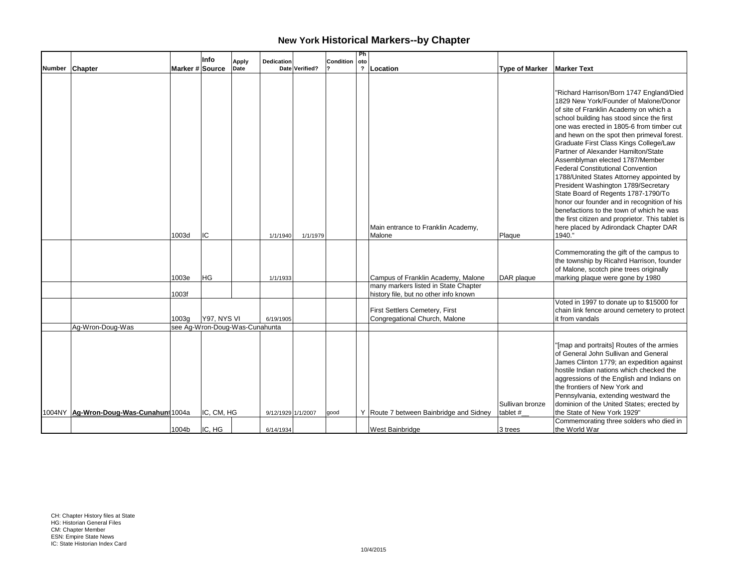|        |                                        |                 | Info                                          | <b>Apply</b> | Dedication         |                | Condition | Ph<br>oto |                                                                 |                             |                                                                                                                                                                                                                                                                                                                                                                                                                                                                                                                                                                                                                                                                                                              |
|--------|----------------------------------------|-----------------|-----------------------------------------------|--------------|--------------------|----------------|-----------|-----------|-----------------------------------------------------------------|-----------------------------|--------------------------------------------------------------------------------------------------------------------------------------------------------------------------------------------------------------------------------------------------------------------------------------------------------------------------------------------------------------------------------------------------------------------------------------------------------------------------------------------------------------------------------------------------------------------------------------------------------------------------------------------------------------------------------------------------------------|
| Number | <b>Chapter</b>                         | Marker # Source |                                               | Date         |                    | Date Verified? |           |           | ?   Location                                                    | <b>Type of Marker</b>       | <b>Marker Text</b>                                                                                                                                                                                                                                                                                                                                                                                                                                                                                                                                                                                                                                                                                           |
|        |                                        |                 |                                               |              |                    |                |           |           |                                                                 |                             | "Richard Harrison/Born 1747 England/Died<br>1829 New York/Founder of Malone/Donor<br>of site of Franklin Academy on which a<br>school building has stood since the first<br>one was erected in 1805-6 from timber cut<br>and hewn on the spot then primeval forest.<br>Graduate First Class Kings College/Law<br>Partner of Alexander Hamilton/State<br>Assemblyman elected 1787/Member<br><b>Federal Constitutional Convention</b><br>1788/United States Attorney appointed by<br>President Washington 1789/Secretary<br>State Board of Regents 1787-1790/To<br>honor our founder and in recognition of his<br>benefactions to the town of which he was<br>the first citizen and proprietor. This tablet is |
|        |                                        | 1003d           | IC                                            |              | 1/1/1940           | 1/1/1979       |           |           | Main entrance to Franklin Academy,<br>Malone                    | Plaque                      | here placed by Adirondack Chapter DAR<br>1940."                                                                                                                                                                                                                                                                                                                                                                                                                                                                                                                                                                                                                                                              |
|        |                                        | 1003e           | HG                                            |              | 1/1/1933           |                |           |           | Campus of Franklin Academy, Malone                              | DAR plaque                  | Commemorating the gift of the campus to<br>the township by Ricahrd Harrison, founder<br>of Malone, scotch pine trees originally<br>marking plaque were gone by 1980                                                                                                                                                                                                                                                                                                                                                                                                                                                                                                                                          |
|        |                                        |                 |                                               |              |                    |                |           |           | many markers listed in State Chapter                            |                             |                                                                                                                                                                                                                                                                                                                                                                                                                                                                                                                                                                                                                                                                                                              |
|        |                                        | 1003f           |                                               |              |                    |                |           |           | history file, but no other info known                           |                             |                                                                                                                                                                                                                                                                                                                                                                                                                                                                                                                                                                                                                                                                                                              |
|        | Ag-Wron-Doug-Was                       | 1003g           | Y97. NYS VI<br>see Ag-Wron-Doug-Was-Cunahunta |              | 6/19/1905          |                |           |           | First Settlers Cemetery, First<br>Congregational Church, Malone |                             | Voted in 1997 to donate up to \$15000 for<br>chain link fence around cemetery to protect<br>it from vandals                                                                                                                                                                                                                                                                                                                                                                                                                                                                                                                                                                                                  |
|        | 1004NY Ag-Wron-Doug-Was-Cunahunt 1004a |                 | IC, CM, HG                                    |              | 9/12/1929 1/1/2007 |                | qood      |           | Y Route 7 between Bainbridge and Sidney                         | Sullivan bronze<br>tablet # | "[map and portraits] Routes of the armies<br>of General John Sullivan and General<br>James Clinton 1779; an expedition against<br>hostile Indian nations which checked the<br>aggressions of the English and Indians on<br>the frontiers of New York and<br>Pennsylvania, extending westward the<br>dominion of the United States; erected by<br>the State of New York 1929"                                                                                                                                                                                                                                                                                                                                 |
|        |                                        | 1004b           | IC, HG                                        |              | 6/14/1934          |                |           |           | <b>West Bainbridge</b>                                          | 3 trees                     | Commemorating three solders who died in<br>the World War                                                                                                                                                                                                                                                                                                                                                                                                                                                                                                                                                                                                                                                     |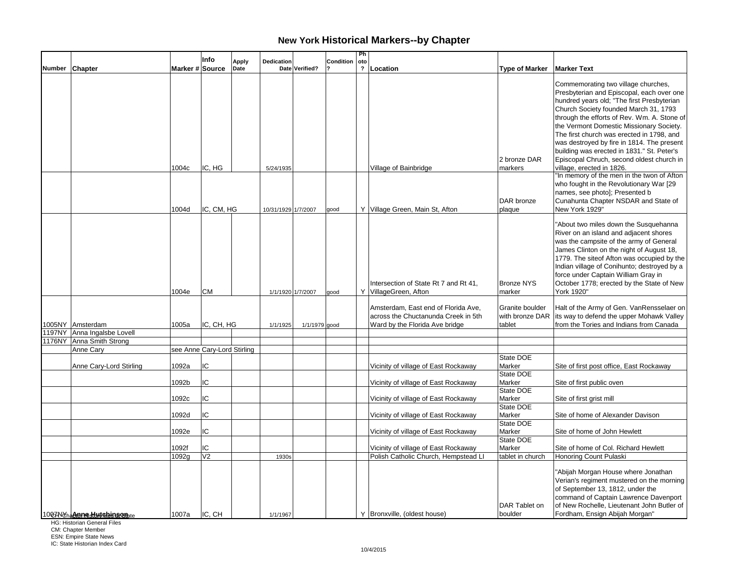| $\overline{\mathbf{?}}$<br>Marker # Source<br>Location<br><b>Marker Text</b><br>Number Chapter<br>Date Verified?<br><b>Type of Marker</b><br>Date<br>2 bronze DAR<br>IC, HG<br>1004c<br>Village of Bainbridge<br>village, erected in 1826.<br>5/24/1935<br>markers<br>DAR bronze<br>1004d<br>IC, CM, HG<br>Y Village Green, Main St, Afton<br>New York 1929"<br>10/31/1929 1/7/2007<br>plaque<br>good<br>Intersection of State Rt 7 and Rt 41,<br><b>Bronze NYS</b><br>1004e<br><b>CM</b><br>Y VillageGreen, Afton<br>York 1920"<br>marker<br>1/1/1920 1/7/2007<br>good<br>Amsterdam, East end of Florida Ave,<br>Granite boulder<br>across the Chuctanunda Creek in 5th<br>with bronze DAR<br>IC, CH, HG<br>1005NY Amsterdam<br>1005a<br>1/1/1979 good<br>Ward by the Florida Ave bridge<br>tablet<br>1/1/1925<br>1197NY Anna Ingalsbe Lovell<br>1176NY Anna Smith Strong<br>Anne Cary<br>see Anne Cary-Lord Stirling<br>State DOE<br>IC<br>Vicinity of village of East Rockaway<br>Marker<br>Anne Cary-Lord Stirling<br>1092a<br>State DOE<br>1092b<br>IC<br>Marker<br>Vicinity of village of East Rockaway<br>Site of first public oven<br>State DOE<br>IC<br>Marker<br>1092c<br>Vicinity of village of East Rockaway<br>Site of first grist mill<br>State DOE<br>IC<br>1092d<br>Marker<br>Site of home of Alexander Davison<br>Vicinity of village of East Rockaway<br>State DOE<br>IC<br>1092e<br>Vicinity of village of East Rockaway<br>Marker<br>Site of home of John Hewlett<br>State DOE<br>1092f<br>IC<br>Marker<br>Vicinity of village of East Rockaway<br>Site of home of Col. Richard Hewlett<br>V <sub>2</sub><br>Polish Catholic Church, Hempstead LI<br>Honoring Count Pulaski<br>1092g<br>tablet in church<br>1930s |  | Info | Apply | Dedication | Condition | Ph<br>oto |               |                                                                                                                                                                                                                                                                                                                                                                                                                                                          |
|---------------------------------------------------------------------------------------------------------------------------------------------------------------------------------------------------------------------------------------------------------------------------------------------------------------------------------------------------------------------------------------------------------------------------------------------------------------------------------------------------------------------------------------------------------------------------------------------------------------------------------------------------------------------------------------------------------------------------------------------------------------------------------------------------------------------------------------------------------------------------------------------------------------------------------------------------------------------------------------------------------------------------------------------------------------------------------------------------------------------------------------------------------------------------------------------------------------------------------------------------------------------------------------------------------------------------------------------------------------------------------------------------------------------------------------------------------------------------------------------------------------------------------------------------------------------------------------------------------------------------------------------------------------------------------------------------------------------------------------|--|------|-------|------------|-----------|-----------|---------------|----------------------------------------------------------------------------------------------------------------------------------------------------------------------------------------------------------------------------------------------------------------------------------------------------------------------------------------------------------------------------------------------------------------------------------------------------------|
|                                                                                                                                                                                                                                                                                                                                                                                                                                                                                                                                                                                                                                                                                                                                                                                                                                                                                                                                                                                                                                                                                                                                                                                                                                                                                                                                                                                                                                                                                                                                                                                                                                                                                                                                       |  |      |       |            |           |           |               |                                                                                                                                                                                                                                                                                                                                                                                                                                                          |
|                                                                                                                                                                                                                                                                                                                                                                                                                                                                                                                                                                                                                                                                                                                                                                                                                                                                                                                                                                                                                                                                                                                                                                                                                                                                                                                                                                                                                                                                                                                                                                                                                                                                                                                                       |  |      |       |            |           |           |               | Commemorating two village churches,<br>Presbyterian and Episcopal, each over one<br>hundred years old; "The first Presbyterian<br>Church Society founded March 31, 1793<br>through the efforts of Rev. Wm. A. Stone of<br>the Vermont Domestic Missionary Society.<br>The first church was erected in 1798, and<br>was destroyed by fire in 1814. The present<br>building was erected in 1831." St. Peter's<br>Episcopal Chruch, second oldest church in |
|                                                                                                                                                                                                                                                                                                                                                                                                                                                                                                                                                                                                                                                                                                                                                                                                                                                                                                                                                                                                                                                                                                                                                                                                                                                                                                                                                                                                                                                                                                                                                                                                                                                                                                                                       |  |      |       |            |           |           |               |                                                                                                                                                                                                                                                                                                                                                                                                                                                          |
|                                                                                                                                                                                                                                                                                                                                                                                                                                                                                                                                                                                                                                                                                                                                                                                                                                                                                                                                                                                                                                                                                                                                                                                                                                                                                                                                                                                                                                                                                                                                                                                                                                                                                                                                       |  |      |       |            |           |           |               | "In memory of the men in the twon of Afton<br>who fought in the Revolutionary War [29<br>names, see photo]; Presented b<br>Cunahunta Chapter NSDAR and State of                                                                                                                                                                                                                                                                                          |
|                                                                                                                                                                                                                                                                                                                                                                                                                                                                                                                                                                                                                                                                                                                                                                                                                                                                                                                                                                                                                                                                                                                                                                                                                                                                                                                                                                                                                                                                                                                                                                                                                                                                                                                                       |  |      |       |            |           |           |               | "About two miles down the Susquehanna<br>River on an island and adjacent shores<br>was the campsite of the army of General<br>James Clinton on the night of August 18,<br>1779. The siteof Afton was occupied by the<br>Indian village of Conihunto; destroyed by a<br>force under Captain William Gray in<br>October 1778; erected by the State of New                                                                                                  |
|                                                                                                                                                                                                                                                                                                                                                                                                                                                                                                                                                                                                                                                                                                                                                                                                                                                                                                                                                                                                                                                                                                                                                                                                                                                                                                                                                                                                                                                                                                                                                                                                                                                                                                                                       |  |      |       |            |           |           |               | Halt of the Army of Gen. VanRensselaer on<br>its way to defend the upper Mohawk Valley<br>from the Tories and Indians from Canada                                                                                                                                                                                                                                                                                                                        |
|                                                                                                                                                                                                                                                                                                                                                                                                                                                                                                                                                                                                                                                                                                                                                                                                                                                                                                                                                                                                                                                                                                                                                                                                                                                                                                                                                                                                                                                                                                                                                                                                                                                                                                                                       |  |      |       |            |           |           |               |                                                                                                                                                                                                                                                                                                                                                                                                                                                          |
|                                                                                                                                                                                                                                                                                                                                                                                                                                                                                                                                                                                                                                                                                                                                                                                                                                                                                                                                                                                                                                                                                                                                                                                                                                                                                                                                                                                                                                                                                                                                                                                                                                                                                                                                       |  |      |       |            |           |           |               |                                                                                                                                                                                                                                                                                                                                                                                                                                                          |
|                                                                                                                                                                                                                                                                                                                                                                                                                                                                                                                                                                                                                                                                                                                                                                                                                                                                                                                                                                                                                                                                                                                                                                                                                                                                                                                                                                                                                                                                                                                                                                                                                                                                                                                                       |  |      |       |            |           |           |               |                                                                                                                                                                                                                                                                                                                                                                                                                                                          |
|                                                                                                                                                                                                                                                                                                                                                                                                                                                                                                                                                                                                                                                                                                                                                                                                                                                                                                                                                                                                                                                                                                                                                                                                                                                                                                                                                                                                                                                                                                                                                                                                                                                                                                                                       |  |      |       |            |           |           |               | Site of first post office, East Rockaway                                                                                                                                                                                                                                                                                                                                                                                                                 |
|                                                                                                                                                                                                                                                                                                                                                                                                                                                                                                                                                                                                                                                                                                                                                                                                                                                                                                                                                                                                                                                                                                                                                                                                                                                                                                                                                                                                                                                                                                                                                                                                                                                                                                                                       |  |      |       |            |           |           |               |                                                                                                                                                                                                                                                                                                                                                                                                                                                          |
|                                                                                                                                                                                                                                                                                                                                                                                                                                                                                                                                                                                                                                                                                                                                                                                                                                                                                                                                                                                                                                                                                                                                                                                                                                                                                                                                                                                                                                                                                                                                                                                                                                                                                                                                       |  |      |       |            |           |           |               |                                                                                                                                                                                                                                                                                                                                                                                                                                                          |
|                                                                                                                                                                                                                                                                                                                                                                                                                                                                                                                                                                                                                                                                                                                                                                                                                                                                                                                                                                                                                                                                                                                                                                                                                                                                                                                                                                                                                                                                                                                                                                                                                                                                                                                                       |  |      |       |            |           |           |               |                                                                                                                                                                                                                                                                                                                                                                                                                                                          |
|                                                                                                                                                                                                                                                                                                                                                                                                                                                                                                                                                                                                                                                                                                                                                                                                                                                                                                                                                                                                                                                                                                                                                                                                                                                                                                                                                                                                                                                                                                                                                                                                                                                                                                                                       |  |      |       |            |           |           |               |                                                                                                                                                                                                                                                                                                                                                                                                                                                          |
|                                                                                                                                                                                                                                                                                                                                                                                                                                                                                                                                                                                                                                                                                                                                                                                                                                                                                                                                                                                                                                                                                                                                                                                                                                                                                                                                                                                                                                                                                                                                                                                                                                                                                                                                       |  |      |       |            |           |           |               |                                                                                                                                                                                                                                                                                                                                                                                                                                                          |
|                                                                                                                                                                                                                                                                                                                                                                                                                                                                                                                                                                                                                                                                                                                                                                                                                                                                                                                                                                                                                                                                                                                                                                                                                                                                                                                                                                                                                                                                                                                                                                                                                                                                                                                                       |  |      |       |            |           |           |               |                                                                                                                                                                                                                                                                                                                                                                                                                                                          |
|                                                                                                                                                                                                                                                                                                                                                                                                                                                                                                                                                                                                                                                                                                                                                                                                                                                                                                                                                                                                                                                                                                                                                                                                                                                                                                                                                                                                                                                                                                                                                                                                                                                                                                                                       |  |      |       |            |           |           |               |                                                                                                                                                                                                                                                                                                                                                                                                                                                          |
|                                                                                                                                                                                                                                                                                                                                                                                                                                                                                                                                                                                                                                                                                                                                                                                                                                                                                                                                                                                                                                                                                                                                                                                                                                                                                                                                                                                                                                                                                                                                                                                                                                                                                                                                       |  |      |       |            |           |           |               |                                                                                                                                                                                                                                                                                                                                                                                                                                                          |
| IC, CH<br>Y  Bronxville, (oldest house)<br>boulder<br>1007NdhaAnneshutchinsonhte<br>1007a<br>1/1/1967                                                                                                                                                                                                                                                                                                                                                                                                                                                                                                                                                                                                                                                                                                                                                                                                                                                                                                                                                                                                                                                                                                                                                                                                                                                                                                                                                                                                                                                                                                                                                                                                                                 |  |      |       |            |           |           | DAR Tablet on | "Abijah Morgan House where Jonathan<br>Verian's regiment mustered on the morning<br>of September 13, 1812, under the<br>command of Captain Lawrence Davenport<br>of New Rochelle, Lieutenant John Butler of<br>Fordham, Ensign Abijah Morgan"                                                                                                                                                                                                            |

HG: Historian General Files

CM: Chapter Member ESN: Empire State News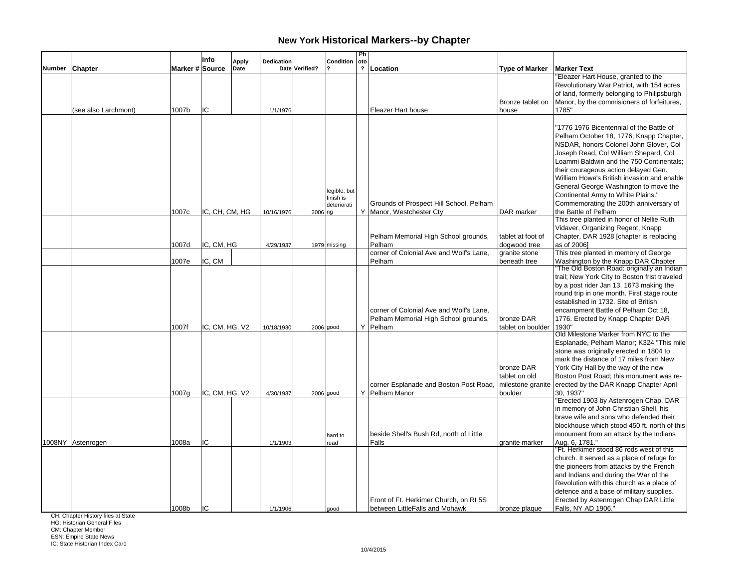|        |                      |                 | Info           | <b>Apply</b> | Dedication |                | Condition                                | Ph<br>oto                 |                                                                                             |                                                             |                                                                                                                                                                                                                                                                                                                                                                                                                                   |
|--------|----------------------|-----------------|----------------|--------------|------------|----------------|------------------------------------------|---------------------------|---------------------------------------------------------------------------------------------|-------------------------------------------------------------|-----------------------------------------------------------------------------------------------------------------------------------------------------------------------------------------------------------------------------------------------------------------------------------------------------------------------------------------------------------------------------------------------------------------------------------|
| Number | <b>Chapter</b>       | Marker # Source |                | Date         |            | Date Verified? |                                          | $\boldsymbol{\mathsf{?}}$ | Location                                                                                    | <b>Type of Marker</b>                                       | <b>Marker Text</b>                                                                                                                                                                                                                                                                                                                                                                                                                |
|        | (see also Larchmont) | 1007b           | IC             |              | 1/1/1976   |                |                                          |                           | Eleazer Hart house                                                                          | Bronze tablet on<br>house                                   | 'Eleazer Hart House, granted to the<br>Revolutionary War Patriot, with 154 acres<br>of land, formerly belonging to Philipsburgh<br>Manor, by the commisioners of forfeitures,<br>1785"                                                                                                                                                                                                                                            |
|        |                      |                 |                |              |            |                | legible, but<br>finish is<br>deteriorati |                           | Grounds of Prospect Hill School, Pelham                                                     |                                                             | '1776 1976 Bicentennial of the Battle of<br>Pelham October 18, 1776; Knapp Chapter,<br>NSDAR, honors Colonel John Glover, Col<br>Joseph Read, Col William Shepard, Col<br>Loammi Baldwin and the 750 Continentals;<br>their courageous action delayed Gen.<br>William Howe's British invasion and enable<br>General George Washington to move the<br>Continental Army to White Plains."<br>Commemorating the 200th anniversary of |
|        |                      | 1007c           | IC, CH, CM, HG |              | 10/16/1976 | 2006 ng        |                                          |                           | Y Manor, Westchester Cty<br>Pelham Memorial High School grounds,<br>Pelham                  | DAR marker<br>tablet at foot of                             | the Battle of Pelham<br>This tree planted in honor of Nellie Ruth<br>Vidaver, Organizing Regent, Knapp<br>Chapter, DAR 1928 [chapter is replacing<br>as of 2006]                                                                                                                                                                                                                                                                  |
|        |                      | 1007d           | IC, CM, HG     |              | 4/29/1937  |                | 1979 missing                             |                           | corner of Colonial Ave and Wolf's Lane,                                                     | dogwood tree<br>granite stone                               | This tree planted in memory of George                                                                                                                                                                                                                                                                                                                                                                                             |
|        |                      | 1007e           | IC, CM         |              |            |                |                                          |                           | Pelham                                                                                      | beneath tree                                                | Washington by the Knapp DAR Chapter<br>"The Old Boston Road: originally an Indian                                                                                                                                                                                                                                                                                                                                                 |
|        |                      | 1007f           | IC, CM, HG, V2 |              | 10/18/1930 |                | $2006$ good                              |                           | corner of Colonial Ave and Wolf's Lane.<br>Pelham Memorial High School grounds,<br>Y Pelham | bronze DAR<br>tablet on boulder                             | trail; New York City to Boston frist traveled<br>by a post rider Jan 13, 1673 making the<br>round trip in one month. First stage route<br>established in 1732. Site of British<br>encampment Battle of Pelham Oct 18,<br>1776. Erected by Knapp Chapter DAR<br>1930'                                                                                                                                                              |
|        |                      | 1007q           | IC, CM, HG, V2 |              | 4/30/1937  | $2006$ good    |                                          |                           | corner Esplanade and Boston Post Road,<br>Y Pelham Manor                                    | bronze DAR<br>tablet on old<br>milestone granite<br>boulder | Old Milestone Marker from NYC to the<br>Esplanade, Pelham Manor; K324 "This mile<br>stone was originally erected in 1804 to<br>mark the distance of 17 miles from New<br>York City Hall by the way of the new<br>Boston Post Road; this monument was re-<br>erected by the DAR Knapp Chapter April<br>30, 1937"                                                                                                                   |
|        |                      |                 |                |              |            |                |                                          |                           |                                                                                             |                                                             | "Erected 1903 by Astenrogen Chap. DAR<br>in memory of John Christian Shell, his<br>brave wife and sons who defended their<br>blockhouse which stood 450 ft. north of this                                                                                                                                                                                                                                                         |
|        | 1008NY Astenrogen    | 1008a           | IC             |              | 1/1/1903   |                | hard to<br>read                          |                           | beside Shell's Bush Rd, north of Little<br>Falls                                            | granite marker                                              | monument from an attack by the Indians<br>Aug. 6, 1781."                                                                                                                                                                                                                                                                                                                                                                          |
|        |                      |                 |                |              |            |                |                                          |                           | Front of Ft. Herkimer Church, on Rt 5S                                                      |                                                             | "Ft. Herkimer stood 86 rods west of this<br>church. It served as a place of refuge for<br>the pioneers from attacks by the French<br>and Indians and during the War of the<br>Revolution with this church as a place of<br>defence and a base of military supplies.<br>Erected by Astenrogen Chap DAR Little                                                                                                                      |
|        |                      | 1008b           | lic            |              | 1/1/1906   |                | boop                                     |                           | between LittleFalls and Mohawk                                                              | bronze plaque                                               | Falls, NY AD 1906."                                                                                                                                                                                                                                                                                                                                                                                                               |

CH: Chapter History files at State

HG: Historian General Files

CM: Chapter Member ESN: Empire State News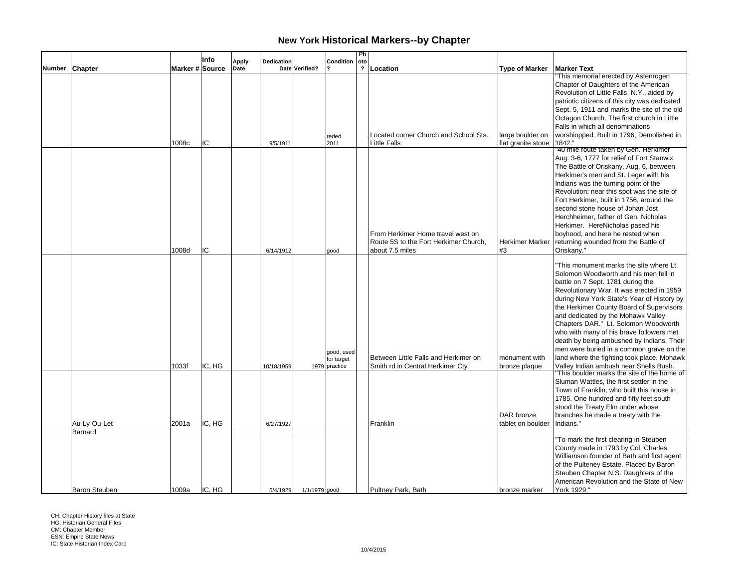|        |                                 |                 | Info   | <b>Apply</b> | Dedication |                | Condition                                 | Ph<br>oto               |                                                                                               |                                        |                                                                                                                                                                                                                                                                                                                                                                                                                                                                                                                                                                         |
|--------|---------------------------------|-----------------|--------|--------------|------------|----------------|-------------------------------------------|-------------------------|-----------------------------------------------------------------------------------------------|----------------------------------------|-------------------------------------------------------------------------------------------------------------------------------------------------------------------------------------------------------------------------------------------------------------------------------------------------------------------------------------------------------------------------------------------------------------------------------------------------------------------------------------------------------------------------------------------------------------------------|
| Number | <b>Chapter</b>                  | Marker # Source |        | Date         |            | Date Verified? |                                           | $\overline{\mathbf{?}}$ | Location                                                                                      | <b>Type of Marker</b>                  | <b>Marker Text</b>                                                                                                                                                                                                                                                                                                                                                                                                                                                                                                                                                      |
|        |                                 | 1008c           | IC     |              | 9/5/1911   |                | reded<br>2011                             |                         | Located corner Church and School Sts.<br>Little Falls                                         | large boulder on<br>flat granite stone | This memorial erected by Astenrogen<br>Chapter of Daughters of the American<br>Revolution of Little Falls, N.Y., aided by<br>patriotic citizens of this city was dedicated<br>Sept. 5, 1911 and marks the site of the old<br>Octagon Church. The first church in Little<br>Falls in which all denominations<br>worshiopped. Built in 1796, Demolished in<br>1842."                                                                                                                                                                                                      |
|        |                                 | 1008d           | IC     |              | 6/14/1912  |                | good                                      |                         | From Herkimer Home travel west on<br>Route 5S to the Fort Herkimer Church,<br>about 7.5 miles | Herkimer Marker<br>#3                  | "40 mile route taken by Gen. Herkimer<br>Aug. 3-6, 1777 for relief of Fort Stanwix.<br>The Battle of Oriskany, Aug. 6, between<br>Herkimer's men and St. Leger with his<br>Indians was the turning point of the<br>Revolution; near this spot was the site of<br>Fort Herkimer, built in 1756, around the<br>second stone house of Johan Jost<br>Herchheimer, father of Gen. Nicholas<br>Herkimer. HereNicholas pased his<br>boyhood, and here he rested when<br>returning wounded from the Battle of<br>Oriskany."                                                     |
|        |                                 | 1033f           | IC, HG |              | 10/18/1959 |                | good, used<br>for target<br>1979 practice |                         | Between Little Falls and Herkimer on<br>Smith rd in Central Herkimer Cty                      | monument with<br>bronze plaque         | "This monument marks the site where Lt.<br>Solomon Woodworth and his men fell in<br>battle on 7 Sept. 1781 during the<br>Revolutionary War. It was erected in 1959<br>during New York State's Year of History by<br>the Herkimer County Board of Supervisors<br>and dedicated by the Mohawk Valley<br>Chapters DAR." Lt. Solomon Woodworth<br>who with many of his brave followers met<br>death by being ambushed by Indians. Their<br>men were buried in a common grave on the<br>land where the fighting took place. Mohawk<br>Valley Indian ambush near Shells Bush. |
|        | Au-Ly-Ou-Let                    | 2001a           | IC, HG |              | 6/27/1927  |                |                                           |                         | Franklin                                                                                      | DAR bronze<br>tablet on boulder        | This boulder marks the site of the home of<br>Sluman Wattles, the first settler in the<br>Town of Franklin, who built this house in<br>1785. One hundred and fifty feet south<br>stood the Treaty Elm under whose<br>branches he made a treaty with the<br>Indians."                                                                                                                                                                                                                                                                                                    |
|        | Barnard<br><b>Baron Steuben</b> | 1009a           | IC. HG |              | 5/4/1929   | 1/1/1979 good  |                                           |                         | Pultney Park, Bath                                                                            | bronze marker                          | "To mark the first clearing in Steuben<br>County made in 1793 by Col. Charles<br>Williamson founder of Bath and first agent<br>of the Pulteney Estate. Placed by Baron<br>Steuben Chapter N.S. Daughters of the<br>American Revolution and the State of New<br>York 1929."                                                                                                                                                                                                                                                                                              |

CH: Chapter History files at State HG: Historian General Files CM: Chapter Member ESN: Empire State News IC: State Historian Index Card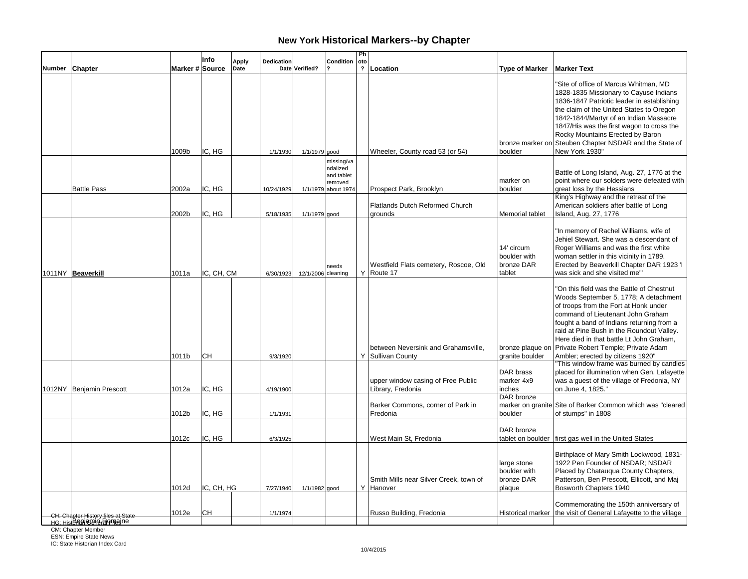|        |                                                               |                 | Info       | Apply | <b>Dedication</b> |                    | Condition                                                              | Ph<br>oto    |                                                          |                                                     |                                                                                                                                                                                                                                                                                                                                                                                                     |
|--------|---------------------------------------------------------------|-----------------|------------|-------|-------------------|--------------------|------------------------------------------------------------------------|--------------|----------------------------------------------------------|-----------------------------------------------------|-----------------------------------------------------------------------------------------------------------------------------------------------------------------------------------------------------------------------------------------------------------------------------------------------------------------------------------------------------------------------------------------------------|
| Number | Chapter                                                       | Marker # Source |            | Date  |                   | Date Verified?     |                                                                        | $\mathbf{r}$ | Location                                                 | <b>Type of Marker</b>                               | <b>Marker Text</b>                                                                                                                                                                                                                                                                                                                                                                                  |
|        |                                                               | 1009b           | IC, HG     |       | 1/1/1930          | 1/1/1979 good      |                                                                        |              | Wheeler, County road 53 (or 54)                          | bronze marker on<br>boulder                         | 'Site of office of Marcus Whitman, MD<br>1828-1835 Missionary to Cayuse Indians<br>1836-1847 Patriotic leader in establishing<br>the claim of the United States to Oregon<br>1842-1844/Martyr of an Indian Massacre<br>1847/His was the first wagon to cross the<br>Rocky Mountains Erected by Baron<br>Steuben Chapter NSDAR and the State of<br>New York 1930"                                    |
|        | <b>Battle Pass</b>                                            | 2002a           | IC, HG     |       | 10/24/1929        |                    | missing/va<br>ndalized<br>and tablet<br>removed<br>1/1/1979 about 1974 |              | Prospect Park, Brooklyn                                  | marker on<br>boulder                                | Battle of Long Island, Aug. 27, 1776 at the<br>point where our solders were defeated with<br>great loss by the Hessians                                                                                                                                                                                                                                                                             |
|        |                                                               | 2002b           | IC, HG     |       | 5/18/1935         | 1/1/1979 good      |                                                                        |              | <b>Flatlands Dutch Reformed Church</b><br>grounds        | Memorial tablet                                     | King's Highway and the retreat of the<br>American soldiers after battle of Long<br>Island, Aug. 27, 1776                                                                                                                                                                                                                                                                                            |
|        | 1011NY Beaverkill                                             | 1011a           | IC, CH, CM |       | 6/30/1923         | 12/1/2006 cleaning | needs                                                                  |              | Westfield Flats cemetery, Roscoe, Old<br>Y Route 17      | 14' circum<br>boulder with<br>bronze DAR<br>tablet  | "In memory of Rachel Williams, wife of<br>Jehiel Stewart. She was a descendant of<br>Roger Williams and was the first white<br>woman settler in this vicinity in 1789.<br>Erected by Beaverkill Chapter DAR 1923 'I<br>was sick and she visited me"                                                                                                                                                 |
|        |                                                               | 1011b           | <b>CH</b>  |       | 9/3/1920          |                    |                                                                        |              | between Neversink and Grahamsville,<br>Y Sullivan County | granite boulder                                     | "On this field was the Battle of Chestnut<br>Woods September 5, 1778; A detachment<br>of troops from the Fort at Honk under<br>command of Lieutenant John Graham<br>fought a band of Indians returning from a<br>raid at Pine Bush in the Roundout Valley.<br>Here died in that battle Lt John Graham.<br>bronze plaque on Private Robert Temple; Private Adam<br>Ambler; erected by citizens 1920" |
|        | 1012NY Benjamin Prescott                                      | 1012a           | IC, HG     |       | 4/19/1900         |                    |                                                                        |              | upper window casing of Free Public<br>Library, Fredonia  | DAR brass<br>marker 4x9<br>inches<br>DAR bronze     | "This window frame was burned by candles<br>placed for illumination when Gen. Lafayette<br>was a guest of the village of Fredonia, NY<br>on June 4, 1825."                                                                                                                                                                                                                                          |
|        |                                                               | 1012b           | IC, HG     |       | 1/1/1931          |                    |                                                                        |              | Barker Commons, corner of Park in<br>Fredonia            | boulder                                             | marker on granite Site of Barker Common which was "cleared<br>of stumps" in 1808                                                                                                                                                                                                                                                                                                                    |
|        |                                                               | 1012c           | IC, HG     |       | 6/3/1925          |                    |                                                                        |              | West Main St, Fredonia                                   | DAR bronze                                          | tablet on boulder first gas well in the United States                                                                                                                                                                                                                                                                                                                                               |
|        |                                                               | 1012d           | IC, CH, HG |       | 7/27/1940         | 1/1/1982 good      |                                                                        |              | Smith Mills near Silver Creek, town of<br>Y Hanover      | large stone<br>boulder with<br>bronze DAR<br>plaque | Birthplace of Mary Smith Lockwood, 1831-<br>1922 Pen Founder of NSDAR; NSDAR<br>Placed by Chatauqua County Chapters,<br>Patterson, Ben Prescott, Ellicott, and Maj<br>Bosworth Chapters 1940                                                                                                                                                                                                        |
|        | CH: Chapter History files at State<br>нG: HistBRAN&ФИА-ВФИАЛО | 1012e           | <b>CH</b>  |       | 1/1/1974          |                    |                                                                        |              | Russo Building, Fredonia                                 |                                                     | Commemorating the 150th anniversary of<br>Historical marker the visit of General Lafayette to the village                                                                                                                                                                                                                                                                                           |
|        | CM: Chapter Member<br><b>ESN: Empire State News</b>           |                 |            |       |                   |                    |                                                                        |              |                                                          |                                                     |                                                                                                                                                                                                                                                                                                                                                                                                     |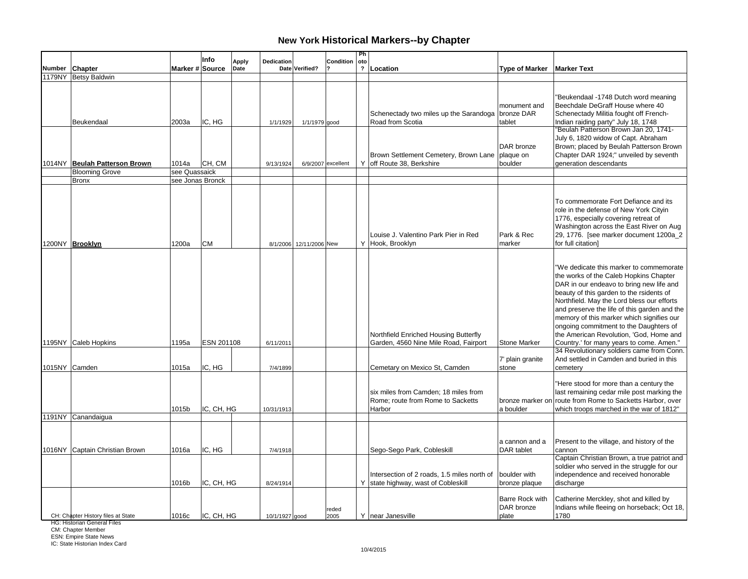|        |                                    |                  | Info                 | Apply | Dedication            |                         | Condition          | Ph<br>oto               |                                                                                                                  |                                                               |                                                                                                                                                                                                                                                                                                                                                                                                                                                       |
|--------|------------------------------------|------------------|----------------------|-------|-----------------------|-------------------------|--------------------|-------------------------|------------------------------------------------------------------------------------------------------------------|---------------------------------------------------------------|-------------------------------------------------------------------------------------------------------------------------------------------------------------------------------------------------------------------------------------------------------------------------------------------------------------------------------------------------------------------------------------------------------------------------------------------------------|
| Number | <b>Chapter</b>                     | Marker # Source  |                      | Date  |                       | Date Verified?          |                    | $\overline{\mathbf{r}}$ | Location                                                                                                         | <b>Type of Marker</b>                                         | <b>Marker Text</b>                                                                                                                                                                                                                                                                                                                                                                                                                                    |
|        | 1179NY Betsy Baldwin               |                  |                      |       |                       |                         |                    |                         |                                                                                                                  |                                                               |                                                                                                                                                                                                                                                                                                                                                                                                                                                       |
|        | Beukendaal                         | 2003a            | IC, HG               |       | 1/1/1929              | 1/1/1979 good           |                    |                         | Schenectady two miles up the Sarandoga<br>Road from Scotia                                                       | monument and<br>bronze DAR<br>tablet                          | "Beukendaal -1748 Dutch word meaning<br>Beechdale DeGraff House where 40<br>Schenectady Militia fought off French-<br>Indian raiding party" July 18, 1748<br>"Beulah Patterson Brown Jan 20, 1741-                                                                                                                                                                                                                                                    |
|        | 1014NY Beulah Patterson Brown      | 1014a            | CH, CM               |       | 9/13/1924             |                         | 6/9/2007 excellent |                         | Brown Settlement Cemetery, Brown Lane   plaque on<br>Y off Route 38, Berkshire                                   | DAR bronze<br>boulder                                         | July 6, 1820 widow of Capt. Abraham<br>Brown; placed by Beulah Patterson Brown<br>Chapter DAR 1924;" unveiled by seventh<br>generation descendants                                                                                                                                                                                                                                                                                                    |
|        | <b>Blooming Grove</b>              | see Quassaick    |                      |       |                       |                         |                    |                         |                                                                                                                  |                                                               |                                                                                                                                                                                                                                                                                                                                                                                                                                                       |
|        | <b>Bronx</b>                       | see Jonas Bronck |                      |       |                       |                         |                    |                         |                                                                                                                  |                                                               |                                                                                                                                                                                                                                                                                                                                                                                                                                                       |
|        | 1200NY Brooklyn                    | 1200a            | <b>CM</b>            |       |                       | 8/1/2006 12/11/2006 New |                    |                         | Louise J. Valentino Park Pier in Red<br>Y Hook, Brooklyn                                                         | Park & Rec<br>marker                                          | To commemorate Fort Defiance and its<br>role in the defense of New York Cityin<br>1776, especially covering retreat of<br>Washington across the East River on Aug<br>29, 1776. [see marker document 1200a_2<br>for full citation]                                                                                                                                                                                                                     |
|        | 1195NY Caleb Hopkins               | 1195a            | ESN 201108           |       | 6/11/2011             |                         |                    |                         | Northfield Enriched Housing Butterfly<br>Garden, 4560 Nine Mile Road, Fairport                                   | <b>Stone Marker</b>                                           | "We dedicate this marker to commemorate<br>the works of the Caleb Hopkins Chapter<br>DAR in our endeavo to bring new life and<br>beauty of this garden to the rsidents of<br>Northfield. May the Lord bless our efforts<br>and preserve the life of this garden and the<br>memory of this marker which signifies our<br>ongoing commitment to the Daughters of<br>the American Revolution, 'God, Home and<br>Country.' for many years to come. Amen." |
|        | 1015NY Camden                      | 1015a            | IC, HG               |       | 7/4/1899              |                         |                    |                         | Cemetary on Mexico St, Camden                                                                                    | 7' plain granite<br>stone                                     | 34 Revolutionary soldiers came from Conn.<br>And settled in Camden and buried in this<br>cemetery                                                                                                                                                                                                                                                                                                                                                     |
|        |                                    | 1015b            | IC, CH, HG           |       | 10/31/1913            |                         |                    |                         | six miles from Camden; 18 miles from<br>Rome; route from Rome to Sacketts<br>Harbor                              | a boulder                                                     | "Here stood for more than a century the<br>last remaining cedar mile post marking the<br>bronze marker on route from Rome to Sacketts Harbor, over<br>which troops marched in the war of 1812"                                                                                                                                                                                                                                                        |
|        | 1191NY Canandaigua                 |                  |                      |       |                       |                         |                    |                         |                                                                                                                  |                                                               |                                                                                                                                                                                                                                                                                                                                                                                                                                                       |
|        | 1016NY Captain Christian Brown     | 1016a<br>1016b   | IC, HG<br>IC, CH, HG |       | 7/4/1918<br>8/24/1914 |                         |                    |                         | Sego-Sego Park, Cobleskill<br>Intersection of 2 roads, 1.5 miles north of<br>Y state highway, wast of Cobleskill | a cannon and a<br>DAR tablet<br>boulder with<br>bronze plaque | Present to the village, and history of the<br>cannon<br>Captain Christian Brown, a true patriot and<br>soldier who served in the struggle for our<br>independence and received honorable<br>discharge                                                                                                                                                                                                                                                 |
|        | CH: Chapter History files at State | 1016c            | IC, CH, HG           |       | 10/1/1927 good        |                         | reded<br>2005      |                         | Y near Janesville                                                                                                | Barre Rock with<br>DAR bronze<br>plate                        | Catherine Merckley, shot and killed by<br>Indians while fleeing on horseback; Oct 18,<br>1780                                                                                                                                                                                                                                                                                                                                                         |

HG: Historian General Files

CM: Chapter Member ESN: Empire State News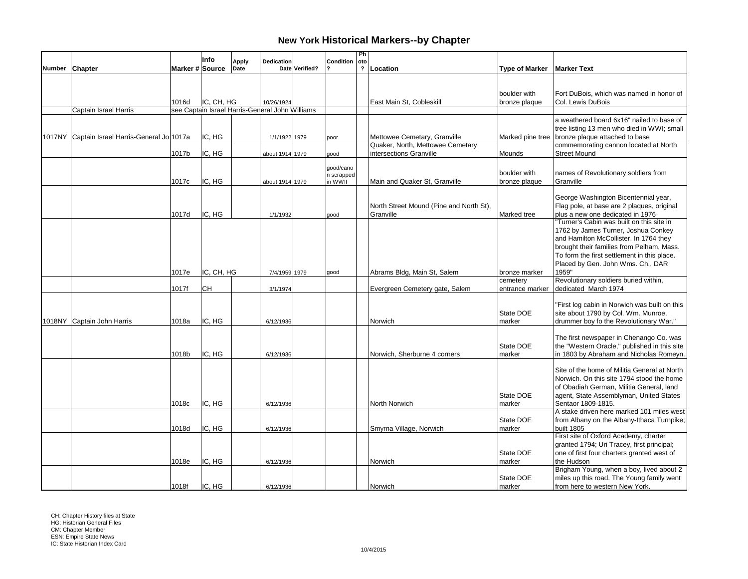|        |                                                |                 | Info       | <b>Apply</b> | Dedication                                      |                | Condition             | Ph<br> oto   |                                         |                             |                                                                                          |
|--------|------------------------------------------------|-----------------|------------|--------------|-------------------------------------------------|----------------|-----------------------|--------------|-----------------------------------------|-----------------------------|------------------------------------------------------------------------------------------|
| Number | Chapter                                        | Marker # Source |            | Date         |                                                 | Date Verified? |                       | $\mathbf{r}$ | Location                                | <b>Type of Marker</b>       | <b>Marker Text</b>                                                                       |
|        |                                                |                 |            |              |                                                 |                |                       |              |                                         |                             |                                                                                          |
|        |                                                |                 |            |              |                                                 |                |                       |              |                                         |                             |                                                                                          |
|        |                                                |                 |            |              |                                                 |                |                       |              |                                         | boulder with                | Fort DuBois, which was named in honor of                                                 |
|        |                                                | 1016d           | IC, CH, HG |              | 10/26/1924                                      |                |                       |              | East Main St, Cobleskill                | bronze plaque               | Col. Lewis DuBois                                                                        |
|        | Captain Israel Harris                          |                 |            |              | see Captain Israel Harris-General John Williams |                |                       |              |                                         |                             |                                                                                          |
|        |                                                |                 |            |              |                                                 |                |                       |              |                                         |                             | a weathered board 6x16" nailed to base of                                                |
|        | 1017NY Captain Israel Harris-General Jol 1017a |                 | IC, HG     |              |                                                 |                |                       |              | Mettowee Cemetary, Granville            |                             | tree listing 13 men who died in WWI; small                                               |
|        |                                                |                 |            |              | 1/1/1922 1979                                   |                | poor                  |              | Quaker, North, Mettowee Cemetary        |                             | Marked pine tree bronze plaque attached to base<br>commemorating cannon located at North |
|        |                                                | 1017b           | IC, HG     |              | about 1914 1979                                 |                | good                  |              | intersections Granville                 | Mounds                      | <b>Street Mound</b>                                                                      |
|        |                                                |                 |            |              |                                                 |                |                       |              |                                         |                             |                                                                                          |
|        |                                                |                 |            |              |                                                 |                | qood/cano             |              |                                         | boulder with                | names of Revolutionary soldiers from                                                     |
|        |                                                | 1017c           | IC, HG     |              |                                                 |                | n scrapped<br>in WWII |              | Main and Quaker St, Granville           | bronze plaque               | Granville                                                                                |
|        |                                                |                 |            |              | about 1914 1979                                 |                |                       |              |                                         |                             |                                                                                          |
|        |                                                |                 |            |              |                                                 |                |                       |              |                                         |                             | George Washington Bicentennial year,                                                     |
|        |                                                |                 |            |              |                                                 |                |                       |              | North Street Mound (Pine and North St), |                             | Flag pole, at base are 2 plaques, original                                               |
|        |                                                | 1017d           | IC, HG     |              | 1/1/1932                                        |                | good                  |              | Granville                               | Marked tree                 | plus a new one dedicated in 1976                                                         |
|        |                                                |                 |            |              |                                                 |                |                       |              |                                         |                             | 'Turner's Cabin was built on this site in                                                |
|        |                                                |                 |            |              |                                                 |                |                       |              |                                         |                             | 1762 by James Turner, Joshua Conkey                                                      |
|        |                                                |                 |            |              |                                                 |                |                       |              |                                         |                             | and Hamilton McCollister. In 1764 they                                                   |
|        |                                                |                 |            |              |                                                 |                |                       |              |                                         |                             | brought their families from Pelham, Mass.                                                |
|        |                                                |                 |            |              |                                                 |                |                       |              |                                         |                             | To form the first settlement in this place.                                              |
|        |                                                |                 |            |              |                                                 |                |                       |              |                                         |                             | Placed by Gen. John Wms. Ch., DAR                                                        |
|        |                                                | 1017e           | IC, CH, HG |              | 7/4/1959 1979                                   |                | good                  |              | Abrams Bldg, Main St, Salem             | bronze marker               | 1959"                                                                                    |
|        |                                                | 1017f           | <b>CH</b>  |              | 3/1/1974                                        |                |                       |              | Evergreen Cemetery gate, Salem          | cemetery<br>entrance marker | Revolutionary soldiers buried within,<br>dedicated March 1974                            |
|        |                                                |                 |            |              |                                                 |                |                       |              |                                         |                             |                                                                                          |
|        |                                                |                 |            |              |                                                 |                |                       |              |                                         |                             | First log cabin in Norwich was built on this                                             |
|        |                                                |                 |            |              |                                                 |                |                       |              |                                         | State DOE                   | site about 1790 by Col. Wm. Munroe,                                                      |
|        | 1018NY Captain John Harris                     | 1018a           | IC, HG     |              | 6/12/1936                                       |                |                       |              | Norwich                                 | marker                      | drummer boy fo the Revolutionary War."                                                   |
|        |                                                |                 |            |              |                                                 |                |                       |              |                                         |                             |                                                                                          |
|        |                                                |                 |            |              |                                                 |                |                       |              |                                         |                             | The first newspaper in Chenango Co. was                                                  |
|        |                                                |                 |            |              |                                                 |                |                       |              |                                         | State DOE                   | the "Western Oracle," published in this site                                             |
|        |                                                | 1018b           | IC, HG     |              | 6/12/1936                                       |                |                       |              | Norwich, Sherburne 4 corners            | marker                      | in 1803 by Abraham and Nicholas Romeyn.                                                  |
|        |                                                |                 |            |              |                                                 |                |                       |              |                                         |                             | Site of the home of Militia General at North                                             |
|        |                                                |                 |            |              |                                                 |                |                       |              |                                         |                             | Norwich. On this site 1794 stood the home                                                |
|        |                                                |                 |            |              |                                                 |                |                       |              |                                         |                             | of Obadiah German, Militia General, land                                                 |
|        |                                                |                 |            |              |                                                 |                |                       |              |                                         | State DOE                   | agent, State Assemblyman, United States                                                  |
|        |                                                | 1018c           | IC, HG     |              | 6/12/1936                                       |                |                       |              | North Norwich                           | marker                      | Sentaor 1809-1815.                                                                       |
|        |                                                |                 |            |              |                                                 |                |                       |              |                                         |                             | A stake driven here marked 101 miles west                                                |
|        |                                                |                 |            |              |                                                 |                |                       |              |                                         | State DOE                   | from Albany on the Albany-Ithaca Turnpike;                                               |
|        |                                                | 1018d           | IC, HG     |              | 6/12/1936                                       |                |                       |              | Smyrna Village, Norwich                 | Imarker                     | <b>built 1805</b>                                                                        |
|        |                                                |                 |            |              |                                                 |                |                       |              |                                         |                             | First site of Oxford Academy, charter                                                    |
|        |                                                |                 |            |              |                                                 |                |                       |              |                                         |                             | granted 1794; Uri Tracey, first principal;                                               |
|        |                                                |                 |            |              |                                                 |                |                       |              |                                         | State DOE                   | one of first four charters granted west of                                               |
|        |                                                | 1018e           | IC, HG     |              | 6/12/1936                                       |                |                       |              | Norwich                                 | marker                      | the Hudson<br>Brigham Young, when a boy, lived about 2                                   |
|        |                                                |                 |            |              |                                                 |                |                       |              |                                         | State DOE                   | miles up this road. The Young family went                                                |
|        |                                                | 1018f           | IC. HG     |              | 6/12/1936                                       |                |                       |              | Norwich                                 | marker                      | from here to western New York.                                                           |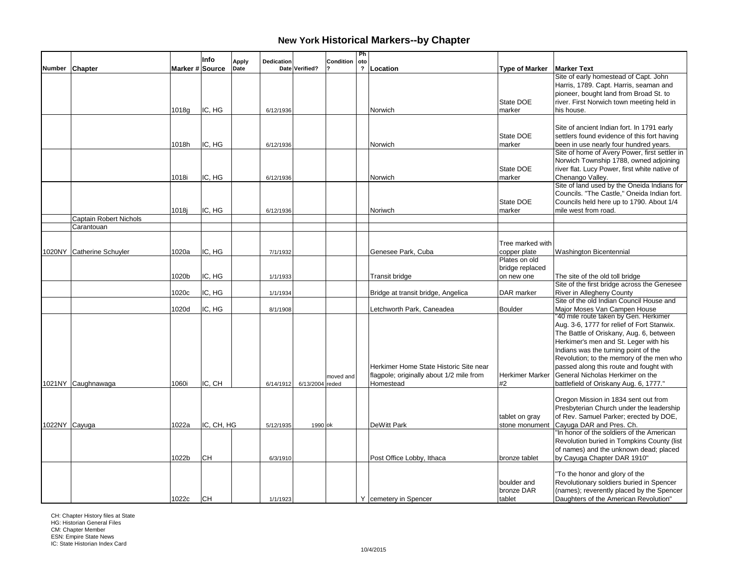|        |                        |                 | Info       | Dedication<br><b>Apply</b> |                 | Condition | Ph<br>oto               |                                          |                       |                                                                       |
|--------|------------------------|-----------------|------------|----------------------------|-----------------|-----------|-------------------------|------------------------------------------|-----------------------|-----------------------------------------------------------------------|
| Number | Chapter                | Marker # Source |            | Date                       | Date Verified?  |           | $\overline{\mathbf{?}}$ | Location                                 | <b>Type of Marker</b> | <b>Marker Text</b>                                                    |
|        |                        |                 |            |                            |                 |           |                         |                                          |                       | Site of early homestead of Capt. John                                 |
|        |                        |                 |            |                            |                 |           |                         |                                          |                       | Harris, 1789. Capt. Harris, seaman and                                |
|        |                        |                 |            |                            |                 |           |                         |                                          |                       | pioneer, bought land from Broad St. to                                |
|        |                        |                 |            |                            |                 |           |                         |                                          | State DOE             | river. First Norwich town meeting held in                             |
|        |                        | 1018g           | IC, HG     | 6/12/1936                  |                 |           |                         | Norwich                                  | marker                | his house.                                                            |
|        |                        |                 |            |                            |                 |           |                         |                                          |                       |                                                                       |
|        |                        |                 |            |                            |                 |           |                         |                                          |                       | Site of ancient Indian fort. In 1791 early                            |
|        |                        |                 |            |                            |                 |           |                         |                                          | State DOE             | settlers found evidence of this fort having                           |
|        |                        | 1018h           | IC, HG     | 6/12/1936                  |                 |           |                         | Norwich                                  | marker                | been in use nearly four hundred years.                                |
|        |                        |                 |            |                            |                 |           |                         |                                          |                       | Site of home of Avery Power, first settler in                         |
|        |                        |                 |            |                            |                 |           |                         |                                          |                       | Norwich Township 1788, owned adjoining                                |
|        |                        |                 |            |                            |                 |           |                         |                                          | State DOE             | river flat. Lucy Power, first white native of                         |
|        |                        | 1018i           | IC, HG     | 6/12/1936                  |                 |           |                         | Norwich                                  | marker                | Chenango Valley.                                                      |
|        |                        |                 |            |                            |                 |           |                         |                                          |                       | Site of land used by the Oneida Indians for                           |
|        |                        |                 |            |                            |                 |           |                         |                                          |                       | Councils. "The Castle," Oneida Indian fort.                           |
|        |                        |                 |            |                            |                 |           |                         |                                          | State DOE             | Councils held here up to 1790. About 1/4                              |
|        |                        | 1018j           | IC, HG     | 6/12/1936                  |                 |           |                         | Noriwch                                  | marker                | mile west from road.                                                  |
|        | Captain Robert Nichols |                 |            |                            |                 |           |                         |                                          |                       |                                                                       |
|        | Carantouan             |                 |            |                            |                 |           |                         |                                          |                       |                                                                       |
|        |                        |                 |            |                            |                 |           |                         |                                          |                       |                                                                       |
|        |                        |                 |            |                            |                 |           |                         |                                          | Tree marked with      |                                                                       |
| 1020NY | Catherine Schuyler     | 1020a           | IC, HG     | 7/1/1932                   |                 |           |                         | Genesee Park, Cuba                       | copper plate          | Washington Bicentennial                                               |
|        |                        |                 |            |                            |                 |           |                         |                                          | Plates on old         |                                                                       |
|        |                        |                 |            |                            |                 |           |                         |                                          | bridge replaced       |                                                                       |
|        |                        | 1020b           | IC, HG     | 1/1/1933                   |                 |           |                         | <b>Transit bridge</b>                    | on new one            | The site of the old toll bridge                                       |
|        |                        |                 |            |                            |                 |           |                         |                                          |                       | Site of the first bridge across the Genesee                           |
|        |                        | 1020c           | IC, HG     | 1/1/1934                   |                 |           |                         | Bridge at transit bridge, Angelica       | DAR marker            | River in Allegheny County                                             |
|        |                        |                 | IC, HG     |                            |                 |           |                         |                                          |                       | Site of the old Indian Council House and                              |
|        |                        | 1020d           |            | 8/1/1908                   |                 |           |                         | Letchworth Park, Caneadea                | Boulder               | Major Moses Van Campen House<br>"40 mile route taken by Gen. Herkimer |
|        |                        |                 |            |                            |                 |           |                         |                                          |                       | Aug. 3-6, 1777 for relief of Fort Stanwix.                            |
|        |                        |                 |            |                            |                 |           |                         |                                          |                       | The Battle of Oriskany, Aug. 6, between                               |
|        |                        |                 |            |                            |                 |           |                         |                                          |                       | Herkimer's men and St. Leger with his                                 |
|        |                        |                 |            |                            |                 |           |                         |                                          |                       | Indians was the turning point of the                                  |
|        |                        |                 |            |                            |                 |           |                         |                                          |                       | Revolution; to the memory of the men who                              |
|        |                        |                 |            |                            |                 |           |                         | Herkimer Home State Historic Site near   |                       | passed along this route and fought with                               |
|        |                        |                 |            |                            |                 |           |                         | flagpole; originally about 1/2 mile from | Herkimer Marker       | General Nicholas Herkimer on the                                      |
|        | 1021NY Caughnawaga     | 1060i           | IC, CH     | 6/14/1912                  | 6/13/2004 reded | moved and |                         | Homestead                                | #2                    | battlefield of Oriskany Aug. 6, 1777."                                |
|        |                        |                 |            |                            |                 |           |                         |                                          |                       |                                                                       |
|        |                        |                 |            |                            |                 |           |                         |                                          |                       | Oregon Mission in 1834 sent out from                                  |
|        |                        |                 |            |                            |                 |           |                         |                                          |                       | Presbyterian Church under the leadership                              |
|        |                        |                 |            |                            |                 |           |                         |                                          | tablet on gray        | of Rev. Samuel Parker; erected by DOE,                                |
|        | 1022NY Cayuga          | 1022a           | IC, CH, HG | 5/12/1935                  | 1990 ok         |           |                         | DeWitt Park                              | stone monument        | Cayuga DAR and Pres. Ch.                                              |
|        |                        |                 |            |                            |                 |           |                         |                                          |                       | "In honor of the soldiers of the American                             |
|        |                        |                 |            |                            |                 |           |                         |                                          |                       | Revolution buried in Tompkins County (list                            |
|        |                        |                 |            |                            |                 |           |                         |                                          |                       | of names) and the unknown dead; placed                                |
|        |                        | 1022b           | <b>CH</b>  | 6/3/1910                   |                 |           |                         | Post Office Lobby, Ithaca                | bronze tablet         | by Cayuga Chapter DAR 1910"                                           |
|        |                        |                 |            |                            |                 |           |                         |                                          |                       |                                                                       |
|        |                        |                 |            |                            |                 |           |                         |                                          |                       | "To the honor and glory of the                                        |
|        |                        |                 |            |                            |                 |           |                         |                                          | boulder and           | Revolutionary soldiers buried in Spencer                              |
|        |                        |                 |            |                            |                 |           |                         |                                          | bronze DAR            | (names); reverently placed by the Spencer                             |
|        |                        | 1022c           | lсн        | 1/1/1923                   |                 |           |                         | Y   cemetery in Spencer                  | tablet                | Daughters of the American Revolution"                                 |

CH: Chapter History files at State HG: Historian General Files

CM: Chapter Member ESN: Empire State News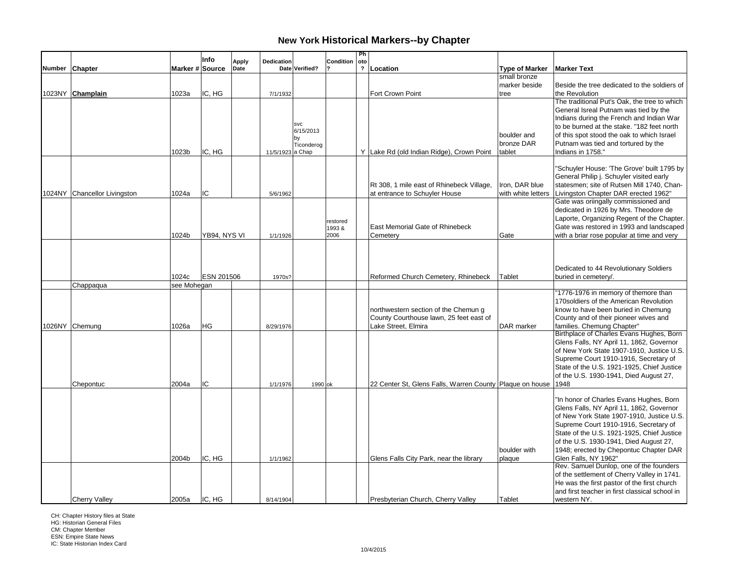|                              |                 | Info              | Apply | Dedication       |                         | Condition     | Ph<br>oto               |                                                          |                       |                                                |
|------------------------------|-----------------|-------------------|-------|------------------|-------------------------|---------------|-------------------------|----------------------------------------------------------|-----------------------|------------------------------------------------|
| Number Chapter               | Marker # Source |                   | Date  |                  | Date Verified?          |               | $\overline{\mathbf{?}}$ | Location                                                 | <b>Type of Marker</b> | <b>Marker Text</b>                             |
|                              |                 |                   |       |                  |                         |               |                         |                                                          | small bronze          |                                                |
|                              |                 |                   |       |                  |                         |               |                         |                                                          | marker beside         | Beside the tree dedicated to the soldiers of   |
| 1023NY Champlain             | 1023a           | IC, HG            |       | 7/1/1932         |                         |               |                         | Fort Crown Point                                         | tree                  | the Revolution                                 |
|                              |                 |                   |       |                  |                         |               |                         |                                                          |                       | The traditional Put's Oak, the tree to which   |
|                              |                 |                   |       |                  |                         |               |                         |                                                          |                       | General Isreal Putnam was tied by the          |
|                              |                 |                   |       |                  |                         |               |                         |                                                          |                       | Indians during the French and Indian War       |
|                              |                 |                   |       |                  | <b>SVC</b><br>6/15/2013 |               |                         |                                                          |                       | to be burned at the stake. "182 feet north     |
|                              |                 |                   |       |                  |                         |               |                         |                                                          | boulder and           | of this spot stood the oak to which Israel     |
|                              |                 |                   |       |                  | Ticonderog              |               |                         |                                                          | bronze DAR            | Putnam was tied and tortured by the            |
|                              | 1023b           | IC. HG            |       | 11/5/1923 a Chap |                         |               |                         | Y Lake Rd (old Indian Ridge), Crown Point                | tablet                | Indians in 1758."                              |
|                              |                 |                   |       |                  |                         |               |                         |                                                          |                       | "Schuyler House: 'The Grove' built 1795 by     |
|                              |                 |                   |       |                  |                         |               |                         |                                                          |                       | General Philip j. Schuyler visited early       |
|                              |                 |                   |       |                  |                         |               |                         | Rt 308, 1 mile east of Rhinebeck Village,                | Iron, DAR blue        | statesmen; site of Rutsen Mill 1740, Chan-     |
| 1024NY Chancellor Livingston | 1024a           | IC                |       | 5/6/1962         |                         |               |                         | at entrance to Schuyler House                            | with white letters    | Livingston Chapter DAR erected 1962"           |
|                              |                 |                   |       |                  |                         |               |                         |                                                          |                       | Gate was oriingally commissioned and           |
|                              |                 |                   |       |                  |                         |               |                         |                                                          |                       | dedicated in 1926 by Mrs. Theodore de          |
|                              |                 |                   |       |                  |                         |               |                         |                                                          |                       | Laporte, Organizing Regent of the Chapter.     |
|                              |                 |                   |       |                  |                         | restored      |                         | <b>East Memorial Gate of Rhinebeck</b>                   |                       | Gate was restored in 1993 and landscaped       |
|                              | 1024b           | YB94, NYS VI      |       | 1/1/1926         |                         | 1993&<br>2006 |                         | Cemetery                                                 | Gate                  | with a briar rose popular at time and very     |
|                              |                 |                   |       |                  |                         |               |                         |                                                          |                       |                                                |
|                              |                 |                   |       |                  |                         |               |                         |                                                          |                       |                                                |
|                              |                 |                   |       |                  |                         |               |                         |                                                          |                       |                                                |
|                              |                 |                   |       |                  |                         |               |                         |                                                          |                       | Dedicated to 44 Revolutionary Soldiers         |
|                              | 1024c           | <b>ESN 201506</b> |       | 1970s?           |                         |               |                         | Reformed Church Cemetery, Rhinebeck                      | Tablet                | buried in cemetery/.                           |
| Chappaqua                    | see Mohegan     |                   |       |                  |                         |               |                         |                                                          |                       |                                                |
|                              |                 |                   |       |                  |                         |               |                         |                                                          |                       | "1776-1976 in memory of themore than           |
|                              |                 |                   |       |                  |                         |               |                         |                                                          |                       | 170 soldiers of the American Revolution        |
|                              |                 |                   |       |                  |                         |               |                         | northwestern section of the Chemun g                     |                       | know to have been buried in Chemung            |
|                              |                 |                   |       |                  |                         |               |                         | County Courthouse lawn, 25 feet east of                  |                       | County and of their pioneer wives and          |
| 1026NY Chemung               | 1026a           | <b>HG</b>         |       | 8/29/1976        |                         |               |                         | Lake Street. Elmira                                      | DAR marker            | families. Chemung Chapter"                     |
|                              |                 |                   |       |                  |                         |               |                         |                                                          |                       | Birthplace of Charles Evans Hughes, Born       |
|                              |                 |                   |       |                  |                         |               |                         |                                                          |                       | Glens Falls, NY April 11, 1862, Governor       |
|                              |                 |                   |       |                  |                         |               |                         |                                                          |                       | of New York State 1907-1910, Justice U.S.      |
|                              |                 |                   |       |                  |                         |               |                         |                                                          |                       | Supreme Court 1910-1916, Secretary of          |
|                              |                 |                   |       |                  |                         |               |                         |                                                          |                       | State of the U.S. 1921-1925, Chief Justice     |
|                              |                 |                   |       |                  |                         |               |                         |                                                          |                       | of the U.S. 1930-1941, Died August 27,         |
| Chepontuc                    | 2004a           | IC                |       | 1/1/1976         | 1990 ok                 |               |                         | 22 Center St, Glens Falls, Warren County Plaque on house |                       | 1948                                           |
|                              |                 |                   |       |                  |                         |               |                         |                                                          |                       | "In honor of Charles Evans Hughes, Born        |
|                              |                 |                   |       |                  |                         |               |                         |                                                          |                       | Glens Falls, NY April 11, 1862, Governor       |
|                              |                 |                   |       |                  |                         |               |                         |                                                          |                       | of New York State 1907-1910, Justice U.S.      |
|                              |                 |                   |       |                  |                         |               |                         |                                                          |                       | Supreme Court 1910-1916, Secretary of          |
|                              |                 |                   |       |                  |                         |               |                         |                                                          |                       | State of the U.S. 1921-1925, Chief Justice     |
|                              |                 |                   |       |                  |                         |               |                         |                                                          |                       | of the U.S. 1930-1941, Died August 27,         |
|                              |                 |                   |       |                  |                         |               |                         |                                                          | boulder with          | 1948; erected by Chepontuc Chapter DAR         |
|                              | 2004b           | IC, HG            |       | 1/1/1962         |                         |               |                         | Glens Falls City Park, near the library                  | plaque                | Glen Falls, NY 1962"                           |
|                              |                 |                   |       |                  |                         |               |                         |                                                          |                       | Rev. Samuel Dunlop, one of the founders        |
|                              |                 |                   |       |                  |                         |               |                         |                                                          |                       | of the settlement of Cherry Valley in 1741.    |
|                              |                 |                   |       |                  |                         |               |                         |                                                          |                       | He was the first pastor of the first church    |
|                              |                 |                   |       |                  |                         |               |                         |                                                          |                       | and first teacher in first classical school in |
| <b>Cherry Valley</b>         | 2005a           | IC. HG            |       | 8/14/1904        |                         |               |                         | Presbyterian Church, Cherry Valley                       | Tablet                | western NY.                                    |

CH: Chapter History files at State HG: Historian General Files

CM: Chapter Member ESN: Empire State News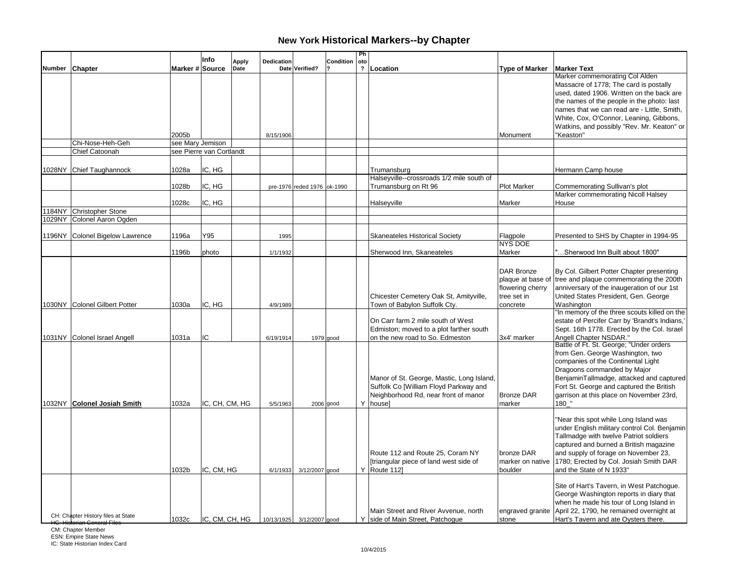|                                                                                           |       | Info                     | <b>Apply</b> | Dedication |                             | <b>Condition</b> | Ph<br>oto               |                                                                                                                                        |                                                                                |                                                                                                                                                                                                                                                                                                             |
|-------------------------------------------------------------------------------------------|-------|--------------------------|--------------|------------|-----------------------------|------------------|-------------------------|----------------------------------------------------------------------------------------------------------------------------------------|--------------------------------------------------------------------------------|-------------------------------------------------------------------------------------------------------------------------------------------------------------------------------------------------------------------------------------------------------------------------------------------------------------|
| Number Chapter                                                                            |       | Marker # Source          | Date         |            | Date Verified?              |                  | $\overline{\mathbf{?}}$ | Location                                                                                                                               | <b>Type of Marker</b>                                                          | <b>Marker Text</b>                                                                                                                                                                                                                                                                                          |
|                                                                                           |       |                          |              |            |                             |                  |                         |                                                                                                                                        |                                                                                | Marker commemorating Col Alden<br>Massacre of 1778; The card is postally<br>used, dated 1906. Written on the back are<br>the names of the people in the photo: last<br>names that we can read are - Little, Smith,<br>White, Cox, O'Connor, Leaning, Gibbons,<br>Watkins, and possibly "Rev. Mr. Keaton" or |
|                                                                                           | 2005b |                          |              | 8/15/1906  |                             |                  |                         |                                                                                                                                        | Monument                                                                       | "Keaston"                                                                                                                                                                                                                                                                                                   |
| Chi-Nose-Heh-Geh                                                                          |       | see Mary Jemison         |              |            |                             |                  |                         |                                                                                                                                        |                                                                                |                                                                                                                                                                                                                                                                                                             |
| Chief Catoonah                                                                            |       | see Pierre van Cortlandt |              |            |                             |                  |                         |                                                                                                                                        |                                                                                |                                                                                                                                                                                                                                                                                                             |
| 1028NY Chief Taughannock                                                                  | 1028a | IC, HG                   |              |            |                             |                  |                         | Trumansburg<br>Halseyville--crossroads 1/2 mile south of                                                                               |                                                                                | Hermann Camp house                                                                                                                                                                                                                                                                                          |
|                                                                                           | 1028b | IC, HG                   |              |            | pre-1976 reded 1976 ok-1990 |                  |                         | Trumansburg on Rt 96                                                                                                                   | <b>Plot Marker</b>                                                             | Commemorating Sullivan's plot                                                                                                                                                                                                                                                                               |
|                                                                                           | 1028c | IC, HG                   |              |            |                             |                  |                         | Halseyville                                                                                                                            | Marker                                                                         | Marker commemorating Nicoll Halsey<br>House                                                                                                                                                                                                                                                                 |
| 184NY Christopher Stone                                                                   |       |                          |              |            |                             |                  |                         |                                                                                                                                        |                                                                                |                                                                                                                                                                                                                                                                                                             |
| 1029NY Colonel Aaron Ogden                                                                |       |                          |              |            |                             |                  |                         |                                                                                                                                        |                                                                                |                                                                                                                                                                                                                                                                                                             |
| 1196NY Colonel Bigelow Lawrence                                                           | 1196a | Y95                      |              | 1995       |                             |                  |                         | <b>Skaneateles Historical Society</b>                                                                                                  | Flagpole<br><b>NYS DOE</b>                                                     | Presented to SHS by Chapter in 1994-95                                                                                                                                                                                                                                                                      |
|                                                                                           | 1196b | photo                    |              | 1/1/1932   |                             |                  |                         | Sherwood Inn, Skaneateles                                                                                                              | Marker                                                                         | "Sherwood Inn Built about 1800"                                                                                                                                                                                                                                                                             |
| 1030NY Colonel Gilbert Potter                                                             | 1030a | IC, HG                   |              | 4/9/1989   |                             |                  |                         | Chicester Cemetery Oak St, Amityville,<br>Town of Babylon Suffolk Cty.                                                                 | DAR Bronze<br>plaque at base of<br>flowering cherry<br>tree set in<br>concrete | By Col. Gilbert Potter Chapter presenting<br>tree and plaque commemorating the 200th<br>anniversary of the inaugeration of our 1st<br>United States President, Gen. George<br>Washington                                                                                                                    |
| 1031NY Colonel Israel Angell                                                              | 1031a | IC                       |              | 6/19/1914  |                             | 1979 good        |                         | On Carr farm 2 mile south of West<br>Edmiston; moved to a plot farther south<br>on the new road to So. Edmeston                        | 3x4' marker                                                                    | "In memory of the three scouts killed on the<br>estate of Percifer Carr by 'Brandt's Indians,<br>Sept. 16th 1778. Erected by the Col. Israel<br>Angell Chapter NSDAR."                                                                                                                                      |
| 1032NY Colonel Josiah Smith                                                               | 1032a | IC, CH, CM, HG           |              | 5/5/1963   |                             | $2006$ good      |                         | Manor of St. George, Mastic, Long Island,<br>Suffolk Co [William Floyd Parkway and<br>Neighborhood Rd, near front of manor<br>Y housel | <b>Bronze DAR</b><br>marker                                                    | Battle of Ft. St. George; "Under orders"<br>from Gen. George Washington, two<br>companies of the Continental Light<br>Dragoons commanded by Major<br>BenjaminTallmadge, attacked and captured<br>Fort St. George and captured the British<br>garrison at this place on November 23rd,<br>180 "              |
|                                                                                           | 1032b | IC, CM, HG               |              | 6/1/1933   | 3/12/2007 good              |                  |                         | Route 112 and Route 25, Coram NY<br>[triangular piece of land west side of<br>Y Route 112]                                             | bronze DAR<br>marker on native<br>boulder                                      | "Near this spot while Long Island was<br>under English military control Col. Benjamin<br>Tallmadge with twelve Patriot soldiers<br>captured and burned a British magazine<br>and supply of forage on November 23,<br>1780; Erected by Col. Josiah Smith DAR<br>and the State of N 1933"                     |
| CH: Chapter History files at State<br>CM: Chapter Member<br><b>ESN: Empire State News</b> | 1032c | IC, CM, CH, HG           |              |            | 10/13/1925 3/12/2007 good   |                  |                         | Main Street and River Avvenue, north<br>Y side of Main Street, Patchoque                                                               | engraved granite<br>stone                                                      | Site of Hart's Tavern, in West Patchogue.<br>George Washington reports in diary that<br>when he made his tour of Long Island in<br>April 22, 1790, he remained overnight at<br>Hart's Tavern and ate Oysters there.                                                                                         |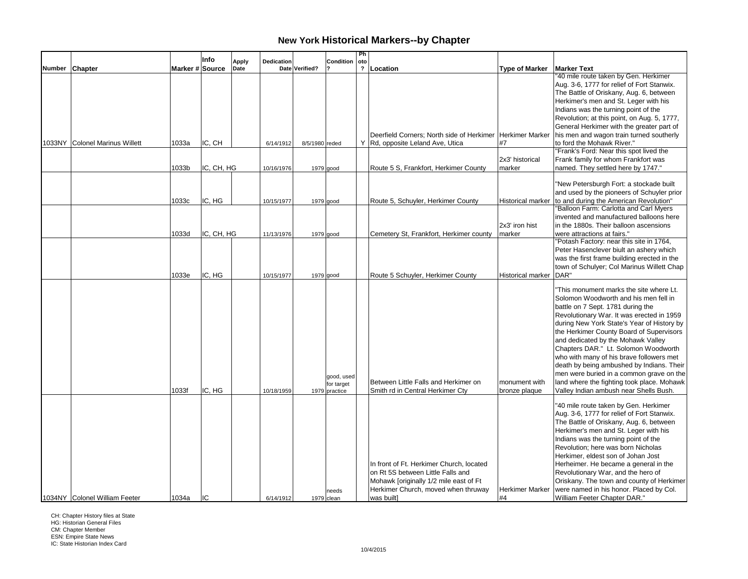|               |                                |                 | Info       | <b>Apply</b> | Dedication |                | Condition                                 | Ph<br>oto               |                                                                                                                                                                              |                                |                                                                                                                                                                                                                                                                                                                                                                                                                                                                                                                                                                         |
|---------------|--------------------------------|-----------------|------------|--------------|------------|----------------|-------------------------------------------|-------------------------|------------------------------------------------------------------------------------------------------------------------------------------------------------------------------|--------------------------------|-------------------------------------------------------------------------------------------------------------------------------------------------------------------------------------------------------------------------------------------------------------------------------------------------------------------------------------------------------------------------------------------------------------------------------------------------------------------------------------------------------------------------------------------------------------------------|
| <b>Number</b> | Chapter                        | Marker # Source |            | Date         |            | Date Verified? |                                           | $\overline{\mathbf{?}}$ | Location                                                                                                                                                                     | <b>Type of Marker</b>          | <b>Marker Text</b>                                                                                                                                                                                                                                                                                                                                                                                                                                                                                                                                                      |
|               |                                |                 |            |              |            |                |                                           |                         |                                                                                                                                                                              |                                | '40 mile route taken by Gen. Herkimer<br>Aug. 3-6, 1777 for relief of Fort Stanwix.<br>The Battle of Oriskany, Aug. 6, between<br>Herkimer's men and St. Leger with his<br>Indians was the turning point of the<br>Revolution; at this point, on Aug. 5, 1777,                                                                                                                                                                                                                                                                                                          |
|               | 1033NY Colonel Marinus Willett | 1033a           | IC, CH     |              | 6/14/1912  | 8/5/1980 reded |                                           |                         | Deerfield Corners; North side of Herkimer   Herkimer Marker<br>Y Rd, opposite Leland Ave, Utica                                                                              | #7                             | General Herkimer with the greater part of<br>his men and wagon train turned southerly<br>to ford the Mohawk River."                                                                                                                                                                                                                                                                                                                                                                                                                                                     |
|               |                                | 1033b           | IC, CH, HG |              | 10/16/1976 |                | 1979 good                                 |                         | Route 5 S, Frankfort, Herkimer County                                                                                                                                        | 2x3' historical<br>marker      | "Frank's Ford: Near this spot lived the<br>Frank family for whom Frankfort was<br>named. They settled here by 1747."                                                                                                                                                                                                                                                                                                                                                                                                                                                    |
|               |                                | 1033c           | IC, HG     |              | 10/15/1977 |                | 1979 good                                 |                         | Route 5, Schuyler, Herkimer County                                                                                                                                           | Historical marker              | "New Petersburgh Fort: a stockade built<br>and used by the pioneers of Schuyler prior<br>to and during the American Revolution"<br>"Balloon Farm: Carlotta and Carl Myers                                                                                                                                                                                                                                                                                                                                                                                               |
|               |                                | 1033d           | IC, CH, HG |              | 11/13/1976 |                | 1979 good                                 |                         | Cemetery St, Frankfort, Herkimer county                                                                                                                                      | 2x3' iron hist<br>marker       | invented and manufactured balloons here<br>in the 1880s. Their balloon ascensions<br>were attractions at fairs."<br>"Potash Factory: near this site in 1764,                                                                                                                                                                                                                                                                                                                                                                                                            |
|               |                                | 1033e           | IC, HG     |              | 10/15/1977 |                | $1979$ good                               |                         | Route 5 Schuyler, Herkimer County                                                                                                                                            | Historical marker   DAR"       | Peter Hasenclever biult an ashery which<br>was the first frame building erected in the<br>town of Schulyer; Col Marinus Willett Chap                                                                                                                                                                                                                                                                                                                                                                                                                                    |
|               |                                | 1033f           | IC, HG     |              | 10/18/1959 |                | good, used<br>for target<br>1979 practice |                         | Between Little Falls and Herkimer on<br>Smith rd in Central Herkimer Cty                                                                                                     | monument with<br>bronze plaque | 'This monument marks the site where Lt.<br>Solomon Woodworth and his men fell in<br>battle on 7 Sept. 1781 during the<br>Revolutionary War. It was erected in 1959<br>during New York State's Year of History by<br>the Herkimer County Board of Supervisors<br>and dedicated by the Mohawk Valley<br>Chapters DAR." Lt. Solomon Woodworth<br>who with many of his brave followers met<br>death by being ambushed by Indians. Their<br>men were buried in a common grave on the<br>land where the fighting took place. Mohawk<br>Valley Indian ambush near Shells Bush. |
|               | 1034NY Colonel William Feeter  | 1034a           | lic        |              | 6/14/1912  |                | needs<br>$1979$ clean                     |                         | In front of Ft. Herkimer Church, located<br>on Rt 5S between Little Falls and<br>Mohawk [originally 1/2 mile east of Ft<br>Herkimer Church, moved when thruway<br>was built] | <b>Herkimer Marker</b><br>#4   | "40 mile route taken by Gen. Herkimer<br>Aug. 3-6, 1777 for relief of Fort Stanwix.<br>The Battle of Oriskany, Aug. 6, between<br>Herkimer's men and St. Leger with his<br>Indians was the turning point of the<br>Revolution; here was born Nicholas<br>Herkimer, eldest son of Johan Jost<br>Herheimer. He became a general in the<br>Revolutionary War, and the hero of<br>Oriskany. The town and county of Herkimer<br>were named in his honor. Placed by Col.<br>William Feeter Chapter DAR."                                                                      |

CH: Chapter History files at State HG: Historian General Files

CM: Chapter Member ESN: Empire State News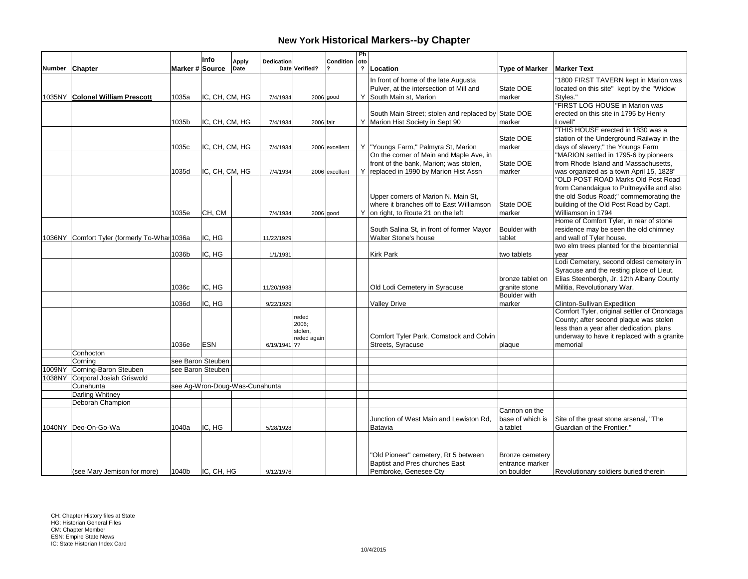|        |                                              |                 | Info                           | <b>Apply</b> | <b>Dedication</b> |                        | <b>Condition</b> | Ph<br>oto                  |                                                                                  |                                    |                                                                            |
|--------|----------------------------------------------|-----------------|--------------------------------|--------------|-------------------|------------------------|------------------|----------------------------|----------------------------------------------------------------------------------|------------------------------------|----------------------------------------------------------------------------|
|        | Number Chapter                               | Marker # Source |                                | Date         |                   | Date Verified?         |                  | $\boldsymbol{\mathcal{P}}$ | Location                                                                         | <b>Type of Marker</b>              | <b>Marker Text</b>                                                         |
|        |                                              |                 |                                |              |                   |                        |                  |                            | In front of home of the late Augusta                                             |                                    | '1800 FIRST TAVERN kept in Marion was                                      |
|        |                                              |                 |                                |              |                   |                        |                  |                            | Pulver, at the intersection of Mill and                                          | State DOE                          | located on this site" kept by the "Widow                                   |
|        | 1035NY Colonel William Prescott              | 1035a           | IC, CH, CM, HG                 |              | 7/4/1934          |                        | $2006$ good      |                            | Y South Main st, Marion                                                          | marker                             | Styles."                                                                   |
|        |                                              |                 |                                |              |                   |                        |                  |                            |                                                                                  |                                    | "FIRST LOG HOUSE in Marion was                                             |
|        |                                              |                 |                                |              |                   |                        |                  |                            | South Main Street; stolen and replaced by State DOE                              |                                    | erected on this site in 1795 by Henry                                      |
|        |                                              | 1035b           | IC, CH, CM, HG                 |              | 7/4/1934          | 2006 fair              |                  |                            | Y Marion Hist Society in Sept 90                                                 | marker                             | Lovell"                                                                    |
|        |                                              |                 |                                |              |                   |                        |                  |                            |                                                                                  |                                    | "THIS HOUSE erected in 1830 was a                                          |
|        |                                              |                 |                                |              |                   |                        |                  |                            |                                                                                  | State DOE                          | station of the Underground Railway in the                                  |
|        |                                              | 1035c           | IC, CH, CM, HG                 |              | 7/4/1934          |                        | 2006 excellent   |                            | Y   "Youngs Farm," Palmyra St, Marion<br>On the corner of Main and Maple Ave, in | marker                             | days of slavery;" the Youngs Farm<br>"MARION settled in 1795-6 by pioneers |
|        |                                              |                 |                                |              |                   |                        |                  |                            | front of the bank, Marion; was stolen,                                           | State DOE                          | from Rhode Island and Massachusetts.                                       |
|        |                                              | 1035d           | IC, CH, CM, HG                 |              | 7/4/1934          |                        | 2006 excellent   | Y.                         | replaced in 1990 by Marion Hist Assn                                             | marker                             | was organized as a town April 15, 1828"                                    |
|        |                                              |                 |                                |              |                   |                        |                  |                            |                                                                                  |                                    | "OLD POST ROAD Marks Old Post Road                                         |
|        |                                              |                 |                                |              |                   |                        |                  |                            |                                                                                  |                                    | from Canandaigua to Pultneyville and also                                  |
|        |                                              |                 |                                |              |                   |                        |                  |                            | Upper corners of Marion N. Main St.                                              |                                    | the old Sodus Road;" commemorating the                                     |
|        |                                              |                 |                                |              |                   |                        |                  |                            | where it branches off to East Williamson                                         | State DOE                          | building of the Old Post Road by Capt.                                     |
|        |                                              | 1035e           | CH, CM                         |              | 7/4/1934          |                        | $2006$ good      |                            | Y on right, to Route 21 on the left                                              | marker                             | Williamson in 1794                                                         |
|        |                                              |                 |                                |              |                   |                        |                  |                            |                                                                                  |                                    | Home of Comfort Tyler, in rear of stone                                    |
|        |                                              |                 |                                |              |                   |                        |                  |                            | South Salina St, in front of former Mayor                                        | <b>Boulder</b> with                | residence may be seen the old chimney                                      |
|        | 1036NY Comfort Tyler (formerly To-Whar 1036a |                 | IC, HG                         |              | 11/22/1929        |                        |                  |                            | Walter Stone's house                                                             | tablet                             | and wall of Tyler house.                                                   |
|        |                                              |                 |                                |              |                   |                        |                  |                            |                                                                                  |                                    | two elm trees planted for the bicentennial                                 |
|        |                                              | 1036b           | IC, HG                         |              | 1/1/1931          |                        |                  |                            | <b>Kirk Park</b>                                                                 | two tablets                        | year                                                                       |
|        |                                              |                 |                                |              |                   |                        |                  |                            |                                                                                  |                                    | Lodi Cemetery, second oldest cemetery in                                   |
|        |                                              |                 |                                |              |                   |                        |                  |                            |                                                                                  |                                    | Syracuse and the resting place of Lieut.                                   |
|        |                                              |                 |                                |              |                   |                        |                  |                            |                                                                                  | bronze tablet on                   | Elias Steenbergh, Jr. 12th Albany County                                   |
|        |                                              | 1036c           | IC. HG                         |              | 11/20/1938        |                        |                  |                            | Old Lodi Cemetery in Syracuse                                                    | granite stone<br>Boulder with      | Militia, Revolutionary War.                                                |
|        |                                              | 1036d           | IC, HG                         |              | 9/22/1929         |                        |                  |                            | <b>Valley Drive</b>                                                              | marker                             | Clinton-Sullivan Expedition                                                |
|        |                                              |                 |                                |              |                   |                        |                  |                            |                                                                                  |                                    | Comfort Tyler, original settler of Onondaga                                |
|        |                                              |                 |                                |              |                   | reded                  |                  |                            |                                                                                  |                                    | County; after second plaque was stolen                                     |
|        |                                              |                 |                                |              |                   | 2006;                  |                  |                            |                                                                                  |                                    | less than a year after dedication, plans                                   |
|        |                                              |                 |                                |              |                   | stolen.<br>reded again |                  |                            | Comfort Tyler Park, Comstock and Colvin                                          |                                    | underway to have it replaced with a granite                                |
|        |                                              | 1036e           | <b>ESN</b>                     |              | 6/19/1941 ??      |                        |                  |                            | Streets, Syracuse                                                                | plaque                             | memorial                                                                   |
|        | Conhocton                                    |                 |                                |              |                   |                        |                  |                            |                                                                                  |                                    |                                                                            |
|        | Corning                                      |                 | see Baron Steuben              |              |                   |                        |                  |                            |                                                                                  |                                    |                                                                            |
| 1009NY | Corning-Baron Steuben                        |                 | see Baron Steuben              |              |                   |                        |                  |                            |                                                                                  |                                    |                                                                            |
| 1038NY | Corporal Josiah Griswold                     |                 |                                |              |                   |                        |                  |                            |                                                                                  |                                    |                                                                            |
|        | Cunahunta                                    |                 | see Aq-Wron-Doug-Was-Cunahunta |              |                   |                        |                  |                            |                                                                                  |                                    |                                                                            |
|        | Darling Whitney                              |                 |                                |              |                   |                        |                  |                            |                                                                                  |                                    |                                                                            |
|        | Deborah Champion                             |                 |                                |              |                   |                        |                  |                            |                                                                                  |                                    |                                                                            |
|        |                                              |                 |                                |              |                   |                        |                  |                            |                                                                                  | Cannon on the<br>base of which is  |                                                                            |
|        | 1040NY Deo-On-Go-Wa                          |                 | IC, HG                         |              |                   |                        |                  |                            | Junction of West Main and Lewiston Rd,<br>Batavia                                |                                    | Site of the great stone arsenal, "The<br>Guardian of the Frontier."        |
|        |                                              | 1040a           |                                |              | 5/28/1928         |                        |                  |                            |                                                                                  | a tablet                           |                                                                            |
|        |                                              |                 |                                |              |                   |                        |                  |                            |                                                                                  |                                    |                                                                            |
|        |                                              |                 |                                |              |                   |                        |                  |                            |                                                                                  |                                    |                                                                            |
|        |                                              |                 |                                |              |                   |                        |                  |                            | "Old Pioneer" cemetery, Rt 5 between<br>Baptist and Pres churches East           | Bronze cemetery<br>entrance marker |                                                                            |
|        | (see Mary Jemison for more)                  | 1040b           | IC, CH, HG                     |              | 9/12/1976         |                        |                  |                            | Pembroke, Genesee Cty                                                            | on boulder                         | Revolutionary soldiers buried therein                                      |
|        |                                              |                 |                                |              |                   |                        |                  |                            |                                                                                  |                                    |                                                                            |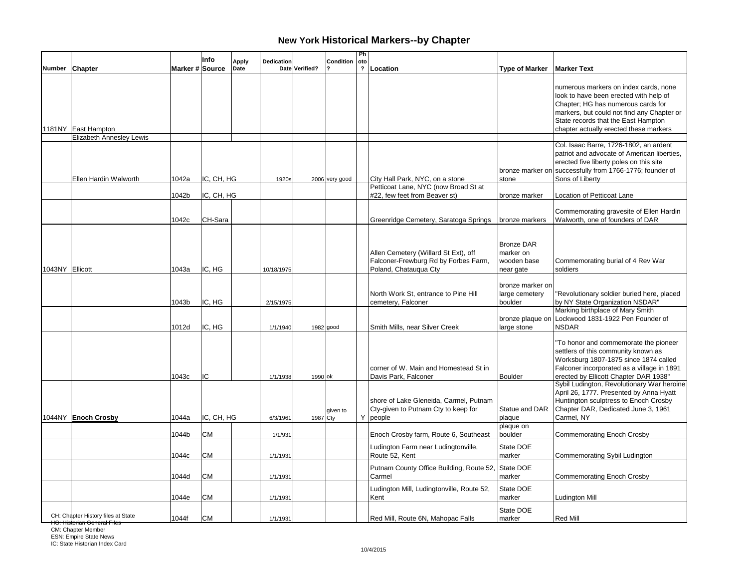|                 |                                    |                 | Info       | <b>Apply</b> | <b>Dedication</b> |                | Condition      | Ph<br>oto      |                                                                                                       |                                                            |                                                                                                                                                                                                                                                      |
|-----------------|------------------------------------|-----------------|------------|--------------|-------------------|----------------|----------------|----------------|-------------------------------------------------------------------------------------------------------|------------------------------------------------------------|------------------------------------------------------------------------------------------------------------------------------------------------------------------------------------------------------------------------------------------------------|
|                 | Number Chapter                     | Marker # Source |            | Date         |                   | Date Verified? |                | $\overline{?}$ | Location                                                                                              | <b>Type of Marker</b>                                      | <b>Marker Text</b>                                                                                                                                                                                                                                   |
|                 | 1181NY East Hampton                |                 |            |              |                   |                |                |                |                                                                                                       |                                                            | numerous markers on index cards, none<br>look to have been erected with help of<br>Chapter; HG has numerous cards for<br>markers, but could not find any Chapter or<br>State records that the East Hampton<br>chapter actually erected these markers |
|                 | Elizabeth Annesley Lewis           |                 |            |              |                   |                |                |                |                                                                                                       |                                                            | Col. Isaac Barre, 1726-1802, an ardent                                                                                                                                                                                                               |
|                 | Ellen Hardin Walworth              | 1042a           | IC, CH, HG |              | 1920s             |                | 2006 very good |                | City Hall Park, NYC, on a stone<br>Petticoat Lane, NYC (now Broad St at                               | stone                                                      | patriot and advocate of American liberties.<br>erected five liberty poles on this site<br>bronze marker on successfully from 1766-1776; founder of<br>Sons of Liberty                                                                                |
|                 |                                    | 1042b           | IC, CH, HG |              |                   |                |                |                | #22, few feet from Beaver st)                                                                         | bronze marker                                              | Location of Petticoat Lane                                                                                                                                                                                                                           |
|                 |                                    | 1042c           | CH-Sara    |              |                   |                |                |                | Greenridge Cemetery, Saratoga Springs                                                                 | bronze markers                                             | Commemorating gravesite of Ellen Hardin<br>Walworth, one of founders of DAR                                                                                                                                                                          |
| 1043NY Ellicott |                                    | 1043a           | IC, HG     |              | 10/18/1975        |                |                |                | Allen Cemetery (Willard St Ext), off<br>Falconer-Frewburg Rd by Forbes Farm,<br>Poland, Chatauqua Cty | <b>Bronze DAR</b><br>marker on<br>wooden base<br>near gate | Commemorating burial of 4 Rev War<br>soldiers                                                                                                                                                                                                        |
|                 |                                    | 1043b           | IC. HG     |              | 2/15/1975         |                |                |                | North Work St, entrance to Pine Hill<br>cemetery, Falconer                                            | bronze marker on<br>large cemetery<br>boulder              | "Revolutionary soldier buried here, placed<br>by NY State Organization NSDAR"                                                                                                                                                                        |
|                 |                                    | 1012d           | IC, HG     |              | 1/1/1940          |                | $1982$ good    |                | Smith Mills, near Silver Creek                                                                        | bronze plaque on<br>large stone                            | Marking birthplace of Mary Smith<br>Lockwood 1831-1922 Pen Founder of<br><b>NSDAR</b>                                                                                                                                                                |
|                 |                                    | 1043с           | IC         |              | 1/1/1938          | 1990 ok        |                |                | corner of W. Main and Homestead St in<br>Davis Park, Falconer                                         | Boulder                                                    | "To honor and commemorate the pioneer<br>settlers of this community known as<br>Worksburg 1807-1875 since 1874 called<br>Falconer incorporated as a village in 1891<br>erected by Ellicott Chapter DAR 1938"                                         |
|                 | 1044NY Enoch Crosby                | 1044a           | IC, CH, HG |              | 6/3/1961          | 1987 Cty       | given to       |                | shore of Lake Gleneida, Carmel, Putnam<br>Cty-given to Putnam Cty to keep for<br>Y people             | Statue and DAR<br>plaque                                   | Sybil Ludington, Revolutionary War heroine<br>April 26, 1777. Presented by Anna Hyatt<br>Huntington sculptress to Enoch Crosby<br>Chapter DAR, Dedicated June 3, 1961<br>Carmel, NY                                                                  |
|                 |                                    | 1044b           | <b>CM</b>  |              | 1/1/931           |                |                |                | Enoch Crosby farm, Route 6, Southeast                                                                 | plaque on<br>boulder                                       | <b>Commemorating Enoch Crosby</b>                                                                                                                                                                                                                    |
|                 |                                    | 1044c           | СM         |              | 1/1/1931          |                |                |                | Ludington Farm near Ludingtonville,<br>Route 52, Kent                                                 | State DOE<br>marker                                        | Commemorating Sybil Ludington                                                                                                                                                                                                                        |
|                 |                                    | 1044d           | <b>CM</b>  |              | 1/1/1931          |                |                |                | Putnam County Office Building, Route 52, State DOE<br>Carmel                                          | marker                                                     | <b>Commemorating Enoch Crosby</b>                                                                                                                                                                                                                    |
|                 |                                    | 1044e           | СM         |              | 1/1/1931          |                |                |                | Ludington Mill, Ludingtonville, Route 52,<br>Kent                                                     | State DOE<br>marker                                        | <b>Ludington Mill</b>                                                                                                                                                                                                                                |
|                 | CH: Chapter History files at State | 1044f           | <b>CM</b>  |              | 1/1/1931          |                |                |                | Red Mill, Route 6N, Mahopac Falls                                                                     | State DOE<br>marker                                        | <b>Red Mill</b>                                                                                                                                                                                                                                      |

<del>HG: Historian General Files</del><br>CM: Chapter Member<br>ESN: Empire State News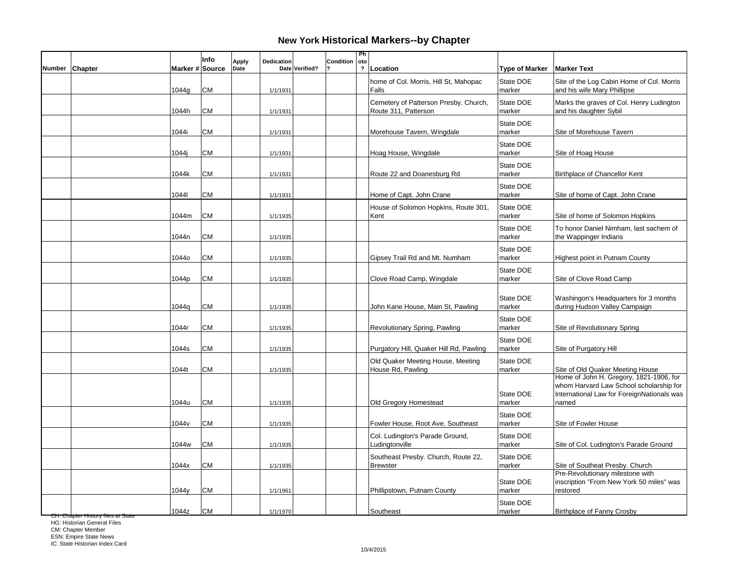|        |                |                   | Info      | <b>Apply</b> | Dedication |                | Condition | Ph<br> oto              |                                                               |                       |                                                                                                                                           |
|--------|----------------|-------------------|-----------|--------------|------------|----------------|-----------|-------------------------|---------------------------------------------------------------|-----------------------|-------------------------------------------------------------------------------------------------------------------------------------------|
| Number | <b>Chapter</b> | Marker # Source   |           | Date         |            | Date Verified? |           | $\overline{\mathbf{?}}$ | Location                                                      | <b>Type of Marker</b> | <b>Marker Text</b>                                                                                                                        |
|        |                | 1044g             | <b>CM</b> |              | 1/1/1931   |                |           |                         | home of Col. Morris, Hill St, Mahopac<br>Falls                | State DOE<br>marker   | Site of the Log Cabin Home of Col. Morris<br>and his wife Mary Phillipse                                                                  |
|        |                | 1044h             | <b>CM</b> |              | 1/1/1931   |                |           |                         | Cemetery of Patterson Presby. Church,<br>Route 311, Patterson | State DOE<br>marker   | Marks the graves of Col. Henry Ludington<br>and his daughter Sybil                                                                        |
|        |                | 1044i             | <b>CM</b> |              | 1/1/1931   |                |           |                         | Morehouse Tavern, Wingdale                                    | State DOE<br>marker   | Site of Morehouse Tavern                                                                                                                  |
|        |                | 1044j             | <b>CM</b> |              | 1/1/1931   |                |           |                         | Hoag House, Wingdale                                          | State DOE<br>marker   | Site of Hoag House                                                                                                                        |
|        |                | 1044k             | <b>CM</b> |              | 1/1/1931   |                |           |                         | Route 22 and Doanesburg Rd                                    | State DOE<br>marker   | Birthplace of Chancellor Kent                                                                                                             |
|        |                | 10441             | <b>CM</b> |              | 1/1/1931   |                |           |                         | Home of Capt. John Crane                                      | State DOE<br>marker   | Site of home of Capt. John Crane                                                                                                          |
|        |                | 1044m             | <b>CM</b> |              | 1/1/1935   |                |           |                         | House of Solomon Hopkins, Route 301,<br>Kent                  | State DOE<br>marker   | Site of home of Solomon Hopkins                                                                                                           |
|        |                | 1044n             | <b>CM</b> |              | 1/1/1935   |                |           |                         |                                                               | State DOE<br>marker   | To honor Daniel Nimham, last sachem of<br>the Wappinger Indians                                                                           |
|        |                | 1044o             | <b>CM</b> |              | 1/1/1935   |                |           |                         | Gipsey Trail Rd and Mt. Numham                                | State DOE<br>marker   | <b>Highest point in Putnam County</b>                                                                                                     |
|        |                | 1044p             | <b>CM</b> |              | 1/1/1935   |                |           |                         | Clove Road Camp, Wingdale                                     | State DOE<br>marker   | Site of Clove Road Camp                                                                                                                   |
|        |                | 1044q             | <b>CM</b> |              | 1/1/1935   |                |           |                         | John Kane House, Main St, Pawling                             | State DOE<br>marker   | Washingon's Headquarters for 3 months<br>during Hudson Valley Campaign                                                                    |
|        |                | 1044r             | <b>CM</b> |              | 1/1/1935   |                |           |                         | Revolutionary Spring, Pawling                                 | State DOE<br>marker   | Site of Revolutionary Spring                                                                                                              |
|        |                | 1044s             | <b>CM</b> |              | 1/1/1935   |                |           |                         | Purgatory Hill, Quaker Hill Rd, Pawling                       | State DOE<br>marker   | Site of Purgatory Hill                                                                                                                    |
|        |                | 1044t             | <b>CM</b> |              | 1/1/1935   |                |           |                         | Old Quaker Meeting House, Meeting<br>House Rd, Pawling        | State DOE<br>marker   | Site of Old Quaker Meeting House                                                                                                          |
|        |                | 1044u             | <b>CM</b> |              | 1/1/1935   |                |           |                         | Old Gregory Homestead                                         | State DOE<br>marker   | Home of John H. Gregory, 1821-1906, for<br>whom Harvard Law School scholarship for<br>International Law for ForeignNationals was<br>named |
|        |                | 1044 <sub>v</sub> | <b>CM</b> |              | 1/1/1935   |                |           |                         | Fowler House, Root Ave, Southeast                             | State DOE<br>marker   | Site of Fowler House                                                                                                                      |
|        |                | 1044w             | <b>CM</b> |              | 1/1/1935   |                |           |                         | Col. Ludington's Parade Ground,<br>Ludingtonville             | State DOE<br>marker   | Site of Col. Ludington's Parade Ground                                                                                                    |
|        |                | 1044x             | <b>CM</b> |              | 1/1/1935   |                |           |                         | Southeast Presby. Church, Route 22,<br><b>Brewster</b>        | State DOE<br>marker   | Site of Southeat Presby. Church                                                                                                           |
|        |                | 1044y             | <b>CM</b> |              | 1/1/1961   |                |           |                         | Phillipstown, Putnam County                                   | State DOE<br>marker   | Pre-Revolutionary milestone with<br>inscription "From New York 50 miles" was<br>restored                                                  |
|        |                | 1044z             | <b>CM</b> |              | 1/1/1970   |                |           |                         | Southeast                                                     | State DOE<br>marker   | <b>Birthplace of Fanny Crosby</b>                                                                                                         |

<del>CH: Chapter History files at State</del><br>HG: Historian General Files

CM: Chapter Member ESN: Empire State News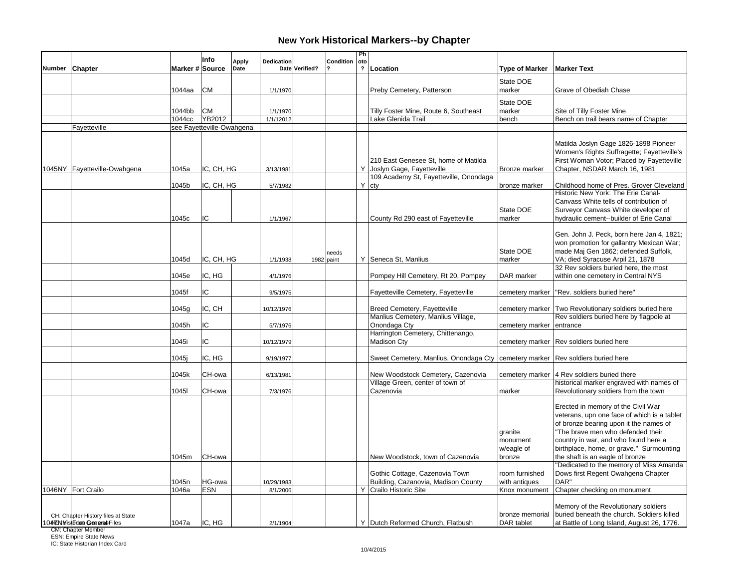|               |                                    |                 | Info                      | <b>Apply</b> | Dedication |                | Condition           | Ph<br>oto               |                                                                                    |                                 |                                                                                   |
|---------------|------------------------------------|-----------------|---------------------------|--------------|------------|----------------|---------------------|-------------------------|------------------------------------------------------------------------------------|---------------------------------|-----------------------------------------------------------------------------------|
| <b>Number</b> | Chapter                            | Marker # Source |                           | Date         |            | Date Verified? |                     | $\overline{\mathbf{?}}$ | Location                                                                           | <b>Type of Marker</b>           | <b>Marker Text</b>                                                                |
|               |                                    |                 |                           |              |            |                |                     |                         |                                                                                    | State DOE                       |                                                                                   |
|               |                                    | 1044aa          | <b>CM</b>                 |              | 1/1/1970   |                |                     |                         | Preby Cemetery, Patterson                                                          | marker                          | Grave of Obediah Chase                                                            |
|               |                                    |                 |                           |              |            |                |                     |                         |                                                                                    | State DOE                       |                                                                                   |
|               |                                    | 1044bb          | <b>CM</b>                 |              | 1/1/1970   |                |                     |                         | Tilly Foster Mine, Route 6, Southeast                                              | marker                          | Site of Tilly Foster Mine                                                         |
|               |                                    | 1044cc          | YB2012                    |              | 1/1/12012  |                |                     |                         | Lake Glenida Trail                                                                 | bench                           | Bench on trail bears name of Chapter                                              |
|               | Fayetteville                       |                 | see Fayetteville-Owahgena |              |            |                |                     |                         |                                                                                    |                                 |                                                                                   |
|               |                                    |                 |                           |              |            |                |                     |                         |                                                                                    |                                 | Matilda Joslyn Gage 1826-1898 Pioneer                                             |
|               |                                    |                 |                           |              |            |                |                     |                         |                                                                                    |                                 | Women's Rights Suffragette; Fayetteville's                                        |
|               |                                    |                 |                           |              |            |                |                     |                         | 210 East Genesee St. home of Matilda                                               |                                 | First Woman Votor; Placed by Fayetteville                                         |
|               | 1045NY Fayetteville-Owahgena       | 1045a           | IC, CH, HG                |              | 3/13/1981  |                |                     |                         | Y Joslyn Gage, Fayetteville                                                        | Bronze marker                   | Chapter, NSDAR March 16, 1981                                                     |
|               |                                    | 1045b           | IC, CH, HG                |              | 5/7/1982   |                |                     |                         | 109 Academy St, Fayetteville, Onondaga<br>$Y$ cty                                  | bronze marker                   | Childhood home of Pres. Grover Cleveland                                          |
|               |                                    |                 |                           |              |            |                |                     |                         |                                                                                    |                                 | Historic New York: The Erie Canal-                                                |
|               |                                    |                 |                           |              |            |                |                     |                         |                                                                                    |                                 | Canvass White tells of contribution of                                            |
|               |                                    |                 |                           |              |            |                |                     |                         |                                                                                    | State DOE                       | Surveyor Canvass White developer of                                               |
|               |                                    | 1045c           | IC                        |              | 1/1/1967   |                |                     |                         | County Rd 290 east of Fayetteville                                                 | marker                          | hydraulic cement--builder of Erie Canal                                           |
|               |                                    |                 |                           |              |            |                |                     |                         |                                                                                    |                                 |                                                                                   |
|               |                                    |                 |                           |              |            |                |                     |                         |                                                                                    |                                 | Gen. John J. Peck, born here Jan 4, 1821;                                         |
|               |                                    |                 |                           |              |            |                |                     |                         |                                                                                    | State DOE                       | won promotion for gallantry Mexican War;<br>made Maj Gen 1862; defended Suffolk,  |
|               |                                    | 1045d           | IC, CH, HG                |              | 1/1/1938   |                | needs<br>1982 paint |                         | Y Seneca St, Manlius                                                               | marker                          | VA; died Syracuse Arpil 21, 1878                                                  |
|               |                                    |                 |                           |              |            |                |                     |                         |                                                                                    |                                 | 32 Rev soldiers buried here, the most                                             |
|               |                                    | 1045e           | IC, HG                    |              | 4/1/1976   |                |                     |                         | Pompey Hill Cemetery, Rt 20, Pompey                                                | DAR marker                      | within one cemetery in Central NYS                                                |
|               |                                    | 1045f           | IC                        |              | 9/5/1975   |                |                     |                         | Fayetteville Cemetery, Fayetteville                                                | cemetery marker                 | "Rev. soldiers buried here"                                                       |
|               |                                    |                 |                           |              |            |                |                     |                         |                                                                                    |                                 |                                                                                   |
|               |                                    | 1045g           | IC, CH                    |              | 10/12/1976 |                |                     |                         | <b>Breed Cemetery, Fayetteville</b>                                                | cemetery marker                 | Two Revolutionary soldiers buried here                                            |
|               |                                    |                 |                           |              |            |                |                     |                         | Manlius Cemetery, Manlius Village,                                                 |                                 | Rev soldiers buried here by flagpole at                                           |
|               |                                    | 1045h           | IC                        |              | 5/7/1976   |                |                     |                         | Onondaga Cty<br>Harrington Cemetery, Chittenango,                                  | cemetery marker entrance        |                                                                                   |
|               |                                    | 1045i           | IC                        |              | 10/12/1979 |                |                     |                         | <b>Madison Cty</b>                                                                 |                                 | cemetery marker   Rev soldiers buried here                                        |
|               |                                    |                 |                           |              |            |                |                     |                         |                                                                                    |                                 |                                                                                   |
|               |                                    | 1045j           | IC, HG                    |              | 9/19/1977  |                |                     |                         | Sweet Cemetery, Manlius, Onondaga Cty   cemetery marker   Rev soldiers buried here |                                 |                                                                                   |
|               |                                    | 1045k           | CH-owa                    |              | 6/13/1981  |                |                     |                         | New Woodstock Cemetery, Cazenovia                                                  |                                 | cemetery marker 4 Rev soldiers buried there                                       |
|               |                                    |                 |                           |              |            |                |                     |                         | Village Green, center of town of                                                   |                                 | historical marker engraved with names of                                          |
|               |                                    | 10451           | CH-owa                    |              | 7/3/1976   |                |                     |                         | Cazenovia                                                                          | marker                          | Revolutionary soldiers from the town                                              |
|               |                                    |                 |                           |              |            |                |                     |                         |                                                                                    |                                 |                                                                                   |
|               |                                    |                 |                           |              |            |                |                     |                         |                                                                                    |                                 | Erected in memory of the Civil War<br>veterans, upn one face of which is a tablet |
|               |                                    |                 |                           |              |            |                |                     |                         |                                                                                    |                                 | of bronze bearing upon it the names of                                            |
|               |                                    |                 |                           |              |            |                |                     |                         |                                                                                    | granite                         | "The brave men who defended their                                                 |
|               |                                    |                 |                           |              |            |                |                     |                         |                                                                                    | monument                        | country in war, and who found here a                                              |
|               |                                    |                 |                           |              |            |                |                     |                         |                                                                                    | w/eagle of                      | birthplace, home, or grave." Surmounting                                          |
|               |                                    | 1045m           | CH-owa                    |              |            |                |                     |                         | New Woodstock, town of Cazenovia                                                   | bronze                          | the shaft is an eagle of bronze                                                   |
|               |                                    |                 |                           |              |            |                |                     |                         |                                                                                    |                                 | "Dedicated to the memory of Miss Amanda                                           |
|               |                                    | 1045n           | HG-owa                    |              | 10/29/1983 |                |                     |                         | Gothic Cottage, Cazenovia Town<br>Building, Cazanovia, Madison County              | room furnished<br>with antiques | Dows first Regent Owahgena Chapter<br>DAR"                                        |
|               | 1046NY Fort Crailo                 | 1046a           | <b>ESN</b>                |              | 8/1/2006   |                |                     |                         | Y Crailo Historic Site                                                             | Knox monument                   | Chapter checking on monument                                                      |
|               |                                    |                 |                           |              |            |                |                     |                         |                                                                                    |                                 |                                                                                   |
|               |                                    |                 |                           |              |            |                |                     |                         |                                                                                    |                                 | Memory of the Revolutionary soldiers                                              |
|               | CH: Chapter History files at State |                 |                           |              |            |                |                     |                         |                                                                                    | bronze memorial                 | buried beneath the church. Soldiers killed                                        |
|               | 10477NMistbroat GeoeraeFiles       | 1047a           | IC, HG                    |              | 2/1/1904   |                |                     |                         | Y Dutch Reformed Church, Flatbush                                                  | DAR tablet                      | at Battle of Long Island, August 26, 1776.                                        |

CM: Chapter Member ESN: Empire State News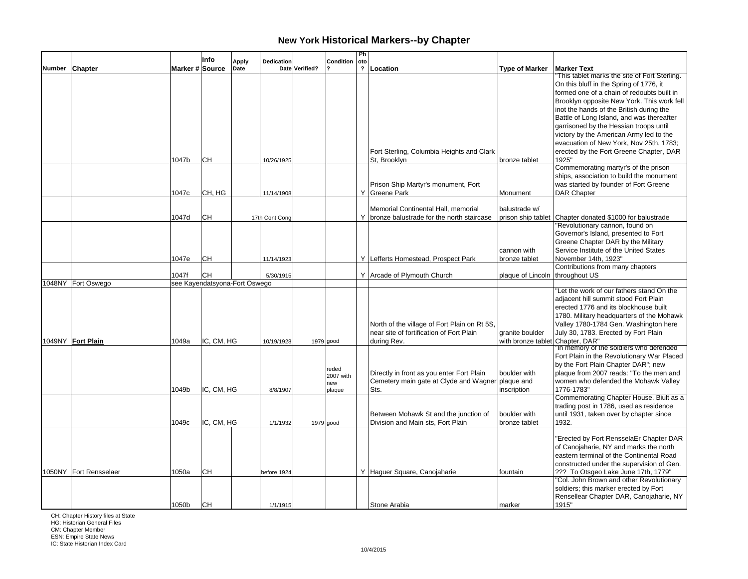|               |                        |                 | Info                          | <b>Apply</b> | Dedication     |                | Condition                           | Ph<br>oto               |                                                                                                         |                                                     |                                                                                                                                                                                                                                                                                                                        |
|---------------|------------------------|-----------------|-------------------------------|--------------|----------------|----------------|-------------------------------------|-------------------------|---------------------------------------------------------------------------------------------------------|-----------------------------------------------------|------------------------------------------------------------------------------------------------------------------------------------------------------------------------------------------------------------------------------------------------------------------------------------------------------------------------|
| <b>Number</b> | <b>Chapter</b>         | Marker # Source |                               | Date         |                | Date Verified? |                                     | $\overline{\mathbf{?}}$ | Location                                                                                                | <b>Type of Marker</b>                               | <b>Marker Text</b>                                                                                                                                                                                                                                                                                                     |
|               |                        |                 |                               |              |                |                |                                     |                         |                                                                                                         |                                                     | This tablet marks the site of Fort Sterling.<br>On this bluff in the Spring of 1776, it<br>formed one of a chain of redoubts built in<br>Brooklyn opposite New York. This work fell<br>inot the hands of the British during the<br>Battle of Long Island, and was thereafter<br>garrisoned by the Hessian troops until |
|               |                        | 1047b           | CН                            |              | 10/26/1925     |                |                                     |                         | Fort Sterling, Columbia Heights and Clark<br>St. Brooklyn                                               | bronze tablet                                       | victory by the American Army led to the<br>evacuation of New York, Nov 25th, 1783;<br>erected by the Fort Greene Chapter, DAR<br>1925"                                                                                                                                                                                 |
|               |                        | 1047c           | CH, HG                        |              | 11/14/1908     |                |                                     |                         | Prison Ship Martyr's monument, Fort<br>Y Greene Park                                                    | Monument                                            | Commemorating martyr's of the prison<br>ships, association to build the monument<br>was started by founder of Fort Greene<br><b>DAR Chapter</b>                                                                                                                                                                        |
|               |                        | 1047d           | CН                            |              | 17th Cont Cong |                |                                     |                         | Memorial Continental Hall, memorial<br>Y bronze balustrade for the north staircase                      | balustrade w/                                       | prison ship tablet Chapter donated \$1000 for balustrade                                                                                                                                                                                                                                                               |
|               |                        | 1047e           | CН                            |              | 11/14/1923     |                |                                     |                         | Y Lefferts Homestead, Prospect Park                                                                     | cannon with<br>bronze tablet                        | "Revolutionary cannon, found on<br>Governor's Island, presented to Fort<br>Greene Chapter DAR by the Military<br>Service Institute of the United States<br>November 14th, 1923"                                                                                                                                        |
|               |                        | 1047f           | CH                            |              | 5/30/1915      |                |                                     |                         | Y Arcade of Plymouth Church                                                                             | plaque of Lincoln   throughout US                   | Contributions from many chapters                                                                                                                                                                                                                                                                                       |
|               | 1048NY Fort Oswego     |                 | see Kayendatsyona-Fort Oswego |              |                |                |                                     |                         |                                                                                                         |                                                     |                                                                                                                                                                                                                                                                                                                        |
|               | 1049NY Fort Plain      | 1049a           | IC, CM, HG                    |              | 10/19/1928     |                | $1979$ good                         |                         | North of the village of Fort Plain on Rt 5S,<br>near site of fortification of Fort Plain<br>during Rev. | granite boulder<br>with bronze tablet Chapter, DAR" | "Let the work of our fathers stand On the<br>adjacent hill summit stood Fort Plain<br>erected 1776 and its blockhouse built<br>1780. Military headquarters of the Mohawk<br>Valley 1780-1784 Gen. Washington here<br>July 30, 1783. Erected by Fort Plain                                                              |
|               |                        | 1049b           | IC, CM, HG                    |              | 8/8/1907       |                | reded<br>2007 with<br>new<br>plaque |                         | Directly in front as you enter Fort Plain<br>Cemetery main gate at Clyde and Wagner plaque and<br>Sts.  | boulder with<br>inscription                         | "In memory of the soldiers who defended<br>Fort Plain in the Revolutionary War Placed<br>by the Fort Plain Chapter DAR"; new<br>plaque from 2007 reads: "To the men and<br>women who defended the Mohawk Valley<br>1776-1783"<br>Commemorating Chapter House. Biult as a                                               |
|               |                        | 1049c           | IC, CM, HG                    |              | 1/1/1932       |                | 1979 good                           |                         | Between Mohawk St and the junction of<br>Division and Main sts, Fort Plain                              | boulder with<br>bronze tablet                       | trading post in 1786, used as residence<br>until 1931, taken over by chapter since<br>1932.                                                                                                                                                                                                                            |
|               | 1050NY Fort Rensselaer | 1050a           | CН                            |              | before 1924    |                |                                     |                         | Y Haguer Square, Canojaharie                                                                            | fountain                                            | "Erected by Fort RensselaEr Chapter DAR<br>of Canojaharie, NY and marks the north<br>eastern terminal of the Continental Road<br>constructed under the supervision of Gen.<br>??? To Otsgeo Lake June 17th, 1779"<br>"Col. John Brown and other Revolutionary                                                          |
|               |                        | 1050b           | lсн                           |              | 1/1/1915       |                |                                     |                         | Stone Arabia                                                                                            | marker                                              | soldiers; this marker erected by Fort<br>Rensellear Chapter DAR, Canojaharie, NY<br>1915"                                                                                                                                                                                                                              |

CH: Chapter History files at State HG: Historian General Files

CM: Chapter Member ESN: Empire State News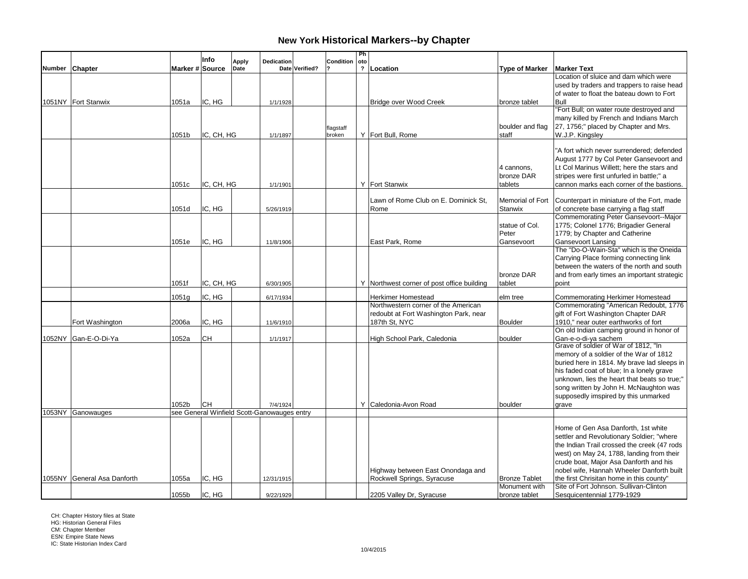|        |                             |                 | Info       | Apply | <b>Dedication</b>                           |                | Condition | Ph<br>oto               |                                            |                       |                                                                                         |
|--------|-----------------------------|-----------------|------------|-------|---------------------------------------------|----------------|-----------|-------------------------|--------------------------------------------|-----------------------|-----------------------------------------------------------------------------------------|
| Number | <b>Chapter</b>              | Marker # Source |            | Date  |                                             | Date Verified? |           | $\overline{\mathbf{?}}$ | Location                                   | <b>Type of Marker</b> | <b>Marker Text</b>                                                                      |
|        |                             |                 |            |       |                                             |                |           |                         |                                            |                       | Location of sluice and dam which were                                                   |
|        |                             |                 |            |       |                                             |                |           |                         |                                            |                       | used by traders and trappers to raise head<br>of water to float the bateau down to Fort |
|        | 1051NY Fort Stanwix         | 1051a           | IC. HG     |       | 1/1/1928                                    |                |           |                         | Bridge over Wood Creek                     | bronze tablet         | Bull                                                                                    |
|        |                             |                 |            |       |                                             |                |           |                         |                                            |                       | "Fort Bull; on water route destroyed and                                                |
|        |                             |                 |            |       |                                             |                |           |                         |                                            |                       | many killed by French and Indians March                                                 |
|        |                             |                 |            |       |                                             |                | flagstaff |                         |                                            | boulder and flag      | 27, 1756;" placed by Chapter and Mrs.                                                   |
|        |                             | 1051b           | IC, CH, HG |       | 1/1/1897                                    |                | broken    |                         | Y Fort Bull, Rome                          | staff                 | W.J.P. Kingsley                                                                         |
|        |                             |                 |            |       |                                             |                |           |                         |                                            |                       | "A fort which never surrendered; defended                                               |
|        |                             |                 |            |       |                                             |                |           |                         |                                            |                       | August 1777 by Col Peter Gansevoort and                                                 |
|        |                             |                 |            |       |                                             |                |           |                         |                                            | 4 cannons,            | Lt Col Marinus Willett; here the stars and                                              |
|        |                             |                 |            |       |                                             |                |           |                         |                                            | bronze DAR            | stripes were first unfurled in battle;" a                                               |
|        |                             | 1051c           | IC, CH, HG |       | 1/1/1901                                    |                |           |                         | Y Fort Stanwix                             | tablets               | cannon marks each corner of the bastions.                                               |
|        |                             |                 |            |       |                                             |                |           |                         |                                            |                       |                                                                                         |
|        |                             |                 |            |       |                                             |                |           |                         | Lawn of Rome Club on E. Dominick St,       |                       | Memorial of Fort   Counterpart in miniature of the Fort, made                           |
|        |                             | 1051d           | IC, HG     |       | 5/26/1919                                   |                |           |                         | Rome                                       | Stanwix               | of concrete base carrying a flag staff<br>Commemorating Peter Gansevoort--Major         |
|        |                             |                 |            |       |                                             |                |           |                         |                                            | statue of Col.        | 1775; Colonel 1776; Brigadier General                                                   |
|        |                             |                 |            |       |                                             |                |           |                         |                                            | Peter                 | 1779; by Chapter and Catherine                                                          |
|        |                             | 1051e           | IC, HG     |       | 11/8/1906                                   |                |           |                         | East Park, Rome                            | Gansevoort            | <b>Gansevoort Lansing</b>                                                               |
|        |                             |                 |            |       |                                             |                |           |                         |                                            |                       | The "Do-O-Wain-Sta" which is the Oneida                                                 |
|        |                             |                 |            |       |                                             |                |           |                         |                                            |                       | Carrying Place forming connecting link                                                  |
|        |                             |                 |            |       |                                             |                |           |                         |                                            |                       | between the waters of the north and south                                               |
|        |                             |                 |            |       |                                             |                |           |                         |                                            | bronze DAR            | and from early times an important strategic                                             |
|        |                             | 1051f           | IC, CH, HG |       | 6/30/1905                                   |                |           |                         | Y Northwest corner of post office building | tablet                | point                                                                                   |
|        |                             | 1051g           | IC, HG     |       | 6/17/1934                                   |                |           |                         | Herkimer Homestead                         | elm tree              | Commemorating Herkimer Homestead                                                        |
|        |                             |                 |            |       |                                             |                |           |                         | Northwestern corner of the American        |                       | Commemorating "American Redoubt, 1776                                                   |
|        |                             |                 |            |       |                                             |                |           |                         | redoubt at Fort Washington Park, near      |                       | gift of Fort Washington Chapter DAR                                                     |
|        | Fort Washington             | 2006a           | IC, HG     |       | 11/6/1910                                   |                |           |                         | 187th St, NYC                              | <b>Boulder</b>        | 1910," near outer earthworks of fort<br>On old Indian camping ground in honor of        |
|        | 1052NY Gan-E-O-Di-Ya        | 1052a           | CН         |       | 1/1/1917                                    |                |           |                         | High School Park, Caledonia                | boulder               | Gan-e-o-di-ya sachem                                                                    |
|        |                             |                 |            |       |                                             |                |           |                         |                                            |                       | Grave of soldier of War of 1812, "In                                                    |
|        |                             |                 |            |       |                                             |                |           |                         |                                            |                       | memory of a soldier of the War of 1812                                                  |
|        |                             |                 |            |       |                                             |                |           |                         |                                            |                       | buried here in 1814. My brave lad sleeps in                                             |
|        |                             |                 |            |       |                                             |                |           |                         |                                            |                       | his faded coat of blue; In a lonely grave                                               |
|        |                             |                 |            |       |                                             |                |           |                         |                                            |                       | unknown, lies the heart that beats so true;"                                            |
|        |                             |                 |            |       |                                             |                |           |                         |                                            |                       | song written by John H. McNaughton was                                                  |
|        |                             | 1052b           | lсн        |       | 7/4/1924                                    |                |           |                         | Y Caledonia-Avon Road                      | boulder               | supposedly imspired by this unmarked<br>grave                                           |
|        | 1053NY Ganowauges           |                 |            |       | see General Winfield Scott-Ganowauges entry |                |           |                         |                                            |                       |                                                                                         |
|        |                             |                 |            |       |                                             |                |           |                         |                                            |                       |                                                                                         |
|        |                             |                 |            |       |                                             |                |           |                         |                                            |                       | Home of Gen Asa Danforth, 1st white                                                     |
|        |                             |                 |            |       |                                             |                |           |                         |                                            |                       | settler and Revolutionary Soldier; "where                                               |
|        |                             |                 |            |       |                                             |                |           |                         |                                            |                       | the Indian Trail crossed the creek (47 rods                                             |
|        |                             |                 |            |       |                                             |                |           |                         |                                            |                       | west) on May 24, 1788, landing from their                                               |
|        |                             |                 |            |       |                                             |                |           |                         | Highway between East Onondaga and          |                       | crude boat, Major Asa Danforth and his<br>nobel wife, Hannah Wheeler Danforth built     |
|        | 1055NY General Asa Danforth | 1055a           | IC, HG     |       | 12/31/1915                                  |                |           |                         | Rockwell Springs, Syracuse                 | <b>Bronze Tablet</b>  | the first Chrisitan home in this county"                                                |
|        |                             |                 |            |       |                                             |                |           |                         |                                            | Monument with         | Site of Fort Johnson. Sullivan-Clinton                                                  |
|        |                             | 1055b           | IC, HG     |       | 9/22/1929                                   |                |           |                         | 2205 Valley Dr, Syracuse                   | bronze tablet         | Sesquicentennial 1779-1929                                                              |

CH: Chapter History files at State HG: Historian General Files CM: Chapter Member ESN: Empire State News IC: State Historian Index Card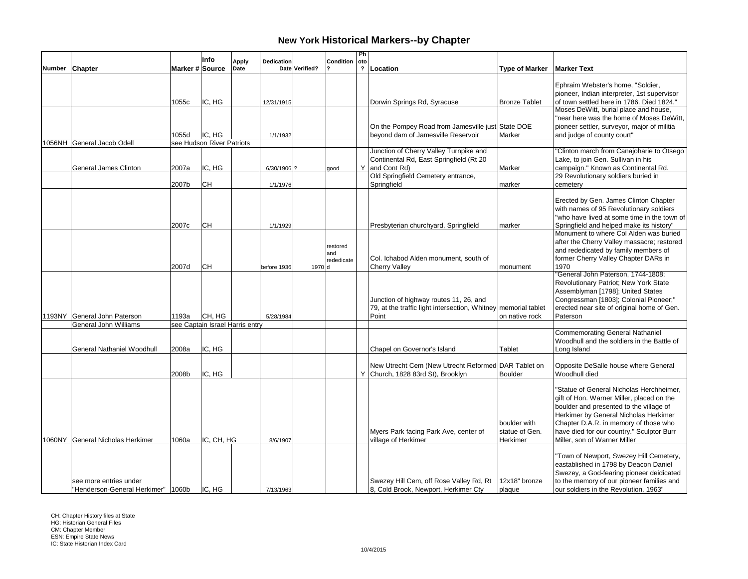|        |                                      |                 | Info                            | <b>Apply</b> | <b>Dedication</b> |                | Condition  | Ph<br>  oto  |                                                                                          |                       |                                                                                          |
|--------|--------------------------------------|-----------------|---------------------------------|--------------|-------------------|----------------|------------|--------------|------------------------------------------------------------------------------------------|-----------------------|------------------------------------------------------------------------------------------|
| Number | Chapter                              | Marker # Source |                                 | Date         |                   | Date Verified? |            | $\mathbf{r}$ | Location                                                                                 | <b>Type of Marker</b> | <b>Marker Text</b>                                                                       |
|        |                                      |                 |                                 |              |                   |                |            |              |                                                                                          |                       |                                                                                          |
|        |                                      |                 |                                 |              |                   |                |            |              |                                                                                          |                       | Ephraim Webster's home, "Soldier,                                                        |
|        |                                      | 1055c           | IC, HG                          |              | 12/31/1915        |                |            |              | Dorwin Springs Rd, Syracuse                                                              | <b>Bronze Tablet</b>  | pioneer, Indian interpreter, 1st supervisor<br>of town settled here in 1786. Died 1824." |
|        |                                      |                 |                                 |              |                   |                |            |              |                                                                                          |                       | Moses DeWitt, burial place and house,                                                    |
|        |                                      |                 |                                 |              |                   |                |            |              |                                                                                          |                       | "near here was the home of Moses DeWitt,                                                 |
|        |                                      |                 |                                 |              |                   |                |            |              | On the Pompey Road from Jamesville just State DOE                                        |                       | pioneer settler, surveyor, major of militia                                              |
|        |                                      | 1055d           | IC, HG                          |              | 1/1/1932          |                |            |              | beyond dam of Jamesville Reservoir                                                       | Marker                | and judge of county court"                                                               |
|        | 1056NH General Jacob Odell           |                 | see Hudson River Patriots       |              |                   |                |            |              |                                                                                          |                       |                                                                                          |
|        |                                      |                 |                                 |              |                   |                |            |              | Junction of Cherry Valley Turnpike and                                                   |                       | "Clinton march from Canajoharie to Otsego                                                |
|        |                                      |                 |                                 |              |                   |                |            |              | Continental Rd, East Springfield (Rt 20)                                                 |                       | Lake, to join Gen. Sullivan in his                                                       |
|        | General James Clinton                | 2007a           | IC, HG                          |              | 6/30/1906 ?       |                | qood       |              | Y and Cont Rd)<br>Old Springfield Cemetery entrance,                                     | Marker                | campaign." Known as Continental Rd.<br>29 Revolutionary soldiers buried in               |
|        |                                      | 2007b           | CН                              |              | 1/1/1976          |                |            |              | Springfield                                                                              | marker                | cemetery                                                                                 |
|        |                                      |                 |                                 |              |                   |                |            |              |                                                                                          |                       |                                                                                          |
|        |                                      |                 |                                 |              |                   |                |            |              |                                                                                          |                       | Erected by Gen. James Clinton Chapter                                                    |
|        |                                      |                 |                                 |              |                   |                |            |              |                                                                                          |                       | with names of 95 Revolutionary soldiers                                                  |
|        |                                      |                 |                                 |              |                   |                |            |              |                                                                                          |                       | "who have lived at some time in the town of                                              |
|        |                                      | 2007c           | <b>CH</b>                       |              | 1/1/1929          |                |            |              | Presbyterian churchyard, Springfield                                                     | marker                | Springfield and helped make its history"                                                 |
|        |                                      |                 |                                 |              |                   |                |            |              |                                                                                          |                       | Monument to where Col Alden was buried                                                   |
|        |                                      |                 |                                 |              |                   |                | restored   |              |                                                                                          |                       | after the Cherry Valley massacre; restored                                               |
|        |                                      |                 |                                 |              |                   |                | and        |              |                                                                                          |                       | and rededicated by family members of                                                     |
|        |                                      |                 |                                 |              |                   |                | rededicate |              | Col. Ichabod Alden monument, south of                                                    |                       | former Cherry Valley Chapter DARs in                                                     |
|        |                                      | 2007d           | CH                              |              | before 1936       | 1970d          |            |              | <b>Cherry Valley</b>                                                                     | monument              | 1970<br>"General John Paterson, 1744-1808;                                               |
|        |                                      |                 |                                 |              |                   |                |            |              |                                                                                          |                       | Revolutionary Patriot; New York State                                                    |
|        |                                      |                 |                                 |              |                   |                |            |              |                                                                                          |                       | Assemblyman [1798]; United States                                                        |
|        |                                      |                 |                                 |              |                   |                |            |              | Junction of highway routes 11, 26, and                                                   |                       | Congressman [1803]; Colonial Pioneer;"                                                   |
|        |                                      |                 |                                 |              |                   |                |            |              | 79, at the traffic light intersection, Whitney memorial tablet                           |                       | erected near site of original home of Gen.                                               |
|        | 1193NY General John Paterson         | 1193a           | CH, HG                          |              | 5/28/1984         |                |            |              | Point                                                                                    | on native rock        | Paterson                                                                                 |
|        | General John Williams                |                 | see Captain Israel Harris entry |              |                   |                |            |              |                                                                                          |                       |                                                                                          |
|        |                                      |                 |                                 |              |                   |                |            |              |                                                                                          |                       | <b>Commemorating General Nathaniel</b>                                                   |
|        |                                      |                 |                                 |              |                   |                |            |              |                                                                                          |                       | Woodhull and the soldiers in the Battle of                                               |
|        | General Nathaniel Woodhull           | 2008a           | IC, HG                          |              |                   |                |            |              | Chapel on Governor's Island                                                              | Tablet                | Long Island                                                                              |
|        |                                      |                 |                                 |              |                   |                |            |              |                                                                                          |                       |                                                                                          |
|        |                                      | 2008b           | IC, HG                          |              |                   |                |            |              | New Utrecht Cem (New Utrecht Reformed DAR Tablet on<br>Y Church, 1828 83rd St), Brooklyn | <b>Boulder</b>        | Opposite DeSalle house where General<br>Woodhull died                                    |
|        |                                      |                 |                                 |              |                   |                |            |              |                                                                                          |                       |                                                                                          |
|        |                                      |                 |                                 |              |                   |                |            |              |                                                                                          |                       | "Statue of General Nicholas Herchheimer,                                                 |
|        |                                      |                 |                                 |              |                   |                |            |              |                                                                                          |                       | gift of Hon. Warner Miller, placed on the                                                |
|        |                                      |                 |                                 |              |                   |                |            |              |                                                                                          |                       | boulder and presented to the village of                                                  |
|        |                                      |                 |                                 |              |                   |                |            |              |                                                                                          |                       | Herkimer by General Nicholas Herkimer                                                    |
|        |                                      |                 |                                 |              |                   |                |            |              |                                                                                          | boulder with          | Chapter D.A.R. in memory of those who                                                    |
|        |                                      |                 |                                 |              |                   |                |            |              | Myers Park facing Park Ave, center of                                                    | statue of Gen.        | have died for our country." Sculptor Burr                                                |
|        | 1060NY General Nicholas Herkimer     | 1060a           | IC, CH, HG                      |              | 8/6/1907          |                |            |              | village of Herkimer                                                                      | Herkimer              | Miller, son of Warner Miller                                                             |
|        |                                      |                 |                                 |              |                   |                |            |              |                                                                                          |                       |                                                                                          |
|        |                                      |                 |                                 |              |                   |                |            |              |                                                                                          |                       | "Town of Newport, Swezey Hill Cemetery,                                                  |
|        |                                      |                 |                                 |              |                   |                |            |              |                                                                                          |                       | eastablished in 1798 by Deacon Daniel<br>Swezey, a God-fearing pioneer deidicated        |
|        | see more entries under               |                 |                                 |              |                   |                |            |              | Swezey Hill Cem, off Rose Valley Rd, Rt                                                  | 12x18" bronze         | to the memory of our pioneer families and                                                |
|        | "Henderson-General Herkimer"   1060b |                 | IC. HG                          |              | 7/13/1963         |                |            |              | 8, Cold Brook, Newport, Herkimer Cty                                                     | plaque                | our soldiers in the Revolution. 1963"                                                    |

CH: Chapter History files at State HG: Historian General Files CM: Chapter Member ESN: Empire State News IC: State Historian Index Card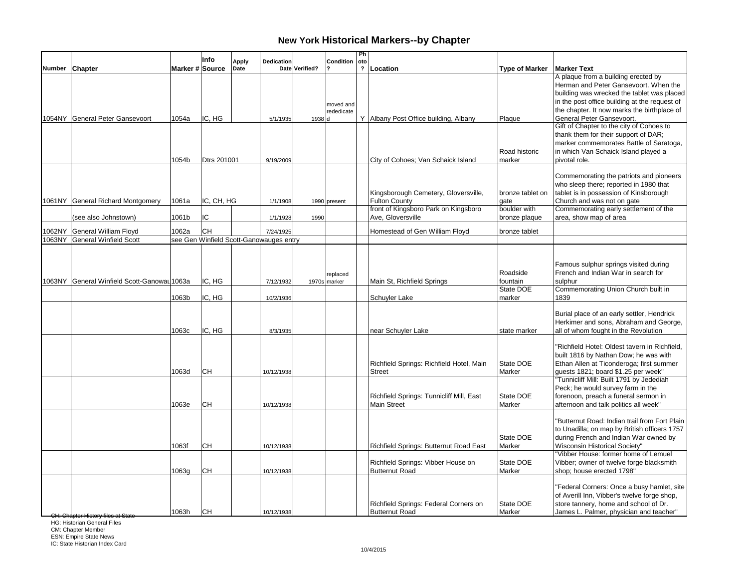|        |                                             |                 | Info        | Apply | Dedication                              |                | Condition                | Ph<br>oto      |                                                                |                                   |                                                                                                                                                                                                                                                         |
|--------|---------------------------------------------|-----------------|-------------|-------|-----------------------------------------|----------------|--------------------------|----------------|----------------------------------------------------------------|-----------------------------------|---------------------------------------------------------------------------------------------------------------------------------------------------------------------------------------------------------------------------------------------------------|
|        | Number Chapter                              | Marker # Source |             | Date  |                                         | Date Verified? |                          | $\overline{2}$ | Location                                                       | <b>Type of Marker</b>             | <b>Marker Text</b>                                                                                                                                                                                                                                      |
|        | 1054NY General Peter Gansevoort             | 1054a           | IC. HG      |       | 5/1/1935                                | 1938 d         | moved and<br>rededicate  |                | Y Albany Post Office building, Albany                          | Plaque                            | A plaque from a building erected by<br>Herman and Peter Gansevoort. When the<br>building was wrecked the tablet was placed<br>in the post office building at the request of<br>the chapter. It now marks the birthplace of<br>General Peter Gansevoort. |
|        |                                             |                 |             |       |                                         |                |                          |                |                                                                | Road historic                     | Gift of Chapter to the city of Cohoes to<br>thank them for their support of DAR;<br>marker commemorates Battle of Saratoga,<br>in which Van Schaick Island played a                                                                                     |
|        |                                             | 1054b           | Dtrs 201001 |       | 9/19/2009                               |                |                          |                | City of Cohoes; Van Schaick Island                             | marker                            | pivotal role.                                                                                                                                                                                                                                           |
|        | 1061NY General Richard Montgomery           | 1061a           | IC, CH, HG  |       | 1/1/1908                                |                | 1990 present             |                | Kingsborough Cemetery, Gloversville,<br><b>Fulton County</b>   | bronze tablet on<br>qate          | Commemorating the patriots and pioneers<br>who sleep there; reported in 1980 that<br>tablet is in possession of Kinsborough<br>Church and was not on gate                                                                                               |
|        |                                             |                 |             |       |                                         |                |                          |                | front of Kingsboro Park on Kingsboro                           | boulder with                      | Commemorating early settlement of the                                                                                                                                                                                                                   |
|        | (see also Johnstown)                        | 1061b           | IC          |       | 1/1/1928                                | 1990           |                          |                | Ave, Gloversville                                              | bronze plaque                     | area, show map of area                                                                                                                                                                                                                                  |
| 1062NY | General William Floyd                       | 1062a           | <b>CH</b>   |       | 7/24/1925                               |                |                          |                | Homestead of Gen William Floyd                                 | bronze tablet                     |                                                                                                                                                                                                                                                         |
|        | 1063NY General Winfield Scott               |                 |             |       | see Gen Winfield Scott-Ganowauges entry |                |                          |                |                                                                |                                   |                                                                                                                                                                                                                                                         |
|        | 1063NY General Winfield Scott-Ganowau 1063a |                 | IC, HG      |       | 7/12/1932                               |                | replaced<br>1970s marker |                | Main St, Richfield Springs                                     | Roadside<br>fountain<br>State DOE | Famous sulphur springs visited during<br>French and Indian War in search for<br>sulphur<br>Commemorating Union Church built in                                                                                                                          |
|        |                                             | 1063b           | IC, HG      |       | 10/2/1936                               |                |                          |                | Schuyler Lake                                                  | marker                            | 1839                                                                                                                                                                                                                                                    |
|        |                                             | 1063c           | IC, HG      |       | 8/3/1935                                |                |                          |                | near Schuyler Lake                                             | state marker                      | Burial place of an early settler, Hendrick<br>Herkimer and sons, Abraham and George,<br>all of whom fought in the Revolution                                                                                                                            |
|        |                                             | 1063d           | CН          |       | 10/12/1938                              |                |                          |                | Richfield Springs: Richfield Hotel, Main<br>Street             | State DOE<br>Marker               | "Richfield Hotel: Oldest tavern in Richfield,<br>built 1816 by Nathan Dow; he was with<br>Ethan Allen at Ticonderoga; first summer<br>quests 1821; board \$1.25 per week"<br>"Tunnicliff Mill: Built 1791 by Jedediah                                   |
|        |                                             | 1063e           | <b>CH</b>   |       | 10/12/1938                              |                |                          |                | Richfield Springs: Tunnicliff Mill, East<br><b>Main Street</b> | State DOE<br>Marker               | Peck; he would survey farm in the<br>forenoon, preach a funeral sermon in<br>afternoon and talk politics all week"                                                                                                                                      |
|        |                                             | 1063f           | CН          |       | 10/12/1938                              |                |                          |                | Richfield Springs: Butternut Road East                         | State DOE<br>Marker               | "Butternut Road: Indian trail from Fort Plain<br>to Unadilla; on map by British officers 1757<br>during French and Indian War owned by<br><b>Wisconsin Historical Society"</b>                                                                          |
|        |                                             | 1063g           | CН          |       | 10/12/1938                              |                |                          |                | Richfield Springs: Vibber House on<br><b>Butternut Road</b>    | State DOE<br>Marker               | "Vibber House: former home of Lemuel<br>Vibber; owner of twelve forge blacksmith<br>shop; house erected 1798"                                                                                                                                           |
|        | <del>lapter History files at Cta</del>      | 1063h           | lсн         |       | 10/12/1938                              |                |                          |                | Richfield Springs: Federal Corners on<br><b>Butternut Road</b> | State DOE<br>Marker               | "Federal Corners: Once a busy hamlet, site<br>of Averill Inn, Vibber's twelve forge shop,<br>store tannery, home and school of Dr.<br>James L. Palmer, physician and teacher"                                                                           |

**HG: Historian General Files**<br>HG: Historian General Files

CM: Chapter Member ESN: Empire State News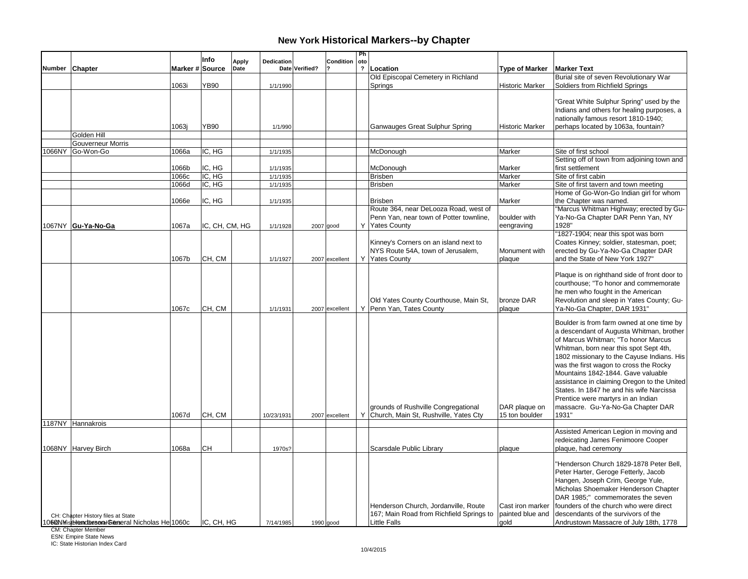|                |                                                   |                 | Info           | <b>Apply</b> | <b>Dedication</b> |                | Condition      | Ph<br>oto      |                                          |                        |                                                                           |
|----------------|---------------------------------------------------|-----------------|----------------|--------------|-------------------|----------------|----------------|----------------|------------------------------------------|------------------------|---------------------------------------------------------------------------|
| Number Chapter |                                                   | Marker # Source |                | Date         |                   | Date Verified? |                | $\overline{ }$ | Location                                 | <b>Type of Marker</b>  | <b>Marker Text</b>                                                        |
|                |                                                   |                 |                |              |                   |                |                |                | Old Episcopal Cemetery in Richland       |                        | Burial site of seven Revolutionary War                                    |
|                |                                                   | 1063i           | YB90           |              | 1/1/1990          |                |                |                | Springs                                  | <b>Historic Marker</b> | Soldiers from Richfield Springs                                           |
|                |                                                   |                 |                |              |                   |                |                |                |                                          |                        |                                                                           |
|                |                                                   |                 |                |              |                   |                |                |                |                                          |                        | "Great White Sulphur Spring" used by the                                  |
|                |                                                   |                 |                |              |                   |                |                |                |                                          |                        | Indians and others for healing purposes, a                                |
|                |                                                   |                 |                |              |                   |                |                |                |                                          |                        | nationally famous resort 1810-1940;                                       |
|                | Golden Hill                                       | 1063j           | <b>YB90</b>    |              | 1/1/990           |                |                |                | Ganwauges Great Sulphur Spring           | <b>Historic Marker</b> | perhaps located by 1063a, fountain?                                       |
|                | <b>Gouverneur Morris</b>                          |                 |                |              |                   |                |                |                |                                          |                        |                                                                           |
|                | 1066NY Go-Won-Go                                  | 1066a           | IC. HG         |              | 1/1/1935          |                |                |                | McDonough                                | Marker                 | Site of first school                                                      |
|                |                                                   |                 |                |              |                   |                |                |                |                                          |                        | Setting off of town from adjoining town and                               |
|                |                                                   | 1066b           | IC, HG         |              | 1/1/1935          |                |                |                | McDonough                                | Marker                 | first settlement                                                          |
|                |                                                   | 1066c           | IC, HG         |              | 1/1/1935          |                |                |                | <b>Brisben</b>                           | Marker                 | Site of first cabin                                                       |
|                |                                                   | 1066d           | IC, HG         |              | 1/1/1935          |                |                |                | <b>Brisben</b>                           | Marker                 | Site of first tavern and town meeting                                     |
|                |                                                   |                 |                |              |                   |                |                |                |                                          |                        | Home of Go-Won-Go Indian girl for whom                                    |
|                |                                                   | 1066e           | IC, HG         |              | 1/1/1935          |                |                |                | <b>Brisben</b>                           | Marker                 | the Chapter was named.                                                    |
|                |                                                   |                 |                |              |                   |                |                |                | Route 364, near DeLooza Road, west of    |                        | "Marcus Whitman Highway; erected by Gu-                                   |
|                |                                                   |                 |                |              |                   |                |                |                | Penn Yan, near town of Potter townline,  | boulder with           | Ya-No-Ga Chapter DAR Penn Yan, NY                                         |
|                | 1067NY Gu-Ya-No-Ga                                | 1067a           | IC, CH, CM, HG |              | 1/1/1928          | $2007$ good    |                |                | Y Yates County                           | eengraving             | 1928"<br>'1827-1904; near this spot was born                              |
|                |                                                   |                 |                |              |                   |                |                |                | Kinney's Corners on an island next to    |                        | Coates Kinney; soldier, statesman, poet;                                  |
|                |                                                   |                 |                |              |                   |                |                |                | NYS Route 54A, town of Jerusalem,        | Monument with          | erected by Gu-Ya-No-Ga Chapter DAR                                        |
|                |                                                   | 1067b           | CH, CM         |              | 1/1/1927          |                | 2007 excellent |                | Y Yates County                           | plaque                 | and the State of New York 1927"                                           |
|                |                                                   |                 |                |              |                   |                |                |                |                                          |                        |                                                                           |
|                |                                                   |                 |                |              |                   |                |                |                |                                          |                        | Plaque is on righthand side of front door to                              |
|                |                                                   |                 |                |              |                   |                |                |                |                                          |                        | courthouse; "To honor and commemorate                                     |
|                |                                                   |                 |                |              |                   |                |                |                |                                          |                        | he men who fought in the American                                         |
|                |                                                   |                 |                |              |                   |                |                |                | Old Yates County Courthouse, Main St,    | bronze DAR             | Revolution and sleep in Yates County; Gu-                                 |
|                |                                                   | 1067c           | CH, CM         |              | 1/1/1931          |                | 2007 excellent |                | Y   Penn Yan, Tates County               | plaque                 | Ya-No-Ga Chapter, DAR 1931'                                               |
|                |                                                   |                 |                |              |                   |                |                |                |                                          |                        | Boulder is from farm owned at one time by                                 |
|                |                                                   |                 |                |              |                   |                |                |                |                                          |                        | a descendant of Augusta Whitman, brother                                  |
|                |                                                   |                 |                |              |                   |                |                |                |                                          |                        | of Marcus Whitman; "To honor Marcus                                       |
|                |                                                   |                 |                |              |                   |                |                |                |                                          |                        | Whitman, born near this spot Sept 4th,                                    |
|                |                                                   |                 |                |              |                   |                |                |                |                                          |                        | 1802 missionary to the Cayuse Indians. His                                |
|                |                                                   |                 |                |              |                   |                |                |                |                                          |                        | was the first wagon to cross the Rocky                                    |
|                |                                                   |                 |                |              |                   |                |                |                |                                          |                        | Mountains 1842-1844. Gave valuable                                        |
|                |                                                   |                 |                |              |                   |                |                |                |                                          |                        | assistance in claiming Oregon to the United                               |
|                |                                                   |                 |                |              |                   |                |                |                |                                          |                        | States. In 1847 he and his wife Narcissa                                  |
|                |                                                   |                 |                |              |                   |                |                |                |                                          |                        | Prentice were martyrs in an Indian                                        |
|                |                                                   |                 |                |              |                   |                |                |                | grounds of Rushville Congregational      | DAR plaque on          | massacre. Gu-Ya-No-Ga Chapter DAR                                         |
|                |                                                   | 1067d           | CH, CM         |              | 10/23/1931        |                | 2007 excellent |                | Y Church, Main St, Rushville, Yates Cty  | 15 ton boulder         | 1931"                                                                     |
|                | 1187NY Hannakrois                                 |                 |                |              |                   |                |                |                |                                          |                        |                                                                           |
|                |                                                   |                 |                |              |                   |                |                |                |                                          |                        | Assisted American Legion in moving and                                    |
|                |                                                   |                 |                |              |                   |                |                |                |                                          |                        | redeicating James Fenimoore Cooper                                        |
|                | 1068NY Harvey Birch                               | 1068a           | CН             |              | 1970s?            |                |                |                | Scarsdale Public Library                 | plaque                 | plaque, had ceremony                                                      |
|                |                                                   |                 |                |              |                   |                |                |                |                                          |                        | "Henderson Church 1829-1878 Peter Bell.                                   |
|                |                                                   |                 |                |              |                   |                |                |                |                                          |                        | Peter Harter, Geroge Fetterly, Jacob                                      |
|                |                                                   |                 |                |              |                   |                |                |                |                                          |                        |                                                                           |
|                |                                                   |                 |                |              |                   |                |                |                |                                          |                        | Hangen, Joseph Crim, George Yule,<br>Micholas Shoemaker Henderson Chapter |
|                |                                                   |                 |                |              |                   |                |                |                |                                          |                        | DAR 1985:" commemorates the seven                                         |
|                |                                                   |                 |                |              |                   |                |                |                | Henderson Church, Jordanville, Route     | Cast iron marker       | founders of the church who were direct                                    |
|                | CH: Chapter History files at State                |                 |                |              |                   |                |                |                | 167; Main Road from Richfield Springs to | painted blue and       | descendants of the survivors of the                                       |
|                | 10603 Mistblem dessen Gienseral Nicholas He 1060c |                 | IC, CH, HG     |              | 7/14/1985         |                | 1990 good      |                | <b>Little Falls</b>                      | qold                   | Andrustown Massacre of July 18th, 1778                                    |
|                |                                                   |                 |                |              |                   |                |                |                |                                          |                        |                                                                           |

CM: Chapter Member ESN: Empire State News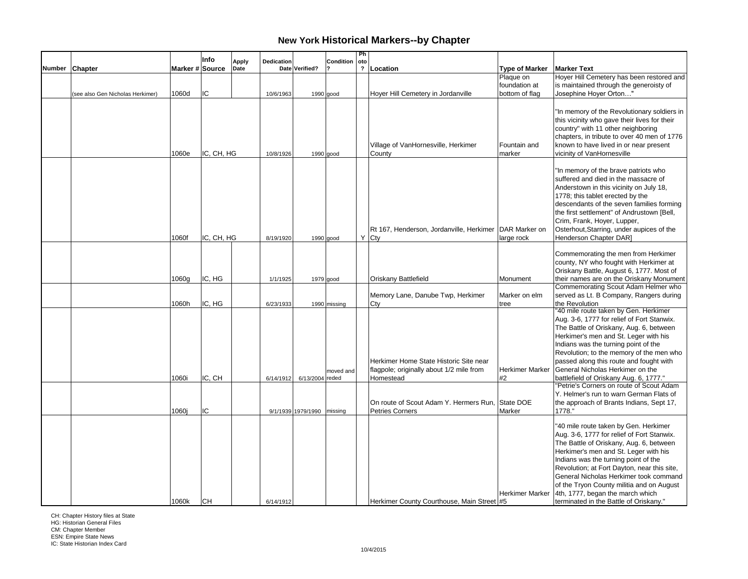|        |                                  |                 | Info       | <b>Apply</b> | Dedication |                            | Condition    | Ph<br>oto               |                                                                                                                                                     |                        |                                                                                                                                                                                                                                                                                                                                                                                                                                                                                                                         |
|--------|----------------------------------|-----------------|------------|--------------|------------|----------------------------|--------------|-------------------------|-----------------------------------------------------------------------------------------------------------------------------------------------------|------------------------|-------------------------------------------------------------------------------------------------------------------------------------------------------------------------------------------------------------------------------------------------------------------------------------------------------------------------------------------------------------------------------------------------------------------------------------------------------------------------------------------------------------------------|
| Number | <b>Chapter</b>                   | Marker # Source |            | Date         |            | Date Verified?             |              | $\overline{\mathbf{?}}$ | Location                                                                                                                                            | <b>Type of Marker</b>  | <b>Marker Text</b>                                                                                                                                                                                                                                                                                                                                                                                                                                                                                                      |
|        |                                  |                 |            |              |            |                            |              |                         |                                                                                                                                                     | Plaque on              | Hoyer Hill Cemetery has been restored and                                                                                                                                                                                                                                                                                                                                                                                                                                                                               |
|        |                                  |                 |            |              |            |                            |              |                         |                                                                                                                                                     | foundation at          | is maintained through the generoisty of                                                                                                                                                                                                                                                                                                                                                                                                                                                                                 |
|        | (see also Gen Nicholas Herkimer) | 1060d           | IC         |              | 10/6/1963  |                            | $1990$ good  |                         | Hoyer Hill Cemetery in Jordanville                                                                                                                  | bottom of flag         | Josephine Hoyer Orton"                                                                                                                                                                                                                                                                                                                                                                                                                                                                                                  |
|        |                                  | 1060e           | IC, CH, HG |              | 10/8/1926  |                            | $1990$ good  |                         | Village of VanHornesville, Herkimer<br>County                                                                                                       | Fountain and<br>marker | 'In memory of the Revolutionary soldiers in<br>this vicinity who gave their lives for their<br>country" with 11 other neighboring<br>chapters, in tribute to over 40 men of 1776<br>known to have lived in or near present<br>vicinity of VanHornesville                                                                                                                                                                                                                                                                |
|        |                                  | 1060f           | IC, CH, HG |              | 8/19/1920  |                            | $1990$ good  |                         | Rt 167, Henderson, Jordanville, Herkimer DAR Marker on<br>$Y$ Cty                                                                                   | large rock             | "In memory of the brave patriots who<br>suffered and died in the massacre of<br>Anderstown in this vicinity on July 18,<br>1778; this tablet erected by the<br>descendants of the seven families forming<br>the first settlement" of Andrustown [Bell,<br>Crim, Frank, Hoyer, Lupper,<br>Osterhout, Starring, under aupices of the<br>Henderson Chapter DAR]                                                                                                                                                            |
|        |                                  | 1060g           | IC, HG     |              | 1/1/1925   |                            | 1979 good    |                         | Oriskany Battlefield                                                                                                                                | Monument               | Commemorating the men from Herkimer<br>county, NY who fought with Herkimer at<br>Oriskany Battle, August 6, 1777. Most of<br>their names are on the Oriskany Monument                                                                                                                                                                                                                                                                                                                                                   |
|        |                                  | 1060h           | IC, HG     |              | 6/23/1933  |                            | 1990 missing |                         | Memory Lane, Danube Twp, Herkimer<br>Cty                                                                                                            | Marker on elm<br>tree  | Commemorating Scout Adam Helmer who<br>served as Lt. B Company, Rangers during<br>the Revolution                                                                                                                                                                                                                                                                                                                                                                                                                        |
|        |                                  | 1060i           | IC, CH     |              | 6/14/1912  | 6/13/2004 reded            | moved and    |                         | Herkimer Home State Historic Site near<br>flagpole; originally about 1/2 mile from<br>Homestead<br>On route of Scout Adam Y. Hermers Run, State DOE | Herkimer Marker<br>#2  | '40 mile route taken by Gen. Herkimer<br>Aug. 3-6, 1777 for relief of Fort Stanwix.<br>The Battle of Oriskany, Aug. 6, between<br>Herkimer's men and St. Leger with his<br>Indians was the turning point of the<br>Revolution; to the memory of the men who<br>passed along this route and fought with<br>General Nicholas Herkimer on the<br>battlefield of Oriskany Aug. 6, 1777."<br>'Petrie's Corners on route of Scout Adam<br>Y. Helmer's run to warn German Flats of<br>the approach of Brants Indians, Sept 17, |
|        |                                  | 1060i           | IC         |              |            | 9/1/1939 1979/1990 missing |              |                         | <b>Petries Corners</b>                                                                                                                              | Marker                 | 1778.                                                                                                                                                                                                                                                                                                                                                                                                                                                                                                                   |
|        |                                  | 1060k           | CН         |              | 6/14/1912  |                            |              |                         | Herkimer County Courthouse, Main Street #5                                                                                                          | Herkimer Marker        | '40 mile route taken by Gen. Herkimer<br>Aug. 3-6, 1777 for relief of Fort Stanwix.<br>The Battle of Oriskany, Aug. 6, between<br>Herkimer's men and St. Leger with his<br>Indians was the turning point of the<br>Revolution; at Fort Dayton, near this site,<br>General Nicholas Herkimer took command<br>of the Tryon County militia and on August<br>4th, 1777, began the march which<br>terminated in the Battle of Oriskany."                                                                                     |

CH: Chapter History files at State HG: Historian General Files

CM: Chapter Member ESN: Empire State News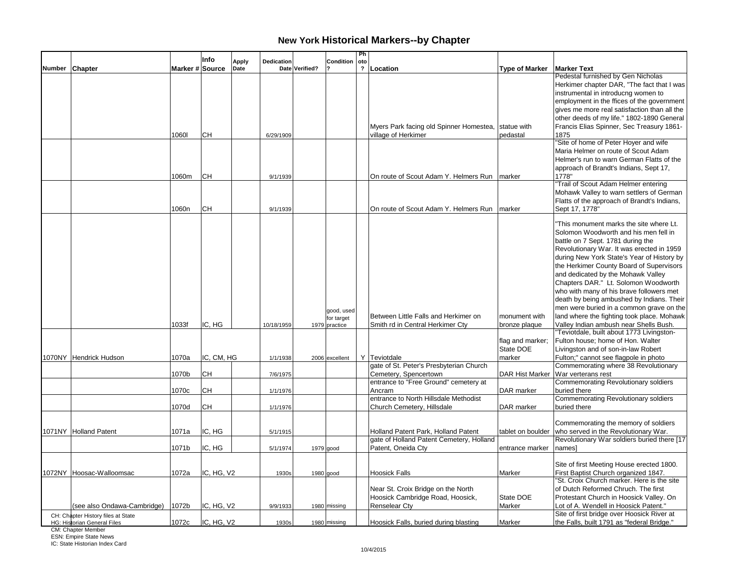| Marker # Source<br>Date<br>Date Verified?<br>? Location<br><b>Type of Marker</b><br><b>Marker Text</b><br>Number Chapter<br>Pedestal furnished by Gen Nicholas<br>Herkimer chapter DAR, "The fact that I was<br>instrumental in introducng women to<br>employment in the ffices of the government<br>gives me more real satisfaction than all the<br>Myers Park facing old Spinner Homestea, statue with<br>CН<br>village of Herkimer<br>1875<br>10601<br>6/29/1909<br>pedastal<br>"Site of home of Peter Hoyer and wife<br>Maria Helmer on route of Scout Adam<br>approach of Brandt's Indians, Sept 17,<br>1060m<br>CН<br>1778"<br>On route of Scout Adam Y. Helmers Run   marker<br>9/1/1939<br>'Trail of Scout Adam Helmer entering<br>CН<br>Sept 17, 1778"<br>1060n<br>On route of Scout Adam Y. Helmers Run<br>9/1/1939<br>marker<br>Solomon Woodworth and his men fell in<br>battle on 7 Sept. 1781 during the<br>and dedicated by the Mohawk Valley<br>Chapters DAR." Lt. Solomon Woodworth<br>who with many of his brave followers met<br>death by being ambushed by Indians. Their<br>men were buried in a common grave on the<br>good, used<br>Between Little Falls and Herkimer on<br>land where the fighting took place. Mohawk<br>monument with<br>for target<br>IC. HG<br>Valley Indian ambush near Shells Bush.<br>1033f<br>Smith rd in Central Herkimer Cty<br>bronze plaque<br>10/18/1959<br>1979 practice<br>'Teviotdale, built about 1773 Livingston-<br>Fulton house; home of Hon. Walter<br>flag and marker;<br>State DOE<br>Livingston and of son-in-law Robert<br>IC, CM, HG<br>Y Teviotdale<br>Fulton;" cannot see flagpole in photo<br>1070NY Hendrick Hudson<br>1070a<br>1/1/1938<br>2006 excellent<br>marker<br>gate of St. Peter's Presbyterian Church<br>Commemorating where 38 Revolutionary<br><b>CH</b><br>1070b<br>Cemetery, Spencertown<br>DAR Hist Marker<br>War verterans rest<br>7/6/1975<br>entrance to "Free Ground" cemetery at<br>Commemorating Revolutionary soldiers<br>CН<br>1070c<br>1/1/1976<br>Ancram<br>DAR marker<br>buried there |  | Info | Apply | <b>Dedication</b> | Condition | Ph<br>oto |  |                                             |
|-------------------------------------------------------------------------------------------------------------------------------------------------------------------------------------------------------------------------------------------------------------------------------------------------------------------------------------------------------------------------------------------------------------------------------------------------------------------------------------------------------------------------------------------------------------------------------------------------------------------------------------------------------------------------------------------------------------------------------------------------------------------------------------------------------------------------------------------------------------------------------------------------------------------------------------------------------------------------------------------------------------------------------------------------------------------------------------------------------------------------------------------------------------------------------------------------------------------------------------------------------------------------------------------------------------------------------------------------------------------------------------------------------------------------------------------------------------------------------------------------------------------------------------------------------------------------------------------------------------------------------------------------------------------------------------------------------------------------------------------------------------------------------------------------------------------------------------------------------------------------------------------------------------------------------------------------------------------------------------------------------------------------------------------------------------------------------------|--|------|-------|-------------------|-----------|-----------|--|---------------------------------------------|
|                                                                                                                                                                                                                                                                                                                                                                                                                                                                                                                                                                                                                                                                                                                                                                                                                                                                                                                                                                                                                                                                                                                                                                                                                                                                                                                                                                                                                                                                                                                                                                                                                                                                                                                                                                                                                                                                                                                                                                                                                                                                                     |  |      |       |                   |           |           |  |                                             |
|                                                                                                                                                                                                                                                                                                                                                                                                                                                                                                                                                                                                                                                                                                                                                                                                                                                                                                                                                                                                                                                                                                                                                                                                                                                                                                                                                                                                                                                                                                                                                                                                                                                                                                                                                                                                                                                                                                                                                                                                                                                                                     |  |      |       |                   |           |           |  |                                             |
|                                                                                                                                                                                                                                                                                                                                                                                                                                                                                                                                                                                                                                                                                                                                                                                                                                                                                                                                                                                                                                                                                                                                                                                                                                                                                                                                                                                                                                                                                                                                                                                                                                                                                                                                                                                                                                                                                                                                                                                                                                                                                     |  |      |       |                   |           |           |  |                                             |
|                                                                                                                                                                                                                                                                                                                                                                                                                                                                                                                                                                                                                                                                                                                                                                                                                                                                                                                                                                                                                                                                                                                                                                                                                                                                                                                                                                                                                                                                                                                                                                                                                                                                                                                                                                                                                                                                                                                                                                                                                                                                                     |  |      |       |                   |           |           |  |                                             |
|                                                                                                                                                                                                                                                                                                                                                                                                                                                                                                                                                                                                                                                                                                                                                                                                                                                                                                                                                                                                                                                                                                                                                                                                                                                                                                                                                                                                                                                                                                                                                                                                                                                                                                                                                                                                                                                                                                                                                                                                                                                                                     |  |      |       |                   |           |           |  |                                             |
|                                                                                                                                                                                                                                                                                                                                                                                                                                                                                                                                                                                                                                                                                                                                                                                                                                                                                                                                                                                                                                                                                                                                                                                                                                                                                                                                                                                                                                                                                                                                                                                                                                                                                                                                                                                                                                                                                                                                                                                                                                                                                     |  |      |       |                   |           |           |  |                                             |
|                                                                                                                                                                                                                                                                                                                                                                                                                                                                                                                                                                                                                                                                                                                                                                                                                                                                                                                                                                                                                                                                                                                                                                                                                                                                                                                                                                                                                                                                                                                                                                                                                                                                                                                                                                                                                                                                                                                                                                                                                                                                                     |  |      |       |                   |           |           |  | other deeds of my life." 1802-1890 General  |
|                                                                                                                                                                                                                                                                                                                                                                                                                                                                                                                                                                                                                                                                                                                                                                                                                                                                                                                                                                                                                                                                                                                                                                                                                                                                                                                                                                                                                                                                                                                                                                                                                                                                                                                                                                                                                                                                                                                                                                                                                                                                                     |  |      |       |                   |           |           |  | Francis Elias Spinner, Sec Treasury 1861-   |
|                                                                                                                                                                                                                                                                                                                                                                                                                                                                                                                                                                                                                                                                                                                                                                                                                                                                                                                                                                                                                                                                                                                                                                                                                                                                                                                                                                                                                                                                                                                                                                                                                                                                                                                                                                                                                                                                                                                                                                                                                                                                                     |  |      |       |                   |           |           |  |                                             |
|                                                                                                                                                                                                                                                                                                                                                                                                                                                                                                                                                                                                                                                                                                                                                                                                                                                                                                                                                                                                                                                                                                                                                                                                                                                                                                                                                                                                                                                                                                                                                                                                                                                                                                                                                                                                                                                                                                                                                                                                                                                                                     |  |      |       |                   |           |           |  |                                             |
|                                                                                                                                                                                                                                                                                                                                                                                                                                                                                                                                                                                                                                                                                                                                                                                                                                                                                                                                                                                                                                                                                                                                                                                                                                                                                                                                                                                                                                                                                                                                                                                                                                                                                                                                                                                                                                                                                                                                                                                                                                                                                     |  |      |       |                   |           |           |  |                                             |
|                                                                                                                                                                                                                                                                                                                                                                                                                                                                                                                                                                                                                                                                                                                                                                                                                                                                                                                                                                                                                                                                                                                                                                                                                                                                                                                                                                                                                                                                                                                                                                                                                                                                                                                                                                                                                                                                                                                                                                                                                                                                                     |  |      |       |                   |           |           |  | Helmer's run to warn German Flatts of the   |
|                                                                                                                                                                                                                                                                                                                                                                                                                                                                                                                                                                                                                                                                                                                                                                                                                                                                                                                                                                                                                                                                                                                                                                                                                                                                                                                                                                                                                                                                                                                                                                                                                                                                                                                                                                                                                                                                                                                                                                                                                                                                                     |  |      |       |                   |           |           |  |                                             |
|                                                                                                                                                                                                                                                                                                                                                                                                                                                                                                                                                                                                                                                                                                                                                                                                                                                                                                                                                                                                                                                                                                                                                                                                                                                                                                                                                                                                                                                                                                                                                                                                                                                                                                                                                                                                                                                                                                                                                                                                                                                                                     |  |      |       |                   |           |           |  |                                             |
|                                                                                                                                                                                                                                                                                                                                                                                                                                                                                                                                                                                                                                                                                                                                                                                                                                                                                                                                                                                                                                                                                                                                                                                                                                                                                                                                                                                                                                                                                                                                                                                                                                                                                                                                                                                                                                                                                                                                                                                                                                                                                     |  |      |       |                   |           |           |  |                                             |
|                                                                                                                                                                                                                                                                                                                                                                                                                                                                                                                                                                                                                                                                                                                                                                                                                                                                                                                                                                                                                                                                                                                                                                                                                                                                                                                                                                                                                                                                                                                                                                                                                                                                                                                                                                                                                                                                                                                                                                                                                                                                                     |  |      |       |                   |           |           |  | Mohawk Valley to warn settlers of German    |
|                                                                                                                                                                                                                                                                                                                                                                                                                                                                                                                                                                                                                                                                                                                                                                                                                                                                                                                                                                                                                                                                                                                                                                                                                                                                                                                                                                                                                                                                                                                                                                                                                                                                                                                                                                                                                                                                                                                                                                                                                                                                                     |  |      |       |                   |           |           |  | Flatts of the approach of Brandt's Indians, |
|                                                                                                                                                                                                                                                                                                                                                                                                                                                                                                                                                                                                                                                                                                                                                                                                                                                                                                                                                                                                                                                                                                                                                                                                                                                                                                                                                                                                                                                                                                                                                                                                                                                                                                                                                                                                                                                                                                                                                                                                                                                                                     |  |      |       |                   |           |           |  |                                             |
|                                                                                                                                                                                                                                                                                                                                                                                                                                                                                                                                                                                                                                                                                                                                                                                                                                                                                                                                                                                                                                                                                                                                                                                                                                                                                                                                                                                                                                                                                                                                                                                                                                                                                                                                                                                                                                                                                                                                                                                                                                                                                     |  |      |       |                   |           |           |  |                                             |
|                                                                                                                                                                                                                                                                                                                                                                                                                                                                                                                                                                                                                                                                                                                                                                                                                                                                                                                                                                                                                                                                                                                                                                                                                                                                                                                                                                                                                                                                                                                                                                                                                                                                                                                                                                                                                                                                                                                                                                                                                                                                                     |  |      |       |                   |           |           |  | 'This monument marks the site where Lt.     |
|                                                                                                                                                                                                                                                                                                                                                                                                                                                                                                                                                                                                                                                                                                                                                                                                                                                                                                                                                                                                                                                                                                                                                                                                                                                                                                                                                                                                                                                                                                                                                                                                                                                                                                                                                                                                                                                                                                                                                                                                                                                                                     |  |      |       |                   |           |           |  |                                             |
|                                                                                                                                                                                                                                                                                                                                                                                                                                                                                                                                                                                                                                                                                                                                                                                                                                                                                                                                                                                                                                                                                                                                                                                                                                                                                                                                                                                                                                                                                                                                                                                                                                                                                                                                                                                                                                                                                                                                                                                                                                                                                     |  |      |       |                   |           |           |  |                                             |
|                                                                                                                                                                                                                                                                                                                                                                                                                                                                                                                                                                                                                                                                                                                                                                                                                                                                                                                                                                                                                                                                                                                                                                                                                                                                                                                                                                                                                                                                                                                                                                                                                                                                                                                                                                                                                                                                                                                                                                                                                                                                                     |  |      |       |                   |           |           |  | Revolutionary War. It was erected in 1959   |
|                                                                                                                                                                                                                                                                                                                                                                                                                                                                                                                                                                                                                                                                                                                                                                                                                                                                                                                                                                                                                                                                                                                                                                                                                                                                                                                                                                                                                                                                                                                                                                                                                                                                                                                                                                                                                                                                                                                                                                                                                                                                                     |  |      |       |                   |           |           |  | during New York State's Year of History by  |
|                                                                                                                                                                                                                                                                                                                                                                                                                                                                                                                                                                                                                                                                                                                                                                                                                                                                                                                                                                                                                                                                                                                                                                                                                                                                                                                                                                                                                                                                                                                                                                                                                                                                                                                                                                                                                                                                                                                                                                                                                                                                                     |  |      |       |                   |           |           |  | the Herkimer County Board of Supervisors    |
|                                                                                                                                                                                                                                                                                                                                                                                                                                                                                                                                                                                                                                                                                                                                                                                                                                                                                                                                                                                                                                                                                                                                                                                                                                                                                                                                                                                                                                                                                                                                                                                                                                                                                                                                                                                                                                                                                                                                                                                                                                                                                     |  |      |       |                   |           |           |  |                                             |
|                                                                                                                                                                                                                                                                                                                                                                                                                                                                                                                                                                                                                                                                                                                                                                                                                                                                                                                                                                                                                                                                                                                                                                                                                                                                                                                                                                                                                                                                                                                                                                                                                                                                                                                                                                                                                                                                                                                                                                                                                                                                                     |  |      |       |                   |           |           |  |                                             |
|                                                                                                                                                                                                                                                                                                                                                                                                                                                                                                                                                                                                                                                                                                                                                                                                                                                                                                                                                                                                                                                                                                                                                                                                                                                                                                                                                                                                                                                                                                                                                                                                                                                                                                                                                                                                                                                                                                                                                                                                                                                                                     |  |      |       |                   |           |           |  |                                             |
|                                                                                                                                                                                                                                                                                                                                                                                                                                                                                                                                                                                                                                                                                                                                                                                                                                                                                                                                                                                                                                                                                                                                                                                                                                                                                                                                                                                                                                                                                                                                                                                                                                                                                                                                                                                                                                                                                                                                                                                                                                                                                     |  |      |       |                   |           |           |  |                                             |
|                                                                                                                                                                                                                                                                                                                                                                                                                                                                                                                                                                                                                                                                                                                                                                                                                                                                                                                                                                                                                                                                                                                                                                                                                                                                                                                                                                                                                                                                                                                                                                                                                                                                                                                                                                                                                                                                                                                                                                                                                                                                                     |  |      |       |                   |           |           |  |                                             |
|                                                                                                                                                                                                                                                                                                                                                                                                                                                                                                                                                                                                                                                                                                                                                                                                                                                                                                                                                                                                                                                                                                                                                                                                                                                                                                                                                                                                                                                                                                                                                                                                                                                                                                                                                                                                                                                                                                                                                                                                                                                                                     |  |      |       |                   |           |           |  |                                             |
|                                                                                                                                                                                                                                                                                                                                                                                                                                                                                                                                                                                                                                                                                                                                                                                                                                                                                                                                                                                                                                                                                                                                                                                                                                                                                                                                                                                                                                                                                                                                                                                                                                                                                                                                                                                                                                                                                                                                                                                                                                                                                     |  |      |       |                   |           |           |  |                                             |
|                                                                                                                                                                                                                                                                                                                                                                                                                                                                                                                                                                                                                                                                                                                                                                                                                                                                                                                                                                                                                                                                                                                                                                                                                                                                                                                                                                                                                                                                                                                                                                                                                                                                                                                                                                                                                                                                                                                                                                                                                                                                                     |  |      |       |                   |           |           |  |                                             |
|                                                                                                                                                                                                                                                                                                                                                                                                                                                                                                                                                                                                                                                                                                                                                                                                                                                                                                                                                                                                                                                                                                                                                                                                                                                                                                                                                                                                                                                                                                                                                                                                                                                                                                                                                                                                                                                                                                                                                                                                                                                                                     |  |      |       |                   |           |           |  |                                             |
|                                                                                                                                                                                                                                                                                                                                                                                                                                                                                                                                                                                                                                                                                                                                                                                                                                                                                                                                                                                                                                                                                                                                                                                                                                                                                                                                                                                                                                                                                                                                                                                                                                                                                                                                                                                                                                                                                                                                                                                                                                                                                     |  |      |       |                   |           |           |  |                                             |
|                                                                                                                                                                                                                                                                                                                                                                                                                                                                                                                                                                                                                                                                                                                                                                                                                                                                                                                                                                                                                                                                                                                                                                                                                                                                                                                                                                                                                                                                                                                                                                                                                                                                                                                                                                                                                                                                                                                                                                                                                                                                                     |  |      |       |                   |           |           |  |                                             |
|                                                                                                                                                                                                                                                                                                                                                                                                                                                                                                                                                                                                                                                                                                                                                                                                                                                                                                                                                                                                                                                                                                                                                                                                                                                                                                                                                                                                                                                                                                                                                                                                                                                                                                                                                                                                                                                                                                                                                                                                                                                                                     |  |      |       |                   |           |           |  |                                             |
|                                                                                                                                                                                                                                                                                                                                                                                                                                                                                                                                                                                                                                                                                                                                                                                                                                                                                                                                                                                                                                                                                                                                                                                                                                                                                                                                                                                                                                                                                                                                                                                                                                                                                                                                                                                                                                                                                                                                                                                                                                                                                     |  |      |       |                   |           |           |  |                                             |
|                                                                                                                                                                                                                                                                                                                                                                                                                                                                                                                                                                                                                                                                                                                                                                                                                                                                                                                                                                                                                                                                                                                                                                                                                                                                                                                                                                                                                                                                                                                                                                                                                                                                                                                                                                                                                                                                                                                                                                                                                                                                                     |  |      |       |                   |           |           |  |                                             |
|                                                                                                                                                                                                                                                                                                                                                                                                                                                                                                                                                                                                                                                                                                                                                                                                                                                                                                                                                                                                                                                                                                                                                                                                                                                                                                                                                                                                                                                                                                                                                                                                                                                                                                                                                                                                                                                                                                                                                                                                                                                                                     |  |      |       |                   |           |           |  |                                             |
| entrance to North Hillsdale Methodist<br>Commemorating Revolutionary soldiers                                                                                                                                                                                                                                                                                                                                                                                                                                                                                                                                                                                                                                                                                                                                                                                                                                                                                                                                                                                                                                                                                                                                                                                                                                                                                                                                                                                                                                                                                                                                                                                                                                                                                                                                                                                                                                                                                                                                                                                                       |  |      |       |                   |           |           |  |                                             |
| 1070d<br>CН<br>Church Cemetery, Hillsdale<br>buried there<br>1/1/1976<br>DAR marker                                                                                                                                                                                                                                                                                                                                                                                                                                                                                                                                                                                                                                                                                                                                                                                                                                                                                                                                                                                                                                                                                                                                                                                                                                                                                                                                                                                                                                                                                                                                                                                                                                                                                                                                                                                                                                                                                                                                                                                                 |  |      |       |                   |           |           |  |                                             |
|                                                                                                                                                                                                                                                                                                                                                                                                                                                                                                                                                                                                                                                                                                                                                                                                                                                                                                                                                                                                                                                                                                                                                                                                                                                                                                                                                                                                                                                                                                                                                                                                                                                                                                                                                                                                                                                                                                                                                                                                                                                                                     |  |      |       |                   |           |           |  |                                             |
| Commemorating the memory of soldiers                                                                                                                                                                                                                                                                                                                                                                                                                                                                                                                                                                                                                                                                                                                                                                                                                                                                                                                                                                                                                                                                                                                                                                                                                                                                                                                                                                                                                                                                                                                                                                                                                                                                                                                                                                                                                                                                                                                                                                                                                                                |  |      |       |                   |           |           |  |                                             |
| 1071NY Holland Patent<br>1071a<br>IC, HG<br>Holland Patent Park, Holland Patent<br>tablet on boulder<br>who served in the Revolutionary War.                                                                                                                                                                                                                                                                                                                                                                                                                                                                                                                                                                                                                                                                                                                                                                                                                                                                                                                                                                                                                                                                                                                                                                                                                                                                                                                                                                                                                                                                                                                                                                                                                                                                                                                                                                                                                                                                                                                                        |  |      |       |                   |           |           |  |                                             |
| 5/1/1915<br>gate of Holland Patent Cemetery, Holland                                                                                                                                                                                                                                                                                                                                                                                                                                                                                                                                                                                                                                                                                                                                                                                                                                                                                                                                                                                                                                                                                                                                                                                                                                                                                                                                                                                                                                                                                                                                                                                                                                                                                                                                                                                                                                                                                                                                                                                                                                |  |      |       |                   |           |           |  | Revolutionary War soldiers buried there [17 |
| 1071b<br>IC, HG<br>Patent, Oneida Cty                                                                                                                                                                                                                                                                                                                                                                                                                                                                                                                                                                                                                                                                                                                                                                                                                                                                                                                                                                                                                                                                                                                                                                                                                                                                                                                                                                                                                                                                                                                                                                                                                                                                                                                                                                                                                                                                                                                                                                                                                                               |  |      |       |                   |           |           |  |                                             |
| 5/1/1974<br>$1979$ good<br>entrance marker<br>namesl                                                                                                                                                                                                                                                                                                                                                                                                                                                                                                                                                                                                                                                                                                                                                                                                                                                                                                                                                                                                                                                                                                                                                                                                                                                                                                                                                                                                                                                                                                                                                                                                                                                                                                                                                                                                                                                                                                                                                                                                                                |  |      |       |                   |           |           |  |                                             |
|                                                                                                                                                                                                                                                                                                                                                                                                                                                                                                                                                                                                                                                                                                                                                                                                                                                                                                                                                                                                                                                                                                                                                                                                                                                                                                                                                                                                                                                                                                                                                                                                                                                                                                                                                                                                                                                                                                                                                                                                                                                                                     |  |      |       |                   |           |           |  |                                             |
| Site of first Meeting House erected 1800.                                                                                                                                                                                                                                                                                                                                                                                                                                                                                                                                                                                                                                                                                                                                                                                                                                                                                                                                                                                                                                                                                                                                                                                                                                                                                                                                                                                                                                                                                                                                                                                                                                                                                                                                                                                                                                                                                                                                                                                                                                           |  |      |       |                   |           |           |  |                                             |
| 1072NY Hoosac-Walloomsac<br>IC, HG, V2<br><b>Hoosick Falls</b><br>First Baptist Church organized 1847.<br>1072a<br>Marker<br>1930s<br>1980 good                                                                                                                                                                                                                                                                                                                                                                                                                                                                                                                                                                                                                                                                                                                                                                                                                                                                                                                                                                                                                                                                                                                                                                                                                                                                                                                                                                                                                                                                                                                                                                                                                                                                                                                                                                                                                                                                                                                                     |  |      |       |                   |           |           |  |                                             |
|                                                                                                                                                                                                                                                                                                                                                                                                                                                                                                                                                                                                                                                                                                                                                                                                                                                                                                                                                                                                                                                                                                                                                                                                                                                                                                                                                                                                                                                                                                                                                                                                                                                                                                                                                                                                                                                                                                                                                                                                                                                                                     |  |      |       |                   |           |           |  | "St. Croix Church marker. Here is the site  |
| Near St. Croix Bridge on the North<br>of Dutch Reformed Chruch. The first                                                                                                                                                                                                                                                                                                                                                                                                                                                                                                                                                                                                                                                                                                                                                                                                                                                                                                                                                                                                                                                                                                                                                                                                                                                                                                                                                                                                                                                                                                                                                                                                                                                                                                                                                                                                                                                                                                                                                                                                           |  |      |       |                   |           |           |  |                                             |
| Hoosick Cambridge Road, Hoosick,<br>State DOE<br>Protestant Church in Hoosick Valley. On                                                                                                                                                                                                                                                                                                                                                                                                                                                                                                                                                                                                                                                                                                                                                                                                                                                                                                                                                                                                                                                                                                                                                                                                                                                                                                                                                                                                                                                                                                                                                                                                                                                                                                                                                                                                                                                                                                                                                                                            |  |      |       |                   |           |           |  |                                             |
| IC, HG, V2<br>Lot of A. Wendell in Hoosick Patent."<br>(see also Ondawa-Cambridge)<br>1072b<br>9/9/1933<br>1980 missing<br>Renselear Cty<br>Marker                                                                                                                                                                                                                                                                                                                                                                                                                                                                                                                                                                                                                                                                                                                                                                                                                                                                                                                                                                                                                                                                                                                                                                                                                                                                                                                                                                                                                                                                                                                                                                                                                                                                                                                                                                                                                                                                                                                                  |  |      |       |                   |           |           |  |                                             |
| Site of first bridge over Hoosick River at<br>CH: Chapter History files at State                                                                                                                                                                                                                                                                                                                                                                                                                                                                                                                                                                                                                                                                                                                                                                                                                                                                                                                                                                                                                                                                                                                                                                                                                                                                                                                                                                                                                                                                                                                                                                                                                                                                                                                                                                                                                                                                                                                                                                                                    |  |      |       |                   |           |           |  |                                             |
| IC, HG, V2<br>1072c<br>Hoosick Falls, buried during blasting<br>Marker<br>the Falls, built 1791 as "federal Bridge."<br>HG: Historian General Files<br>1930s<br>1980 missing                                                                                                                                                                                                                                                                                                                                                                                                                                                                                                                                                                                                                                                                                                                                                                                                                                                                                                                                                                                                                                                                                                                                                                                                                                                                                                                                                                                                                                                                                                                                                                                                                                                                                                                                                                                                                                                                                                        |  |      |       |                   |           |           |  |                                             |
| CM: Chapter Member<br><b>ESN: Empire State News</b>                                                                                                                                                                                                                                                                                                                                                                                                                                                                                                                                                                                                                                                                                                                                                                                                                                                                                                                                                                                                                                                                                                                                                                                                                                                                                                                                                                                                                                                                                                                                                                                                                                                                                                                                                                                                                                                                                                                                                                                                                                 |  |      |       |                   |           |           |  |                                             |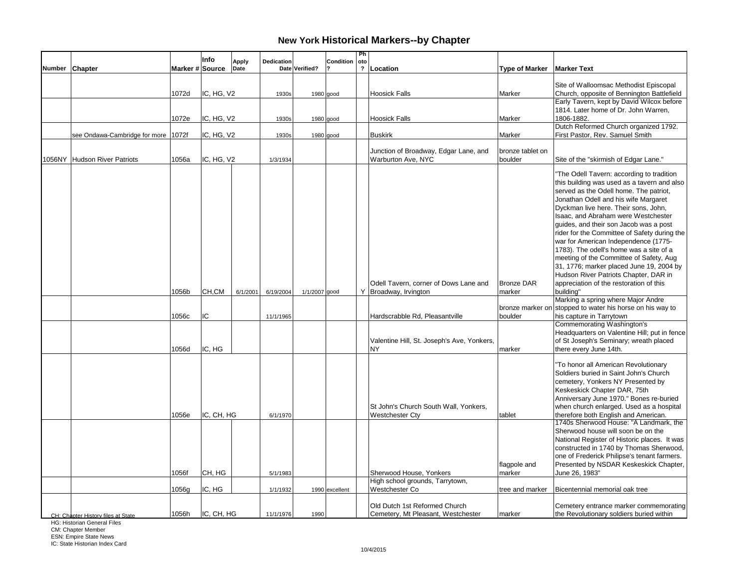|                |                                    |                 | Info       | <b>Apply</b> | Dedication |                | Condition      | Ph<br>oto      |                                                             |                             |                                                                                        |
|----------------|------------------------------------|-----------------|------------|--------------|------------|----------------|----------------|----------------|-------------------------------------------------------------|-----------------------------|----------------------------------------------------------------------------------------|
| Number Chapter |                                    | Marker # Source |            | Date         |            | Date Verified? |                | $\overline{?}$ | Location                                                    | <b>Type of Marker</b>       | <b>Marker Text</b>                                                                     |
|                |                                    |                 |            |              |            |                |                |                |                                                             |                             | Site of Walloomsac Methodist Episcopal                                                 |
|                |                                    | 1072d           | IC, HG, V2 |              | 1930s      |                | 1980 good      |                | <b>Hoosick Falls</b>                                        | Marker                      | Church, opposite of Bennington Battlefield                                             |
|                |                                    |                 |            |              |            |                |                |                |                                                             |                             | Early Tavern, kept by David Wilcox before                                              |
|                |                                    |                 |            |              |            |                |                |                |                                                             |                             | 1814. Later home of Dr. John Warren,                                                   |
|                |                                    | 1072e           | IC, HG, V2 |              | 1930s      |                | 1980 good      |                | <b>Hoosick Falls</b>                                        | Marker                      | 1806-1882.<br>Dutch Reformed Church organized 1792.                                    |
|                | see Ondawa-Cambridge for more      | 1072f           | IC, HG, V2 |              | 1930s      |                | 1980 good      |                | <b>Buskirk</b>                                              | Marker                      | First Pastor, Rev. Samuel Smith                                                        |
|                |                                    |                 |            |              |            |                |                |                |                                                             |                             |                                                                                        |
|                | 1056NY Hudson River Patriots       | 1056a           | IC, HG, V2 |              | 1/3/1934   |                |                |                | Junction of Broadway, Edgar Lane, and<br>Warburton Ave, NYC | bronze tablet on<br>boulder | Site of the "skirmish of Edgar Lane."                                                  |
|                |                                    |                 |            |              |            |                |                |                |                                                             |                             |                                                                                        |
|                |                                    |                 |            |              |            |                |                |                |                                                             |                             | "The Odell Tavern: according to tradition                                              |
|                |                                    |                 |            |              |            |                |                |                |                                                             |                             | this building was used as a tavern and also<br>served as the Odell home. The patriot,  |
|                |                                    |                 |            |              |            |                |                |                |                                                             |                             | Jonathan Odell and his wife Margaret                                                   |
|                |                                    |                 |            |              |            |                |                |                |                                                             |                             | Dyckman live here. Their sons, John,                                                   |
|                |                                    |                 |            |              |            |                |                |                |                                                             |                             | Isaac, and Abraham were Westchester                                                    |
|                |                                    |                 |            |              |            |                |                |                |                                                             |                             | guides, and their son Jacob was a post<br>rider for the Committee of Safety during the |
|                |                                    |                 |            |              |            |                |                |                |                                                             |                             | war for American Independence (1775-                                                   |
|                |                                    |                 |            |              |            |                |                |                |                                                             |                             | 1783). The odell's home was a site of a                                                |
|                |                                    |                 |            |              |            |                |                |                |                                                             |                             | meeting of the Committee of Safety, Aug                                                |
|                |                                    |                 |            |              |            |                |                |                |                                                             |                             | 31, 1776; marker placed June 19, 2004 by                                               |
|                |                                    |                 |            |              |            |                |                |                | Odell Tavern, corner of Dows Lane and                       | <b>Bronze DAR</b>           | Hudson River Patriots Chapter, DAR in<br>appreciation of the restoration of this       |
|                |                                    | 1056b           | CH,CM      | 6/1/2001     | 6/19/2004  | 1/1/2007 good  |                |                | Y Broadway, Irvington                                       | marker                      | buildina"                                                                              |
|                |                                    |                 |            |              |            |                |                |                |                                                             |                             | Marking a spring where Major Andre                                                     |
|                |                                    |                 | IC         |              |            |                |                |                |                                                             | bronze marker on            | stopped to water his horse on his way to                                               |
|                |                                    | 1056c           |            |              | 11/1/1965  |                |                |                | Hardscrabble Rd, Pleasantville                              | boulder                     | his capture in Tarrytown<br>Commemorating Washington's                                 |
|                |                                    |                 |            |              |            |                |                |                |                                                             |                             | Headquarters on Valentine Hill; put in fence                                           |
|                |                                    |                 |            |              |            |                |                |                | Valentine Hill, St. Joseph's Ave, Yonkers,                  |                             | of St Joseph's Seminary; wreath placed                                                 |
|                |                                    | 1056d           | IC. HG     |              |            |                |                |                | <b>NY</b>                                                   | marker                      | there every June 14th.                                                                 |
|                |                                    |                 |            |              |            |                |                |                |                                                             |                             | "To honor all American Revolutionary                                                   |
|                |                                    |                 |            |              |            |                |                |                |                                                             |                             | Soldiers buried in Saint John's Church                                                 |
|                |                                    |                 |            |              |            |                |                |                |                                                             |                             | cemetery, Yonkers NY Presented by                                                      |
|                |                                    |                 |            |              |            |                |                |                |                                                             |                             | Keskeskick Chapter DAR, 75th<br>Anniversary June 1970." Bones re-buried                |
|                |                                    |                 |            |              |            |                |                |                | St John's Church South Wall, Yonkers,                       |                             | when church enlarged. Used as a hospital                                               |
|                |                                    | 1056e           | IC, CH, HG |              | 6/1/1970   |                |                |                | <b>Westchester Cty</b>                                      | tablet                      | therefore both English and American.                                                   |
|                |                                    |                 |            |              |            |                |                |                |                                                             |                             | 1740s Sherwood House: "A Landmark, the                                                 |
|                |                                    |                 |            |              |            |                |                |                |                                                             |                             | Sherwood house will soon be on the<br>National Register of Historic places. It was     |
|                |                                    |                 |            |              |            |                |                |                |                                                             |                             | constructed in 1740 by Thomas Sherwood,                                                |
|                |                                    |                 |            |              |            |                |                |                |                                                             |                             | one of Frederick Philipse's tenant farmers.                                            |
|                |                                    |                 |            |              |            |                |                |                |                                                             | flagpole and                | Presented by NSDAR Keskeskick Chapter,                                                 |
|                |                                    | 1056f           | CH, HG     |              | 5/1/1983   |                |                |                | Sherwood House, Yonkers<br>High school grounds, Tarrytown,  | marker                      | June 26, 1983"                                                                         |
|                |                                    | 1056g           | IC, HG     |              | 1/1/1932   |                | 1990 excellent |                | Westchester Co                                              | tree and marker             | Bicentennial memorial oak tree                                                         |
|                |                                    |                 |            |              |            |                |                |                |                                                             |                             |                                                                                        |
|                |                                    |                 | IC, CH, HG |              |            |                |                |                | Old Dutch 1st Reformed Church                               | marker                      | Cemetery entrance marker commemorating                                                 |
|                | CH: Chapter History files at State | 1056h           |            |              | 11/1/1976  | 1990           |                |                | Cemetery, Mt Pleasant, Westchester                          |                             | the Revolutionary soldiers buried within                                               |

HG: Historian General Files

CM: Chapter Member ESN: Empire State News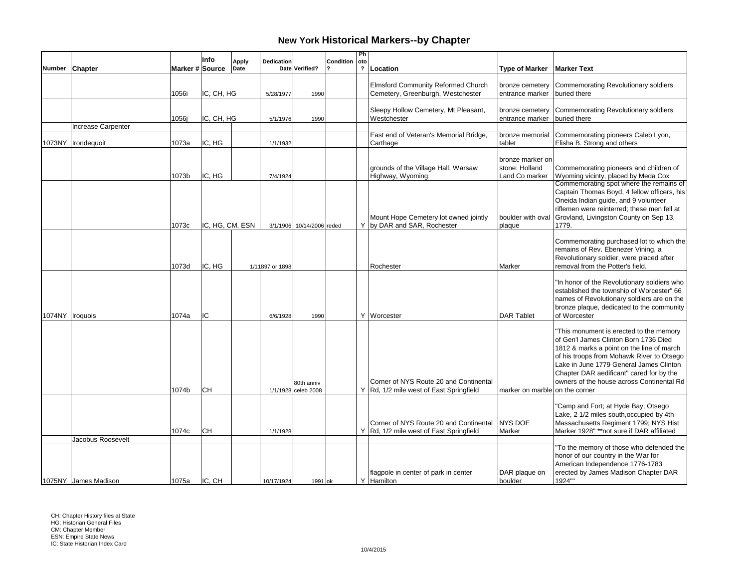|               |                      |                 | Info            | <b>Apply</b> | Dedication      |                                   | Condition | Ph<br>oto      |                                                                                   |                                                      |                                                                                                                                                                                                                                                                                                                |
|---------------|----------------------|-----------------|-----------------|--------------|-----------------|-----------------------------------|-----------|----------------|-----------------------------------------------------------------------------------|------------------------------------------------------|----------------------------------------------------------------------------------------------------------------------------------------------------------------------------------------------------------------------------------------------------------------------------------------------------------------|
| <b>Number</b> | Chapter              | Marker # Source |                 | Date         |                 | Date Verified?                    |           | $\overline{?}$ | Location                                                                          | <b>Type of Marker</b>                                | <b>Marker Text</b>                                                                                                                                                                                                                                                                                             |
|               |                      | 1056i           | IC, CH, HG      |              | 5/28/1977       | 1990                              |           |                | <b>Elmsford Community Reformed Church</b><br>Cemetery, Greenburgh, Westchester    | bronze cemetery<br>entrance marker                   | Commemorating Revolutionary soldiers<br>buried there                                                                                                                                                                                                                                                           |
|               |                      | 1056j           | IC, CH, HG      |              | 5/1/1976        | 1990                              |           |                | Sleepy Hollow Cemetery, Mt Pleasant,<br>Westchester                               | bronze cemetery<br>entrance marker                   | Commemorating Revolutionary soldiers<br>buried there                                                                                                                                                                                                                                                           |
|               | Increase Carpenter   |                 |                 |              |                 |                                   |           |                |                                                                                   |                                                      |                                                                                                                                                                                                                                                                                                                |
|               | 1073NY   Irondequoit | 1073a           | IC, HG          |              | 1/1/1932        |                                   |           |                | East end of Veteran's Memorial Bridge,<br>Carthage                                | bronze memorial<br>tablet                            | Commemorating pioneers Caleb Lyon,<br>Elisha B. Strong and others                                                                                                                                                                                                                                              |
|               |                      | 1073b           | IC, HG          |              | 7/4/1924        |                                   |           |                | grounds of the Village Hall, Warsaw<br>Highway, Wyoming                           | bronze marker on<br>stone: Holland<br>Land Co marker | Commemorating pioneers and children of<br>Wyoming vicinty, placed by Meda Cox                                                                                                                                                                                                                                  |
|               |                      | 1073c           | IC, HG, CM, ESN |              |                 | 3/1/1906 10/14/2006 reded         |           |                | Mount Hope Cemetery lot owned jointly<br>Y by DAR and SAR. Rochester              | boulder with oval<br>plaque                          | Commemorating spot where the remains of<br>Captain Thomas Boyd, 4 fellow officers, his<br>Oneida Indian guide, and 9 volunteer<br>riflemen were reinterred; these men fell at<br>Grovland, Livingston County on Sep 13,<br>1779.                                                                               |
|               |                      | 1073d           | IC, HG          |              | 1/11897 or 1898 |                                   |           |                | Rochester                                                                         | Marker                                               | Commemorating purchased lot to which the<br>remains of Rev. Ebenezer Vining, a<br>Revolutionary soldier, were placed after<br>removal from the Potter's field.                                                                                                                                                 |
|               | 1074NY   Iroquois    | 1074a           | IC              |              | 6/6/1928        | 1990                              |           |                | Y   Worcester                                                                     | <b>DAR Tablet</b>                                    | "In honor of the Revolutionary soldiers who<br>established the township of Worcester" 66<br>names of Revolutionary soldiers are on the<br>bronze plaque, dedicated to the community<br>of Worcester                                                                                                            |
|               |                      | 1074b           | <b>CH</b>       |              |                 | 80th anniv<br>1/1/1928 celeb 2008 |           |                | Corner of NYS Route 20 and Continental<br>Y Rd, 1/2 mile west of East Springfield | marker on marble on the corner                       | "This monument is erected to the memory<br>of Gen'l James Clinton Born 1736 Died<br>1812 & marks a point on the line of march<br>of his troops from Mohawk River to Otsego<br>Lake in June 1779 General James Clinton<br>Chapter DAR aedificant" cared for by the<br>owners of the house across Continental Rd |
|               | Jacobus Roosevelt    | 1074c           | lсн             |              | 1/1/1928        |                                   |           |                | Corner of NYS Route 20 and Continental<br>Y Rd, 1/2 mile west of East Springfield | <b>NYS DOE</b><br>Marker                             | "Camp and Fort; at Hyde Bay, Otsego<br>Lake, 2 1/2 miles south, occupied by 4th<br>Massachusetts Regiment 1799; NYS Hist<br>Marker 1928" ** not sure if DAR affiliated                                                                                                                                         |
|               | 1075NY James Madison | 1075a           | IIC. CH         |              | 10/17/1924      | 1991 ok                           |           |                | flagpole in center of park in center<br>Y Hamilton                                | DAR plaque on<br>boulder                             | "To the memory of those who defended the<br>honor of our country in the War for<br>American Independence 1776-1783<br>erected by James Madison Chapter DAR<br>1924""                                                                                                                                           |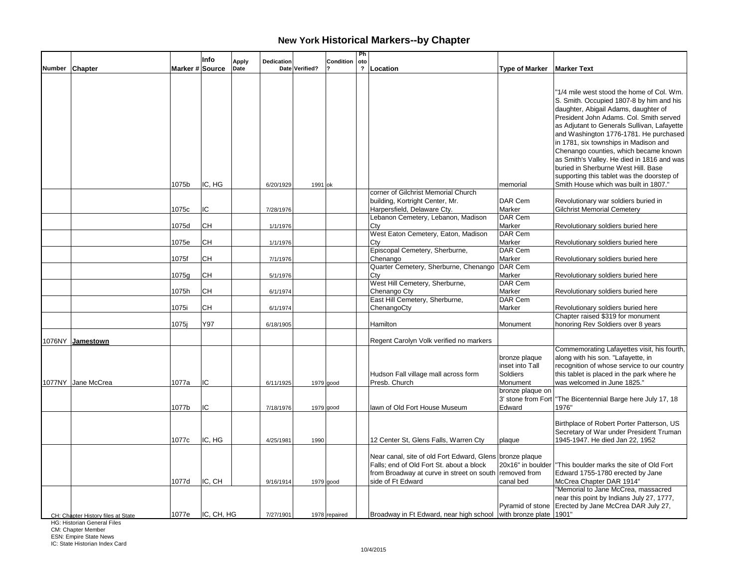|                |                                    |                 | Info       | <b>Apply</b> | Dedication |                | Condition     | Ph<br>oto      |                                                                 |                       |                                                                                 |
|----------------|------------------------------------|-----------------|------------|--------------|------------|----------------|---------------|----------------|-----------------------------------------------------------------|-----------------------|---------------------------------------------------------------------------------|
| Number Chapter |                                    | Marker # Source |            | Date         |            | Date Verified? |               | $\overline{?}$ | Location                                                        | <b>Type of Marker</b> | <b>Marker Text</b>                                                              |
|                |                                    |                 |            |              |            |                |               |                |                                                                 |                       |                                                                                 |
|                |                                    |                 |            |              |            |                |               |                |                                                                 |                       | "1/4 mile west stood the home of Col. Wm.                                       |
|                |                                    |                 |            |              |            |                |               |                |                                                                 |                       |                                                                                 |
|                |                                    |                 |            |              |            |                |               |                |                                                                 |                       | S. Smith. Occupied 1807-8 by him and his                                        |
|                |                                    |                 |            |              |            |                |               |                |                                                                 |                       | daughter, Abigail Adams, daughter of<br>President John Adams. Col. Smith served |
|                |                                    |                 |            |              |            |                |               |                |                                                                 |                       | as Adjutant to Generals Sullivan, Lafayette                                     |
|                |                                    |                 |            |              |            |                |               |                |                                                                 |                       | and Washington 1776-1781. He purchased                                          |
|                |                                    |                 |            |              |            |                |               |                |                                                                 |                       | in 1781, six townships in Madison and                                           |
|                |                                    |                 |            |              |            |                |               |                |                                                                 |                       | Chenango counties, which became known                                           |
|                |                                    |                 |            |              |            |                |               |                |                                                                 |                       | as Smith's Valley. He died in 1816 and was                                      |
|                |                                    |                 |            |              |            |                |               |                |                                                                 |                       | buried in Sherburne West Hill. Base                                             |
|                |                                    |                 |            |              |            |                |               |                |                                                                 |                       | supporting this tablet was the doorstep of                                      |
|                |                                    | 1075b           | IC, HG     |              | 6/20/1929  | 1991 ok        |               |                |                                                                 | memorial              | Smith House which was built in 1807."                                           |
|                |                                    |                 |            |              |            |                |               |                | corner of Gilchrist Memorial Church                             |                       |                                                                                 |
|                |                                    |                 |            |              |            |                |               |                | building, Kortright Center, Mr.                                 | DAR Cem               | Revolutionary war soldiers buried in                                            |
|                |                                    | 1075c           | IC         |              | 7/28/1976  |                |               |                | Harpersfield, Delaware Cty.                                     | Marker                | <b>Gilchrist Memorial Cemetery</b>                                              |
|                |                                    |                 |            |              |            |                |               |                | Lebanon Cemetery, Lebanon, Madison                              | DAR Cem               |                                                                                 |
|                |                                    | 1075d           | CH         |              | 1/1/1976   |                |               |                | Cty                                                             | Marker                | Revolutionary soldiers buried here                                              |
|                |                                    |                 |            |              |            |                |               |                | West Eaton Cemetery, Eaton, Madison                             | DAR Cem               |                                                                                 |
|                |                                    | 1075e           | CH         |              | 1/1/1976   |                |               |                | Cty                                                             | Marker                | Revolutionary soldiers buried here                                              |
|                |                                    |                 | <b>CH</b>  |              |            |                |               |                | Episcopal Cemetery, Sherburne,                                  | DAR Cem<br>Marker     |                                                                                 |
|                |                                    | 1075f           |            |              | 7/1/1976   |                |               |                | Chenango<br>Quarter Cemetery, Sherburne, Chenango               | DAR Cem               | Revolutionary soldiers buried here                                              |
|                |                                    | 1075g           | <b>CH</b>  |              | 5/1/1976   |                |               |                | Ctv                                                             | Marker                | Revolutionary soldiers buried here                                              |
|                |                                    |                 |            |              |            |                |               |                | West Hill Cemetery, Sherburne,                                  | DAR Cem               |                                                                                 |
|                |                                    | 1075h           | CH         |              | 6/1/1974   |                |               |                | Chenango Cty                                                    | Marker                | Revolutionary soldiers buried here                                              |
|                |                                    |                 |            |              |            |                |               |                | East Hill Cemetery, Sherburne,                                  | DAR Cem               |                                                                                 |
|                |                                    | 1075i           | CН         |              | 6/1/1974   |                |               |                | ChenangoCty                                                     | Marker                | Revolutionary soldiers buried here                                              |
|                |                                    |                 |            |              |            |                |               |                |                                                                 |                       | Chapter raised \$319 for monument                                               |
|                |                                    | 1075j           | Y97        |              | 6/18/1905  |                |               |                | Hamilton                                                        | Monument              | honoring Rev Soldiers over 8 years                                              |
|                |                                    |                 |            |              |            |                |               |                |                                                                 |                       |                                                                                 |
| 1076NY         | Jamestown                          |                 |            |              |            |                |               |                | Regent Carolyn Volk verified no markers                         |                       | Commemorating Lafayettes visit, his fourth,                                     |
|                |                                    |                 |            |              |            |                |               |                |                                                                 | bronze plaque         | along with his son. "Lafayette, in                                              |
|                |                                    |                 |            |              |            |                |               |                |                                                                 | inset into Tall       | recognition of whose service to our country                                     |
|                |                                    |                 |            |              |            |                |               |                | Hudson Fall village mall across form                            | Soldiers              | this tablet is placed in the park where he                                      |
|                | 1077NY Jane McCrea                 | 1077a           | IC         |              | 6/11/1925  |                | 1979 good     |                | Presb. Church                                                   | Monument              | was welcomed in June 1825."                                                     |
|                |                                    |                 |            |              |            |                |               |                |                                                                 | bronze plaque on      |                                                                                 |
|                |                                    |                 |            |              |            |                |               |                |                                                                 | 3' stone from Fort    | "The Bicentennial Barge here July 17, 18                                        |
|                |                                    | 1077b           | IC         |              | 7/18/1976  |                | 1979 good     |                | lawn of Old Fort House Museum                                   | Edward                | 1976"                                                                           |
|                |                                    |                 |            |              |            |                |               |                |                                                                 |                       |                                                                                 |
|                |                                    |                 |            |              |            |                |               |                |                                                                 |                       | Birthplace of Robert Porter Patterson, US                                       |
|                |                                    |                 |            |              |            |                |               |                |                                                                 |                       | Secretary of War under President Truman                                         |
|                |                                    | 1077c           | IC, HG     |              | 4/25/1981  | 1990           |               |                | 12 Center St, Glens Falls, Warren Cty                           | plaque                | 1945-1947. He died Jan 22, 1952                                                 |
|                |                                    |                 |            |              |            |                |               |                | Near canal, site of old Fort Edward, Glens bronze plaque        |                       |                                                                                 |
|                |                                    |                 |            |              |            |                |               |                | Falls; end of Old Fort St. about a block                        | 20x16" in boulder     | "This boulder marks the site of Old Fort                                        |
|                |                                    |                 |            |              |            |                |               |                | from Broadway at curve in street on south removed from          |                       | Edward 1755-1780 erected by Jane                                                |
|                |                                    | 1077d           | IC, CH     |              | 9/16/1914  |                | 1979 good     |                | side of Ft Edward                                               | canal bed             | McCrea Chapter DAR 1914"                                                        |
|                |                                    |                 |            |              |            |                |               |                |                                                                 |                       | "Memorial to Jane McCrea, massacred                                             |
|                |                                    |                 |            |              |            |                |               |                |                                                                 |                       | near this point by Indians July 27, 1777,                                       |
|                |                                    |                 |            |              |            |                |               |                |                                                                 |                       | Pyramid of stone Erected by Jane McCrea DAR July 27,                            |
|                | CH: Chapter History files at State | 1077e           | IC, CH, HG |              | 7/27/1901  |                | 1978 repaired |                | Broadway in Ft Edward, near high school with bronze plate 1901" |                       |                                                                                 |

HG: Historian General Files

CM: Chapter Member ESN: Empire State News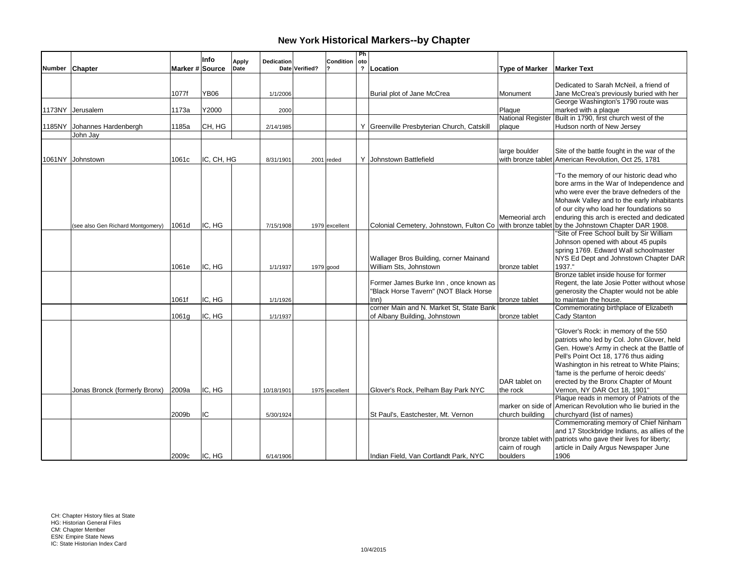|               |                                   |                 | Info        | <b>Apply</b> | Dedication |                | Condition      | Ph<br>  oto |                                                                                               |                                    |                                                                    |
|---------------|-----------------------------------|-----------------|-------------|--------------|------------|----------------|----------------|-------------|-----------------------------------------------------------------------------------------------|------------------------------------|--------------------------------------------------------------------|
| <b>Number</b> | <b>Chapter</b>                    | Marker # Source |             | Date         |            | Date Verified? |                |             | ? Location                                                                                    | <b>Type of Marker</b>              | <b>Marker Text</b>                                                 |
|               |                                   |                 |             |              |            |                |                |             |                                                                                               |                                    |                                                                    |
|               |                                   |                 |             |              |            |                |                |             |                                                                                               |                                    | Dedicated to Sarah McNeil, a friend of                             |
|               |                                   | 1077f           | <b>YB06</b> |              | 1/1/2006   |                |                |             | Burial plot of Jane McCrea                                                                    | Monument                           | Jane McCrea's previously buried with her                           |
|               |                                   |                 |             |              |            |                |                |             |                                                                                               |                                    | George Washington's 1790 route was                                 |
|               | 1173NY Jerusalem                  | 1173a           | Y2000       |              | 2000       |                |                |             |                                                                                               | Plaque                             | marked with a plaque<br>Built in 1790, first church west of the    |
|               | 1185NY Johannes Hardenbergh       | 1185a           | CH, HG      |              | 2/14/1985  |                |                |             | Y Greenville Presbyterian Church, Catskill                                                    | <b>National Register</b><br>plaque | Hudson north of New Jersey                                         |
|               | John Jay                          |                 |             |              |            |                |                |             |                                                                                               |                                    |                                                                    |
|               |                                   |                 |             |              |            |                |                |             |                                                                                               |                                    |                                                                    |
|               |                                   |                 |             |              |            |                |                |             |                                                                                               | large boulder                      | Site of the battle fought in the war of the                        |
|               | 1061NY Johnstown                  | 1061c           | IC, CH, HG  |              | 8/31/1901  |                | $2001$ reded   |             | Y Johnstown Battlefield                                                                       |                                    | with bronze tablet American Revolution, Oct 25, 1781               |
|               |                                   |                 |             |              |            |                |                |             |                                                                                               |                                    |                                                                    |
|               |                                   |                 |             |              |            |                |                |             |                                                                                               |                                    | "To the memory of our historic dead who                            |
|               |                                   |                 |             |              |            |                |                |             |                                                                                               |                                    | bore arms in the War of Independence and                           |
|               |                                   |                 |             |              |            |                |                |             |                                                                                               |                                    | who were ever the brave defneders of the                           |
|               |                                   |                 |             |              |            |                |                |             |                                                                                               |                                    | Mohawk Valley and to the early inhabitants                         |
|               |                                   |                 |             |              |            |                |                |             |                                                                                               |                                    | of our city who load her foundations so                            |
|               |                                   |                 |             |              |            |                |                |             |                                                                                               | Memeorial arch                     | enduring this arch is erected and dedicated                        |
|               | (see also Gen Richard Montgomery) | 1061d           | IC, HG      |              | 7/15/1908  |                | 1979 excellent |             | Colonial Cemetery, Johnstown, Fulton Co with bronze tablet by the Johnstown Chapter DAR 1908. |                                    |                                                                    |
|               |                                   |                 |             |              |            |                |                |             |                                                                                               |                                    | "Site of Free School built by Sir William                          |
|               |                                   |                 |             |              |            |                |                |             |                                                                                               |                                    | Johnson opened with about 45 pupils                                |
|               |                                   |                 |             |              |            |                |                |             |                                                                                               |                                    | spring 1769. Edward Wall schoolmaster                              |
|               |                                   | 1061e           | IC, HG      |              |            |                |                |             | Wallager Bros Building, corner Mainand<br>William Sts. Johnstown                              |                                    | NYS Ed Dept and Johnstown Chapter DAR<br>1937."                    |
|               |                                   |                 |             |              | 1/1/1937   |                | $1979$ good    |             |                                                                                               | bronze tablet                      | Bronze tablet inside house for former                              |
|               |                                   |                 |             |              |            |                |                |             | Former James Burke Inn, once known as                                                         |                                    | Regent, the late Josie Potter without whose                        |
|               |                                   |                 |             |              |            |                |                |             | "Black Horse Tavern" (NOT Black Horse                                                         |                                    | generosity the Chapter would not be able                           |
|               |                                   | 1061f           | IC, HG      |              | 1/1/1926   |                |                |             | lnn)                                                                                          | bronze tablet                      | to maintain the house.                                             |
|               |                                   |                 |             |              |            |                |                |             | corner Main and N. Market St, State Bank                                                      |                                    | Commemorating birthplace of Elizabeth                              |
|               |                                   | 1061g           | IC, HG      |              | 1/1/1937   |                |                |             | of Albany Building, Johnstown                                                                 | bronze tablet                      | Cady Stanton                                                       |
|               |                                   |                 |             |              |            |                |                |             |                                                                                               |                                    |                                                                    |
|               |                                   |                 |             |              |            |                |                |             |                                                                                               |                                    | "Glover's Rock: in memory of the 550                               |
|               |                                   |                 |             |              |            |                |                |             |                                                                                               |                                    | patriots who led by Col. John Glover, held                         |
|               |                                   |                 |             |              |            |                |                |             |                                                                                               |                                    | Gen. Howe's Army in check at the Battle of                         |
|               |                                   |                 |             |              |            |                |                |             |                                                                                               |                                    | Pell's Point Oct 18, 1776 thus aiding                              |
|               |                                   |                 |             |              |            |                |                |             |                                                                                               |                                    | Washington in his retreat to White Plains;                         |
|               |                                   |                 |             |              |            |                |                |             |                                                                                               |                                    | 'fame is the perfume of heroic deeds'                              |
|               |                                   |                 |             |              |            |                |                |             |                                                                                               | DAR tablet on                      | erected by the Bronx Chapter of Mount                              |
|               | Jonas Bronck (formerly Bronx)     | 2009a           | IC, HG      |              | 10/18/1901 |                | 1975 excellent |             | Glover's Rock, Pelham Bay Park NYC                                                            | the rock                           | Vernon, NY DAR Oct 18, 1901"                                       |
|               |                                   |                 |             |              |            |                |                |             |                                                                                               |                                    | Plaque reads in memory of Patriots of the                          |
|               |                                   |                 |             |              |            |                |                |             |                                                                                               | marker on side of                  | American Revolution who lie buried in the                          |
|               |                                   | 2009b           | lic.        |              | 5/30/1924  |                |                |             | St Paul's, Eastchester, Mt. Vernon                                                            | church building                    | churchyard (list of names)<br>Commemorating memory of Chief Ninham |
|               |                                   |                 |             |              |            |                |                |             |                                                                                               |                                    | and 17 Stockbridge Indians, as allies of the                       |
|               |                                   |                 |             |              |            |                |                |             |                                                                                               |                                    | bronze tablet with patriots who gave their lives for liberty;      |
|               |                                   |                 |             |              |            |                |                |             |                                                                                               | cairn of rough                     | article in Daily Argus Newspaper June                              |
|               |                                   | 2009c           | IC, HG      |              | 6/14/1906  |                |                |             | Indian Field, Van Cortlandt Park, NYC                                                         | boulders                           | 1906                                                               |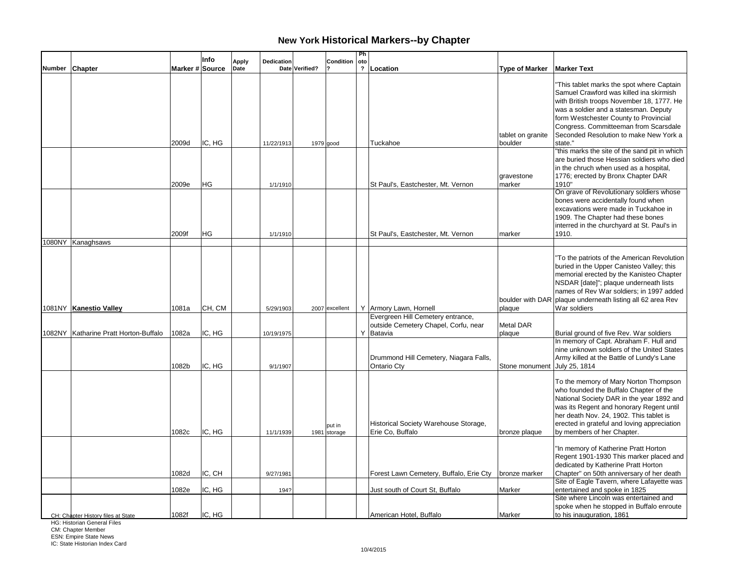|                |                                       |                 | Info   | <b>Apply</b> | Dedication |                | Condition              | Ph<br>oto      |                                                                                        |                              |                                                                                                                                                                                                                                                                                                          |
|----------------|---------------------------------------|-----------------|--------|--------------|------------|----------------|------------------------|----------------|----------------------------------------------------------------------------------------|------------------------------|----------------------------------------------------------------------------------------------------------------------------------------------------------------------------------------------------------------------------------------------------------------------------------------------------------|
| Number Chapter |                                       | Marker # Source |        | Date         |            | Date Verified? |                        | $\overline{?}$ | Location                                                                               | <b>Type of Marker</b>        | <b>Marker Text</b>                                                                                                                                                                                                                                                                                       |
|                |                                       |                 |        |              |            |                |                        |                |                                                                                        |                              | "This tablet marks the spot where Captain<br>Samuel Crawford was killed ina skirmish<br>with British troops November 18, 1777. He<br>was a soldier and a statesman. Deputy<br>form Westchester County to Provincial<br>Congress. Committeeman from Scarsdale                                             |
|                |                                       | 2009d           | IC, HG |              | 11/22/1913 |                | $1979$ good            |                | Tuckahoe                                                                               | tablet on granite<br>boulder | Seconded Resolution to make New York a<br>state."                                                                                                                                                                                                                                                        |
|                |                                       |                 |        |              |            |                |                        |                |                                                                                        | gravestone                   | "this marks the site of the sand pit in which<br>are buried those Hessian soldiers who died<br>in the chruch when used as a hospital,<br>1776; erected by Bronx Chapter DAR                                                                                                                              |
|                |                                       | 2009e           | HG     |              | 1/1/1910   |                |                        |                | St Paul's, Eastchester, Mt. Vernon                                                     | marker                       | 1910"<br>On grave of Revolutionary soldiers whose<br>bones were accidentally found when<br>excavations were made in Tuckahoe in<br>1909. The Chapter had these bones<br>interred in the churchyard at St. Paul's in                                                                                      |
|                | 1080NY Kanaghsaws                     | 2009f           | HG     |              | 1/1/1910   |                |                        |                | St Paul's, Eastchester, Mt. Vernon                                                     | marker                       | 1910.                                                                                                                                                                                                                                                                                                    |
|                | 1081NY Kanestio Valley                | 1081a           | CH, CM |              | 5/29/1903  |                | 2007 excellent         |                | Y Armory Lawn, Hornell                                                                 | plaque                       | "To the patriots of the American Revolution<br>buried in the Upper Canisteo Valley; this<br>memorial erected by the Kanisteo Chapter<br>NSDAR [date]"; plaque underneath lists<br>names of Rev War soldiers; in 1997 added<br>boulder with DAR plaque underneath listing all 62 area Rev<br>War soldiers |
|                | 1082NY Katharine Pratt Horton-Buffalo | 1082a           | IC, HG |              | 10/19/1975 |                |                        |                | Evergreen Hill Cemetery entrance,<br>outside Cemetery Chapel, Corfu, near<br>Y Batavia | <b>Metal DAR</b><br>plaque   | Burial ground of five Rev. War soldiers                                                                                                                                                                                                                                                                  |
|                |                                       | 1082b           | IC, HG |              | 9/1/1907   |                |                        |                | Drummond Hill Cemetery, Niagara Falls,<br>Ontario Cty                                  | Stone monument               | In memory of Capt. Abraham F. Hull and<br>nine unknown soldiers of the United States<br>Army killed at the Battle of Lundy's Lane<br>July 25, 1814                                                                                                                                                       |
|                |                                       | 1082c           | IC, HG |              | 11/1/1939  |                | put in<br>1981 storage |                | Historical Society Warehouse Storage,<br>Erie Co, Buffalo                              | bronze plaque                | To the memory of Mary Norton Thompson<br>who founded the Buffalo Chapter of the<br>National Society DAR in the year 1892 and<br>was its Regent and honorary Regent until<br>her death Nov. 24, 1902. This tablet is<br>erected in grateful and loving appreciation<br>by members of her Chapter.         |
|                |                                       | 1082d           | IC, CH |              | 9/27/1981  |                |                        |                | Forest Lawn Cemetery, Buffalo, Erie Cty                                                | bronze marker                | "In memory of Katherine Pratt Horton<br>Regent 1901-1930 This marker placed and<br>dedicated by Katherine Pratt Horton<br>Chapter" on 50th anniversary of her death                                                                                                                                      |
|                |                                       | 1082e           | IC, HG |              | 194?       |                |                        |                | Just south of Court St, Buffalo                                                        | Marker                       | Site of Eagle Tavern, where Lafayette was<br>entertained and spoke in 1825<br>Site where Lincoln was entertained and                                                                                                                                                                                     |
|                | CH: Chapter History files at State    | 1082f           | IC, HG |              |            |                |                        |                | American Hotel, Buffalo                                                                | Marker                       | spoke when he stopped in Buffalo enroute<br>to his inauguration, 1861                                                                                                                                                                                                                                    |

HG: Historian General Files

CM: Chapter Member ESN: Empire State News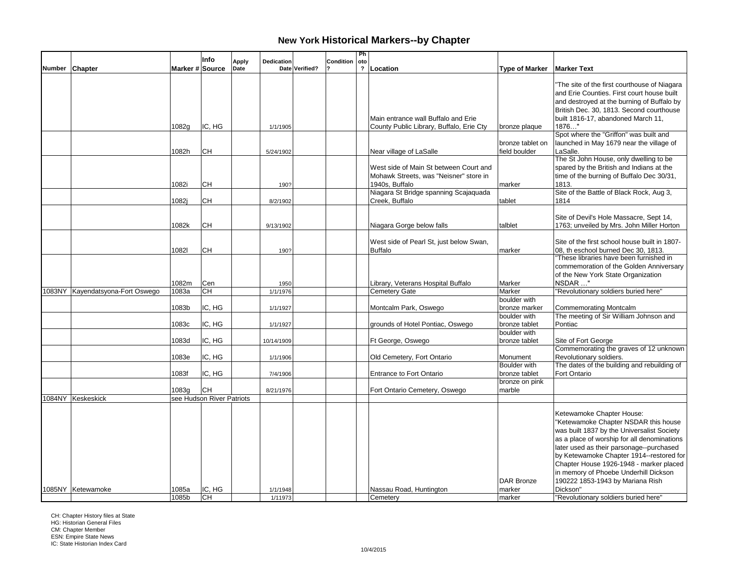|               |                                  |                 | Info                      | <b>Apply</b> | <b>Dedication</b> |                | Condition | Ph<br>oto      |                                                                                                    |                                   |                                                                                                                                                                                                                                                                                                                                                                                |
|---------------|----------------------------------|-----------------|---------------------------|--------------|-------------------|----------------|-----------|----------------|----------------------------------------------------------------------------------------------------|-----------------------------------|--------------------------------------------------------------------------------------------------------------------------------------------------------------------------------------------------------------------------------------------------------------------------------------------------------------------------------------------------------------------------------|
| <b>Number</b> | Chapter                          | Marker # Source |                           | Date         |                   | Date Verified? |           | $\overline{?}$ | Location                                                                                           | <b>Type of Marker</b>             | <b>Marker Text</b>                                                                                                                                                                                                                                                                                                                                                             |
|               |                                  |                 |                           |              |                   |                |           |                |                                                                                                    |                                   | 'The site of the first courthouse of Niagara<br>and Erie Counties. First court house built<br>and destroyed at the burning of Buffalo by<br>British Dec. 30, 1813. Second courthouse                                                                                                                                                                                           |
|               |                                  | 1082g           | IC, HG                    |              | 1/1/1905          |                |           |                | Main entrance wall Buffalo and Erie<br>County Public Library, Buffalo, Erie Cty                    | bronze plaque                     | built 1816-17, abandoned March 11,<br>1876"                                                                                                                                                                                                                                                                                                                                    |
|               |                                  |                 |                           |              |                   |                |           |                |                                                                                                    |                                   | Spot where the "Griffon" was built and                                                                                                                                                                                                                                                                                                                                         |
|               |                                  | 1082h           | CН                        |              | 5/24/1902         |                |           |                | Near village of LaSalle                                                                            | bronze tablet on<br>field boulder | launched in May 1679 near the village of<br>LaSalle.                                                                                                                                                                                                                                                                                                                           |
|               |                                  | 1082i           | <b>CH</b>                 |              | 190?              |                |           |                | West side of Main St between Court and<br>Mohawk Streets, was "Neisner" store in<br>1940s, Buffalo | marker                            | The St John House, only dwelling to be<br>spared by the British and Indians at the<br>time of the burning of Buffalo Dec 30/31,<br>1813.                                                                                                                                                                                                                                       |
|               |                                  | 1082j           | CН                        |              | 8/2/1902          |                |           |                | Niagara St Bridge spanning Scajaquada<br>Creek, Buffalo                                            | tablet                            | Site of the Battle of Black Rock, Aug 3,<br>1814                                                                                                                                                                                                                                                                                                                               |
|               |                                  | 1082k           | CН                        |              |                   |                |           |                |                                                                                                    | talblet                           | Site of Devil's Hole Massacre, Sept 14,                                                                                                                                                                                                                                                                                                                                        |
|               |                                  |                 |                           |              | 9/13/1902         |                |           |                | Niagara Gorge below falls                                                                          |                                   | 1763; unveiled by Mrs. John Miller Horton                                                                                                                                                                                                                                                                                                                                      |
|               |                                  | 10821           | CН                        |              | 190?              |                |           |                | West side of Pearl St, just below Swan,<br><b>Buffalo</b>                                          | marker                            | Site of the first school house built in 1807-<br>08, th eschool burned Dec 30, 1813.                                                                                                                                                                                                                                                                                           |
|               |                                  |                 |                           |              |                   |                |           |                |                                                                                                    |                                   | "These libraries have been furnished in<br>commemoration of the Golden Anniversary<br>of the New York State Organization                                                                                                                                                                                                                                                       |
|               |                                  | 1082m           | Cen<br>CH                 |              | 1950              |                |           |                | Library, Veterans Hospital Buffalo                                                                 | Marker                            | NSDAR "                                                                                                                                                                                                                                                                                                                                                                        |
|               | 1083NY Kayendatsyona-Fort Oswego | 1083a           |                           |              | 1/1/1976          |                |           |                | <b>Cemetery Gate</b>                                                                               | Marker<br>boulder with            | "Revolutionary soldiers buried here"                                                                                                                                                                                                                                                                                                                                           |
|               |                                  | 1083b           | IC, HG                    |              | 1/1/1927          |                |           |                | Montcalm Park, Oswego                                                                              | bronze marker                     | <b>Commemorating Montcalm</b>                                                                                                                                                                                                                                                                                                                                                  |
|               |                                  |                 |                           |              |                   |                |           |                |                                                                                                    | boulder with                      | The meeting of Sir William Johnson and                                                                                                                                                                                                                                                                                                                                         |
|               |                                  | 1083c           | IC, HG                    |              | 1/1/1927          |                |           |                | grounds of Hotel Pontiac, Oswego                                                                   | bronze tablet<br>boulder with     | Pontiac                                                                                                                                                                                                                                                                                                                                                                        |
|               |                                  | 1083d           | IC, HG                    |              | 10/14/1909        |                |           |                | Ft George, Oswego                                                                                  | bronze tablet                     | Site of Fort George                                                                                                                                                                                                                                                                                                                                                            |
|               |                                  |                 |                           |              |                   |                |           |                |                                                                                                    |                                   | Commemorating the graves of 12 unknown                                                                                                                                                                                                                                                                                                                                         |
|               |                                  | 1083e           | IC, HG                    |              | 1/1/1906          |                |           |                | Old Cemetery, Fort Ontario                                                                         | Monument                          | Revolutionary soldiers.                                                                                                                                                                                                                                                                                                                                                        |
|               |                                  | 1083f           | IC, HG                    |              | 7/4/1906          |                |           |                | <b>Entrance to Fort Ontario</b>                                                                    | Boulder with<br>bronze tablet     | The dates of the building and rebuilding of<br>Fort Ontario                                                                                                                                                                                                                                                                                                                    |
|               |                                  |                 |                           |              |                   |                |           |                |                                                                                                    | bronze on pink                    |                                                                                                                                                                                                                                                                                                                                                                                |
|               |                                  | 1083g           | <b>CH</b>                 |              | 8/21/1976         |                |           |                | Fort Ontario Cemetery, Oswego                                                                      | marble                            |                                                                                                                                                                                                                                                                                                                                                                                |
|               | 1084NY Keskeskick                |                 | see Hudson River Patriots |              |                   |                |           |                |                                                                                                    |                                   |                                                                                                                                                                                                                                                                                                                                                                                |
|               |                                  |                 |                           |              |                   |                |           |                |                                                                                                    | <b>DAR Bronze</b>                 | Ketewamoke Chapter House:<br>"Ketewamoke Chapter NSDAR this house<br>was built 1837 by the Universalist Society<br>as a place of worship for all denominations<br>later used as their parsonage--purchased<br>by Ketewamoke Chapter 1914--restored for<br>Chapter House 1926-1948 - marker placed<br>in memory of Phoebe Underhill Dickson<br>190222 1853-1943 by Mariana Rish |
|               | 1085NY Ketewamoke                | 1085a           | IC, HG                    |              | 1/1/1948          |                |           |                | Nassau Road, Huntington                                                                            | marker                            | Dickson"                                                                                                                                                                                                                                                                                                                                                                       |
|               |                                  | 1085b           | Існ                       |              | 1/11973           |                |           |                | Cemetery                                                                                           | marker                            | "Revolutionary soldiers buried here"                                                                                                                                                                                                                                                                                                                                           |

CH: Chapter History files at State HG: Historian General Files

CM: Chapter Member ESN: Empire State News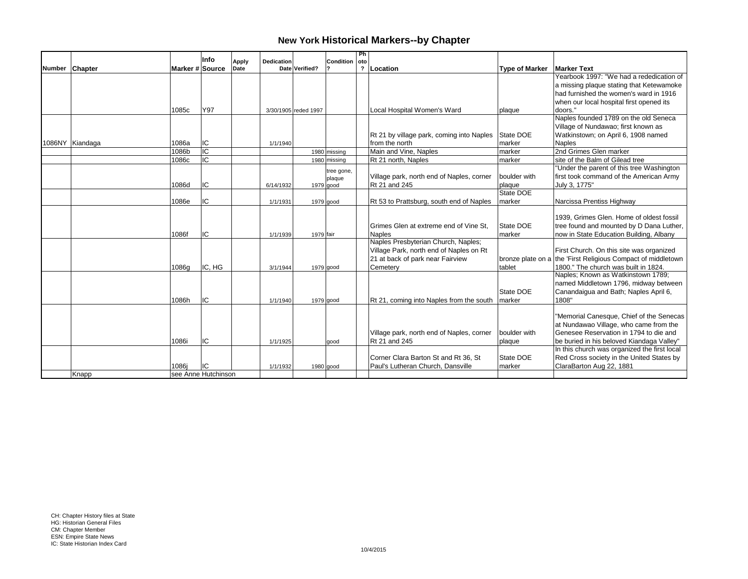|        |                 |                      | Info   |                                           |                      |              | Ph  |                                           |                       |                                                              |
|--------|-----------------|----------------------|--------|-------------------------------------------|----------------------|--------------|-----|-------------------------------------------|-----------------------|--------------------------------------------------------------|
|        |                 | Marker # Source      |        | <b>Dedication</b><br><b>Apply</b><br>Date | Date Verified?       | Condition    | oto |                                           |                       | <b>Marker Text</b>                                           |
| Number | Chapter         |                      |        |                                           |                      |              |     | ? Location                                | <b>Type of Marker</b> | Yearbook 1997: "We had a rededication of                     |
|        |                 |                      |        |                                           |                      |              |     |                                           |                       |                                                              |
|        |                 |                      |        |                                           |                      |              |     |                                           |                       | a missing plaque stating that Ketewamoke                     |
|        |                 |                      |        |                                           |                      |              |     |                                           |                       | had furnished the women's ward in 1916                       |
|        |                 |                      |        |                                           |                      |              |     |                                           |                       | when our local hospital first opened its                     |
|        |                 | 1085c                | Y97    |                                           | 3/30/1905 reded 1997 |              |     | Local Hospital Women's Ward               | plaque                | doors."                                                      |
|        |                 |                      |        |                                           |                      |              |     |                                           |                       | Naples founded 1789 on the old Seneca                        |
|        |                 |                      |        |                                           |                      |              |     |                                           |                       | Village of Nundawao; first known as                          |
|        |                 |                      |        |                                           |                      |              |     | Rt 21 by village park, coming into Naples | State DOE             | Watkinstown; on April 6, 1908 named                          |
|        | 1086NY Kiandaga | 1086a                | IC     | 1/1/1940                                  |                      |              |     | from the north                            | Imarker               | <b>Naples</b>                                                |
|        |                 | 1086b                | ΙC     |                                           |                      | 1980 missing |     | Main and Vine. Naples                     | Imarker               | 2nd Grimes Glen marker                                       |
|        |                 | 1086c                | IC     |                                           |                      | 1980 missing |     | Rt 21 north, Naples                       | marker                | site of the Balm of Gilead tree                              |
|        |                 |                      |        |                                           |                      | tree gone,   |     |                                           |                       | "Under the parent of this tree Washington                    |
|        |                 |                      |        |                                           |                      | plaque       |     | Village park, north end of Naples, corner | boulder with          | first took command of the American Army                      |
|        |                 | 1086d                | IC     | 6/14/1932                                 |                      | $1979$ good  |     | Rt 21 and 245                             | plaque                | July 3, 1775"                                                |
|        |                 |                      |        |                                           |                      |              |     |                                           | State DOE             |                                                              |
|        |                 | 1086e                | IC     | 1/1/1931                                  |                      | $1979$ good  |     | Rt 53 to Prattsburg, south end of Naples  | marker                | Narcissa Prentiss Highway                                    |
|        |                 |                      |        |                                           |                      |              |     |                                           |                       |                                                              |
|        |                 |                      |        |                                           |                      |              |     |                                           |                       | 1939, Grimes Glen. Home of oldest fossil                     |
|        |                 |                      |        |                                           |                      |              |     | Grimes Glen at extreme end of Vine St.    | State DOE             | tree found and mounted by D Dana Luther,                     |
|        |                 | 1086f                | IC     | 1/1/1939                                  | 1979 fair            |              |     | Naples                                    | marker                | now in State Education Building, Albany                      |
|        |                 |                      |        |                                           |                      |              |     | Naples Presbyterian Church, Naples;       |                       |                                                              |
|        |                 |                      |        |                                           |                      |              |     | Village Park, north end of Naples on Rt   |                       | First Church. On this site was organized                     |
|        |                 |                      |        |                                           |                      |              |     | 21 at back of park near Fairview          |                       | bronze plate on a the 'First Religious Compact of middletown |
|        |                 | 1086g                | IC, HG | 3/1/1944                                  |                      | $1979$ good  |     | Cemetery                                  | tablet                | 1800." The church was built in 1824.                         |
|        |                 |                      |        |                                           |                      |              |     |                                           |                       | Naples; Known as Watkinstown 1789;                           |
|        |                 |                      |        |                                           |                      |              |     |                                           |                       | named Middletown 1796, midway between                        |
|        |                 |                      |        |                                           |                      |              |     |                                           | State DOE             | Canandaigua and Bath; Naples April 6,                        |
|        |                 | 1086h                | IC     | 1/1/1940                                  |                      | 1979 good    |     | Rt 21, coming into Naples from the south  | marker                | 1808"                                                        |
|        |                 |                      |        |                                           |                      |              |     |                                           |                       |                                                              |
|        |                 |                      |        |                                           |                      |              |     |                                           |                       | "Memorial Canesque, Chief of the Senecas                     |
|        |                 |                      |        |                                           |                      |              |     |                                           |                       | at Nundawao Village, who came from the                       |
|        |                 |                      |        |                                           |                      |              |     | Village park, north end of Naples, corner | boulder with          | Genesee Reservation in 1794 to die and                       |
|        |                 | 1086i                | IC     | 1/1/1925                                  |                      | good         |     | Rt 21 and 245                             | plaque                | be buried in his beloved Kiandaga Valley"                    |
|        |                 |                      |        |                                           |                      |              |     |                                           |                       | In this church was organized the first local                 |
|        |                 |                      |        |                                           |                      |              |     | Corner Clara Barton St and Rt 36, St      | State DOE             | Red Cross society in the United States by                    |
|        |                 | 1086i                | IC     | 1/1/1932                                  |                      | 1980 good    |     | Paul's Lutheran Church, Dansville         | marker                | ClaraBarton Aug 22, 1881                                     |
|        | Knapp           | Isee Anne Hutchinson |        |                                           |                      |              |     |                                           |                       |                                                              |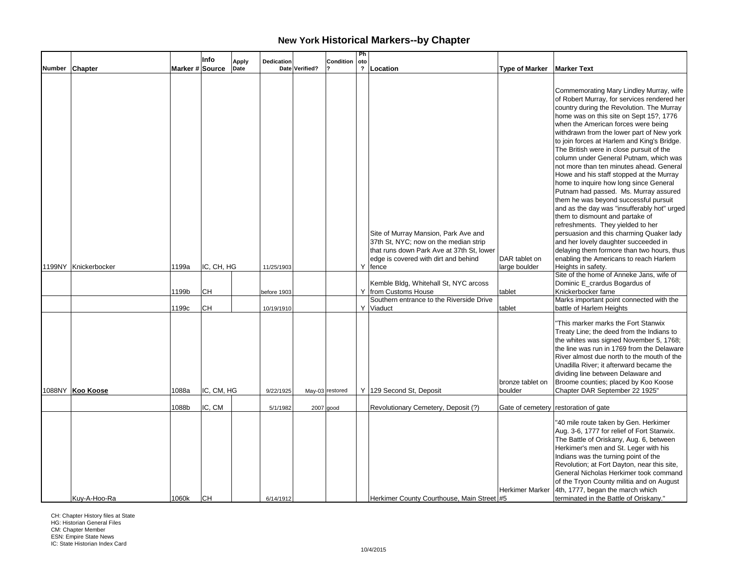|        |                      |                 | Info              | <b>Apply</b> | Dedication              |                | Condition       | Ph<br>oto    |                                                                                                                            |                                       |                                                                                                                                                                                                                                                                                                                                                                                                                                                                                                                                                                                                                                                                                                                                                                                                                                                                                      |
|--------|----------------------|-----------------|-------------------|--------------|-------------------------|----------------|-----------------|--------------|----------------------------------------------------------------------------------------------------------------------------|---------------------------------------|--------------------------------------------------------------------------------------------------------------------------------------------------------------------------------------------------------------------------------------------------------------------------------------------------------------------------------------------------------------------------------------------------------------------------------------------------------------------------------------------------------------------------------------------------------------------------------------------------------------------------------------------------------------------------------------------------------------------------------------------------------------------------------------------------------------------------------------------------------------------------------------|
| Number | <b>Chapter</b>       | Marker # Source |                   | Date         |                         | Date Verified? |                 | $\mathbf{r}$ | Location                                                                                                                   | <b>Type of Marker</b>                 | <b>Marker Text</b>                                                                                                                                                                                                                                                                                                                                                                                                                                                                                                                                                                                                                                                                                                                                                                                                                                                                   |
|        |                      |                 |                   |              |                         |                |                 |              | Site of Murray Mansion, Park Ave and<br>37th St, NYC; now on the median strip<br>that runs down Park Ave at 37th St, lower |                                       | Commemorating Mary Lindley Murray, wife<br>of Robert Murray, for services rendered her<br>country during the Revolution. The Murray<br>home was on this site on Sept 15?, 1776<br>when the American forces were being<br>withdrawn from the lower part of New york<br>to join forces at Harlem and King's Bridge.<br>The British were in close pursuit of the<br>column under General Putnam, which was<br>not more than ten minutes ahead. General<br>Howe and his staff stopped at the Murray<br>home to inquire how long since General<br>Putnam had passed. Ms. Murray assured<br>them he was beyond successful pursuit<br>and as the day was "insufferably hot" urged<br>them to dismount and partake of<br>refreshments. They yielded to her<br>persuasion and this charming Quaker lady<br>and her lovely daughter succeeded in<br>delaying them formore than two hours, thus |
|        | 1199NY Knickerbocker | 1199a           | IC, CH, HG        |              | 11/25/1903              |                |                 |              | edge is covered with dirt and behind<br>Y fence                                                                            | DAR tablet on<br>large boulder        | enabling the Americans to reach Harlem<br>Heights in safety.                                                                                                                                                                                                                                                                                                                                                                                                                                                                                                                                                                                                                                                                                                                                                                                                                         |
|        |                      | 1199b           | lсн               |              | before 1903             |                |                 |              | Kemble Bldg, Whitehall St, NYC arcoss<br>Y from Customs House<br>Southern entrance to the Riverside Drive                  | tablet                                | Site of the home of Anneke Jans, wife of<br>Dominic E_crardus Bogardus of<br>Knickerbocker fame<br>Marks important point connected with the                                                                                                                                                                                                                                                                                                                                                                                                                                                                                                                                                                                                                                                                                                                                          |
|        | 1088NY Koo Koose     | 1199c<br>1088a  | lсн<br>IC, CM, HG |              | 10/19/1910<br>9/22/1925 |                | May-03 restored |              | Y Viaduct<br>Y 129 Second St, Deposit                                                                                      | tablet<br>bronze tablet on<br>boulder | battle of Harlem Heights<br>"This marker marks the Fort Stanwix<br>Treaty Line; the deed from the Indians to<br>the whites was signed November 5, 1768;<br>the line was run in 1769 from the Delaware<br>River almost due north to the mouth of the<br>Unadilla River; it afterward became the<br>dividing line between Delaware and<br>Broome counties; placed by Koo Koose<br>Chapter DAR September 22 1925"                                                                                                                                                                                                                                                                                                                                                                                                                                                                       |
|        |                      | 1088b           | IC, CM            |              | 5/1/1982                | $2007$ good    |                 |              | Revolutionary Cemetery, Deposit (?)                                                                                        |                                       | Gate of cemetery restoration of gate                                                                                                                                                                                                                                                                                                                                                                                                                                                                                                                                                                                                                                                                                                                                                                                                                                                 |
|        | Kuy-A-Hoo-Ra         | 1060k           | Iсн               |              | 6/14/1912               |                |                 |              | Herkimer County Courthouse, Main Street #5                                                                                 | <b>Herkimer Marker</b>                | "40 mile route taken by Gen. Herkimer<br>Aug. 3-6, 1777 for relief of Fort Stanwix.<br>The Battle of Oriskany, Aug. 6, between<br>Herkimer's men and St. Leger with his<br>Indians was the turning point of the<br>Revolution; at Fort Dayton, near this site,<br>General Nicholas Herkimer took command<br>of the Tryon County militia and on August<br>4th, 1777, began the march which<br>terminated in the Battle of Oriskany."                                                                                                                                                                                                                                                                                                                                                                                                                                                  |

CH: Chapter History files at State HG: Historian General Files

CM: Chapter Member ESN: Empire State News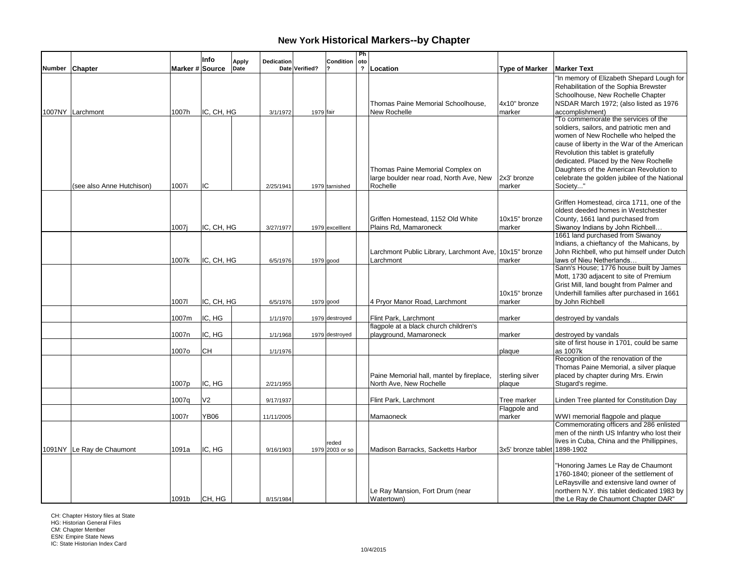|        |                           |                 | Info           | Dedication           |          |                | Condition       | Ph<br>oto               |                                                        |                              |                                                                      |
|--------|---------------------------|-----------------|----------------|----------------------|----------|----------------|-----------------|-------------------------|--------------------------------------------------------|------------------------------|----------------------------------------------------------------------|
| Number | Chapter                   | Marker # Source |                | <b>Apply</b><br>Date |          | Date Verified? |                 | $\overline{\mathbf{r}}$ | Location                                               | <b>Type of Marker</b>        | <b>Marker Text</b>                                                   |
|        |                           |                 |                |                      |          |                |                 |                         |                                                        |                              | "In memory of Elizabeth Shepard Lough for                            |
|        |                           |                 |                |                      |          |                |                 |                         |                                                        |                              | Rehabilitation of the Sophia Brewster                                |
|        |                           |                 |                |                      |          |                |                 |                         |                                                        |                              | Schoolhouse, New Rochelle Chapter                                    |
|        |                           |                 |                |                      |          |                |                 |                         | Thomas Paine Memorial Schoolhouse,                     | 4x10" bronze                 | NSDAR March 1972; (also listed as 1976                               |
|        | 1007NY Larchmont          | 1007h           | IC, CH, HG     |                      | 3/1/1972 | 1979 fair      |                 |                         | New Rochelle                                           | marker                       | accomplishment)                                                      |
|        |                           |                 |                |                      |          |                |                 |                         |                                                        |                              | To commemorate the services of the                                   |
|        |                           |                 |                |                      |          |                |                 |                         |                                                        |                              | soldiers, sailors, and patriotic men and                             |
|        |                           |                 |                |                      |          |                |                 |                         |                                                        |                              | women of New Rochelle who helped the                                 |
|        |                           |                 |                |                      |          |                |                 |                         |                                                        |                              | cause of liberty in the War of the American                          |
|        |                           |                 |                |                      |          |                |                 |                         |                                                        |                              | Revolution this tablet is gratefully                                 |
|        |                           |                 |                |                      |          |                |                 |                         |                                                        |                              | dedicated. Placed by the New Rochelle                                |
|        |                           |                 |                |                      |          |                |                 |                         | Thomas Paine Memorial Complex on                       |                              | Daughters of the American Revolution to                              |
|        |                           |                 |                |                      |          |                |                 |                         | large boulder near road, North Ave, New                | 2x3' bronze                  | celebrate the golden jubilee of the National                         |
|        | (see also Anne Hutchison) | 1007i           | IC             | 2/25/1941            |          |                | 1979 tarnished  |                         | Rochelle                                               | marker                       | Society"                                                             |
|        |                           |                 |                |                      |          |                |                 |                         |                                                        |                              |                                                                      |
|        |                           |                 |                |                      |          |                |                 |                         |                                                        |                              | Griffen Homestead, circa 1711, one of the                            |
|        |                           |                 |                |                      |          |                |                 |                         |                                                        |                              | oldest deeded homes in Westchester                                   |
|        |                           |                 |                |                      |          |                |                 |                         | Griffen Homestead, 1152 Old White                      | 10x15" bronze                | County, 1661 land purchased from                                     |
|        |                           | 1007i           | IC, CH, HG     | 3/27/1977            |          |                | 1979 excelllent |                         | Plains Rd, Mamaroneck                                  | marker                       | Siwanoy Indians by John Richbell<br>1661 land purchased from Siwanoy |
|        |                           |                 |                |                      |          |                |                 |                         |                                                        |                              | Indians, a chieftancy of the Mahicans, by                            |
|        |                           |                 |                |                      |          |                |                 |                         | Larchmont Public Library, Larchmont Ave, 10x15" bronze |                              | John Richbell, who put himself under Dutch                           |
|        |                           | 1007k           | IC, CH, HG     | 6/5/1976             |          |                | 1979 good       |                         | Larchmont                                              | marker                       | laws of Nieu Netherlands                                             |
|        |                           |                 |                |                      |          |                |                 |                         |                                                        |                              | Sann's House; 1776 house built by James                              |
|        |                           |                 |                |                      |          |                |                 |                         |                                                        |                              | Mott, 1730 adjacent to site of Premium                               |
|        |                           |                 |                |                      |          |                |                 |                         |                                                        |                              | Grist Mill, land bought from Palmer and                              |
|        |                           |                 |                |                      |          |                |                 |                         |                                                        | 10x15" bronze                | Underhill families after purchased in 1661                           |
|        |                           | 10071           | IC, CH, HG     | 6/5/1976             |          |                | $1979$ good     |                         | 4 Pryor Manor Road, Larchmont                          | marker                       | by John Richbell                                                     |
|        |                           |                 |                |                      |          |                |                 |                         |                                                        |                              |                                                                      |
|        |                           | 1007m           | IC, HG         | 1/1/1970             |          |                | 1979 destroyed  |                         | Flint Park, Larchmont                                  | marker                       | destroyed by vandals                                                 |
|        |                           |                 |                |                      |          |                |                 |                         | flagpole at a black church children's                  |                              |                                                                      |
|        |                           | 1007n           | IC, HG         | 1/1/1968             |          |                | 1979 destroyed  |                         | playground, Mamaroneck                                 | marker                       | destroyed by vandals                                                 |
|        |                           |                 |                |                      |          |                |                 |                         |                                                        |                              | site of first house in 1701, could be same                           |
|        |                           | 1007o           | CН             | 1/1/1976             |          |                |                 |                         |                                                        | plaque                       | as 1007k                                                             |
|        |                           |                 |                |                      |          |                |                 |                         |                                                        |                              | Recognition of the renovation of the                                 |
|        |                           |                 |                |                      |          |                |                 |                         |                                                        |                              | Thomas Paine Memorial, a silver plaque                               |
|        |                           |                 |                |                      |          |                |                 |                         | Paine Memorial hall, mantel by fireplace,              | sterling silver              | placed by chapter during Mrs. Erwin                                  |
|        |                           | 1007p           | IC, HG         | 2/21/1955            |          |                |                 |                         | North Ave, New Rochelle                                | plaque                       | Stugard's regime.                                                    |
|        |                           |                 |                |                      |          |                |                 |                         |                                                        |                              |                                                                      |
|        |                           | 1007q           | V <sub>2</sub> | 9/17/1937            |          |                |                 |                         | Flint Park, Larchmont                                  | Tree marker<br>Flagpole and  | Linden Tree planted for Constitution Day                             |
|        |                           | 1007r           | YB06           | 11/11/2005           |          |                |                 |                         | Mamaoneck                                              | marker                       | WWI memorial flagpole and plaque                                     |
|        |                           |                 |                |                      |          |                |                 |                         |                                                        |                              | Commemorating officers and 286 enlisted                              |
|        |                           |                 |                |                      |          |                |                 |                         |                                                        |                              | men of the ninth US Infantry who lost their                          |
|        |                           |                 |                |                      |          |                | reded           |                         |                                                        |                              | lives in Cuba, China and the Phillippines,                           |
|        | 1091NY Le Ray de Chaumont | 1091a           | IC, HG         | 9/16/1903            |          |                | 1979 2003 or so |                         | Madison Barracks, Sacketts Harbor                      | 3x5' bronze tablet 1898-1902 |                                                                      |
|        |                           |                 |                |                      |          |                |                 |                         |                                                        |                              |                                                                      |
|        |                           |                 |                |                      |          |                |                 |                         |                                                        |                              | "Honoring James Le Ray de Chaumont                                   |
|        |                           |                 |                |                      |          |                |                 |                         |                                                        |                              | 1760-1840; pioneer of the settlement of                              |
|        |                           |                 |                |                      |          |                |                 |                         |                                                        |                              | LeRaysville and extensive land owner of                              |
|        |                           |                 |                |                      |          |                |                 |                         | Le Ray Mansion, Fort Drum (near                        |                              | northern N.Y. this tablet dedicated 1983 by                          |
|        |                           | 1091b           | CH, HG         | 8/15/1984            |          |                |                 |                         | Watertown)                                             |                              | the Le Ray de Chaumont Chapter DAR"                                  |

CH: Chapter History files at State HG: Historian General Files

CM: Chapter Member ESN: Empire State News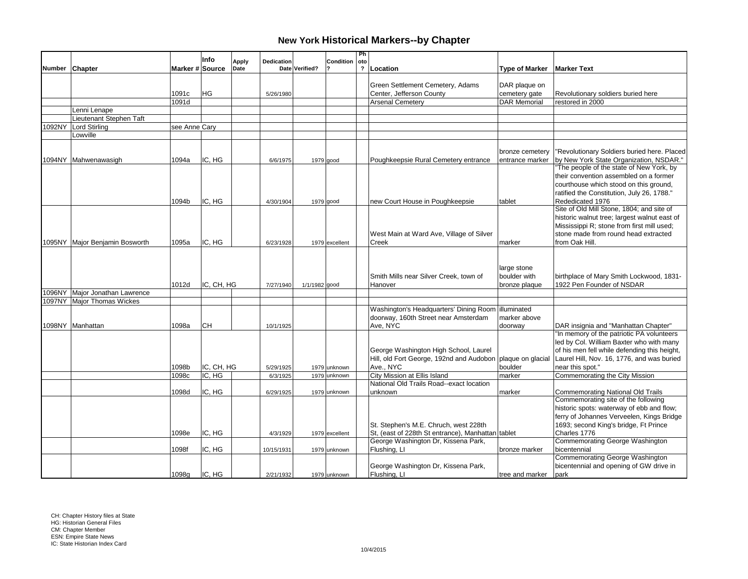|        |                                          |                 | Info       | Dedication<br><b>Apply</b> |                | Condition      | Ph<br>oto    |                                                            |                       |                                              |
|--------|------------------------------------------|-----------------|------------|----------------------------|----------------|----------------|--------------|------------------------------------------------------------|-----------------------|----------------------------------------------|
| Number | <b>Chapter</b>                           | Marker # Source |            | Date                       | Date Verified? |                | $\mathbf{r}$ | Location                                                   | <b>Type of Marker</b> | <b>Marker Text</b>                           |
|        |                                          |                 |            |                            |                |                |              |                                                            |                       |                                              |
|        |                                          |                 |            |                            |                |                |              | Green Settlement Cemetery, Adams                           | DAR plaque on         |                                              |
|        |                                          | 1091c           | HG         | 5/26/1980                  |                |                |              | Center, Jefferson County                                   | cemetery gate         | Revolutionary soldiers buried here           |
|        |                                          | 1091d           |            |                            |                |                |              | <b>Arsenal Cemeterv</b>                                    | <b>DAR Memorial</b>   | restored in 2000                             |
|        | Lenni Lenape                             |                 |            |                            |                |                |              |                                                            |                       |                                              |
| 1092NY | Lieutenant Stephen Taft<br>Lord Stirling |                 |            |                            |                |                |              |                                                            |                       |                                              |
|        | Lowville                                 | see Anne Cary   |            |                            |                |                |              |                                                            |                       |                                              |
|        |                                          |                 |            |                            |                |                |              |                                                            |                       |                                              |
|        |                                          |                 |            |                            |                |                |              |                                                            | bronze cemetery       | "Revolutionary Soldiers buried here. Placed  |
|        | 1094NY Mahwenawasigh                     | 1094a           | IC. HG     | 6/6/1975                   |                | $1979$ good    |              | Poughkeepsie Rural Cemetery entrance                       | entrance marker       | by New York State Organization, NSDAR."      |
|        |                                          |                 |            |                            |                |                |              |                                                            |                       | "The people of the state of New York, by     |
|        |                                          |                 |            |                            |                |                |              |                                                            |                       | their convention assembled on a former       |
|        |                                          |                 |            |                            |                |                |              |                                                            |                       | courthouse which stood on this ground,       |
|        |                                          |                 |            |                            |                |                |              |                                                            |                       | ratified the Constitution, July 26, 1788."   |
|        |                                          | 1094b           | IC, HG     | 4/30/1904                  |                | $1979$ good    |              | new Court House in Poughkeepsie                            | tablet                | Rededicated 1976                             |
|        |                                          |                 |            |                            |                |                |              |                                                            |                       | Site of Old Mill Stone, 1804; and site of    |
|        |                                          |                 |            |                            |                |                |              |                                                            |                       | historic walnut tree; largest walnut east of |
|        |                                          |                 |            |                            |                |                |              |                                                            |                       | Mississippi R; stone from first mill used;   |
|        |                                          |                 |            |                            |                |                |              | West Main at Ward Ave, Village of Silver                   |                       | stone made from round head extracted         |
|        | 1095NY Major Benjamin Bosworth           | 1095a           | IC, HG     | 6/23/1928                  |                | 1979 excellent |              | Creek                                                      | marker                | from Oak Hill.                               |
|        |                                          |                 |            |                            |                |                |              |                                                            |                       |                                              |
|        |                                          |                 |            |                            |                |                |              |                                                            |                       |                                              |
|        |                                          |                 |            |                            |                |                |              |                                                            | large stone           |                                              |
|        |                                          |                 |            |                            |                |                |              | Smith Mills near Silver Creek, town of                     | boulder with          | birthplace of Mary Smith Lockwood, 1831-     |
|        |                                          | 1012d           | IC, CH, HG | 7/27/1940                  | 1/1/1982 good  |                |              | Hanover                                                    | bronze plaque         | 1922 Pen Founder of NSDAR                    |
|        | 1096NY Major Jonathan Lawrence           |                 |            |                            |                |                |              |                                                            |                       |                                              |
|        | 1097NY Major Thomas Wickes               |                 |            |                            |                |                |              | Washington's Headquarters' Dining Room illuminated         |                       |                                              |
|        |                                          |                 |            |                            |                |                |              | doorway, 160th Street near Amsterdam                       | marker above          |                                              |
|        | 1098NY Manhattan                         | 1098a           | <b>CH</b>  | 10/1/1925                  |                |                |              | Ave, NYC                                                   | doorway               | DAR insignia and "Manhattan Chapter"         |
|        |                                          |                 |            |                            |                |                |              |                                                            |                       | "In memory of the patriotic PA volunteers    |
|        |                                          |                 |            |                            |                |                |              |                                                            |                       | led by Col. William Baxter who with many     |
|        |                                          |                 |            |                            |                |                |              | George Washington High School, Laurel                      |                       | of his men fell while defending this height, |
|        |                                          |                 |            |                            |                |                |              | Hill, old Fort George, 192nd and Audobon plaque on glacial |                       | Laurel Hill, Nov. 16, 1776, and was buried   |
|        |                                          | 1098b           | IC, CH, HG | 5/29/1925                  |                | 1979 unknown   |              | Ave., NYC                                                  | boulder               | near this spot."                             |
|        |                                          | 1098c           | IC, HG     | 6/3/1925                   |                | 1979 unknown   |              | City Mission at Ellis Island                               | marker                | Commemorating the City Mission               |
|        |                                          |                 |            |                            |                |                |              | National Old Trails Road--exact location                   |                       |                                              |
|        |                                          | 1098d           | IC, HG     | 6/29/1925                  |                | 1979 unknown   |              | unknown                                                    | marker                | <b>Commemorating National Old Trails</b>     |
|        |                                          |                 |            |                            |                |                |              |                                                            |                       | Commemorating site of the following          |
|        |                                          |                 |            |                            |                |                |              |                                                            |                       | historic spots: waterway of ebb and flow;    |
|        |                                          |                 |            |                            |                |                |              |                                                            |                       | ferry of Johannes Verveelen, Kings Bridge    |
|        |                                          |                 |            |                            |                |                |              | St. Stephen's M.E. Chruch, west 228th                      |                       | 1693; second King's bridge, Ft Prince        |
|        |                                          | 1098e           | IC, HG     | 4/3/1929                   |                | 1979 excellent |              | St, (east of 228th St entrance), Manhattan tablet          |                       | Charles 1776                                 |
|        |                                          |                 |            |                            |                |                |              | George Washington Dr, Kissena Park,                        |                       | Commemorating George Washington              |
|        |                                          | 1098f           | IC, HG     | 10/15/1931                 |                | 1979 unknown   |              | Flushing, Ll                                               | bronze marker         | bicentennial                                 |
|        |                                          |                 |            |                            |                |                |              |                                                            |                       | Commemorating George Washington              |
|        |                                          |                 |            |                            |                |                |              | George Washington Dr, Kissena Park,                        |                       | bicentennial and opening of GW drive in      |
|        |                                          | 1098a           | IC. HG     | 2/21/1932                  |                | 1979 unknown   |              | Flushing, LI                                               | tree and marker       | park                                         |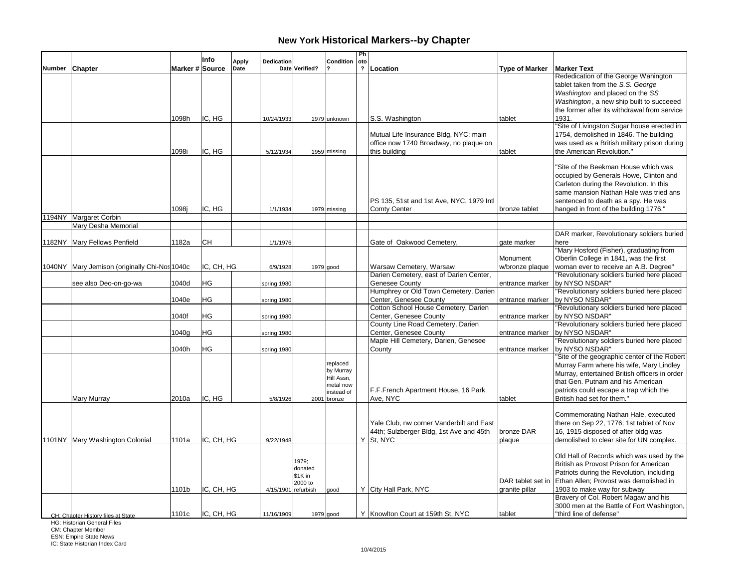|                                               |                 | Info       | <b>Apply</b> | Dedication  |                    | Condition               | Ph<br>oto      |                                                                                     |                       |                                                                                          |
|-----------------------------------------------|-----------------|------------|--------------|-------------|--------------------|-------------------------|----------------|-------------------------------------------------------------------------------------|-----------------------|------------------------------------------------------------------------------------------|
| Number Chapter                                | Marker # Source |            | Date         |             | Date Verified?     |                         | $\overline{2}$ | Location                                                                            | <b>Type of Marker</b> | <b>Marker Text</b>                                                                       |
|                                               |                 |            |              |             |                    |                         |                |                                                                                     |                       | Rededication of the George Wahington                                                     |
|                                               |                 |            |              |             |                    |                         |                |                                                                                     |                       | tablet taken from the S.S. George                                                        |
|                                               |                 |            |              |             |                    |                         |                |                                                                                     |                       | Washington and placed on the SS                                                          |
|                                               |                 |            |              |             |                    |                         |                |                                                                                     |                       | Washington, a new ship built to succeeed<br>the former after its withdrawal from service |
|                                               | 1098h           | IC. HG     |              |             |                    |                         |                |                                                                                     | tablet                | 1931.                                                                                    |
|                                               |                 |            |              | 10/24/1933  |                    | 1979 unknown            |                | S.S. Washington                                                                     |                       | "Site of Livingston Sugar house erected in                                               |
|                                               |                 |            |              |             |                    |                         |                | Mutual Life Insurance Bldg, NYC; main                                               |                       | 1754, demolished in 1846. The building                                                   |
|                                               |                 |            |              |             |                    |                         |                | office now 1740 Broadway, no plaque on                                              |                       | was used as a British military prison during                                             |
|                                               | 1098i           | IC, HG     |              | 5/12/1934   |                    | 1959 missing            |                | this building                                                                       | tablet                | the American Revolution."                                                                |
|                                               |                 |            |              |             |                    |                         |                |                                                                                     |                       |                                                                                          |
|                                               |                 |            |              |             |                    |                         |                |                                                                                     |                       | "Site of the Beekman House which was                                                     |
|                                               |                 |            |              |             |                    |                         |                |                                                                                     |                       | occupied by Generals Howe, Clinton and                                                   |
|                                               |                 |            |              |             |                    |                         |                |                                                                                     |                       | Carleton during the Revolution. In this                                                  |
|                                               |                 |            |              |             |                    |                         |                |                                                                                     |                       | same mansion Nathan Hale was tried ans                                                   |
|                                               |                 |            |              |             |                    |                         |                | PS 135, 51st and 1st Ave, NYC, 1979 Intl                                            |                       | sentenced to death as a spy. He was                                                      |
|                                               | 1098j           | IC, HG     |              | 1/1/1934    |                    | $1979$ missing          |                | <b>Comty Center</b>                                                                 | bronze tablet         | hanged in front of the building 1776."                                                   |
| 194NY Margaret Corbin<br>Mary Desha Memorial  |                 |            |              |             |                    |                         |                |                                                                                     |                       |                                                                                          |
|                                               |                 |            |              |             |                    |                         |                |                                                                                     |                       | DAR marker, Revolutionary soldiers buried                                                |
| 1182NY Mary Fellows Penfield                  | 1182a           | CН         |              | 1/1/1976    |                    |                         |                | Gate of Oakwood Cemetery.                                                           | gate marker           | here                                                                                     |
|                                               |                 |            |              |             |                    |                         |                |                                                                                     |                       | "Mary Hosford (Fisher), graduating from                                                  |
|                                               |                 |            |              |             |                    |                         |                |                                                                                     | Monument              | Oberlin College in 1841, was the first                                                   |
| 1040NY Mary Jemison (originally Chi-Nos 1040c |                 | IC, CH, HG |              | 6/9/1928    |                    | $1979$ good             |                | Warsaw Cemetery, Warsaw                                                             | w/bronze plaque       | woman ever to receive an A.B. Degree"                                                    |
|                                               |                 |            |              |             |                    |                         |                | Darien Cemetery, east of Darien Center,                                             |                       | "Revolutionary soldiers buried here placed                                               |
| see also Deo-on-go-wa                         | 1040d           | HG         |              | spring 1980 |                    |                         |                | Genesee County                                                                      | entrance marker       | by NYSO NSDAR"                                                                           |
|                                               |                 |            |              |             |                    |                         |                | Humphrey or Old Town Cemetery, Darien                                               |                       | "Revolutionary soldiers buried here placed                                               |
|                                               | 1040e           | ΗG         |              | spring 1980 |                    |                         |                | Center, Genesee County                                                              |                       | entrance marker   by NYSO NSDAR"                                                         |
|                                               |                 |            |              |             |                    |                         |                | Cotton School House Cemetery, Darien                                                |                       | "Revolutionary soldiers buried here placed                                               |
|                                               | 1040f           | HG         |              | spring 1980 |                    |                         |                | Center, Genesee County                                                              | entrance marker       | by NYSO NSDAR"                                                                           |
|                                               | 1040a           | HG         |              |             |                    |                         |                | County Line Road Cemetery, Darien<br>Center, Genesee County                         |                       | "Revolutionary soldiers buried here placed<br>by NYSO NSDAR"                             |
|                                               |                 |            |              | spring 1980 |                    |                         |                | Maple Hill Cemetery, Darien, Genesee                                                | entrance marker       | "Revolutionary soldiers buried here placed                                               |
|                                               | 1040h           | HG         |              | spring 1980 |                    |                         |                | County                                                                              |                       | entrance marker   by NYSO NSDAR"                                                         |
|                                               |                 |            |              |             |                    |                         |                |                                                                                     |                       | "Site of the geographic center of the Robert                                             |
|                                               |                 |            |              |             |                    | replaced                |                |                                                                                     |                       | Murray Farm where his wife, Mary Lindley                                                 |
|                                               |                 |            |              |             |                    | by Murray               |                |                                                                                     |                       | Murray, entertained British officers in order                                            |
|                                               |                 |            |              |             |                    | Hill Assn,<br>metal now |                |                                                                                     |                       | that Gen. Putnam and his American                                                        |
|                                               |                 |            |              |             |                    | instead of              |                | F.F.French Apartment House, 16 Park                                                 |                       | patriots could escape a trap which the                                                   |
| Mary Murray                                   | 2010a           | IC. HG     |              | 5/8/1926    |                    | 2001 bronze             |                | Ave, NYC                                                                            | tablet                | British had set for them."                                                               |
|                                               |                 |            |              |             |                    |                         |                |                                                                                     |                       |                                                                                          |
|                                               |                 |            |              |             |                    |                         |                |                                                                                     |                       | Commemorating Nathan Hale, executed                                                      |
|                                               |                 |            |              |             |                    |                         |                | Yale Club, nw corner Vanderbilt and East<br>44th; Sulzberger Bldg, 1st Ave and 45th | bronze DAR            | there on Sep 22, 1776; 1st tablet of Nov<br>16, 1915 disposed of after bldg was          |
| 1101NY Mary Washington Colonial               | 1101a           | IC, CH, HG |              | 9/22/1948   |                    |                         |                | Y St. NYC                                                                           | plaque                | demolished to clear site for UN complex.                                                 |
|                                               |                 |            |              |             |                    |                         |                |                                                                                     |                       |                                                                                          |
|                                               |                 |            |              |             |                    |                         |                |                                                                                     |                       | Old Hall of Records which was used by the                                                |
|                                               |                 |            |              |             | 1979:              |                         |                |                                                                                     |                       | British as Provost Prison for American                                                   |
|                                               |                 |            |              |             | donated<br>\$1K in |                         |                |                                                                                     |                       | Patriots during the Revolution, including                                                |
|                                               |                 |            |              |             | 2000 to            |                         |                |                                                                                     | DAR tablet set in     | Ethan Allen; Provost was demolished in                                                   |
|                                               | 1101b           | IC, CH, HG |              | 4/15/1901   | refurbish          | good                    |                | Y City Hall Park, NYC                                                               | granite pillar        | 1903 to make way for subway                                                              |
|                                               |                 |            |              |             |                    |                         |                |                                                                                     |                       | Bravery of Col. Robert Magaw and his                                                     |
|                                               |                 |            |              |             |                    |                         |                |                                                                                     |                       | 3000 men at the Battle of Fort Washington,                                               |
| CH: Chapter History files at State            | 1101c           | IC, CH, HG |              | 11/16/1909  |                    | 1979 good               |                | Y Knowlton Court at 159th St, NYC                                                   | tablet                | "third line of defense"                                                                  |

HG: Historian General Files

CM: Chapter Member ESN: Empire State News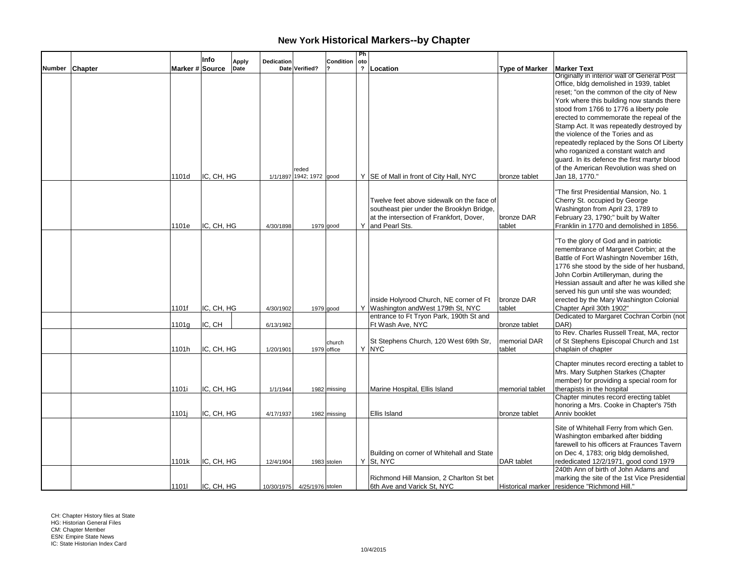|        |                |                 | Info       | <b>Apply</b> | Dedication |                                   | Condition             | Ph<br>oto    |                                                                                                                                                        |                        |                                                                                                                                                                                                                                                                                                                                                                                                                                                                                                                                                         |
|--------|----------------|-----------------|------------|--------------|------------|-----------------------------------|-----------------------|--------------|--------------------------------------------------------------------------------------------------------------------------------------------------------|------------------------|---------------------------------------------------------------------------------------------------------------------------------------------------------------------------------------------------------------------------------------------------------------------------------------------------------------------------------------------------------------------------------------------------------------------------------------------------------------------------------------------------------------------------------------------------------|
| Number | <b>Chapter</b> | Marker # Source |            | Date         |            | Date Verified?                    |                       | $\mathbf{r}$ | Location                                                                                                                                               | <b>Type of Marker</b>  | <b>Marker Text</b>                                                                                                                                                                                                                                                                                                                                                                                                                                                                                                                                      |
|        |                | 1101d           | IC, CH, HG |              |            | reded<br>1/1/1897 1942; 1972 good |                       |              | Y SE of Mall in front of City Hall, NYC                                                                                                                | bronze tablet          | Originally in interior wall of General Post<br>Office, bldg demolished in 1939, tablet<br>reset; "on the common of the city of New<br>York where this building now stands there<br>stood from 1766 to 1776 a liberty pole<br>erected to commemorate the repeal of the<br>Stamp Act. It was repeatedly destroyed by<br>the violence of the Tories and as<br>repeatedly replaced by the Sons Of Liberty<br>who roganized a constant watch and<br>guard. In its defence the first martyr blood<br>of the American Revolution was shed on<br>Jan 18, 1770." |
|        |                | 1101e           | IC, CH, HG |              | 4/30/1898  |                                   | $1979$ good           |              | Twelve feet above sidewalk on the face of<br>southeast pier under the Brooklyn Bridge,<br>at the intersection of Frankfort, Dover,<br>Y and Pearl Sts. | bronze DAR<br>tablet   | "The first Presidential Mansion, No. 1<br>Cherry St. occupied by George<br>Washington from April 23, 1789 to<br>February 23, 1790;" built by Walter<br>Franklin in 1770 and demolished in 1856.                                                                                                                                                                                                                                                                                                                                                         |
|        |                | 1101f           | IC, CH, HG |              | 4/30/1902  |                                   | 1979 good             |              | inside Holyrood Church, NE corner of Ft<br>Y Washington and West 179th St, NYC                                                                         | bronze DAR<br>tablet   | "To the glory of God and in patriotic<br>remembrance of Margaret Corbin; at the<br>Battle of Fort Washingtn November 16th,<br>1776 she stood by the side of her husband,<br>John Corbin Artilleryman, during the<br>Hessian assault and after he was killed she<br>served his gun until she was wounded;<br>erected by the Mary Washington Colonial<br>Chapter April 30th 1902"                                                                                                                                                                         |
|        |                | 1101g           | IC, CH     |              | 6/13/1982  |                                   |                       |              | entrance to Ft Tryon Park, 190th St and<br>Ft Wash Ave, NYC                                                                                            | bronze tablet          | Dedicated to Margaret Cochran Corbin (not<br>DAR)                                                                                                                                                                                                                                                                                                                                                                                                                                                                                                       |
|        |                | 1101h           | IC, CH, HG |              | 1/20/1901  |                                   | church<br>1979 office |              | St Stephens Church, 120 West 69th Str,<br>Y NYC                                                                                                        | memorial DAR<br>tablet | to Rev. Charles Russell Treat, MA, rector<br>of St Stephens Episcopal Church and 1st<br>chaplain of chapter                                                                                                                                                                                                                                                                                                                                                                                                                                             |
|        |                | 1101i           | IC, CH, HG |              | 1/1/1944   |                                   | 1982 missing          |              | Marine Hospital, Ellis Island                                                                                                                          | memorial tablet        | Chapter minutes record erecting a tablet to<br>Mrs. Mary Sutphen Starkes (Chapter<br>member) for providing a special room for<br>therapists in the hospital<br>Chapter minutes record erecting tablet                                                                                                                                                                                                                                                                                                                                                   |
|        |                | 1101i           | IC, CH, HG |              | 4/17/1937  |                                   | 1982 missing          |              | Ellis Island                                                                                                                                           | bronze tablet          | honoring a Mrs. Cooke in Chapter's 75th<br>Anniv booklet                                                                                                                                                                                                                                                                                                                                                                                                                                                                                                |
|        |                | 1101k           | IC, CH, HG |              | 12/4/1904  |                                   | 1983 stolen           |              | Building on corner of Whitehall and State<br>$Y$ St, NYC                                                                                               | <b>DAR</b> tablet      | Site of Whitehall Ferry from which Gen.<br>Washington embarked after bidding<br>farewell to his officers at Fraunces Tavern<br>on Dec 4, 1783; orig bldg demolished,<br>rededicated 12/2/1971, good cond 1979<br>240th Ann of birth of John Adams and                                                                                                                                                                                                                                                                                                   |
|        |                | 11011           | IC, CH, HG |              |            | 10/30/1975 4/25/1976 stolen       |                       |              | Richmond Hill Mansion, 2 Charlton St bet<br>6th Ave and Varick St, NYC                                                                                 |                        | marking the site of the 1st Vice Presidential<br>Historical marker   residence "Richmond Hill."                                                                                                                                                                                                                                                                                                                                                                                                                                                         |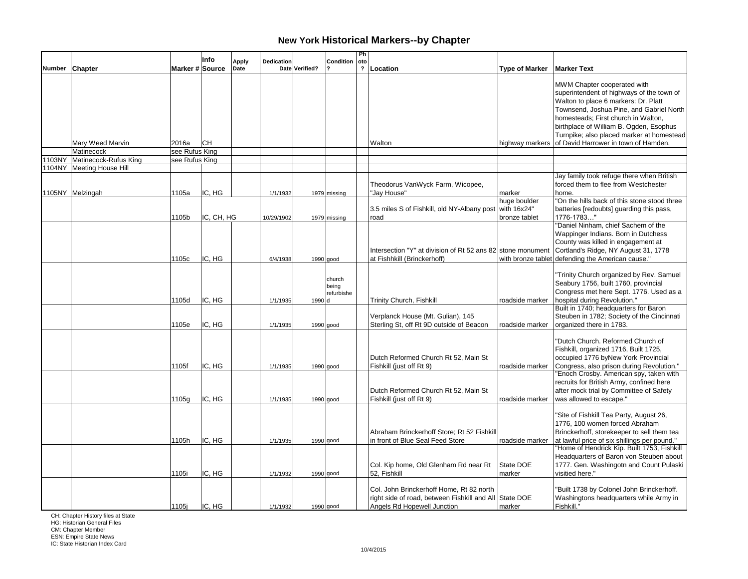|        |                              |                 | Info                 | <b>Apply</b> | Dedication             |                | Condition                     | Ph<br>oto               |                                                                                                                                   |                       |                                                                                                                                                                                                                                                                                             |
|--------|------------------------------|-----------------|----------------------|--------------|------------------------|----------------|-------------------------------|-------------------------|-----------------------------------------------------------------------------------------------------------------------------------|-----------------------|---------------------------------------------------------------------------------------------------------------------------------------------------------------------------------------------------------------------------------------------------------------------------------------------|
| Number | <b>Chapter</b>               | Marker # Source |                      | Date         |                        | Date Verified? |                               | $\overline{\mathbf{?}}$ | Location                                                                                                                          | <b>Type of Marker</b> | <b>Marker Text</b>                                                                                                                                                                                                                                                                          |
|        |                              |                 |                      |              |                        |                |                               |                         |                                                                                                                                   |                       | MWM Chapter cooperated with<br>superintendent of highways of the town of<br>Walton to place 6 markers: Dr. Platt<br>Townsend, Joshua Pine, and Gabriel North<br>homesteads; First church in Walton,<br>birthplace of William B. Ogden, Esophus<br>Turnpike; also placed marker at homestead |
|        | Mary Weed Marvin             | 2016a           | Існ                  |              |                        |                |                               |                         | Walton                                                                                                                            |                       | highway markers of David Harrower in town of Hamden.                                                                                                                                                                                                                                        |
|        | Matinecock                   | see Rufus King  |                      |              |                        |                |                               |                         |                                                                                                                                   |                       |                                                                                                                                                                                                                                                                                             |
|        | 1103NY Matinecock-Rufus King | see Rufus King  |                      |              |                        |                |                               |                         |                                                                                                                                   |                       |                                                                                                                                                                                                                                                                                             |
|        | 1104NY   Meeting House Hill  |                 |                      |              |                        |                |                               |                         |                                                                                                                                   |                       |                                                                                                                                                                                                                                                                                             |
|        | 1105NY Melzingah             | 1105a           | IC, HG               |              | 1/1/1932               |                | 1979 missing                  |                         | Theodorus VanWyck Farm, Wicopee,<br>"Jay House"                                                                                   | marker                | Jay family took refuge there when British<br>forced them to flee from Westchester<br>home.                                                                                                                                                                                                  |
|        |                              |                 |                      |              |                        |                |                               |                         | 3.5 miles S of Fishkill, old NY-Albany post with 16x24"                                                                           | huge boulder          | "On the hills back of this stone stood three<br>batteries [redoubts] guarding this pass,<br>1776-1783"                                                                                                                                                                                      |
|        |                              | 1105b<br>1105c  | IC, CH, HG<br>IC, HG |              | 10/29/1902<br>6/4/1938 |                | 1979 missing<br>1990 good     |                         | road<br>Intersection "Y" at division of Rt 52 ans 82 stone monument<br>at Fishhkill (Brinckerhoff)                                | bronze tablet         | "Daniel Ninham, chief Sachem of the<br>Wappinger Indians. Born in Dutchess<br>County was killed in engagement at<br>Cortland's Ridge, NY August 31, 1778<br>with bronze tablet defending the American cause."                                                                               |
|        |                              | 1105d           | IC, HG               |              | 1/1/1935               | 1990 d         | church<br>being<br>refurbishe |                         | <b>Trinity Church, Fishkill</b>                                                                                                   | roadside marker       | "Trinity Church organized by Rev. Samuel<br>Seabury 1756, built 1760, provincial<br>Congress met here Sept. 1776. Used as a<br>hospital during Revolution."                                                                                                                                 |
|        |                              | 1105e           | IC, HG               |              | 1/1/1935               |                | $1990$ good                   |                         | Verplanck House (Mt. Gulian), 145<br>Sterling St, off Rt 9D outside of Beacon                                                     | roadside marker       | Built in 1740; headquarters for Baron<br>Steuben in 1782; Society of the Cincinnati<br>organized there in 1783.                                                                                                                                                                             |
|        |                              | 1105f           | IC, HG               |              | 1/1/1935               |                | 1990 good                     |                         | Dutch Reformed Church Rt 52, Main St<br>Fishkill (just off Rt 9)                                                                  | roadside marker       | "Dutch Church. Reformed Church of<br>Fishkill, organized 1716, Built 1725,<br>occupied 1776 byNew York Provincial<br>Congress, also prison during Revolution."<br>"Enoch Crosby. American spy, taken with<br>recruits for British Army, confined here                                       |
|        |                              | 1105g           | IC, HG               |              | 1/1/1935               |                | $1990$ good                   |                         | Dutch Reformed Church Rt 52, Main St<br>Fishkill (just off Rt 9)                                                                  |                       | after mock trial by Committee of Safety<br>roadside marker was allowed to escape."                                                                                                                                                                                                          |
|        |                              | 1105h           | IC, HG               |              | 1/1/1935               |                | 1990 good                     |                         | Abraham Brinckerhoff Store: Rt 52 Fishkill<br>in front of Blue Seal Feed Store                                                    | roadside marker       | "Site of Fishkill Tea Party, August 26,<br>1776, 100 women forced Abraham<br>Brinckerhoff, storekeeper to sell them tea<br>at lawful price of six shillings per pound."<br>"Home of Hendrick Kip. Built 1753, Fishkill                                                                      |
|        |                              | 1105i           | IC, HG               |              | 1/1/1932               |                | 1990 good                     |                         | Col. Kip home, Old Glenham Rd near Rt<br>52, Fishkill                                                                             | State DOE<br>marker   | Headquarters of Baron von Steuben about<br>1777. Gen. Washingotn and Count Pulaski<br>visitied here."                                                                                                                                                                                       |
|        |                              | 1105j           | IC, HG               |              | 1/1/1932               |                | $1990$ good                   |                         | Col. John Brinckerhoff Home, Rt 82 north<br>right side of road, between Fishkill and All State DOE<br>Angels Rd Hopewell Junction | marker                | "Built 1738 by Colonel John Brinckerhoff.<br>Washingtons headquarters while Army in<br>Fishkill."                                                                                                                                                                                           |

CH: Chapter History files at State HG: Historian General Files

CM: Chapter Member ESN: Empire State News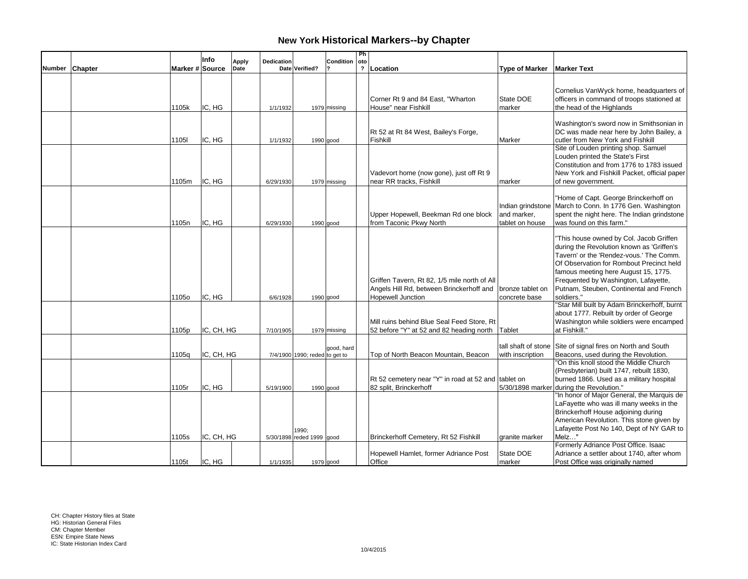|        |         |                 | Info       |                      |            |                                |              | Ph  |                                                     |                       |                                              |
|--------|---------|-----------------|------------|----------------------|------------|--------------------------------|--------------|-----|-----------------------------------------------------|-----------------------|----------------------------------------------|
| Number | Chapter | Marker # Source |            | <b>Apply</b><br>Date | Dedication | Date Verified?                 | Condition    | oto | ? Location                                          | <b>Type of Marker</b> | <b>Marker Text</b>                           |
|        |         |                 |            |                      |            |                                |              |     |                                                     |                       |                                              |
|        |         |                 |            |                      |            |                                |              |     |                                                     |                       |                                              |
|        |         |                 |            |                      |            |                                |              |     |                                                     |                       | Cornelius VanWyck home, headquarters of      |
|        |         |                 |            |                      |            |                                |              |     | Corner Rt 9 and 84 East, "Wharton                   | State DOE             | officers in command of troops stationed at   |
|        |         | 1105k           | IC, HG     |                      | 1/1/1932   |                                | 1979 missing |     | House" near Fishkill                                | marker                | the head of the Highlands                    |
|        |         |                 |            |                      |            |                                |              |     |                                                     |                       |                                              |
|        |         |                 |            |                      |            |                                |              |     |                                                     |                       | Washington's sword now in Smithsonian in     |
|        |         |                 |            |                      |            |                                |              |     | Rt 52 at Rt 84 West, Bailey's Forge,                |                       | DC was made near here by John Bailey, a      |
|        |         | 1105l           | IC, HG     |                      | 1/1/1932   |                                | 1990 good    |     | Fishkill                                            | Marker                | cutler from New York and Fishkill            |
|        |         |                 |            |                      |            |                                |              |     |                                                     |                       | Site of Louden printing shop. Samuel         |
|        |         |                 |            |                      |            |                                |              |     |                                                     |                       | Louden printed the State's First             |
|        |         |                 |            |                      |            |                                |              |     |                                                     |                       | Constitution and from 1776 to 1783 issued    |
|        |         |                 |            |                      |            |                                |              |     | Vadevort home (now gone), just off Rt 9             |                       | New York and Fishkill Packet, official paper |
|        |         | 1105m           | IC, HG     |                      | 6/29/1930  |                                | 1979 missing |     | near RR tracks, Fishkill                            | marker                | of new government.                           |
|        |         |                 |            |                      |            |                                |              |     |                                                     |                       |                                              |
|        |         |                 |            |                      |            |                                |              |     |                                                     |                       | "Home of Capt. George Brinckerhoff on        |
|        |         |                 |            |                      |            |                                |              |     |                                                     | Indian grindstone     | March to Conn. In 1776 Gen. Washington       |
|        |         |                 |            |                      |            |                                |              |     | Upper Hopewell, Beekman Rd one block                | and marker,           | spent the night here. The Indian grindstone  |
|        |         | 1105n           | IC. HG     |                      | 6/29/1930  |                                | 1990 good    |     | from Taconic Pkwy North                             | tablet on house       | was found on this farm."                     |
|        |         |                 |            |                      |            |                                |              |     |                                                     |                       |                                              |
|        |         |                 |            |                      |            |                                |              |     |                                                     |                       | "This house owned by Col. Jacob Griffen      |
|        |         |                 |            |                      |            |                                |              |     |                                                     |                       | during the Revolution known as 'Griffen's    |
|        |         |                 |            |                      |            |                                |              |     |                                                     |                       | Tavern' or the 'Rendez-vous.' The Comm.      |
|        |         |                 |            |                      |            |                                |              |     |                                                     |                       | Of Observation for Rombout Precinct held     |
|        |         |                 |            |                      |            |                                |              |     |                                                     |                       | famous meeting here August 15, 1775.         |
|        |         |                 |            |                      |            |                                |              |     | Griffen Tavern, Rt 82, 1/5 mile north of All        |                       | Frequented by Washington, Lafayette,         |
|        |         |                 |            |                      |            |                                |              |     | Angels Hill Rd, between Brinckerhoff and            | bronze tablet on      | Putnam, Steuben, Continental and French      |
|        |         | 1105o           | IC, HG     |                      | 6/6/1928   |                                | $1990$ good  |     | <b>Hopewell Junction</b>                            | concrete base         | soldiers."                                   |
|        |         |                 |            |                      |            |                                |              |     |                                                     |                       | "Star Mill built by Adam Brinckerhoff, burnt |
|        |         |                 |            |                      |            |                                |              |     |                                                     |                       | about 1777. Rebuilt by order of George       |
|        |         |                 |            |                      |            |                                |              |     | Mill ruins behind Blue Seal Feed Store. Rt          |                       | Washington while soldiers were encamped      |
|        |         | 1105p           | IC, CH, HG |                      | 7/10/1905  |                                | 1979 missing |     | 52 before "Y" at 52 and 82 heading north Tablet     |                       | at Fishkill."                                |
|        |         |                 |            |                      |            |                                |              |     |                                                     |                       |                                              |
|        |         |                 |            |                      |            |                                | good, hard   |     |                                                     | tall shaft of stone   | Site of signal fires on North and South      |
|        |         | 1105q           | IC, CH, HG |                      |            | 7/4/1900 1990; reded to get to |              |     | Top of North Beacon Mountain, Beacon                | with inscription      | Beacons, used during the Revolution.         |
|        |         |                 |            |                      |            |                                |              |     |                                                     |                       | "On this knoll stood the Middle Church       |
|        |         |                 |            |                      |            |                                |              |     |                                                     |                       | (Presbyterian) built 1747, rebuilt 1830,     |
|        |         |                 |            |                      |            |                                |              |     | Rt 52 cemetery near "Y" in road at 52 and tablet on |                       | burned 1866. Used as a military hospital     |
|        |         | 1105r           | IC, HG     |                      | 5/19/1900  |                                | $1990$ good  |     | 82 split, Brinckerhoff                              | 5/30/1898 marker      | during the Revolution."                      |
|        |         |                 |            |                      |            |                                |              |     |                                                     |                       | "In honor of Major General, the Marquis de   |
|        |         |                 |            |                      |            |                                |              |     |                                                     |                       | LaFayette who was ill many weeks in the      |
|        |         |                 |            |                      |            |                                |              |     |                                                     |                       | Brinckerhoff House adjoining during          |
|        |         |                 |            |                      |            |                                |              |     |                                                     |                       | American Revolution. This stone given by     |
|        |         |                 |            |                      |            | 1990:                          |              |     |                                                     |                       | Lafayette Post No 140, Dept of NY GAR to     |
|        |         | 1105s           | IC, CH, HG |                      |            | 5/30/1898 reded 1999 good      |              |     | Brinckerhoff Cemetery, Rt 52 Fishkill               | granite marker        | Melz"                                        |
|        |         |                 |            |                      |            |                                |              |     |                                                     |                       | Formerly Adriance Post Office. Isaac         |
|        |         |                 |            |                      |            |                                |              |     | Hopewell Hamlet, former Adriance Post               | State DOE             | Adriance a settler about 1740, after whom    |
|        |         | 1105t           | IC, HG     |                      | 1/1/1935   |                                | $1979$ good  |     | Office                                              | marker                | Post Office was originally named             |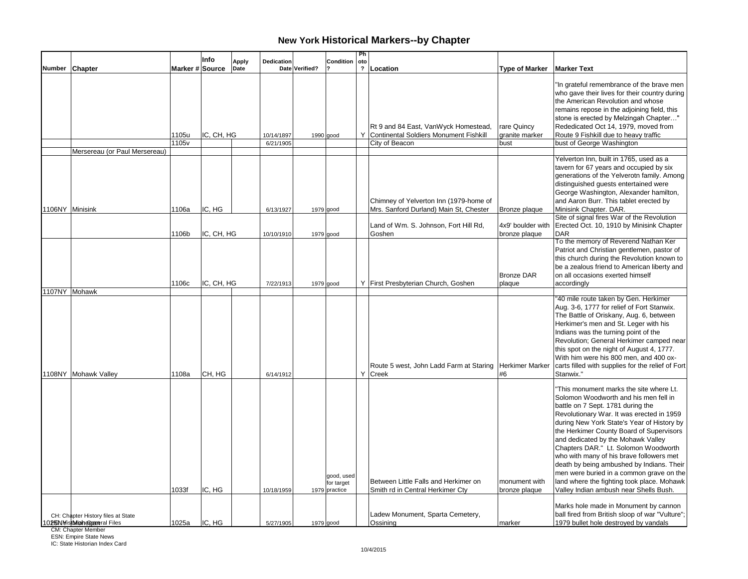|                 |                                                                      |                 | Info       | <b>Apply</b> | <b>Dedication</b>       |                | <b>Condition</b>                          | Ph<br>oto |                                                                                                    |                                       |                                                                                                                                                                                                                                                                                                                                                                                                                                                                                                                                                                         |
|-----------------|----------------------------------------------------------------------|-----------------|------------|--------------|-------------------------|----------------|-------------------------------------------|-----------|----------------------------------------------------------------------------------------------------|---------------------------------------|-------------------------------------------------------------------------------------------------------------------------------------------------------------------------------------------------------------------------------------------------------------------------------------------------------------------------------------------------------------------------------------------------------------------------------------------------------------------------------------------------------------------------------------------------------------------------|
| Number Chapter  |                                                                      | Marker # Source |            | Date         |                         | Date Verified? |                                           |           | ? Location                                                                                         | <b>Type of Marker</b>                 | <b>Marker Text</b>                                                                                                                                                                                                                                                                                                                                                                                                                                                                                                                                                      |
|                 | Mersereau (or Paul Mersereau)                                        | 1105u<br>1105v  | IC, CH, HG |              | 10/14/1897<br>6/21/1905 | $1990$ good    |                                           |           | Rt 9 and 84 East, VanWyck Homestead,<br>Y Continental Soldiers Monument Fishkill<br>City of Beacon | rare Quincy<br>granite marker<br>bust | "In grateful remembrance of the brave men<br>who gave their lives for their country during<br>the American Revolution and whose<br>remains repose in the adjoining field, this<br>stone is erected by Melzingah Chapter"<br>Rededicated Oct 14, 1979, moved from<br>Route 9 Fishkill due to heavy traffic<br>bust of George Washington                                                                                                                                                                                                                                  |
|                 |                                                                      |                 |            |              |                         |                |                                           |           |                                                                                                    |                                       | Yelverton Inn, built in 1765, used as a                                                                                                                                                                                                                                                                                                                                                                                                                                                                                                                                 |
| 1106NY Minisink |                                                                      | 1106a           | IC, HG     |              | 6/13/1927               |                | 1979 good                                 |           | Chimney of Yelverton Inn (1979-home of<br>Mrs. Sanford Durland) Main St, Chester                   | Bronze plaque                         | tavern for 67 years and occupied by six<br>generations of the Yelverotn family. Among<br>distinguished guests entertained were<br>George Washington, Alexander hamilton,<br>and Aaron Burr. This tablet erected by<br>Minisink Chapter. DAR.                                                                                                                                                                                                                                                                                                                            |
|                 |                                                                      | 1106b           | IC, CH, HG |              | 10/10/1910              | $1979$ good    |                                           |           | Land of Wm. S. Johnson, Fort Hill Rd,<br>Goshen                                                    | 4x9' boulder with<br>bronze plaque    | Site of signal fires War of the Revolution<br>Erected Oct. 10, 1910 by Minisink Chapter<br><b>DAR</b>                                                                                                                                                                                                                                                                                                                                                                                                                                                                   |
|                 |                                                                      | 1106c           | IC, CH, HG |              | 7/22/1913               | 1979 good      |                                           |           | Y First Presbyterian Church, Goshen                                                                | <b>Bronze DAR</b><br>plaque           | To the memory of Reverend Nathan Ker<br>Patriot and Christian gentlemen, pastor of<br>this church during the Revolution known to<br>be a zealous friend to American liberty and<br>on all occasions exerted himself<br>accordingly                                                                                                                                                                                                                                                                                                                                      |
|                 | 1107NY Mohawk                                                        |                 |            |              |                         |                |                                           |           |                                                                                                    |                                       | "40 mile route taken by Gen. Herkimer                                                                                                                                                                                                                                                                                                                                                                                                                                                                                                                                   |
|                 | 1108NY Mohawk Valley                                                 | 1108a           | CH, HG     |              | 6/14/1912               |                |                                           |           | Route 5 west, John Ladd Farm at Staring<br>Y Creek                                                 | Herkimer Marker<br>#6                 | Aug. 3-6, 1777 for relief of Fort Stanwix.<br>The Battle of Oriskany, Aug. 6, between<br>Herkimer's men and St. Leger with his<br>Indians was the turning point of the<br>Revolution; General Herkimer camped near<br>this spot on the night of August 4, 1777.<br>With him were his 800 men, and 400 ox-<br>carts filled with supplies for the relief of Fort<br>Stanwix."                                                                                                                                                                                             |
|                 |                                                                      | 1033f           | IC, HG     |              | 10/18/1959              |                | good, used<br>for target<br>1979 practice |           | Between Little Falls and Herkimer on<br>Smith rd in Central Herkimer Cty                           | monument with<br>bronze plaque        | "This monument marks the site where Lt.<br>Solomon Woodworth and his men fell in<br>battle on 7 Sept. 1781 during the<br>Revolutionary War. It was erected in 1959<br>during New York State's Year of History by<br>the Herkimer County Board of Supervisors<br>and dedicated by the Mohawk Valley<br>Chapters DAR." Lt. Solomon Woodworth<br>who with many of his brave followers met<br>death by being ambushed by Indians. Their<br>men were buried in a common grave on the<br>land where the fighting took place. Mohawk<br>Valley Indian ambush near Shells Bush. |
|                 | CH: Chapter History files at State<br>10265N MistMichengareral Files | 1025a           | IC, HG     |              | 5/27/1905               |                | $1979$ good                               |           | Ladew Monument, Sparta Cemetery,<br>Ossining                                                       | marker                                | Marks hole made in Monument by cannon<br>ball fired from British sloop of war "Vulture";<br>1979 bullet hole destroyed by vandals                                                                                                                                                                                                                                                                                                                                                                                                                                       |

CM: Chapter Member ESN: Empire State News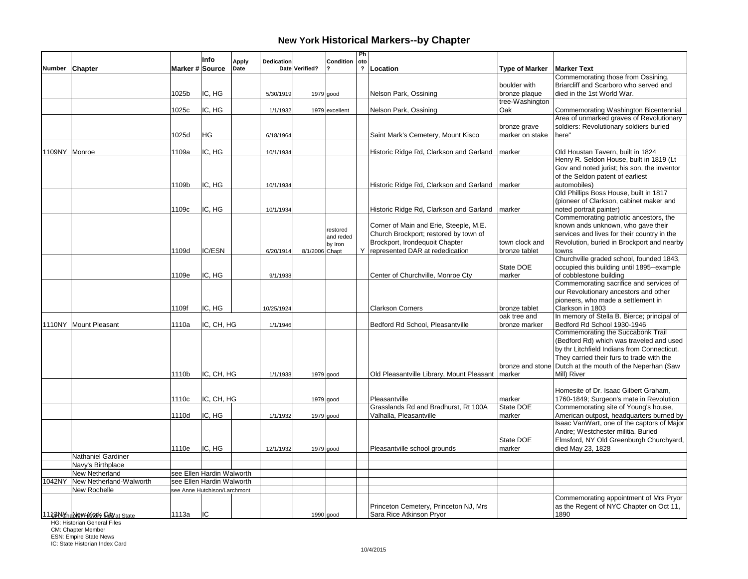|        |                                        |                 | Info                         | Apply | Dedication |                | Condition      | Ph<br>oto |                                                                     |                       |                                                          |
|--------|----------------------------------------|-----------------|------------------------------|-------|------------|----------------|----------------|-----------|---------------------------------------------------------------------|-----------------------|----------------------------------------------------------|
| Number | Chapter                                | Marker # Source |                              | Date  |            | Date Verified? |                |           | ? Location                                                          | <b>Type of Marker</b> | <b>Marker Text</b>                                       |
|        |                                        |                 |                              |       |            |                |                |           |                                                                     |                       | Commemorating those from Ossining,                       |
|        |                                        |                 |                              |       |            |                |                |           |                                                                     | boulder with          | Briarcliff and Scarboro who served and                   |
|        |                                        | 1025b           | IC. HG                       |       | 5/30/1919  | 1979 good      |                |           | Nelson Park, Ossining                                               | bronze plaque         | died in the 1st World War.                               |
|        |                                        |                 |                              |       |            |                |                |           |                                                                     | tree-Washington       |                                                          |
|        |                                        | 1025c           | IC, HG                       |       | 1/1/1932   |                | 1979 excellent |           | Nelson Park, Ossining                                               | Oak                   | Commemorating Washington Bicentennial                    |
|        |                                        |                 |                              |       |            |                |                |           |                                                                     |                       | Area of unmarked graves of Revolutionary                 |
|        |                                        |                 |                              |       |            |                |                |           |                                                                     | bronze grave          | soldiers: Revolutionary soldiers buried                  |
|        |                                        | 1025d           | НG                           |       | 6/18/1964  |                |                |           | Saint Mark's Cemetery, Mount Kisco                                  | marker on stake       | here"                                                    |
|        |                                        |                 |                              |       |            |                |                |           |                                                                     |                       |                                                          |
|        | 1109NY Monroe                          | 1109a           | IC, HG                       |       | 10/1/1934  |                |                |           | Historic Ridge Rd, Clarkson and Garland                             | marker                | Old Houstan Tavern, built in 1824                        |
|        |                                        |                 |                              |       |            |                |                |           |                                                                     |                       | Henry R. Seldon House, built in 1819 (Lt                 |
|        |                                        |                 |                              |       |            |                |                |           |                                                                     |                       | Gov and noted jurist; his son, the inventor              |
|        |                                        |                 |                              |       |            |                |                |           |                                                                     |                       | of the Seldon patent of earliest                         |
|        |                                        | 1109b           | IC, HG                       |       | 10/1/1934  |                |                |           | Historic Ridge Rd, Clarkson and Garland                             | marker                | automobiles)<br>Old Phillips Boss House, built in 1817   |
|        |                                        |                 |                              |       |            |                |                |           |                                                                     |                       | (pioneer of Clarkson, cabinet maker and                  |
|        |                                        |                 |                              |       |            |                |                |           |                                                                     |                       | noted portrait painter)                                  |
|        |                                        | 1109c           | IC, HG                       |       | 10/1/1934  |                |                |           | Historic Ridge Rd, Clarkson and Garland                             | marker                | Commemorating patriotic ancestors, the                   |
|        |                                        |                 |                              |       |            |                |                |           | Corner of Main and Erie, Steeple, M.E.                              |                       | known ands unknown, who gave their                       |
|        |                                        |                 |                              |       |            |                | restored       |           | Church Brockport; restored by town of                               |                       | services and lives for their country in the              |
|        |                                        |                 |                              |       |            |                | and reded      |           |                                                                     |                       |                                                          |
|        |                                        | 1109d           | IC/ESN                       |       |            |                | by Iron        |           | Brockport, Irondequoit Chapter<br>Y represented DAR at rededication | town clock and        | Revolution, buried in Brockport and nearby               |
|        |                                        |                 |                              |       | 6/20/1914  | 8/1/2006 Chapt |                |           |                                                                     | bronze tablet         | towns<br>Churchville graded school, founded 1843,        |
|        |                                        |                 |                              |       |            |                |                |           |                                                                     | State DOE             | occupied this building until 1895--example               |
|        |                                        | 1109e           | IC, HG                       |       | 9/1/1938   |                |                |           | Center of Churchville, Monroe Cty                                   | marker                | of cobblestone building                                  |
|        |                                        |                 |                              |       |            |                |                |           |                                                                     |                       | Commemorating sacrifice and services of                  |
|        |                                        |                 |                              |       |            |                |                |           |                                                                     |                       | our Revolutionary ancestors and other                    |
|        |                                        |                 |                              |       |            |                |                |           |                                                                     |                       | pioneers, who made a settlement in                       |
|        |                                        | 1109f           | IC, HG                       |       | 10/25/1924 |                |                |           | <b>Clarkson Corners</b>                                             | bronze tablet         | Clarkson in 1803                                         |
|        |                                        |                 |                              |       |            |                |                |           |                                                                     | oak tree and          | In memory of Stella B. Bierce; principal of              |
|        | 1110NY Mount Pleasant                  | 1110a           | IC, CH, HG                   |       | 1/1/1946   |                |                |           | Bedford Rd School, Pleasantville                                    | bronze marker         | Bedford Rd School 1930-1946                              |
|        |                                        |                 |                              |       |            |                |                |           |                                                                     |                       | Commemorating the Succabonk Trail                        |
|        |                                        |                 |                              |       |            |                |                |           |                                                                     |                       | (Bedford Rd) which was traveled and used                 |
|        |                                        |                 |                              |       |            |                |                |           |                                                                     |                       | by thr Litchfield Indians from Connecticut.              |
|        |                                        |                 |                              |       |            |                |                |           |                                                                     |                       | They carried their furs to trade with the                |
|        |                                        |                 |                              |       |            |                |                |           |                                                                     |                       | bronze and stone Dutch at the mouth of the Neperhan (Saw |
|        |                                        | 1110b           | IC, CH, HG                   |       | 1/1/1938   | $1979$ good    |                |           | Old Pleasantville Library, Mount Pleasant   marker                  |                       | Mill) River                                              |
|        |                                        |                 |                              |       |            |                |                |           |                                                                     |                       |                                                          |
|        |                                        |                 |                              |       |            |                |                |           |                                                                     |                       | Homesite of Dr. Isaac Gilbert Graham,                    |
|        |                                        | 1110c           | IC, CH, HG                   |       |            | 1979 good      |                |           | Pleasantville                                                       | marker                | 1760-1849; Surgeon's mate in Revolution                  |
|        |                                        |                 |                              |       |            |                |                |           | Grasslands Rd and Bradhurst, Rt 100A                                | State DOE             | Commemorating site of Young's house,                     |
|        |                                        | 1110d           | IC, HG                       |       | 1/1/1932   | 1979 good      |                |           | Valhalla, Pleasantville                                             | marker                | American outpost, headquarters burned by                 |
|        |                                        |                 |                              |       |            |                |                |           |                                                                     |                       | Isaac VanWart, one of the captors of Major               |
|        |                                        |                 |                              |       |            |                |                |           |                                                                     |                       | Andre: Westchester militia. Buried                       |
|        |                                        |                 |                              |       |            |                |                |           |                                                                     | State DOE             | Elmsford, NY Old Greenburgh Churchyard,                  |
|        |                                        | 1110e           | IC, HG                       |       | 12/1/1932  |                | $1979$ good    |           | Pleasantville school grounds                                        | marker                | died May 23, 1828                                        |
|        | <b>Nathaniel Gardiner</b>              |                 |                              |       |            |                |                |           |                                                                     |                       |                                                          |
|        | Navy's Birthplace                      |                 |                              |       |            |                |                |           |                                                                     |                       |                                                          |
|        | New Netherland                         |                 | see Ellen Hardin Walworth    |       |            |                |                |           |                                                                     |                       |                                                          |
| 1042NY | New Netherland-Walworth                |                 | see Ellen Hardin Walworth    |       |            |                |                |           |                                                                     |                       |                                                          |
|        | New Rochelle                           |                 | see Anne Hutchison/Larchmont |       |            |                |                |           |                                                                     |                       |                                                          |
|        |                                        |                 |                              |       |            |                |                |           |                                                                     |                       | Commemorating appointment of Mrs Pryor                   |
|        |                                        |                 |                              |       |            |                |                |           | Princeton Cemetery, Princeton NJ, Mrs                               |                       | as the Regent of NYC Chapter on Oct 11,                  |
|        | 11 tSAN Chaple MHK Roll Field at State | 1113a           | lic                          |       |            |                | $1990$ good    |           | Sara Rice Atkinson Pryor                                            |                       | 1890                                                     |

HG: Historian General Files

CM: Chapter Member ESN: Empire State News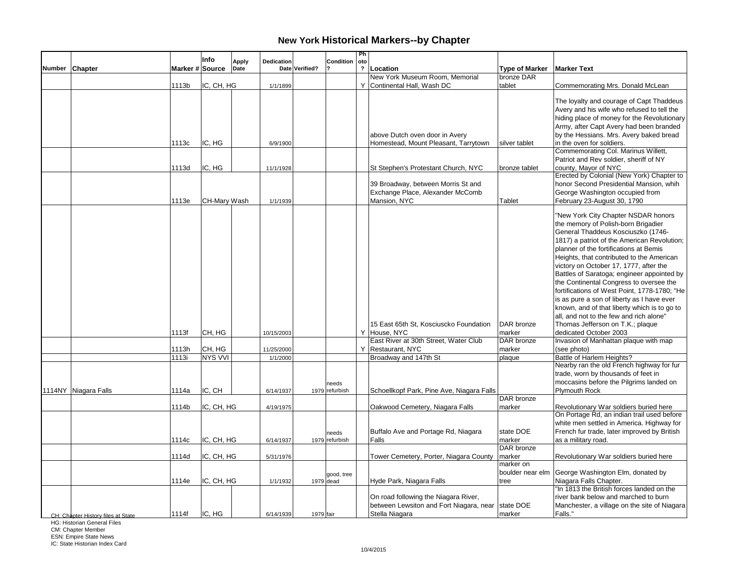|               |                                    |                 | Info                 | <b>Apply</b> | Dedication             |                | Condition               | Ph<br>oto      |                                                                                                                                         |                                    |                                                                                                                                                                                                                                                                                                                                                                                                                                                                                                                                                                                                                                                                                           |
|---------------|------------------------------------|-----------------|----------------------|--------------|------------------------|----------------|-------------------------|----------------|-----------------------------------------------------------------------------------------------------------------------------------------|------------------------------------|-------------------------------------------------------------------------------------------------------------------------------------------------------------------------------------------------------------------------------------------------------------------------------------------------------------------------------------------------------------------------------------------------------------------------------------------------------------------------------------------------------------------------------------------------------------------------------------------------------------------------------------------------------------------------------------------|
| <b>Number</b> | Chapter                            | Marker # Source |                      | Date         |                        | Date Verified? |                         | $\overline{?}$ | Location                                                                                                                                | <b>Type of Marker</b>              | <b>Marker Text</b>                                                                                                                                                                                                                                                                                                                                                                                                                                                                                                                                                                                                                                                                        |
|               |                                    |                 |                      |              |                        |                |                         |                | New York Museum Room, Memorial                                                                                                          | bronze DAR                         |                                                                                                                                                                                                                                                                                                                                                                                                                                                                                                                                                                                                                                                                                           |
|               |                                    | 1113b           | IC, CH, HG           |              | 1/1/1899               |                |                         |                | Y Continental Hall, Wash DC                                                                                                             | tablet                             | Commemorating Mrs. Donald McLean                                                                                                                                                                                                                                                                                                                                                                                                                                                                                                                                                                                                                                                          |
|               |                                    |                 |                      |              |                        |                |                         |                |                                                                                                                                         |                                    | The loyalty and courage of Capt Thaddeus<br>Avery and his wife who refused to tell the                                                                                                                                                                                                                                                                                                                                                                                                                                                                                                                                                                                                    |
|               |                                    |                 |                      |              |                        |                |                         |                |                                                                                                                                         |                                    | hiding place of money for the Revolutionary                                                                                                                                                                                                                                                                                                                                                                                                                                                                                                                                                                                                                                               |
|               |                                    |                 |                      |              |                        |                |                         |                |                                                                                                                                         |                                    | Army, after Capt Avery had been branded                                                                                                                                                                                                                                                                                                                                                                                                                                                                                                                                                                                                                                                   |
|               |                                    |                 |                      |              |                        |                |                         |                | above Dutch oven door in Avery                                                                                                          |                                    | by the Hessians. Mrs. Avery baked bread                                                                                                                                                                                                                                                                                                                                                                                                                                                                                                                                                                                                                                                   |
|               |                                    | 1113c           | IC, HG               |              | 6/9/1900               |                |                         |                | Homestead, Mount Pleasant, Tarrytown                                                                                                    | silver tablet                      | in the oven for soldiers.                                                                                                                                                                                                                                                                                                                                                                                                                                                                                                                                                                                                                                                                 |
|               |                                    | 1113d           | IC, HG               |              | 11/1/1928              |                |                         |                | St Stephen's Protestant Church, NYC                                                                                                     | bronze tablet                      | Commemorating Col. Marinus Willett,<br>Patriot and Rev soldier, sheriff of NY<br>county, Mayor of NYC                                                                                                                                                                                                                                                                                                                                                                                                                                                                                                                                                                                     |
|               |                                    |                 |                      |              |                        |                |                         |                | 39 Broadway, between Morris St and<br>Exchange Place, Alexander McComb                                                                  |                                    | Erected by Colonial (New York) Chapter to<br>honor Second Presidential Mansion, whih<br>George Washington occupied from                                                                                                                                                                                                                                                                                                                                                                                                                                                                                                                                                                   |
|               |                                    | 1113e           | CH-Mary Wash         |              | 1/1/1939               |                |                         |                | Mansion, NYC                                                                                                                            | Tablet                             | February 23-August 30, 1790                                                                                                                                                                                                                                                                                                                                                                                                                                                                                                                                                                                                                                                               |
|               |                                    | 1113f           | CH, HG               |              | 10/15/2003             |                |                         |                | 15 East 65th St, Kosciuscko Foundation<br>Y House, NYC<br>East River at 30th Street, Water Club                                         | DAR bronze<br>marker<br>DAR bronze | "New York City Chapter NSDAR honors<br>the memory of Polish-born Brigadier<br>General Thaddeus Kosciuszko (1746-<br>1817) a patriot of the American Revolution;<br>planner of the fortifications at Bemis<br>Heights, that contributed to the American<br>victory on October 17, 1777, after the<br>Battles of Saratoga; engineer appointed by<br>the Continental Congress to oversee the<br>fortifications of West Point, 1778-1780; "He<br>is as pure a son of liberty as I have ever<br>known, and of that liberty which is to go to<br>all, and not to the few and rich alone"<br>Thomas Jefferson on T.K.; plaque<br>dedicated October 2003<br>Invasion of Manhattan plaque with map |
|               |                                    | 1113h           | CH, HG               |              |                        |                |                         |                | Y Restaurant, NYC                                                                                                                       | marker                             | (see photo)                                                                                                                                                                                                                                                                                                                                                                                                                                                                                                                                                                                                                                                                               |
|               |                                    | 1113i           | <b>NYS VVI</b>       |              | 11/25/2000<br>1/1/2000 |                |                         |                | Broadway and 147th St                                                                                                                   | plaque                             | Battle of Harlem Heights?                                                                                                                                                                                                                                                                                                                                                                                                                                                                                                                                                                                                                                                                 |
|               | 1114NY Niagara Falls               | 1114a           | IC, CH               |              | 6/14/1937              |                | needs<br>1979 refurbish |                | Schoellkopf Park, Pine Ave, Niagara Falls                                                                                               |                                    | Nearby ran the old French highway for fur<br>trade, worn by thousands of feet in<br>moccasins before the Pilgrims landed on<br><b>Plymouth Rock</b>                                                                                                                                                                                                                                                                                                                                                                                                                                                                                                                                       |
|               |                                    |                 |                      |              |                        |                |                         |                |                                                                                                                                         | DAR bronze                         |                                                                                                                                                                                                                                                                                                                                                                                                                                                                                                                                                                                                                                                                                           |
|               |                                    | 1114b           | IC, CH, HG           |              | 4/19/1975              |                |                         |                | Oakwood Cemetery, Niagara Falls                                                                                                         | marker                             | Revolutionary War soldiers buried here<br>On Portage Rd, an indian trail used before<br>white men settled in America. Highway for                                                                                                                                                                                                                                                                                                                                                                                                                                                                                                                                                         |
|               |                                    | 1114с           | IC, CH, HG           |              | 6/14/1937              |                | needs<br>1979 refurbish |                | Buffalo Ave and Portage Rd, Niagara<br>Falls                                                                                            | state DOE<br>marker<br>DAR bronze  | French fur trade, later improved by British<br>as a military road.                                                                                                                                                                                                                                                                                                                                                                                                                                                                                                                                                                                                                        |
|               |                                    | 1114d           | IC, CH, HG           |              | 5/31/1976              |                |                         |                | Tower Cemetery, Porter, Niagara County                                                                                                  | marker                             | Revolutionary War soldiers buried here                                                                                                                                                                                                                                                                                                                                                                                                                                                                                                                                                                                                                                                    |
|               |                                    |                 |                      |              |                        |                | good, tree              |                |                                                                                                                                         | marker on<br>boulder near elm      | George Washington Elm, donated by                                                                                                                                                                                                                                                                                                                                                                                                                                                                                                                                                                                                                                                         |
|               | CH: Chanter History files at State | 1114e<br>1114f  | IC, CH, HG<br>IC, HG |              | 1/1/1932<br>6/14/1939  | 1979 fair      | 1979 dead               |                | Hyde Park, Niagara Falls<br>On road following the Niagara River,<br>between Lewsiton and Fort Niagara, near state DOE<br>Stella Niagara | tree<br>marker                     | Niagara Falls Chapter.<br>'In 1813 the British forces landed on the<br>river bank below and marched to burn<br>Manchester, a village on the site of Niagara<br>Falls."                                                                                                                                                                                                                                                                                                                                                                                                                                                                                                                    |

HG: Historian General Files

CM: Chapter Member ESN: Empire State News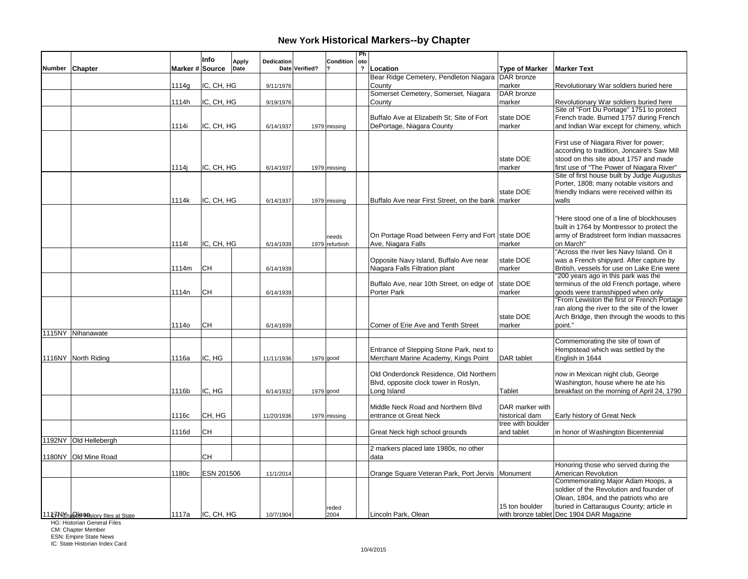|               |                                        |                 | Info       | <b>Apply</b> | Dedication |                | Condition      | Ph<br>oto               |                                                          |                       |                                                                                      |
|---------------|----------------------------------------|-----------------|------------|--------------|------------|----------------|----------------|-------------------------|----------------------------------------------------------|-----------------------|--------------------------------------------------------------------------------------|
| <b>Number</b> | Chapter                                | Marker # Source |            | Date         |            | Date Verified? |                | $\overline{\mathbf{?}}$ | Location                                                 | <b>Type of Marker</b> | <b>Marker Text</b>                                                                   |
|               |                                        |                 |            |              |            |                |                |                         | Bear Ridge Cemetery, Pendleton Niagara DAR bronze        |                       |                                                                                      |
|               |                                        | 1114g           | IC, CH, HG |              | 9/11/1976  |                |                |                         | County<br>Somerset Cemetery, Somerset, Niagara           | marker<br>DAR bronze  | Revolutionary War soldiers buried here                                               |
|               |                                        | 1114h           | IC, CH, HG |              | 9/19/1976  |                |                |                         | County                                                   | marker                | Revolutionary War soldiers buried here                                               |
|               |                                        |                 |            |              |            |                |                |                         |                                                          |                       | Site of "Fort Du Portage" 1751 to protect                                            |
|               |                                        |                 |            |              |            |                |                |                         | Buffalo Ave at Elizabeth St: Site of Fort                | state DOE             | French trade. Burned 1757 during French                                              |
|               |                                        | 1114i           | IC, CH, HG |              | 6/14/1937  |                | 1979 missing   |                         | DePortage, Niagara County                                | marker                | and Indian War except for chimeny, which                                             |
|               |                                        |                 |            |              |            |                |                |                         |                                                          |                       | First use of Niagara River for power;                                                |
|               |                                        |                 |            |              |            |                |                |                         |                                                          |                       | according to tradition, Joncaire's Saw Mill                                          |
|               |                                        | 1114i           | IC, CH, HG |              | 6/14/1937  |                | 1979 missing   |                         |                                                          | state DOE<br>Imarker  | stood on this site about 1757 and made<br>first use of "The Power of Niagara River"  |
|               |                                        |                 |            |              |            |                |                |                         |                                                          |                       | Site of first house built by Judge Augustus                                          |
|               |                                        |                 |            |              |            |                |                |                         |                                                          |                       | Porter, 1808; many notable visitors and                                              |
|               |                                        |                 |            |              |            |                |                |                         |                                                          | state DOE             | friendly Indians were received within its                                            |
|               |                                        | 1114k           | IC, CH, HG |              | 6/14/1937  |                | 1979 missing   |                         | Buffalo Ave near First Street, on the bank   marker      |                       | walls                                                                                |
|               |                                        |                 |            |              |            |                |                |                         |                                                          |                       | "Here stood one of a line of blockhouses                                             |
|               |                                        |                 |            |              |            |                |                |                         |                                                          |                       | built in 1764 by Montressor to protect the                                           |
|               |                                        |                 |            |              |            |                | needs          |                         | On Portage Road between Ferry and Fort state DOE         |                       | army of Bradstreet form Indian massacres                                             |
|               |                                        | 11141           | IC, CH, HG |              | 6/14/1939  |                | 1979 refurbish |                         | Ave. Niagara Falls                                       | marker                | on March"                                                                            |
|               |                                        |                 |            |              |            |                |                |                         | Opposite Navy Island, Buffalo Ave near                   | state DOE             | "Across the river lies Navy Island. On it<br>was a French shipyard. After capture by |
|               |                                        | 1114m           | CН         |              | 6/14/1939  |                |                |                         | Niagara Falls Filtration plant                           | marker                | British, vessels for use on Lake Erie were                                           |
|               |                                        |                 |            |              |            |                |                |                         |                                                          |                       | '200 years ago in this park was the                                                  |
|               |                                        |                 | CН         |              |            |                |                |                         | Buffalo Ave, near 10th Street, on edge of<br>Porter Park | state DOE             | terminus of the old French portage, where<br>goods were transshipped when only       |
|               |                                        | 1114n           |            |              | 6/14/1939  |                |                |                         |                                                          | marker                | "From Lewiston the first or French Portage                                           |
|               |                                        |                 |            |              |            |                |                |                         |                                                          |                       | ran along the river to the site of the lower                                         |
|               |                                        |                 |            |              |            |                |                |                         |                                                          | state DOE             | Arch Bridge, then through the woods to this                                          |
|               | 1115NY Nihanawate                      | 1114o           | CН         |              | 6/14/1939  |                |                |                         | Corner of Erie Ave and Tenth Street                      | marker                | point."                                                                              |
|               |                                        |                 |            |              |            |                |                |                         |                                                          |                       | Commemorating the site of town of                                                    |
|               |                                        |                 |            |              |            |                |                |                         | Entrance of Stepping Stone Park, next to                 |                       | Hempstead which was settled by the                                                   |
|               | 1116NY North Riding                    | 1116a           | IC, HG     |              | 11/11/1936 |                | 1979 good      |                         | Merchant Marine Academy, Kings Point                     | DAR tablet            | English in 1644                                                                      |
|               |                                        |                 |            |              |            |                |                |                         | Old Onderdonck Residence, Old Northern                   |                       | now in Mexican night club, George                                                    |
|               |                                        |                 |            |              |            |                |                |                         | Blvd, opposite clock tower in Roslyn,                    |                       | Washington, house where he ate his                                                   |
|               |                                        | 1116b           | IC, HG     |              | 6/14/1932  |                | 1979 good      |                         | Long Island                                              | Tablet                | breakfast on the morning of April 24, 1790                                           |
|               |                                        |                 |            |              |            |                |                |                         | Middle Neck Road and Northern Blvd                       | DAR marker with       |                                                                                      |
|               |                                        | 1116c           | CH, HG     |              | 11/20/1936 |                | 1979 missing   |                         | entrance ot Great Neck                                   | historical dam        | Early history of Great Neck                                                          |
|               |                                        |                 |            |              |            |                |                |                         |                                                          | tree with boulder     |                                                                                      |
|               |                                        | 1116d           | <b>CH</b>  |              |            |                |                |                         | Great Neck high school grounds                           | and tablet            | in honor of Washington Bicentennial                                                  |
|               | 1192NY Old Hellebergh                  |                 |            |              |            |                |                |                         | 2 markers placed late 1980s, no other                    |                       |                                                                                      |
|               | 1180NY Old Mine Road                   |                 | CН         |              |            |                |                |                         | data                                                     |                       |                                                                                      |
|               |                                        |                 |            |              |            |                |                |                         |                                                          |                       | Honoring those who served during the                                                 |
|               |                                        | 1180c           | ESN 201506 |              | 11/1/2014  |                |                |                         | Orange Square Veteran Park, Port Jervis Monument         |                       | American Revolution<br>Commemorating Major Adam Hoops, a                             |
|               |                                        |                 |            |              |            |                |                |                         |                                                          |                       | soldier of the Revolution and founder of                                             |
|               |                                        |                 |            |              |            |                |                |                         |                                                          |                       | Olean, 1804, and the patriots who are                                                |
|               |                                        |                 |            |              |            |                | reded          |                         |                                                          | 15 ton boulder        | buried in Cattaraugus County; article in                                             |
|               | 11 t7 NonaSde a Mistory files at State | 1117a           | IC, CH, HG |              | 10/7/1904  |                | 2004           |                         | Lincoln Park, Olean                                      |                       | with bronze tablet Dec 1904 DAR Magazine                                             |

HG: Historian General Files

CM: Chapter Member ESN: Empire State News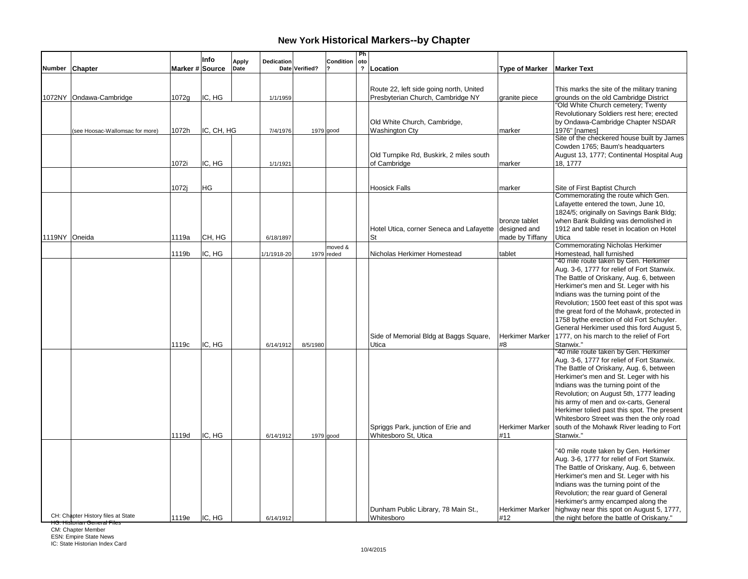|               |                                    |                 | Info       | <b>Apply</b> | Dedication  |                | Condition    | Ph<br>  oto             |                                                                              |                                                  |                                                                                                                                                                                                                                                                                                                                                                                                                                                                 |
|---------------|------------------------------------|-----------------|------------|--------------|-------------|----------------|--------------|-------------------------|------------------------------------------------------------------------------|--------------------------------------------------|-----------------------------------------------------------------------------------------------------------------------------------------------------------------------------------------------------------------------------------------------------------------------------------------------------------------------------------------------------------------------------------------------------------------------------------------------------------------|
|               | Number Chapter                     | Marker # Source |            | Date         |             | Date Verified? |              | $\overline{\mathbf{?}}$ | Location                                                                     | <b>Type of Marker</b>                            | <b>Marker Text</b>                                                                                                                                                                                                                                                                                                                                                                                                                                              |
|               | 1072NY Ondawa-Cambridge            | 1072g           | IC, HG     |              | 1/1/1959    |                |              |                         | Route 22, left side going north, United<br>Presbyterian Church, Cambridge NY | granite piece                                    | This marks the site of the military traning<br>grounds on the old Cambridge District<br>'Old White Church cemetery; Twenty                                                                                                                                                                                                                                                                                                                                      |
|               | (see Hoosac-Wallomsac for more)    | 1072h           | IC, CH, HG |              | 7/4/1976    |                | $1979$ good  |                         | Old White Church, Cambridge,<br><b>Washington Cty</b>                        | marker                                           | Revolutionary Soldiers rest here; erected<br>by Ondawa-Cambridge Chapter NSDAR<br>1976" [names]                                                                                                                                                                                                                                                                                                                                                                 |
|               |                                    | 1072i           | IC, HG     |              | 1/1/1921    |                |              |                         | Old Turnpike Rd, Buskirk, 2 miles south<br>of Cambridge                      | marker                                           | Site of the checkered house built by James<br>Cowden 1765; Baum's headquarters<br>August 13, 1777; Continental Hospital Aug<br>18, 1777                                                                                                                                                                                                                                                                                                                         |
|               |                                    |                 |            |              |             |                |              |                         |                                                                              |                                                  |                                                                                                                                                                                                                                                                                                                                                                                                                                                                 |
|               |                                    | 1072j           | HG         |              |             |                |              |                         | <b>Hoosick Falls</b>                                                         | marker                                           | Site of First Baptist Church<br>Commemorating the route which Gen.                                                                                                                                                                                                                                                                                                                                                                                              |
| 1119NY Oneida |                                    | 1119a           | CH, HG     |              | 6/18/1897   |                |              |                         | Hotel Utica, corner Seneca and Lafayette<br><b>St</b>                        | bronze tablet<br>designed and<br>made by Tiffany | Lafayette entered the town, June 10,<br>1824/5; originally on Savings Bank Bldg;<br>when Bank Building was demolished in<br>1912 and table reset in location on Hotel<br>Utica                                                                                                                                                                                                                                                                                  |
|               |                                    |                 |            |              |             |                | moved &      |                         |                                                                              |                                                  | <b>Commemorating Nicholas Herkimer</b>                                                                                                                                                                                                                                                                                                                                                                                                                          |
|               |                                    | 1119b           | IC, HG     |              | 1/1/1918-20 |                | $1979$ reded |                         | Nicholas Herkimer Homestead                                                  | tablet                                           | Homestead, hall furnished<br>'40 mile route taken by Gen. Herkimer                                                                                                                                                                                                                                                                                                                                                                                              |
|               |                                    | 1119c           | IC, HG     |              | 6/14/1912   | 8/5/1980       |              |                         | Side of Memorial Bldg at Baggs Square,<br>Utica                              | Herkimer Marker<br>#8                            | Aug. 3-6, 1777 for relief of Fort Stanwix.<br>The Battle of Oriskany, Aug. 6, between<br>Herkimer's men and St. Leger with his<br>Indians was the turning point of the<br>Revolution; 1500 feet east of this spot was<br>the great ford of the Mohawk, protected in<br>1758 bythe erection of old Fort Schuyler.<br>General Herkimer used this ford August 5,<br>1777, on his march to the relief of Fort<br>Stanwix."<br>"40 mile route taken by Gen. Herkimer |
|               |                                    | 1119d           | IC, HG     |              | 6/14/1912   |                | 1979 good    |                         | Spriggs Park, junction of Erie and<br>Whitesboro St, Utica                   | Herkimer Marker<br>#11                           | Aug. 3-6, 1777 for relief of Fort Stanwix.<br>The Battle of Oriskany, Aug. 6, between<br>Herkimer's men and St. Leger with his<br>Indians was the turning point of the<br>Revolution; on August 5th, 1777 leading<br>his army of men and ox-carts, General<br>Herkimer tolied past this spot. The present<br>Whitesboro Street was then the only road<br>south of the Mohawk River leading to Fort<br>Stanwix."                                                 |
|               | CH: Chapter History files at State | 1119e           | IC, HG     |              | 6/14/1912   |                |              |                         | Dunham Public Library, 78 Main St.,<br>Whitesboro                            | <b>Herkimer Marker</b><br>#12                    | "40 mile route taken by Gen. Herkimer<br>Aug. 3-6, 1777 for relief of Fort Stanwix.<br>The Battle of Oriskany, Aug. 6, between<br>Herkimer's men and St. Leger with his<br>Indians was the turning point of the<br>Revolution; the rear guard of General<br>Herkimer's army encamped along the<br>highway near this spot on August 5, 1777,<br>the night before the battle of Oriskany."                                                                        |

<del>HG: Historian General Files</del><br>CM: Chapter Member<br>ESN: Empire State News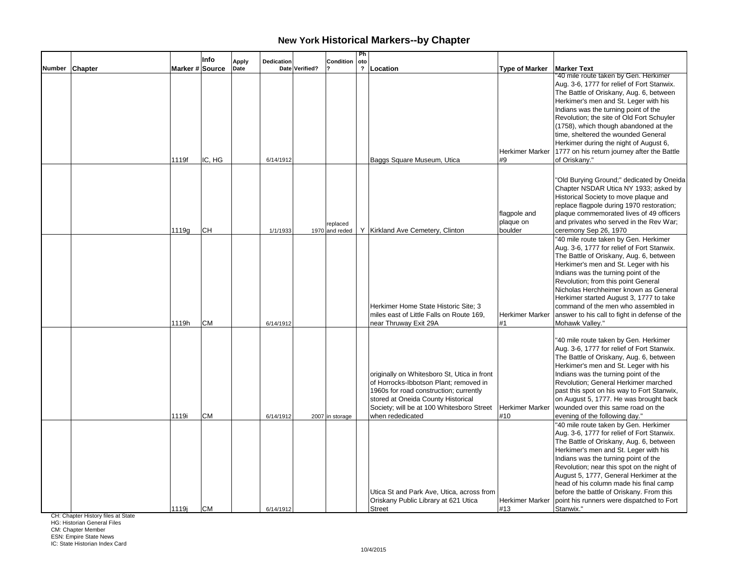|                |                 | Info      | <b>Apply</b> | <b>Dedication</b> |                | Condition                  | Ph<br>oto      |                                                                                                                                                                                                                                        |                                      |                                                                                                                                                                                                                                                                                                                                                                                                                                                                  |
|----------------|-----------------|-----------|--------------|-------------------|----------------|----------------------------|----------------|----------------------------------------------------------------------------------------------------------------------------------------------------------------------------------------------------------------------------------------|--------------------------------------|------------------------------------------------------------------------------------------------------------------------------------------------------------------------------------------------------------------------------------------------------------------------------------------------------------------------------------------------------------------------------------------------------------------------------------------------------------------|
| Number Chapter | Marker # Source |           | Date         |                   | Date Verified? |                            | $\overline{?}$ | Location                                                                                                                                                                                                                               | <b>Type of Marker</b>                | <b>Marker Text</b>                                                                                                                                                                                                                                                                                                                                                                                                                                               |
|                | 1119f           | IC, HG    |              | 6/14/1912         |                |                            |                | Baggs Square Museum, Utica                                                                                                                                                                                                             | <b>Herkimer Marker</b><br>#9         | '40 mile route taken by Gen. Herkimer<br>Aug. 3-6, 1777 for relief of Fort Stanwix.<br>The Battle of Oriskany, Aug. 6, between<br>Herkimer's men and St. Leger with his<br>Indians was the turning point of the<br>Revolution; the site of Old Fort Schuyler<br>(1758), which though abandoned at the<br>time, sheltered the wounded General<br>Herkimer during the night of August 6,<br>1777 on his return journey after the Battle<br>of Oriskany."           |
|                |                 |           |              |                   |                |                            |                |                                                                                                                                                                                                                                        |                                      |                                                                                                                                                                                                                                                                                                                                                                                                                                                                  |
|                | 1119g           | <b>CH</b> |              | 1/1/1933          |                | replaced<br>1970 and reded |                | Y   Kirkland Ave Cemetery, Clinton                                                                                                                                                                                                     | flagpole and<br>plaque on<br>boulder | "Old Burying Ground;" dedicated by Oneida<br>Chapter NSDAR Utica NY 1933; asked by<br>Historical Society to move plaque and<br>replace flagpole during 1970 restoration;<br>plaque commemorated lives of 49 officers<br>and privates who served in the Rev War;<br>ceremony Sep 26, 1970                                                                                                                                                                         |
|                |                 |           |              |                   |                |                            |                |                                                                                                                                                                                                                                        |                                      | "40 mile route taken by Gen. Herkimer                                                                                                                                                                                                                                                                                                                                                                                                                            |
|                | 1119h           | IСM       |              | 6/14/1912         |                |                            |                | Herkimer Home State Historic Site: 3<br>miles east of Little Falls on Route 169,<br>near Thruway Exit 29A                                                                                                                              | <b>Herkimer Marker</b><br>#1         | Aug. 3-6, 1777 for relief of Fort Stanwix.<br>The Battle of Oriskany, Aug. 6, between<br>Herkimer's men and St. Leger with his<br>Indians was the turning point of the<br>Revolution; from this point General<br>Nicholas Herchheimer known as General<br>Herkimer started August 3, 1777 to take<br>command of the men who assembled in<br>answer to his call to fight in defense of the<br>Mohawk Valley."                                                     |
|                | 1119i           | <b>CM</b> |              | 6/14/1912         |                | 2007 in storage            |                | originally on Whitesboro St, Utica in front<br>of Horrocks-Ibbotson Plant; removed in<br>1960s for road construction; currently<br>stored at Oneida County Historical<br>Society; will be at 100 Whitesboro Street<br>when rededicated | Herkimer Marker<br>#10               | "40 mile route taken by Gen. Herkimer<br>Aug. 3-6, 1777 for relief of Fort Stanwix.<br>The Battle of Oriskany, Aug. 6, between<br>Herkimer's men and St. Leger with his<br>Indians was the turning point of the<br>Revolution; General Herkimer marched<br>past this spot on his way to Fort Stanwix,<br>on August 5, 1777. He was brought back<br>wounded over this same road on the<br>evening of the following day."<br>"40 mile route taken by Gen. Herkimer |
|                | 1119j           | <b>CM</b> |              | 6/14/1912         |                |                            |                | Utica St and Park Ave, Utica, across from<br>Oriskany Public Library at 621 Utica<br><b>Street</b>                                                                                                                                     | <b>Herkimer Marker</b><br>#13        | Aug. 3-6, 1777 for relief of Fort Stanwix.<br>The Battle of Oriskany, Aug. 6, between<br>Herkimer's men and St. Leger with his<br>Indians was the turning point of the<br>Revolution; near this spot on the night of<br>August 5, 1777, General Herkimer at the<br>head of his column made his final camp<br>before the battle of Oriskany. From this<br>point his runners were dispatched to Fort<br>Stanwix."                                                  |

CH: Chapter History files at State

HG: Historian General Files

CM: Chapter Member ESN: Empire State News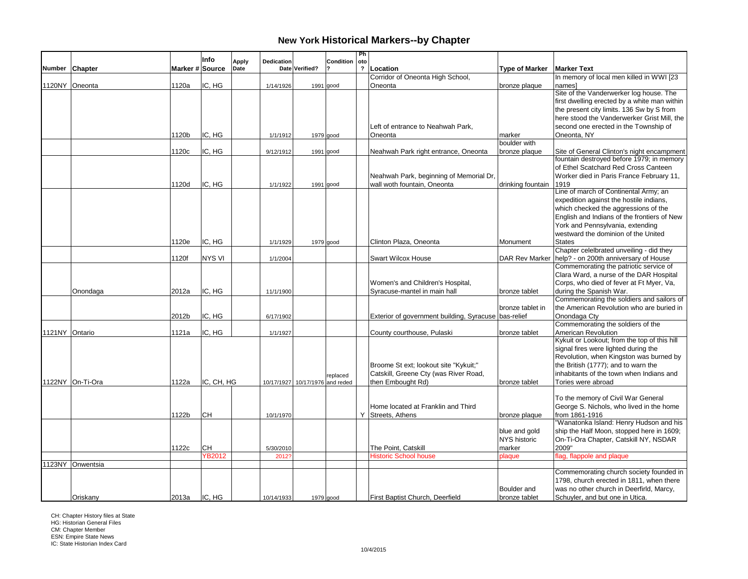| Chapter<br>Marker # Source<br>Date<br>Date Verified?<br>$\mathbf{r}$<br>Location<br><b>Type of Marker</b><br><b>Marker Text</b><br><b>Number</b><br>In memory of local men killed in WWI [23<br>Corridor of Oneonta High School,<br>1120NY Oneonta<br>1120a<br>IC, HG<br>Oneonta<br>bronze plaque<br>namesl<br>1/14/1926<br>$1991$ good<br>Site of the Vanderwerker log house. The<br>first dwelling erected by a white man within<br>the present city limits. 136 Sw by S from<br>second one erected in the Township of<br>Left of entrance to Neahwah Park,<br>IC. HG<br>1120b<br>Oneonta<br>marker<br>Oneonta, NY<br>1/1/1912<br>1979 good<br>boulder with<br>IC, HG<br>Neahwah Park right entrance, Oneonta<br>Site of General Clinton's night encampment<br>1120c<br>bronze plaque<br>9/12/1912<br>1991 good<br>fountain destroyed before 1979; in memory<br>of Ethel Scatchard Red Cross Canteen<br>Worker died in Paris France February 11,<br>Neahwah Park, beginning of Memorial Dr,<br>1120d<br>IC. HG<br>wall woth fountain, Oneonta<br>drinking fountain<br>1919<br>1/1/1922<br>1991 good<br>Line of march of Continental Army; an<br>expedition against the hostile indians,<br>which checked the aggressions of the<br>English and Indians of the frontiers of New<br>York and Pennsylvania, extending<br>westward the dominion of the United<br>IC. HG<br>1120e<br>Clinton Plaza, Oneonta<br><b>States</b><br>1/1/1929<br>1979 good<br>Monument<br>Chapter celelbrated unveiling - did they<br>help? - on 200th anniversary of House<br>1120f<br><b>NYS VI</b><br><b>Swart Wilcox House</b><br><b>DAR Rev Marker</b><br>1/1/2004<br>Commemorating the patriotic service of<br>Clara Ward, a nurse of the DAR Hospital<br>Corps, who died of fever at Ft Myer, Va,<br>Women's and Children's Hospital,<br>IC. HG<br>2012a<br>Syracuse-mantel in main hall<br>during the Spanish War.<br>Onondaga<br>bronze tablet<br>11/1/1900<br>Commemorating the soldiers and sailors of<br>the American Revolution who are buried in<br>bronze tablet in<br>IC, HG<br>Exterior of government building, Syracuse bas-relief<br>Onondaga Cty<br>2012b<br>6/17/1902<br>Commemorating the soldiers of the<br>1121NY Ontario<br>IC, HG<br>American Revolution<br>1121a<br>1/1/1927<br>County courthouse, Pulaski<br>bronze tablet<br>Kykuit or Lookout; from the top of this hill<br>signal fires were lighted during the<br>Revolution, when Kingston was burned by<br>the British (1777); and to warn the<br>Broome St ext; lookout site "Kykuit;"<br>Catskill, Greene Cty (was River Road,<br>inhabitants of the town when Indians and<br>replaced<br>1122NY On-Ti-Ora<br>IC, CH, HG<br>then Embought Rd)<br>1122a<br>Tories were abroad<br>10/17/1927 10/17/1976 and reded<br>bronze tablet<br>To the memory of Civil War General<br>George S. Nichols, who lived in the home<br>Home located at Franklin and Third<br>CH<br>1122b<br>Y Streets, Athens<br>from 1861-1916<br>10/1/1970<br>bronze plaque<br>"Wanatonka Island: Henry Hudson and his<br>ship the Half Moon, stopped here in 1609;<br>blue and gold<br><b>NYS historic</b><br>On-Ti-Ora Chapter, Catskill NY, NSDAR<br><b>CH</b><br>The Point. Catskill<br>1122c<br>2009"<br>5/30/2010<br>marker<br>YB2012<br>flag, flappole and plaque<br><b>Historic School house</b><br>plaque<br>2012<br>1123NY Onwentsia<br>Commemorating church society founded in<br>1798, church erected in 1811, when there<br>Boulder and<br>was no other church in Deerfirld, Marcy,<br>IC. HG<br>Oriskany<br>2013a<br>First Baptist Church, Deerfield<br>bronze tablet<br>Schuyler, and but one in Utica.<br>10/14/1933<br>1979 good |  | Info | Apply | <b>Dedication</b> | Condition | Ph<br>oto |  |                                             |
|--------------------------------------------------------------------------------------------------------------------------------------------------------------------------------------------------------------------------------------------------------------------------------------------------------------------------------------------------------------------------------------------------------------------------------------------------------------------------------------------------------------------------------------------------------------------------------------------------------------------------------------------------------------------------------------------------------------------------------------------------------------------------------------------------------------------------------------------------------------------------------------------------------------------------------------------------------------------------------------------------------------------------------------------------------------------------------------------------------------------------------------------------------------------------------------------------------------------------------------------------------------------------------------------------------------------------------------------------------------------------------------------------------------------------------------------------------------------------------------------------------------------------------------------------------------------------------------------------------------------------------------------------------------------------------------------------------------------------------------------------------------------------------------------------------------------------------------------------------------------------------------------------------------------------------------------------------------------------------------------------------------------------------------------------------------------------------------------------------------------------------------------------------------------------------------------------------------------------------------------------------------------------------------------------------------------------------------------------------------------------------------------------------------------------------------------------------------------------------------------------------------------------------------------------------------------------------------------------------------------------------------------------------------------------------------------------------------------------------------------------------------------------------------------------------------------------------------------------------------------------------------------------------------------------------------------------------------------------------------------------------------------------------------------------------------------------------------------------------------------------------------------------------------------------------------------------------------------------------------------------------------------------------------------------------------------------------------------------------------------------------------------------------------------------------------------------------------------------------------------------------------------------------------------------------------------------------------------------------------------------------------------------------------------------------|--|------|-------|-------------------|-----------|-----------|--|---------------------------------------------|
|                                                                                                                                                                                                                                                                                                                                                                                                                                                                                                                                                                                                                                                                                                                                                                                                                                                                                                                                                                                                                                                                                                                                                                                                                                                                                                                                                                                                                                                                                                                                                                                                                                                                                                                                                                                                                                                                                                                                                                                                                                                                                                                                                                                                                                                                                                                                                                                                                                                                                                                                                                                                                                                                                                                                                                                                                                                                                                                                                                                                                                                                                                                                                                                                                                                                                                                                                                                                                                                                                                                                                                                                                                                                                |  |      |       |                   |           |           |  |                                             |
|                                                                                                                                                                                                                                                                                                                                                                                                                                                                                                                                                                                                                                                                                                                                                                                                                                                                                                                                                                                                                                                                                                                                                                                                                                                                                                                                                                                                                                                                                                                                                                                                                                                                                                                                                                                                                                                                                                                                                                                                                                                                                                                                                                                                                                                                                                                                                                                                                                                                                                                                                                                                                                                                                                                                                                                                                                                                                                                                                                                                                                                                                                                                                                                                                                                                                                                                                                                                                                                                                                                                                                                                                                                                                |  |      |       |                   |           |           |  |                                             |
|                                                                                                                                                                                                                                                                                                                                                                                                                                                                                                                                                                                                                                                                                                                                                                                                                                                                                                                                                                                                                                                                                                                                                                                                                                                                                                                                                                                                                                                                                                                                                                                                                                                                                                                                                                                                                                                                                                                                                                                                                                                                                                                                                                                                                                                                                                                                                                                                                                                                                                                                                                                                                                                                                                                                                                                                                                                                                                                                                                                                                                                                                                                                                                                                                                                                                                                                                                                                                                                                                                                                                                                                                                                                                |  |      |       |                   |           |           |  |                                             |
|                                                                                                                                                                                                                                                                                                                                                                                                                                                                                                                                                                                                                                                                                                                                                                                                                                                                                                                                                                                                                                                                                                                                                                                                                                                                                                                                                                                                                                                                                                                                                                                                                                                                                                                                                                                                                                                                                                                                                                                                                                                                                                                                                                                                                                                                                                                                                                                                                                                                                                                                                                                                                                                                                                                                                                                                                                                                                                                                                                                                                                                                                                                                                                                                                                                                                                                                                                                                                                                                                                                                                                                                                                                                                |  |      |       |                   |           |           |  |                                             |
|                                                                                                                                                                                                                                                                                                                                                                                                                                                                                                                                                                                                                                                                                                                                                                                                                                                                                                                                                                                                                                                                                                                                                                                                                                                                                                                                                                                                                                                                                                                                                                                                                                                                                                                                                                                                                                                                                                                                                                                                                                                                                                                                                                                                                                                                                                                                                                                                                                                                                                                                                                                                                                                                                                                                                                                                                                                                                                                                                                                                                                                                                                                                                                                                                                                                                                                                                                                                                                                                                                                                                                                                                                                                                |  |      |       |                   |           |           |  |                                             |
|                                                                                                                                                                                                                                                                                                                                                                                                                                                                                                                                                                                                                                                                                                                                                                                                                                                                                                                                                                                                                                                                                                                                                                                                                                                                                                                                                                                                                                                                                                                                                                                                                                                                                                                                                                                                                                                                                                                                                                                                                                                                                                                                                                                                                                                                                                                                                                                                                                                                                                                                                                                                                                                                                                                                                                                                                                                                                                                                                                                                                                                                                                                                                                                                                                                                                                                                                                                                                                                                                                                                                                                                                                                                                |  |      |       |                   |           |           |  |                                             |
|                                                                                                                                                                                                                                                                                                                                                                                                                                                                                                                                                                                                                                                                                                                                                                                                                                                                                                                                                                                                                                                                                                                                                                                                                                                                                                                                                                                                                                                                                                                                                                                                                                                                                                                                                                                                                                                                                                                                                                                                                                                                                                                                                                                                                                                                                                                                                                                                                                                                                                                                                                                                                                                                                                                                                                                                                                                                                                                                                                                                                                                                                                                                                                                                                                                                                                                                                                                                                                                                                                                                                                                                                                                                                |  |      |       |                   |           |           |  | here stood the Vanderwerker Grist Mill, the |
|                                                                                                                                                                                                                                                                                                                                                                                                                                                                                                                                                                                                                                                                                                                                                                                                                                                                                                                                                                                                                                                                                                                                                                                                                                                                                                                                                                                                                                                                                                                                                                                                                                                                                                                                                                                                                                                                                                                                                                                                                                                                                                                                                                                                                                                                                                                                                                                                                                                                                                                                                                                                                                                                                                                                                                                                                                                                                                                                                                                                                                                                                                                                                                                                                                                                                                                                                                                                                                                                                                                                                                                                                                                                                |  |      |       |                   |           |           |  |                                             |
|                                                                                                                                                                                                                                                                                                                                                                                                                                                                                                                                                                                                                                                                                                                                                                                                                                                                                                                                                                                                                                                                                                                                                                                                                                                                                                                                                                                                                                                                                                                                                                                                                                                                                                                                                                                                                                                                                                                                                                                                                                                                                                                                                                                                                                                                                                                                                                                                                                                                                                                                                                                                                                                                                                                                                                                                                                                                                                                                                                                                                                                                                                                                                                                                                                                                                                                                                                                                                                                                                                                                                                                                                                                                                |  |      |       |                   |           |           |  |                                             |
|                                                                                                                                                                                                                                                                                                                                                                                                                                                                                                                                                                                                                                                                                                                                                                                                                                                                                                                                                                                                                                                                                                                                                                                                                                                                                                                                                                                                                                                                                                                                                                                                                                                                                                                                                                                                                                                                                                                                                                                                                                                                                                                                                                                                                                                                                                                                                                                                                                                                                                                                                                                                                                                                                                                                                                                                                                                                                                                                                                                                                                                                                                                                                                                                                                                                                                                                                                                                                                                                                                                                                                                                                                                                                |  |      |       |                   |           |           |  |                                             |
|                                                                                                                                                                                                                                                                                                                                                                                                                                                                                                                                                                                                                                                                                                                                                                                                                                                                                                                                                                                                                                                                                                                                                                                                                                                                                                                                                                                                                                                                                                                                                                                                                                                                                                                                                                                                                                                                                                                                                                                                                                                                                                                                                                                                                                                                                                                                                                                                                                                                                                                                                                                                                                                                                                                                                                                                                                                                                                                                                                                                                                                                                                                                                                                                                                                                                                                                                                                                                                                                                                                                                                                                                                                                                |  |      |       |                   |           |           |  |                                             |
|                                                                                                                                                                                                                                                                                                                                                                                                                                                                                                                                                                                                                                                                                                                                                                                                                                                                                                                                                                                                                                                                                                                                                                                                                                                                                                                                                                                                                                                                                                                                                                                                                                                                                                                                                                                                                                                                                                                                                                                                                                                                                                                                                                                                                                                                                                                                                                                                                                                                                                                                                                                                                                                                                                                                                                                                                                                                                                                                                                                                                                                                                                                                                                                                                                                                                                                                                                                                                                                                                                                                                                                                                                                                                |  |      |       |                   |           |           |  |                                             |
|                                                                                                                                                                                                                                                                                                                                                                                                                                                                                                                                                                                                                                                                                                                                                                                                                                                                                                                                                                                                                                                                                                                                                                                                                                                                                                                                                                                                                                                                                                                                                                                                                                                                                                                                                                                                                                                                                                                                                                                                                                                                                                                                                                                                                                                                                                                                                                                                                                                                                                                                                                                                                                                                                                                                                                                                                                                                                                                                                                                                                                                                                                                                                                                                                                                                                                                                                                                                                                                                                                                                                                                                                                                                                |  |      |       |                   |           |           |  |                                             |
|                                                                                                                                                                                                                                                                                                                                                                                                                                                                                                                                                                                                                                                                                                                                                                                                                                                                                                                                                                                                                                                                                                                                                                                                                                                                                                                                                                                                                                                                                                                                                                                                                                                                                                                                                                                                                                                                                                                                                                                                                                                                                                                                                                                                                                                                                                                                                                                                                                                                                                                                                                                                                                                                                                                                                                                                                                                                                                                                                                                                                                                                                                                                                                                                                                                                                                                                                                                                                                                                                                                                                                                                                                                                                |  |      |       |                   |           |           |  |                                             |
|                                                                                                                                                                                                                                                                                                                                                                                                                                                                                                                                                                                                                                                                                                                                                                                                                                                                                                                                                                                                                                                                                                                                                                                                                                                                                                                                                                                                                                                                                                                                                                                                                                                                                                                                                                                                                                                                                                                                                                                                                                                                                                                                                                                                                                                                                                                                                                                                                                                                                                                                                                                                                                                                                                                                                                                                                                                                                                                                                                                                                                                                                                                                                                                                                                                                                                                                                                                                                                                                                                                                                                                                                                                                                |  |      |       |                   |           |           |  |                                             |
|                                                                                                                                                                                                                                                                                                                                                                                                                                                                                                                                                                                                                                                                                                                                                                                                                                                                                                                                                                                                                                                                                                                                                                                                                                                                                                                                                                                                                                                                                                                                                                                                                                                                                                                                                                                                                                                                                                                                                                                                                                                                                                                                                                                                                                                                                                                                                                                                                                                                                                                                                                                                                                                                                                                                                                                                                                                                                                                                                                                                                                                                                                                                                                                                                                                                                                                                                                                                                                                                                                                                                                                                                                                                                |  |      |       |                   |           |           |  |                                             |
|                                                                                                                                                                                                                                                                                                                                                                                                                                                                                                                                                                                                                                                                                                                                                                                                                                                                                                                                                                                                                                                                                                                                                                                                                                                                                                                                                                                                                                                                                                                                                                                                                                                                                                                                                                                                                                                                                                                                                                                                                                                                                                                                                                                                                                                                                                                                                                                                                                                                                                                                                                                                                                                                                                                                                                                                                                                                                                                                                                                                                                                                                                                                                                                                                                                                                                                                                                                                                                                                                                                                                                                                                                                                                |  |      |       |                   |           |           |  |                                             |
|                                                                                                                                                                                                                                                                                                                                                                                                                                                                                                                                                                                                                                                                                                                                                                                                                                                                                                                                                                                                                                                                                                                                                                                                                                                                                                                                                                                                                                                                                                                                                                                                                                                                                                                                                                                                                                                                                                                                                                                                                                                                                                                                                                                                                                                                                                                                                                                                                                                                                                                                                                                                                                                                                                                                                                                                                                                                                                                                                                                                                                                                                                                                                                                                                                                                                                                                                                                                                                                                                                                                                                                                                                                                                |  |      |       |                   |           |           |  |                                             |
|                                                                                                                                                                                                                                                                                                                                                                                                                                                                                                                                                                                                                                                                                                                                                                                                                                                                                                                                                                                                                                                                                                                                                                                                                                                                                                                                                                                                                                                                                                                                                                                                                                                                                                                                                                                                                                                                                                                                                                                                                                                                                                                                                                                                                                                                                                                                                                                                                                                                                                                                                                                                                                                                                                                                                                                                                                                                                                                                                                                                                                                                                                                                                                                                                                                                                                                                                                                                                                                                                                                                                                                                                                                                                |  |      |       |                   |           |           |  |                                             |
|                                                                                                                                                                                                                                                                                                                                                                                                                                                                                                                                                                                                                                                                                                                                                                                                                                                                                                                                                                                                                                                                                                                                                                                                                                                                                                                                                                                                                                                                                                                                                                                                                                                                                                                                                                                                                                                                                                                                                                                                                                                                                                                                                                                                                                                                                                                                                                                                                                                                                                                                                                                                                                                                                                                                                                                                                                                                                                                                                                                                                                                                                                                                                                                                                                                                                                                                                                                                                                                                                                                                                                                                                                                                                |  |      |       |                   |           |           |  |                                             |
|                                                                                                                                                                                                                                                                                                                                                                                                                                                                                                                                                                                                                                                                                                                                                                                                                                                                                                                                                                                                                                                                                                                                                                                                                                                                                                                                                                                                                                                                                                                                                                                                                                                                                                                                                                                                                                                                                                                                                                                                                                                                                                                                                                                                                                                                                                                                                                                                                                                                                                                                                                                                                                                                                                                                                                                                                                                                                                                                                                                                                                                                                                                                                                                                                                                                                                                                                                                                                                                                                                                                                                                                                                                                                |  |      |       |                   |           |           |  |                                             |
|                                                                                                                                                                                                                                                                                                                                                                                                                                                                                                                                                                                                                                                                                                                                                                                                                                                                                                                                                                                                                                                                                                                                                                                                                                                                                                                                                                                                                                                                                                                                                                                                                                                                                                                                                                                                                                                                                                                                                                                                                                                                                                                                                                                                                                                                                                                                                                                                                                                                                                                                                                                                                                                                                                                                                                                                                                                                                                                                                                                                                                                                                                                                                                                                                                                                                                                                                                                                                                                                                                                                                                                                                                                                                |  |      |       |                   |           |           |  |                                             |
|                                                                                                                                                                                                                                                                                                                                                                                                                                                                                                                                                                                                                                                                                                                                                                                                                                                                                                                                                                                                                                                                                                                                                                                                                                                                                                                                                                                                                                                                                                                                                                                                                                                                                                                                                                                                                                                                                                                                                                                                                                                                                                                                                                                                                                                                                                                                                                                                                                                                                                                                                                                                                                                                                                                                                                                                                                                                                                                                                                                                                                                                                                                                                                                                                                                                                                                                                                                                                                                                                                                                                                                                                                                                                |  |      |       |                   |           |           |  |                                             |
|                                                                                                                                                                                                                                                                                                                                                                                                                                                                                                                                                                                                                                                                                                                                                                                                                                                                                                                                                                                                                                                                                                                                                                                                                                                                                                                                                                                                                                                                                                                                                                                                                                                                                                                                                                                                                                                                                                                                                                                                                                                                                                                                                                                                                                                                                                                                                                                                                                                                                                                                                                                                                                                                                                                                                                                                                                                                                                                                                                                                                                                                                                                                                                                                                                                                                                                                                                                                                                                                                                                                                                                                                                                                                |  |      |       |                   |           |           |  |                                             |
|                                                                                                                                                                                                                                                                                                                                                                                                                                                                                                                                                                                                                                                                                                                                                                                                                                                                                                                                                                                                                                                                                                                                                                                                                                                                                                                                                                                                                                                                                                                                                                                                                                                                                                                                                                                                                                                                                                                                                                                                                                                                                                                                                                                                                                                                                                                                                                                                                                                                                                                                                                                                                                                                                                                                                                                                                                                                                                                                                                                                                                                                                                                                                                                                                                                                                                                                                                                                                                                                                                                                                                                                                                                                                |  |      |       |                   |           |           |  |                                             |
|                                                                                                                                                                                                                                                                                                                                                                                                                                                                                                                                                                                                                                                                                                                                                                                                                                                                                                                                                                                                                                                                                                                                                                                                                                                                                                                                                                                                                                                                                                                                                                                                                                                                                                                                                                                                                                                                                                                                                                                                                                                                                                                                                                                                                                                                                                                                                                                                                                                                                                                                                                                                                                                                                                                                                                                                                                                                                                                                                                                                                                                                                                                                                                                                                                                                                                                                                                                                                                                                                                                                                                                                                                                                                |  |      |       |                   |           |           |  |                                             |
|                                                                                                                                                                                                                                                                                                                                                                                                                                                                                                                                                                                                                                                                                                                                                                                                                                                                                                                                                                                                                                                                                                                                                                                                                                                                                                                                                                                                                                                                                                                                                                                                                                                                                                                                                                                                                                                                                                                                                                                                                                                                                                                                                                                                                                                                                                                                                                                                                                                                                                                                                                                                                                                                                                                                                                                                                                                                                                                                                                                                                                                                                                                                                                                                                                                                                                                                                                                                                                                                                                                                                                                                                                                                                |  |      |       |                   |           |           |  |                                             |
|                                                                                                                                                                                                                                                                                                                                                                                                                                                                                                                                                                                                                                                                                                                                                                                                                                                                                                                                                                                                                                                                                                                                                                                                                                                                                                                                                                                                                                                                                                                                                                                                                                                                                                                                                                                                                                                                                                                                                                                                                                                                                                                                                                                                                                                                                                                                                                                                                                                                                                                                                                                                                                                                                                                                                                                                                                                                                                                                                                                                                                                                                                                                                                                                                                                                                                                                                                                                                                                                                                                                                                                                                                                                                |  |      |       |                   |           |           |  |                                             |
|                                                                                                                                                                                                                                                                                                                                                                                                                                                                                                                                                                                                                                                                                                                                                                                                                                                                                                                                                                                                                                                                                                                                                                                                                                                                                                                                                                                                                                                                                                                                                                                                                                                                                                                                                                                                                                                                                                                                                                                                                                                                                                                                                                                                                                                                                                                                                                                                                                                                                                                                                                                                                                                                                                                                                                                                                                                                                                                                                                                                                                                                                                                                                                                                                                                                                                                                                                                                                                                                                                                                                                                                                                                                                |  |      |       |                   |           |           |  |                                             |
|                                                                                                                                                                                                                                                                                                                                                                                                                                                                                                                                                                                                                                                                                                                                                                                                                                                                                                                                                                                                                                                                                                                                                                                                                                                                                                                                                                                                                                                                                                                                                                                                                                                                                                                                                                                                                                                                                                                                                                                                                                                                                                                                                                                                                                                                                                                                                                                                                                                                                                                                                                                                                                                                                                                                                                                                                                                                                                                                                                                                                                                                                                                                                                                                                                                                                                                                                                                                                                                                                                                                                                                                                                                                                |  |      |       |                   |           |           |  |                                             |
|                                                                                                                                                                                                                                                                                                                                                                                                                                                                                                                                                                                                                                                                                                                                                                                                                                                                                                                                                                                                                                                                                                                                                                                                                                                                                                                                                                                                                                                                                                                                                                                                                                                                                                                                                                                                                                                                                                                                                                                                                                                                                                                                                                                                                                                                                                                                                                                                                                                                                                                                                                                                                                                                                                                                                                                                                                                                                                                                                                                                                                                                                                                                                                                                                                                                                                                                                                                                                                                                                                                                                                                                                                                                                |  |      |       |                   |           |           |  |                                             |
|                                                                                                                                                                                                                                                                                                                                                                                                                                                                                                                                                                                                                                                                                                                                                                                                                                                                                                                                                                                                                                                                                                                                                                                                                                                                                                                                                                                                                                                                                                                                                                                                                                                                                                                                                                                                                                                                                                                                                                                                                                                                                                                                                                                                                                                                                                                                                                                                                                                                                                                                                                                                                                                                                                                                                                                                                                                                                                                                                                                                                                                                                                                                                                                                                                                                                                                                                                                                                                                                                                                                                                                                                                                                                |  |      |       |                   |           |           |  |                                             |
|                                                                                                                                                                                                                                                                                                                                                                                                                                                                                                                                                                                                                                                                                                                                                                                                                                                                                                                                                                                                                                                                                                                                                                                                                                                                                                                                                                                                                                                                                                                                                                                                                                                                                                                                                                                                                                                                                                                                                                                                                                                                                                                                                                                                                                                                                                                                                                                                                                                                                                                                                                                                                                                                                                                                                                                                                                                                                                                                                                                                                                                                                                                                                                                                                                                                                                                                                                                                                                                                                                                                                                                                                                                                                |  |      |       |                   |           |           |  |                                             |
|                                                                                                                                                                                                                                                                                                                                                                                                                                                                                                                                                                                                                                                                                                                                                                                                                                                                                                                                                                                                                                                                                                                                                                                                                                                                                                                                                                                                                                                                                                                                                                                                                                                                                                                                                                                                                                                                                                                                                                                                                                                                                                                                                                                                                                                                                                                                                                                                                                                                                                                                                                                                                                                                                                                                                                                                                                                                                                                                                                                                                                                                                                                                                                                                                                                                                                                                                                                                                                                                                                                                                                                                                                                                                |  |      |       |                   |           |           |  |                                             |
|                                                                                                                                                                                                                                                                                                                                                                                                                                                                                                                                                                                                                                                                                                                                                                                                                                                                                                                                                                                                                                                                                                                                                                                                                                                                                                                                                                                                                                                                                                                                                                                                                                                                                                                                                                                                                                                                                                                                                                                                                                                                                                                                                                                                                                                                                                                                                                                                                                                                                                                                                                                                                                                                                                                                                                                                                                                                                                                                                                                                                                                                                                                                                                                                                                                                                                                                                                                                                                                                                                                                                                                                                                                                                |  |      |       |                   |           |           |  |                                             |
|                                                                                                                                                                                                                                                                                                                                                                                                                                                                                                                                                                                                                                                                                                                                                                                                                                                                                                                                                                                                                                                                                                                                                                                                                                                                                                                                                                                                                                                                                                                                                                                                                                                                                                                                                                                                                                                                                                                                                                                                                                                                                                                                                                                                                                                                                                                                                                                                                                                                                                                                                                                                                                                                                                                                                                                                                                                                                                                                                                                                                                                                                                                                                                                                                                                                                                                                                                                                                                                                                                                                                                                                                                                                                |  |      |       |                   |           |           |  |                                             |
|                                                                                                                                                                                                                                                                                                                                                                                                                                                                                                                                                                                                                                                                                                                                                                                                                                                                                                                                                                                                                                                                                                                                                                                                                                                                                                                                                                                                                                                                                                                                                                                                                                                                                                                                                                                                                                                                                                                                                                                                                                                                                                                                                                                                                                                                                                                                                                                                                                                                                                                                                                                                                                                                                                                                                                                                                                                                                                                                                                                                                                                                                                                                                                                                                                                                                                                                                                                                                                                                                                                                                                                                                                                                                |  |      |       |                   |           |           |  |                                             |
|                                                                                                                                                                                                                                                                                                                                                                                                                                                                                                                                                                                                                                                                                                                                                                                                                                                                                                                                                                                                                                                                                                                                                                                                                                                                                                                                                                                                                                                                                                                                                                                                                                                                                                                                                                                                                                                                                                                                                                                                                                                                                                                                                                                                                                                                                                                                                                                                                                                                                                                                                                                                                                                                                                                                                                                                                                                                                                                                                                                                                                                                                                                                                                                                                                                                                                                                                                                                                                                                                                                                                                                                                                                                                |  |      |       |                   |           |           |  |                                             |
|                                                                                                                                                                                                                                                                                                                                                                                                                                                                                                                                                                                                                                                                                                                                                                                                                                                                                                                                                                                                                                                                                                                                                                                                                                                                                                                                                                                                                                                                                                                                                                                                                                                                                                                                                                                                                                                                                                                                                                                                                                                                                                                                                                                                                                                                                                                                                                                                                                                                                                                                                                                                                                                                                                                                                                                                                                                                                                                                                                                                                                                                                                                                                                                                                                                                                                                                                                                                                                                                                                                                                                                                                                                                                |  |      |       |                   |           |           |  |                                             |
|                                                                                                                                                                                                                                                                                                                                                                                                                                                                                                                                                                                                                                                                                                                                                                                                                                                                                                                                                                                                                                                                                                                                                                                                                                                                                                                                                                                                                                                                                                                                                                                                                                                                                                                                                                                                                                                                                                                                                                                                                                                                                                                                                                                                                                                                                                                                                                                                                                                                                                                                                                                                                                                                                                                                                                                                                                                                                                                                                                                                                                                                                                                                                                                                                                                                                                                                                                                                                                                                                                                                                                                                                                                                                |  |      |       |                   |           |           |  |                                             |
|                                                                                                                                                                                                                                                                                                                                                                                                                                                                                                                                                                                                                                                                                                                                                                                                                                                                                                                                                                                                                                                                                                                                                                                                                                                                                                                                                                                                                                                                                                                                                                                                                                                                                                                                                                                                                                                                                                                                                                                                                                                                                                                                                                                                                                                                                                                                                                                                                                                                                                                                                                                                                                                                                                                                                                                                                                                                                                                                                                                                                                                                                                                                                                                                                                                                                                                                                                                                                                                                                                                                                                                                                                                                                |  |      |       |                   |           |           |  |                                             |
|                                                                                                                                                                                                                                                                                                                                                                                                                                                                                                                                                                                                                                                                                                                                                                                                                                                                                                                                                                                                                                                                                                                                                                                                                                                                                                                                                                                                                                                                                                                                                                                                                                                                                                                                                                                                                                                                                                                                                                                                                                                                                                                                                                                                                                                                                                                                                                                                                                                                                                                                                                                                                                                                                                                                                                                                                                                                                                                                                                                                                                                                                                                                                                                                                                                                                                                                                                                                                                                                                                                                                                                                                                                                                |  |      |       |                   |           |           |  |                                             |
|                                                                                                                                                                                                                                                                                                                                                                                                                                                                                                                                                                                                                                                                                                                                                                                                                                                                                                                                                                                                                                                                                                                                                                                                                                                                                                                                                                                                                                                                                                                                                                                                                                                                                                                                                                                                                                                                                                                                                                                                                                                                                                                                                                                                                                                                                                                                                                                                                                                                                                                                                                                                                                                                                                                                                                                                                                                                                                                                                                                                                                                                                                                                                                                                                                                                                                                                                                                                                                                                                                                                                                                                                                                                                |  |      |       |                   |           |           |  |                                             |
|                                                                                                                                                                                                                                                                                                                                                                                                                                                                                                                                                                                                                                                                                                                                                                                                                                                                                                                                                                                                                                                                                                                                                                                                                                                                                                                                                                                                                                                                                                                                                                                                                                                                                                                                                                                                                                                                                                                                                                                                                                                                                                                                                                                                                                                                                                                                                                                                                                                                                                                                                                                                                                                                                                                                                                                                                                                                                                                                                                                                                                                                                                                                                                                                                                                                                                                                                                                                                                                                                                                                                                                                                                                                                |  |      |       |                   |           |           |  |                                             |
|                                                                                                                                                                                                                                                                                                                                                                                                                                                                                                                                                                                                                                                                                                                                                                                                                                                                                                                                                                                                                                                                                                                                                                                                                                                                                                                                                                                                                                                                                                                                                                                                                                                                                                                                                                                                                                                                                                                                                                                                                                                                                                                                                                                                                                                                                                                                                                                                                                                                                                                                                                                                                                                                                                                                                                                                                                                                                                                                                                                                                                                                                                                                                                                                                                                                                                                                                                                                                                                                                                                                                                                                                                                                                |  |      |       |                   |           |           |  |                                             |
|                                                                                                                                                                                                                                                                                                                                                                                                                                                                                                                                                                                                                                                                                                                                                                                                                                                                                                                                                                                                                                                                                                                                                                                                                                                                                                                                                                                                                                                                                                                                                                                                                                                                                                                                                                                                                                                                                                                                                                                                                                                                                                                                                                                                                                                                                                                                                                                                                                                                                                                                                                                                                                                                                                                                                                                                                                                                                                                                                                                                                                                                                                                                                                                                                                                                                                                                                                                                                                                                                                                                                                                                                                                                                |  |      |       |                   |           |           |  |                                             |
|                                                                                                                                                                                                                                                                                                                                                                                                                                                                                                                                                                                                                                                                                                                                                                                                                                                                                                                                                                                                                                                                                                                                                                                                                                                                                                                                                                                                                                                                                                                                                                                                                                                                                                                                                                                                                                                                                                                                                                                                                                                                                                                                                                                                                                                                                                                                                                                                                                                                                                                                                                                                                                                                                                                                                                                                                                                                                                                                                                                                                                                                                                                                                                                                                                                                                                                                                                                                                                                                                                                                                                                                                                                                                |  |      |       |                   |           |           |  |                                             |
|                                                                                                                                                                                                                                                                                                                                                                                                                                                                                                                                                                                                                                                                                                                                                                                                                                                                                                                                                                                                                                                                                                                                                                                                                                                                                                                                                                                                                                                                                                                                                                                                                                                                                                                                                                                                                                                                                                                                                                                                                                                                                                                                                                                                                                                                                                                                                                                                                                                                                                                                                                                                                                                                                                                                                                                                                                                                                                                                                                                                                                                                                                                                                                                                                                                                                                                                                                                                                                                                                                                                                                                                                                                                                |  |      |       |                   |           |           |  |                                             |
|                                                                                                                                                                                                                                                                                                                                                                                                                                                                                                                                                                                                                                                                                                                                                                                                                                                                                                                                                                                                                                                                                                                                                                                                                                                                                                                                                                                                                                                                                                                                                                                                                                                                                                                                                                                                                                                                                                                                                                                                                                                                                                                                                                                                                                                                                                                                                                                                                                                                                                                                                                                                                                                                                                                                                                                                                                                                                                                                                                                                                                                                                                                                                                                                                                                                                                                                                                                                                                                                                                                                                                                                                                                                                |  |      |       |                   |           |           |  |                                             |
|                                                                                                                                                                                                                                                                                                                                                                                                                                                                                                                                                                                                                                                                                                                                                                                                                                                                                                                                                                                                                                                                                                                                                                                                                                                                                                                                                                                                                                                                                                                                                                                                                                                                                                                                                                                                                                                                                                                                                                                                                                                                                                                                                                                                                                                                                                                                                                                                                                                                                                                                                                                                                                                                                                                                                                                                                                                                                                                                                                                                                                                                                                                                                                                                                                                                                                                                                                                                                                                                                                                                                                                                                                                                                |  |      |       |                   |           |           |  |                                             |
|                                                                                                                                                                                                                                                                                                                                                                                                                                                                                                                                                                                                                                                                                                                                                                                                                                                                                                                                                                                                                                                                                                                                                                                                                                                                                                                                                                                                                                                                                                                                                                                                                                                                                                                                                                                                                                                                                                                                                                                                                                                                                                                                                                                                                                                                                                                                                                                                                                                                                                                                                                                                                                                                                                                                                                                                                                                                                                                                                                                                                                                                                                                                                                                                                                                                                                                                                                                                                                                                                                                                                                                                                                                                                |  |      |       |                   |           |           |  |                                             |
|                                                                                                                                                                                                                                                                                                                                                                                                                                                                                                                                                                                                                                                                                                                                                                                                                                                                                                                                                                                                                                                                                                                                                                                                                                                                                                                                                                                                                                                                                                                                                                                                                                                                                                                                                                                                                                                                                                                                                                                                                                                                                                                                                                                                                                                                                                                                                                                                                                                                                                                                                                                                                                                                                                                                                                                                                                                                                                                                                                                                                                                                                                                                                                                                                                                                                                                                                                                                                                                                                                                                                                                                                                                                                |  |      |       |                   |           |           |  |                                             |

CH: Chapter History files at State HG: Historian General Files

CM: Chapter Member ESN: Empire State News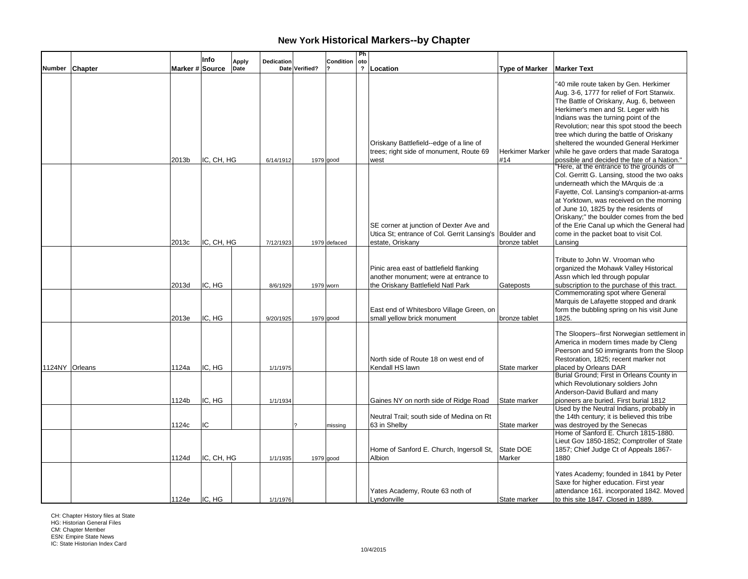|        |                |                 | Info       | <b>Apply</b> | Dedication |                | Condition    | Ph<br>oto               |                                                                                                                        |                        |                                                                                                                                                                                                                                                                                                                                                                                                    |
|--------|----------------|-----------------|------------|--------------|------------|----------------|--------------|-------------------------|------------------------------------------------------------------------------------------------------------------------|------------------------|----------------------------------------------------------------------------------------------------------------------------------------------------------------------------------------------------------------------------------------------------------------------------------------------------------------------------------------------------------------------------------------------------|
| Number | <b>Chapter</b> | Marker # Source |            | Date         |            | Date Verified? |              | $\overline{\mathbf{?}}$ | Location                                                                                                               | <b>Type of Marker</b>  | <b>Marker Text</b>                                                                                                                                                                                                                                                                                                                                                                                 |
|        |                |                 |            |              |            |                |              |                         | Oriskany Battlefield--edge of a line of<br>trees; right side of monument, Route 69                                     | <b>Herkimer Marker</b> | "40 mile route taken by Gen. Herkimer<br>Aug. 3-6, 1777 for relief of Fort Stanwix.<br>The Battle of Oriskany, Aug. 6, between<br>Herkimer's men and St. Leger with his<br>Indians was the turning point of the<br>Revolution; near this spot stood the beech<br>tree which during the battle of Oriskany<br>sheltered the wounded General Herkimer<br>while he gave orders that made Saratoga     |
|        |                | 2013b           | IC, CH, HG |              | 6/14/1912  |                | $1979$ good  |                         | west                                                                                                                   | #14                    | possible and decided the fate of a Nation."                                                                                                                                                                                                                                                                                                                                                        |
|        |                |                 |            |              |            |                |              |                         | SE corner at junction of Dexter Ave and<br>Utica St; entrance of Col. Gerrit Lansing's Boulder and                     |                        | "Here, at the entrance to the grounds of<br>Col. Gerritt G. Lansing, stood the two oaks<br>underneath which the MArquis de :a<br>Fayette, Col. Lansing's companion-at-arms<br>at Yorktown, was received on the morning<br>of June 10, 1825 by the residents of<br>Oriskany;" the boulder comes from the bed<br>of the Erie Canal up which the General had<br>come in the packet boat to visit Col. |
|        |                | 2013c           | IC, CH, HG |              | 7/12/1923  |                | 1979 defaced |                         | estate, Oriskany                                                                                                       | bronze tablet          | Lansing                                                                                                                                                                                                                                                                                                                                                                                            |
|        |                | 2013d           | IC, HG     |              | 8/6/1929   |                | 1979 worn    |                         | Pinic area east of battlefield flanking<br>another monument; were at entrance to<br>the Oriskany Battlefield Natl Park | Gateposts              | Tribute to John W. Vrooman who<br>organized the Mohawk Valley Historical<br>Assn which led through popular<br>subscription to the purchase of this tract.<br>Commemorating spot where General                                                                                                                                                                                                      |
|        |                | 2013e           | IC, HG     |              | 9/20/1925  |                | $1979$ good  |                         | East end of Whitesboro Village Green, on<br>small yellow brick monument                                                | bronze tablet          | Marquis de Lafayette stopped and drank<br>form the bubbling spring on his visit June<br>1825.                                                                                                                                                                                                                                                                                                      |
|        | 1124NY Orleans | 1124a           | IC, HG     |              | 1/1/1975   |                |              |                         | North side of Route 18 on west end of<br>Kendall HS lawn                                                               | State marker           | The Sloopers--first Norwegian settlement in<br>America in modern times made by Cleng<br>Peerson and 50 immigrants from the Sloop<br>Restoration, 1825; recent marker not<br>placed by Orleans DAR                                                                                                                                                                                                  |
|        |                | 1124b           | IC, HG     |              | 1/1/1934   |                |              |                         | Gaines NY on north side of Ridge Road                                                                                  | State marker           | Burial Ground; First in Orleans County in<br>which Revolutionary soldiers John<br>Anderson-David Bullard and many<br>pioneers are buried. First burial 1812                                                                                                                                                                                                                                        |
|        |                | 1124c           | IC         |              |            |                | missing      |                         | Neutral Trail; south side of Medina on Rt<br>63 in Shelby                                                              | State marker           | Used by the Neutral Indians, probably in<br>the 14th century; it is believed this tribe<br>was destroyed by the Senecas                                                                                                                                                                                                                                                                            |
|        |                | 1124d           | IC, CH, HG |              | 1/1/1935   |                | $1979$ good  |                         | Home of Sanford E. Church, Ingersoll St,<br>Albion                                                                     | State DOE<br>Marker    | Home of Sanford E. Church 1815-1880.<br>Lieut Gov 1850-1852; Comptroller of State<br>1857; Chief Judge Ct of Appeals 1867-<br>1880                                                                                                                                                                                                                                                                 |
|        |                | 1124e           | IC. HG     |              | 1/1/1976   |                |              |                         | Yates Academy, Route 63 noth of<br>Lyndonville                                                                         | State marker           | Yates Academy; founded in 1841 by Peter<br>Saxe for higher education. First year<br>attendance 161. incorporated 1842. Moved<br>to this site 1847. Closed in 1889.                                                                                                                                                                                                                                 |

CH: Chapter History files at State HG: Historian General Files

CM: Chapter Member ESN: Empire State News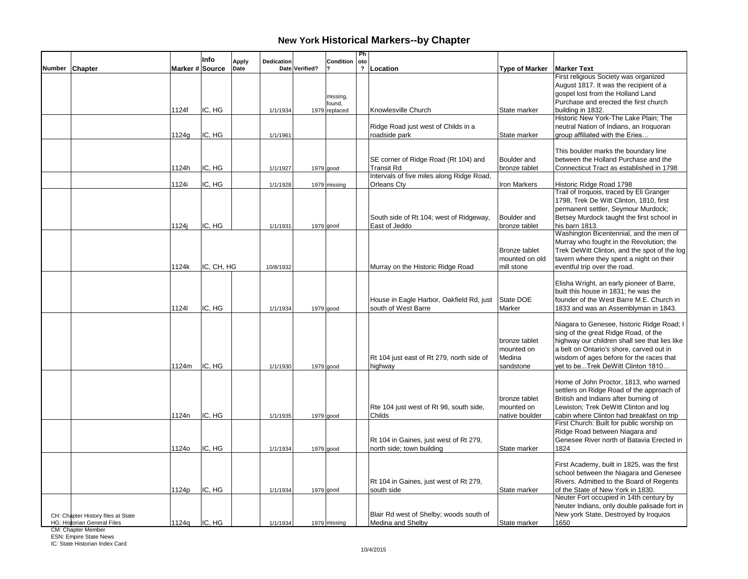|        |                                                                   |                 | Info       | Apply<br>Dedication |                | <b>Condition</b>   | Ph<br>oto      |                                                              |                       |                                                                                        |
|--------|-------------------------------------------------------------------|-----------------|------------|---------------------|----------------|--------------------|----------------|--------------------------------------------------------------|-----------------------|----------------------------------------------------------------------------------------|
| Number | <b>Chapter</b>                                                    | Marker # Source |            | Date                | Date Verified? |                    | $\overline{?}$ | Location                                                     | <b>Type of Marker</b> | <b>Marker Text</b>                                                                     |
|        |                                                                   |                 |            |                     |                |                    |                |                                                              |                       | First religious Society was organized                                                  |
|        |                                                                   |                 |            |                     |                |                    |                |                                                              |                       | August 1817. It was the recipient of a                                                 |
|        |                                                                   |                 |            |                     |                | missing,<br>found, |                |                                                              |                       | gospel lost from the Holland Land<br>Purchase and erected the first church             |
|        |                                                                   | 1124f           | IC, HG     | 1/1/1934            |                | 1979 replaced      |                | Knowlesville Church                                          | State marker          | building in 1832.                                                                      |
|        |                                                                   |                 |            |                     |                |                    |                |                                                              |                       | Historic New York-The Lake Plain; The                                                  |
|        |                                                                   |                 |            |                     |                |                    |                | Ridge Road just west of Childs in a                          |                       | neutral Nation of Indians, an Iroquoran                                                |
|        |                                                                   | 1124g           | IC, HG     | 1/1/1961            |                |                    |                | roadside park                                                | State marker          | group affiliated with the Eries                                                        |
|        |                                                                   |                 |            |                     |                |                    |                |                                                              |                       | This boulder marks the boundary line                                                   |
|        |                                                                   |                 |            |                     |                |                    |                | SE corner of Ridge Road (Rt 104) and                         | Boulder and           | between the Holland Purchase and the                                                   |
|        |                                                                   | 1124h           | IC, HG     | 1/1/1927            |                | 1979 good          |                | <b>Transit Rd</b>                                            | bronze tablet         | Connecticut Tract as established in 1798                                               |
|        |                                                                   |                 |            |                     |                |                    |                | Intervals of five miles along Ridge Road,                    |                       |                                                                                        |
|        |                                                                   | 1124i           | IC, HG     | 1/1/1928            |                | 1979 missing       |                | Orleans Cty                                                  | Iron Markers          | Historic Ridge Road 1798<br>Trail of Iroquois, traced by Eli Granger                   |
|        |                                                                   |                 |            |                     |                |                    |                |                                                              |                       | 1798, Trek De Witt Clinton, 1810, first                                                |
|        |                                                                   |                 |            |                     |                |                    |                |                                                              |                       | permanent settler, Seymour Murdock;                                                    |
|        |                                                                   |                 |            |                     |                |                    |                | South side of Rt 104; west of Ridgeway,                      | Boulder and           | Betsey Murdock taught the first school in                                              |
|        |                                                                   | 1124i           | IC, HG     | 1/1/1931            |                | 1979 good          |                | East of Jeddo                                                | bronze tablet         | his barn 1813.                                                                         |
|        |                                                                   |                 |            |                     |                |                    |                |                                                              |                       | Washington Bicentennial, and the men of<br>Murray who fought in the Revolution; the    |
|        |                                                                   |                 |            |                     |                |                    |                |                                                              | Bronze tablet         | Trek DeWitt Clinton, and the spot of the log                                           |
|        |                                                                   |                 |            |                     |                |                    |                |                                                              | mounted on old        | tavern where they spent a night on their                                               |
|        |                                                                   | 1124k           | IC, CH, HG | 10/8/1932           |                |                    |                | Murray on the Historic Ridge Road                            | mill stone            | eventful trip over the road.                                                           |
|        |                                                                   |                 |            |                     |                |                    |                |                                                              |                       |                                                                                        |
|        |                                                                   |                 |            |                     |                |                    |                |                                                              |                       | Elisha Wright, an early pioneer of Barre,<br>built this house in 1831; he was the      |
|        |                                                                   |                 |            |                     |                |                    |                | House in Eagle Harbor, Oakfield Rd, just                     | State DOE             | founder of the West Barre M.E. Church in                                               |
|        |                                                                   | 11241           | IC. HG     | 1/1/1934            |                | 1979 good          |                | south of West Barre                                          | Marker                | 1833 and was an Assemblyman in 1843.                                                   |
|        |                                                                   |                 |            |                     |                |                    |                |                                                              |                       |                                                                                        |
|        |                                                                   |                 |            |                     |                |                    |                |                                                              |                       | Niagara to Genesee, historic Ridge Road; I<br>sing of the great Ridge Road, of the     |
|        |                                                                   |                 |            |                     |                |                    |                |                                                              | bronze tablet         | highway our children shall see that lies like                                          |
|        |                                                                   |                 |            |                     |                |                    |                |                                                              | mounted on            | a belt on Ontario's shore, carved out in                                               |
|        |                                                                   |                 |            |                     |                |                    |                | Rt 104 just east of Rt 279, north side of                    | Medina                | wisdom of ages before for the races that                                               |
|        |                                                                   | 1124m           | IC, HG     | 1/1/1930            |                | $1979$ good        |                | highway                                                      | sandstone             | vet to beTrek DeWitt Clinton 1810                                                      |
|        |                                                                   |                 |            |                     |                |                    |                |                                                              |                       | Home of John Proctor, 1813, who warned                                                 |
|        |                                                                   |                 |            |                     |                |                    |                |                                                              |                       | settlers on Ridge Road of the approach of                                              |
|        |                                                                   |                 |            |                     |                |                    |                |                                                              | bronze tablet         | British and Indians after burning of                                                   |
|        |                                                                   |                 |            |                     |                |                    |                | Rte 104 just west of Rt 98, south side,                      | mounted on            | Lewiston; Trek DeWitt Clinton and log                                                  |
|        |                                                                   | 1124n           | IC, HG     | 1/1/1935            |                | 1979 good          |                | Childs                                                       | native boulder        | cabin where Clinton had breakfast on trip<br>First Church: Built for public worship on |
|        |                                                                   |                 |            |                     |                |                    |                |                                                              |                       | Ridge Road between Niagara and                                                         |
|        |                                                                   |                 |            |                     |                |                    |                | Rt 104 in Gaines, just west of Rt 279,                       |                       | Genesee River north of Batavia Erected in                                              |
|        |                                                                   | 1124o           | IC, HG     | 1/1/1934            |                | 1979 good          |                | north side; town building                                    | State marker          | 1824                                                                                   |
|        |                                                                   |                 |            |                     |                |                    |                |                                                              |                       |                                                                                        |
|        |                                                                   |                 |            |                     |                |                    |                |                                                              |                       | First Academy, built in 1825, was the first<br>school between the Niagara and Genesee  |
|        |                                                                   |                 |            |                     |                |                    |                | Rt 104 in Gaines, just west of Rt 279,                       |                       | Rivers. Admitted to the Board of Regents                                               |
|        |                                                                   | 1124p           | IC, HG     | 1/1/1934            |                | 1979 good          |                | south side                                                   | State marker          | of the State of New York in 1830.                                                      |
|        |                                                                   |                 |            |                     |                |                    |                |                                                              |                       | Neuter Fort occupied in 14th century by                                                |
|        |                                                                   |                 |            |                     |                |                    |                |                                                              |                       | Neuter Indians, only double palisade fort in                                           |
|        | CH: Chapter History files at State<br>HG: Historian General Files | 1124q           | IC, HG     | 1/1/1934            |                | 1979 missing       |                | Blair Rd west of Shelby; woods south of<br>Medina and Shelby | State marker          | New york State, Destroyed by Iroquios<br>1650                                          |
|        |                                                                   |                 |            |                     |                |                    |                |                                                              |                       |                                                                                        |

CM: Chapter Member ESN: Empire State News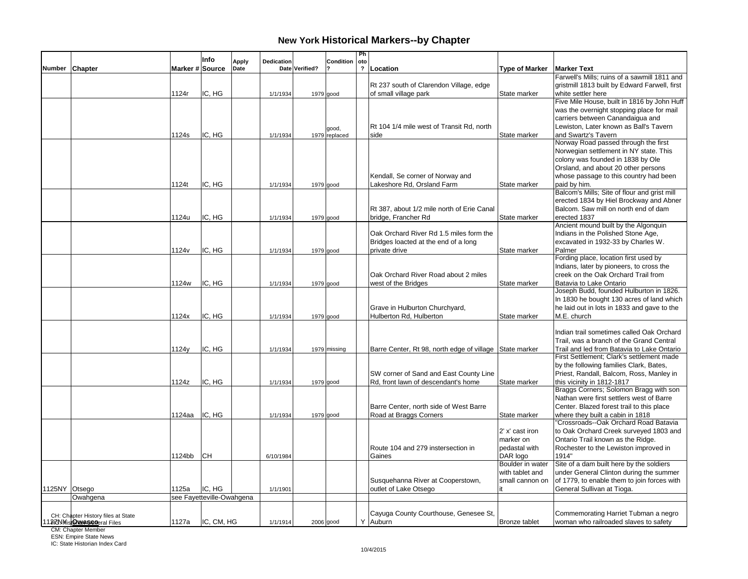|               |                                                                    |                   | Info                                | <b>Apply</b> | <b>Dedication</b> |                | Condition     | Ph<br>oto      |                                                         |                       |                                                             |
|---------------|--------------------------------------------------------------------|-------------------|-------------------------------------|--------------|-------------------|----------------|---------------|----------------|---------------------------------------------------------|-----------------------|-------------------------------------------------------------|
| Number        | Chapter                                                            | Marker # Source   |                                     | Date         |                   | Date Verified? |               | $\overline{2}$ | Location                                                | <b>Type of Marker</b> | <b>Marker Text</b>                                          |
|               |                                                                    |                   |                                     |              |                   |                |               |                |                                                         |                       | Farwell's Mills; ruins of a sawmill 1811 and                |
|               |                                                                    |                   |                                     |              |                   |                |               |                | Rt 237 south of Clarendon Village, edge                 |                       | gristmill 1813 built by Edward Farwell, first               |
|               |                                                                    | 1124r             | IC, HG                              |              | 1/1/1934          |                | 1979 good     |                | of small village park                                   | State marker          | white settler here                                          |
|               |                                                                    |                   |                                     |              |                   |                |               |                |                                                         |                       | Five Mile House, built in 1816 by John Huff                 |
|               |                                                                    |                   |                                     |              |                   |                |               |                |                                                         |                       | was the overnight stopping place for mail                   |
|               |                                                                    |                   |                                     |              |                   |                |               |                |                                                         |                       | carriers between Canandaigua and                            |
|               |                                                                    |                   |                                     |              |                   |                | good,         |                | Rt 104 1/4 mile west of Transit Rd, north               |                       | Lewiston, Later known as Ball's Tavern                      |
|               |                                                                    | 1124s             | IC, HG                              |              | 1/1/1934          |                | 1979 replaced |                | side                                                    | State marker          | and Swartz's Tavern<br>Norway Road passed through the first |
|               |                                                                    |                   |                                     |              |                   |                |               |                |                                                         |                       | Norwegian settlement in NY state. This                      |
|               |                                                                    |                   |                                     |              |                   |                |               |                |                                                         |                       | colony was founded in 1838 by Ole                           |
|               |                                                                    |                   |                                     |              |                   |                |               |                |                                                         |                       | Orsland, and about 20 other persons                         |
|               |                                                                    |                   |                                     |              |                   |                |               |                | Kendall, Se corner of Norway and                        |                       | whose passage to this country had been                      |
|               |                                                                    | 1124t             | IC, HG                              |              | 1/1/1934          |                | $1979$ good   |                | Lakeshore Rd, Orsland Farm                              | State marker          | paid by him.                                                |
|               |                                                                    |                   |                                     |              |                   |                |               |                |                                                         |                       | Balcom's Mills; Site of flour and grist mill                |
|               |                                                                    |                   |                                     |              |                   |                |               |                |                                                         |                       | erected 1834 by Hiel Brockway and Abner                     |
|               |                                                                    |                   |                                     |              |                   |                |               |                | Rt 387, about 1/2 mile north of Erie Canal              |                       | Balcom. Saw mill on north end of dam                        |
|               |                                                                    | 1124u             | IC, HG                              |              | 1/1/1934          |                | $1979$ good   |                | bridge, Francher Rd                                     | State marker          | erected 1837                                                |
|               |                                                                    |                   |                                     |              |                   |                |               |                |                                                         |                       | Ancient mound built by the Algonquin                        |
|               |                                                                    |                   |                                     |              |                   |                |               |                | Oak Orchard River Rd 1.5 miles form the                 |                       | Indians in the Polished Stone Age,                          |
|               |                                                                    |                   |                                     |              |                   |                |               |                | Bridges loacted at the end of a long                    |                       | excavated in 1932-33 by Charles W.                          |
|               |                                                                    | 1124 <sub>v</sub> | IC, HG                              |              | 1/1/1934          | $1979$ good    |               |                | private drive                                           | State marker          | Palmer                                                      |
|               |                                                                    |                   |                                     |              |                   |                |               |                |                                                         |                       | Fording place, location first used by                       |
|               |                                                                    |                   |                                     |              |                   |                |               |                |                                                         |                       | Indians, later by pioneers, to cross the                    |
|               |                                                                    |                   |                                     |              |                   |                |               |                | Oak Orchard River Road about 2 miles                    |                       | creek on the Oak Orchard Trail from                         |
|               |                                                                    | 1124w             | IC, HG                              |              | 1/1/1934          | 1979 good      |               |                | west of the Bridges                                     | State marker          | Batavia to Lake Ontario                                     |
|               |                                                                    |                   |                                     |              |                   |                |               |                |                                                         |                       | Joseph Budd, founded Hulburton in 1826.                     |
|               |                                                                    |                   |                                     |              |                   |                |               |                |                                                         |                       | In 1830 he bought 130 acres of land which                   |
|               |                                                                    |                   |                                     |              |                   |                |               |                | Grave in Hulburton Churchyard,                          |                       | he laid out in lots in 1833 and gave to the                 |
|               |                                                                    | 1124x             | IC, HG                              |              | 1/1/1934          | $1979$ good    |               |                | Hulberton Rd, Hulberton                                 | State marker          | M.E. church                                                 |
|               |                                                                    |                   |                                     |              |                   |                |               |                |                                                         |                       |                                                             |
|               |                                                                    |                   |                                     |              |                   |                |               |                |                                                         |                       | Indian trail sometimes called Oak Orchard                   |
|               |                                                                    |                   |                                     |              |                   |                |               |                |                                                         |                       | Trail, was a branch of the Grand Central                    |
|               |                                                                    | 1124y             | IC, HG                              |              | 1/1/1934          |                | 1979 missing  |                | Barre Center, Rt 98, north edge of village State marker |                       | Trail and led from Batavia to Lake Ontario                  |
|               |                                                                    |                   |                                     |              |                   |                |               |                |                                                         |                       | First Settlement; Clark's settlement made                   |
|               |                                                                    |                   |                                     |              |                   |                |               |                |                                                         |                       | by the following families Clark, Bates,                     |
|               |                                                                    |                   |                                     |              |                   |                |               |                | SW corner of Sand and East County Line                  |                       | Priest, Randall, Balcom, Ross, Manley in                    |
|               |                                                                    | 1124z             | IC, HG                              |              | 1/1/1934          |                | $1979$ good   |                | Rd, front lawn of descendant's home                     | State marker          | this vicinity in 1812-1817                                  |
|               |                                                                    |                   |                                     |              |                   |                |               |                |                                                         |                       | Braggs Corners; Solomon Bragg with son                      |
|               |                                                                    |                   |                                     |              |                   |                |               |                |                                                         |                       | Nathan were first settlers west of Barre                    |
|               |                                                                    |                   |                                     |              |                   |                |               |                | Barre Center, north side of West Barre                  |                       | Center. Blazed forest trail to this place                   |
|               |                                                                    | 1124aa            | IC, HG                              |              | 1/1/1934          | $1979$ good    |               |                | Road at Braggs Corners                                  | State marker          | where they built a cabin in 1818                            |
|               |                                                                    |                   |                                     |              |                   |                |               |                |                                                         |                       | "Crossroads--Oak Orchard Road Batavia                       |
|               |                                                                    |                   |                                     |              |                   |                |               |                |                                                         | 2' x' cast iron       | to Oak Orchard Creek surveyed 1803 and                      |
|               |                                                                    |                   |                                     |              |                   |                |               |                |                                                         | marker on             | Ontario Trail known as the Ridge.                           |
|               |                                                                    |                   |                                     |              |                   |                |               |                | Route 104 and 279 instersection in                      | pedastal with         | Rochester to the Lewiston improved in                       |
|               |                                                                    | 1124bb            | <b>CH</b>                           |              | 6/10/1984         |                |               |                | Gaines                                                  | DAR logo              | 1914"                                                       |
|               |                                                                    |                   |                                     |              |                   |                |               |                |                                                         | Boulder in water      | Site of a dam built here by the soldiers                    |
|               |                                                                    |                   |                                     |              |                   |                |               |                |                                                         | with tablet and       | under General Clinton during the summer                     |
|               |                                                                    |                   |                                     |              |                   |                |               |                | Susquehanna River at Cooperstown,                       | small cannon on       | of 1779, to enable them to join forces with                 |
| 1125NY Otsego |                                                                    | 1125a             | IC, HG<br>see Fayetteville-Owahgena |              | 1/1/1901          |                |               |                | outlet of Lake Otsego                                   | it.                   | General Sullivan at Tioga.                                  |
|               | Owahgena                                                           |                   |                                     |              |                   |                |               |                |                                                         |                       |                                                             |
|               |                                                                    |                   |                                     |              |                   |                |               |                | Cayuga County Courthouse, Genesee St,                   |                       | Commemorating Harriet Tubman a negro                        |
|               | CH: Chapter History files at State<br>11273 MistOlenaSegeral Files | 1127a             | IC, CM, HG                          |              | 1/1/1914          | 2006 good      |               |                | Auburn                                                  | <b>Bronze tablet</b>  | woman who railroaded slaves to safety                       |
|               | CM: Chapter Member                                                 |                   |                                     |              |                   |                |               |                |                                                         |                       |                                                             |
|               | <b>ESN: Empire State News</b>                                      |                   |                                     |              |                   |                |               |                |                                                         |                       |                                                             |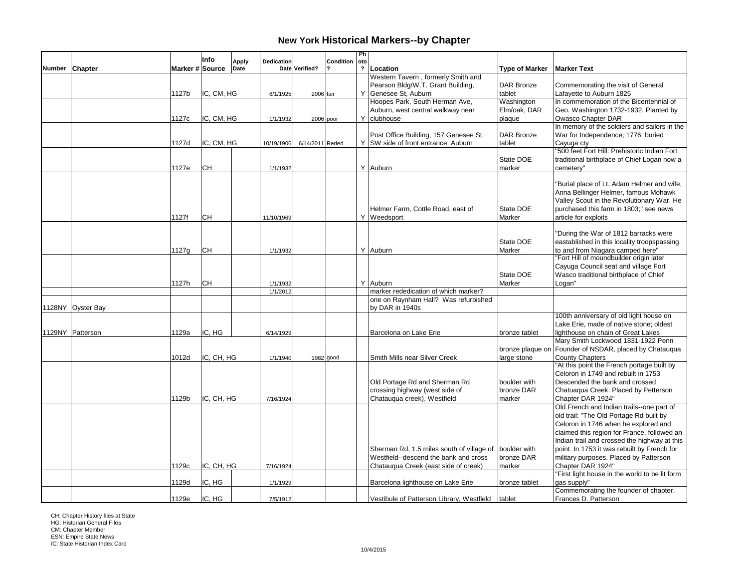|               |                   |                 | Info       |                      |            |                 |           | Ph                             |                                           |                       |                                                                                      |
|---------------|-------------------|-----------------|------------|----------------------|------------|-----------------|-----------|--------------------------------|-------------------------------------------|-----------------------|--------------------------------------------------------------------------------------|
| <b>Number</b> | <b>Chapter</b>    | Marker # Source |            | <b>Apply</b><br>Date | Dedication | Date Verified?  | Condition | oto<br>$\overline{\mathbf{?}}$ | Location                                  | <b>Type of Marker</b> | <b>Marker Text</b>                                                                   |
|               |                   |                 |            |                      |            |                 |           |                                | Western Tavern, formerly Smith and        |                       |                                                                                      |
|               |                   |                 |            |                      |            |                 |           |                                | Pearson Bldg/W.T. Grant Building,         | <b>DAR Bronze</b>     | Commemorating the visit of General                                                   |
|               |                   | 1127b           | IC, CM, HG |                      | 6/1/1925   | 2006 fair       |           |                                | Y Genesee St, Auburn                      | tablet                | Lafayette to Auburn 1825                                                             |
|               |                   |                 |            |                      |            |                 |           |                                | Hoopes Park, South Herman Ave,            | Washington            | In commemoration of the Bicentennial of                                              |
|               |                   |                 |            |                      |            |                 |           |                                | Auburn, west central walkway near         | Elm/oak, DAR          | Geo. Washington 1732-1932. Planted by                                                |
|               |                   | 1127c           | IC, CM, HG |                      | 1/1/1932   |                 | 2006 poor |                                | Y clubhouse                               | plaque                | Owasco Chapter DAR                                                                   |
|               |                   |                 |            |                      |            |                 |           |                                |                                           |                       | In memory of the soldiers and sailors in the                                         |
|               |                   |                 |            |                      |            |                 |           |                                | Post Office Building, 157 Genesee St,     | <b>DAR Bronze</b>     | War for Independence; 1776; buried                                                   |
|               |                   | 1127d           | IC, CM, HG |                      | 10/19/1906 | 6/14/2011 Reded |           |                                | Y SW side of front entrance, Auburn       | tablet                | Cayuga cty                                                                           |
|               |                   |                 |            |                      |            |                 |           |                                |                                           |                       | "500 feet Fort Hill: Prehistoric Indian Fort                                         |
|               |                   |                 |            |                      |            |                 |           |                                |                                           | State DOE             | traditional birthplace of Chief Logan now a                                          |
|               |                   | 1127e           | CН         |                      | 1/1/1932   |                 |           |                                | Y Auburn                                  | marker                | cemetery"                                                                            |
|               |                   |                 |            |                      |            |                 |           |                                |                                           |                       |                                                                                      |
|               |                   |                 |            |                      |            |                 |           |                                |                                           |                       | "Burial place of Lt. Adam Helmer and wife,                                           |
|               |                   |                 |            |                      |            |                 |           |                                |                                           |                       | Anna Bellinger Helmer, famous Mohawk                                                 |
|               |                   |                 |            |                      |            |                 |           |                                |                                           |                       | Valley Scout in the Revolutionary War. He                                            |
|               |                   |                 |            |                      |            |                 |           |                                | Helmer Farm, Cottle Road, east of         | State DOE             | purchased this farm in 1803;" see news                                               |
|               |                   | 1127f           | <b>CH</b>  |                      | 11/10/1969 |                 |           |                                | Y Weedsport                               | Marker                | article for exploits                                                                 |
|               |                   |                 |            |                      |            |                 |           |                                |                                           |                       |                                                                                      |
|               |                   |                 |            |                      |            |                 |           |                                |                                           | State DOE             | "During the War of 1812 barracks were<br>eastablished in this locality troopspassing |
|               |                   | 1127g           | CH         |                      | 1/1/1932   |                 |           |                                | Y Auburn                                  | Marker                | to and from Niagara camped here"                                                     |
|               |                   |                 |            |                      |            |                 |           |                                |                                           |                       | "Fort Hill of moundbuilder origin later                                              |
|               |                   |                 |            |                      |            |                 |           |                                |                                           |                       | Cayuga Council seat and village Fort                                                 |
|               |                   |                 |            |                      |            |                 |           |                                |                                           | State DOE             | Wasco traditional birthplace of Chief                                                |
|               |                   | 1127h           | CН         |                      | 1/1/1932   |                 |           |                                | Y Auburn                                  | Marker                | Logan"                                                                               |
|               |                   |                 |            |                      | 1/1/2012   |                 |           |                                | marker rededication of which marker?      |                       |                                                                                      |
|               |                   |                 |            |                      |            |                 |           |                                | one on Raynham Hall? Was refurbished      |                       |                                                                                      |
|               | 1128NY Oyster Bay |                 |            |                      |            |                 |           |                                | by DAR in 1940s                           |                       |                                                                                      |
|               |                   |                 |            |                      |            |                 |           |                                |                                           |                       | 100th anniversary of old light house on                                              |
|               |                   |                 |            |                      |            |                 |           |                                |                                           |                       | Lake Erie, made of native stone; oldest                                              |
|               | 1129NY Patterson  | 1129a           | IC, HG     |                      | 6/14/1929  |                 |           |                                | Barcelona on Lake Erie                    | bronze tablet         | lighthouse on chain of Great Lakes                                                   |
|               |                   |                 |            |                      |            |                 |           |                                |                                           |                       | Mary Smith Lockwood 1831-1922 Penn                                                   |
|               |                   |                 |            |                      |            |                 |           |                                |                                           | bronze plaque on      | Founder of NSDAR, placed by Chatauqua                                                |
|               |                   | 1012d           | IC, CH, HG |                      | 1/1/1940   |                 | 1982 good |                                | Smith Mills near Silver Creek             | large stone           | <b>County Chapters</b>                                                               |
|               |                   |                 |            |                      |            |                 |           |                                |                                           |                       | "At this point the French portage built by                                           |
|               |                   |                 |            |                      |            |                 |           |                                |                                           |                       | Celoron in 1749 and rebuilt in 1753                                                  |
|               |                   |                 |            |                      |            |                 |           |                                | Old Portage Rd and Sherman Rd             | boulder with          | Descended the bank and crossed                                                       |
|               |                   |                 |            |                      |            |                 |           |                                | crossing highway (west side of            | bronze DAR            | Chatuaqua Creek. Placed by Petterson                                                 |
|               |                   | 1129b           | IC, CH, HG |                      | 7/16/1924  |                 |           |                                | Chatauqua creek), Westfield               | marker                | Chapter DAR 1924"                                                                    |
|               |                   |                 |            |                      |            |                 |           |                                |                                           |                       | Old French and Indian trails--one part of                                            |
|               |                   |                 |            |                      |            |                 |           |                                |                                           |                       | old trail: "The Old Portage Rd built by                                              |
|               |                   |                 |            |                      |            |                 |           |                                |                                           |                       | Celoron in 1746 when he explored and                                                 |
|               |                   |                 |            |                      |            |                 |           |                                |                                           |                       | claimed this region for France, followed an                                          |
|               |                   |                 |            |                      |            |                 |           |                                |                                           |                       | Indian trail and crossed the highway at this                                         |
|               |                   |                 |            |                      |            |                 |           |                                | Sherman Rd, 1.5 miles south of village of | boulder with          | point. In 1753 it was rebuilt by French for                                          |
|               |                   |                 |            |                      |            |                 |           |                                | Westfield--descend the bank and cross     | bronze DAR            | military purposes. Placed by Patterson                                               |
|               |                   | 1129c           | IC, CH, HG |                      | 7/16/1924  |                 |           |                                | Chatauqua Creek (east side of creek)      | marker                | Chapter DAR 1924"                                                                    |
|               |                   |                 |            |                      |            |                 |           |                                |                                           |                       | "First light house in the world to be lit form                                       |
|               |                   | 1129d           | IC, HG     |                      | 1/1/1929   |                 |           |                                | Barcelona lighthouse on Lake Erie         | bronze tablet         | gas supply"<br>Commemorating the founder of chapter,                                 |
|               |                   | 1129e           | IC. HG     |                      | 7/5/1912   |                 |           |                                | Vestibule of Patterson Library, Westfield | tablet                | Frances D. Patterson                                                                 |
|               |                   |                 |            |                      |            |                 |           |                                |                                           |                       |                                                                                      |

CH: Chapter History files at State HG: Historian General Files CM: Chapter Member ESN: Empire State News IC: State Historian Index Card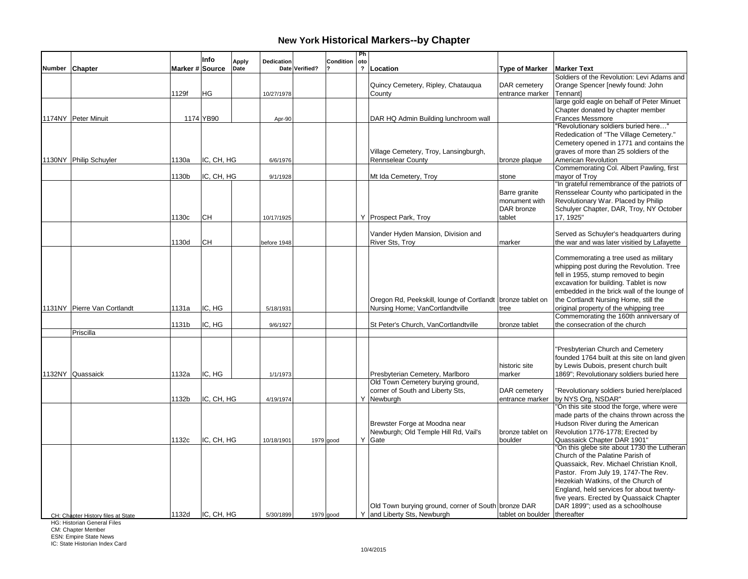|                                    |                 | Info       | <b>Apply</b> | Dedication  |                | Condition   | Ph<br>oto      |                                                                                               |                                                        |                                                                                                                                                                                                                                                                                                        |
|------------------------------------|-----------------|------------|--------------|-------------|----------------|-------------|----------------|-----------------------------------------------------------------------------------------------|--------------------------------------------------------|--------------------------------------------------------------------------------------------------------------------------------------------------------------------------------------------------------------------------------------------------------------------------------------------------------|
| Number Chapter                     | Marker # Source |            | Date         |             | Date Verified? |             | $\overline{2}$ | Location                                                                                      | <b>Type of Marker</b>                                  | <b>Marker Text</b>                                                                                                                                                                                                                                                                                     |
|                                    | 1129f           | ΗG         |              | 10/27/1978  |                |             |                | Quincy Cemetery, Ripley, Chatauqua<br>County                                                  | DAR cemetery<br>entrance marker                        | Soldiers of the Revolution: Levi Adams and<br>Orange Spencer [newly found: John<br>Tennantl                                                                                                                                                                                                            |
| 1174NY Peter Minuit                |                 | 1174 YB90  |              | Apr-90      |                |             |                | DAR HQ Admin Building lunchroom wall                                                          |                                                        | large gold eagle on behalf of Peter Minuet<br>Chapter donated by chapter member<br><b>Frances Messmore</b>                                                                                                                                                                                             |
| 1130NY Philip Schuyler             | 1130a           | IC, CH, HG |              | 6/6/1976    |                |             |                | Village Cemetery, Troy, Lansingburgh,<br><b>Rennselear County</b>                             | bronze plaque                                          | "Revolutionary soldiers buried here"<br>Rededication of "The Village Cemetery."<br>Cemetery opened in 1771 and contains the<br>graves of more than 25 soldiers of the<br>American Revolution                                                                                                           |
|                                    | 1130b           | IC, CH, HG |              | 9/1/1928    |                |             |                | Mt Ida Cemetery, Troy                                                                         | stone                                                  | Commemorating Col. Albert Pawling, first<br>mayor of Troy                                                                                                                                                                                                                                              |
|                                    | 1130c           | lсн        |              | 10/17/1925  |                |             |                | Y Prospect Park, Troy                                                                         | Barre granite<br>monument with<br>DAR bronze<br>tablet | "In grateful remembrance of the patriots of<br>Rensselear County who participated in the<br>Revolutionary War. Placed by Philip<br>Schulyer Chapter, DAR, Troy, NY October<br>17, 1925"                                                                                                                |
|                                    | 1130d           | CН         |              | before 1948 |                |             |                | Vander Hyden Mansion, Division and<br><b>River Sts, Troy</b>                                  | marker                                                 | Served as Schuyler's headquarters during<br>the war and was later visitied by Lafayette                                                                                                                                                                                                                |
| 1131NY Pierre Van Cortlandt        | 1131a           | IC, HG     |              | 5/18/1931   |                |             |                | Oregon Rd, Peekskill, lounge of Cortlandt bronze tablet on<br>Nursing Home; VanCortlandtville | tree                                                   | Commemorating a tree used as military<br>whipping post during the Revolution. Tree<br>fell in 1955, stump removed to begin<br>excavation for building. Tablet is now<br>embedded in the brick wall of the lounge of<br>the Cortlandt Nursing Home, still the<br>original property of the whipping tree |
|                                    | 1131b           | IC, HG     |              | 9/6/1927    |                |             |                | St Peter's Church, VanCortlandtville                                                          | bronze tablet                                          | Commemorating the 160th anniversary of<br>the consecration of the church                                                                                                                                                                                                                               |
| Priscilla                          |                 |            |              |             |                |             |                |                                                                                               |                                                        |                                                                                                                                                                                                                                                                                                        |
| 1132NY Quassaick                   | 1132a           | IC. HG     |              | 1/1/1973    |                |             |                | Presbyterian Cemetery, Marlboro                                                               | historic site<br>marker                                | "Presbyterian Church and Cemetery<br>founded 1764 built at this site on land given<br>by Lewis Dubois, present church built<br>1869"; Revolutionary soldiers buried here                                                                                                                               |
|                                    | 1132b           | IC, CH, HG |              | 4/19/1974   |                |             |                | Old Town Cemetery burying ground,<br>corner of South and Liberty Sts,<br>Y Newburgh           | DAR cemetery<br>entrance marker                        | "Revolutionary soldiers buried here/placed<br>by NYS Org, NSDAR"                                                                                                                                                                                                                                       |
|                                    | 1132c           | IC, CH, HG |              | 10/18/1901  |                | 1979 good   |                | Brewster Forge at Moodna near<br>Newburgh; Old Temple Hill Rd, Vail's<br>Y Gate               | bronze tablet on<br>boulder                            | "On this site stood the forge, where were<br>made parts of the chains thrown across the<br>Hudson River during the American<br>Revolution 1776-1778; Erected by<br>Quassaick Chapter DAR 1901"<br>"On this glebe site about 1730 the Lutheran<br>Church of the Palatine Parish of                      |
| CH: Chapter History files at State | 1132d           | IC, CH, HG |              | 5/30/1899   |                | $1979$ good |                | Old Town burying ground, corner of South bronze DAR<br>Y and Liberty Sts, Newburgh            | tablet on boulder thereafter                           | Quassaick, Rev. Michael Christian Knoll,<br>Pastor. From July 19, 1747-The Rev.<br>Hezekiah Watkins, of the Church of<br>England, held services for about twenty-<br>five years. Erected by Quassaick Chapter<br>DAR 1899"; used as a schoolhouse                                                      |

HG: Historian General Files

CM: Chapter Member ESN: Empire State News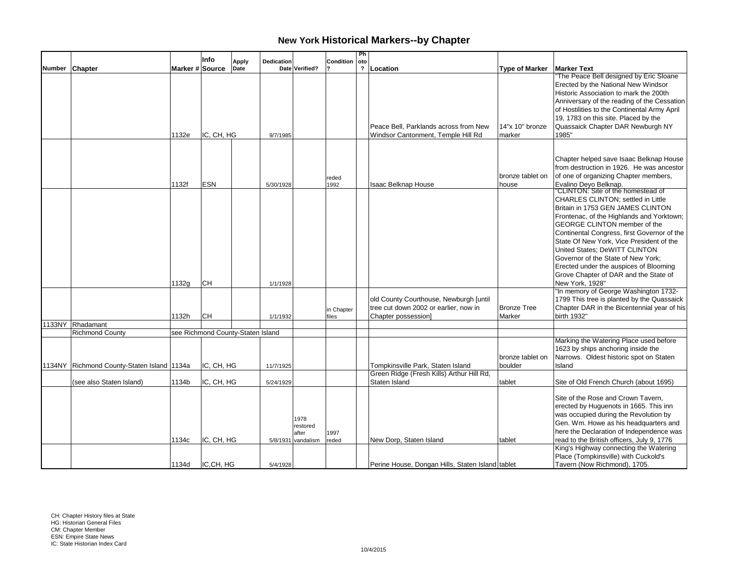|        |                                            |       | Info                              | <b>Apply</b> | <b>Dedication</b> |                                                   | Condition           | Ph<br>oto |                                                                                                        |                              |                                                                                                                                                                                                                                                                                                                                                                                                                                                                    |
|--------|--------------------------------------------|-------|-----------------------------------|--------------|-------------------|---------------------------------------------------|---------------------|-----------|--------------------------------------------------------------------------------------------------------|------------------------------|--------------------------------------------------------------------------------------------------------------------------------------------------------------------------------------------------------------------------------------------------------------------------------------------------------------------------------------------------------------------------------------------------------------------------------------------------------------------|
| Number | <b>Chapter</b>                             |       | Marker # Source                   | Date         |                   | Date Verified?                                    |                     |           | ?   Location                                                                                           | <b>Type of Marker</b>        | <b>Marker Text</b>                                                                                                                                                                                                                                                                                                                                                                                                                                                 |
|        |                                            | 1132e | IC, CH, HG                        |              | 9/7/1985          |                                                   |                     |           | Peace Bell, Parklands across from New<br>Windsor Cantonment, Temple Hill Rd                            | $14"x 10"$ bronze<br>marker  | "The Peace Bell designed by Eric Sloane<br>Erected by the National New Windsor<br>Historic Association to mark the 200th<br>Anniversary of the reading of the Cessation<br>of Hostilities to the Continental Army April<br>19, 1783 on this site. Placed by the<br>Quassaick Chapter DAR Newburgh NY<br>1985"                                                                                                                                                      |
|        |                                            |       |                                   |              |                   |                                                   |                     |           |                                                                                                        |                              |                                                                                                                                                                                                                                                                                                                                                                                                                                                                    |
|        |                                            | 1132f | <b>ESN</b>                        |              | 5/30/1928         |                                                   | reded<br>1992       |           | <b>Isaac Belknap House</b>                                                                             | bronze tablet on<br>house    | Chapter helped save Isaac Belknap House<br>from destruction in 1926. He was ancestor<br>of one of organizing Chapter members,<br>Evalino Deyo Belknap.                                                                                                                                                                                                                                                                                                             |
|        |                                            | 1132g | lсн                               |              | 1/1/1928          |                                                   |                     |           |                                                                                                        |                              | "CLINTON: Site of the homestead of<br>CHARLES CLINTON; settled in Little<br>Britain in 1753 GEN JAMES CLINTON<br>Frontenac, of the Highlands and Yorktown;<br>GEORGE CLINTON member of the<br>Continental Congress, first Governor of the<br>State Of New York. Vice President of the<br>United States: DeWITT CLINTON<br>Governor of the State of New York:<br>Erected under the auspices of Blooming<br>Grove Chapter of DAR and the State of<br>New York, 1928" |
|        |                                            | 1132h | Існ                               |              | 1/1/1932          |                                                   | in Chapter<br>files |           | old County Courthouse, Newburgh [until<br>tree cut down 2002 or earlier, now in<br>Chapter possession] | <b>Bronze Tree</b><br>Marker | "In memory of George Washington 1732-<br>1799 This tree is planted by the Quassaick<br>Chapter DAR in the Bicentennial year of his<br>birth 1932"                                                                                                                                                                                                                                                                                                                  |
|        | 1133NY Rhadamant                           |       |                                   |              |                   |                                                   |                     |           |                                                                                                        |                              |                                                                                                                                                                                                                                                                                                                                                                                                                                                                    |
|        | <b>Richmond County</b>                     |       | see Richmond County-Staten Island |              |                   |                                                   |                     |           |                                                                                                        |                              |                                                                                                                                                                                                                                                                                                                                                                                                                                                                    |
|        | 1134NY Richmond County-Staten Island 1134a |       | IC. CH. HG                        |              | 11/7/1925         |                                                   |                     |           | Tompkinsville Park, Staten Island                                                                      | bronze tablet on<br>boulder  | Marking the Watering Place used before<br>1623 by ships anchoring inside the<br>Narrows. Oldest historic spot on Staten<br>Island                                                                                                                                                                                                                                                                                                                                  |
|        | (see also Staten Island)                   | 1134b | IC, CH, HG                        |              | 5/24/1929         |                                                   |                     |           | Green Ridge (Fresh Kills) Arthur Hill Rd,<br>Staten Island                                             | tablet                       | Site of Old French Church (about 1695)                                                                                                                                                                                                                                                                                                                                                                                                                             |
|        |                                            | 1134с | IC, CH, HG                        |              |                   | 1978<br>restored<br>after<br>$5/8/1931$ vandalism | 1997<br>reded       |           | New Dorp, Staten Island                                                                                | tablet                       | Site of the Rose and Crown Tavern,<br>erected by Huguenots in 1665. This inn<br>was occupied during the Revolution by<br>Gen. Wm. Howe as his headquarters and<br>here the Declaration of Independence was<br>read to the British officers, July 9, 1776                                                                                                                                                                                                           |
|        |                                            | 1134d | IC,CH, HG                         |              | 5/4/1928          |                                                   |                     |           | Perine House, Dongan Hills, Staten Island tablet                                                       |                              | King's Highway connecting the Watering<br>Place (Tompkinsville) with Cuckold's<br>Tavern (Now Richmond), 1705.                                                                                                                                                                                                                                                                                                                                                     |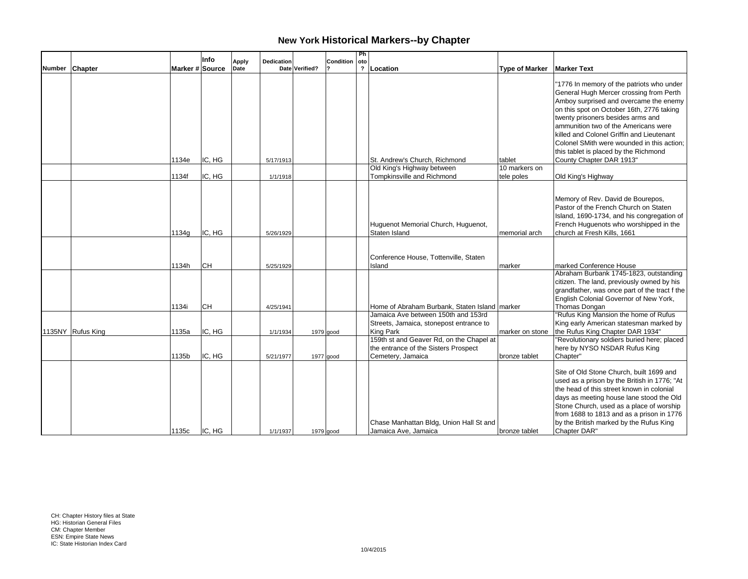|        |                   |                 | Info      | Dedication           |                | Condition   | Ph<br>oto |                                                                                                                                 |                         |                                                                                                                                                                                                                                                                                                                                                                                                                          |
|--------|-------------------|-----------------|-----------|----------------------|----------------|-------------|-----------|---------------------------------------------------------------------------------------------------------------------------------|-------------------------|--------------------------------------------------------------------------------------------------------------------------------------------------------------------------------------------------------------------------------------------------------------------------------------------------------------------------------------------------------------------------------------------------------------------------|
| Number | <b>Chapter</b>    | Marker # Source |           | <b>Apply</b><br>Date | Date Verified? |             |           | ?   Location                                                                                                                    | <b>Type of Marker</b>   | <b>Marker Text</b>                                                                                                                                                                                                                                                                                                                                                                                                       |
|        |                   | 1134e           | IC, HG    | 5/17/1913            |                |             |           | St. Andrew's Church, Richmond<br>Old King's Highway between                                                                     | tablet<br>10 markers on | "1776 In memory of the patriots who under<br>General Hugh Mercer crossing from Perth<br>Amboy surprised and overcame the enemy<br>on this spot on October 16th, 2776 taking<br>twenty prisoners besides arms and<br>ammunition two of the Americans were<br>killed and Colonel Griffin and Lieutenant<br>Colonel SMith were wounded in this action;<br>this tablet is placed by the Richmond<br>County Chapter DAR 1913" |
|        |                   | 1134f           | IC, HG    | 1/1/1918             |                |             |           | Tompkinsville and Richmond                                                                                                      | tele poles              | Old King's Highway                                                                                                                                                                                                                                                                                                                                                                                                       |
|        |                   |                 |           |                      |                |             |           |                                                                                                                                 |                         |                                                                                                                                                                                                                                                                                                                                                                                                                          |
|        |                   | 1134g           | IC, HG    | 5/26/1929            |                |             |           | Huguenot Memorial Church, Huguenot,<br>Staten Island                                                                            | memorial arch           | Memory of Rev. David de Bourepos,<br>Pastor of the French Church on Staten<br>Island, 1690-1734, and his congregation of<br>French Huguenots who worshipped in the<br>church at Fresh Kills, 1661                                                                                                                                                                                                                        |
|        |                   | 1134h           | <b>CH</b> | 5/25/1929            |                |             |           | Conference House, Tottenville, Staten<br>Island                                                                                 | marker                  | marked Conference House<br>Abraham Burbank 1745-1823, outstanding                                                                                                                                                                                                                                                                                                                                                        |
|        |                   | 1134i           | <b>CH</b> | 4/25/1941            |                |             |           | Home of Abraham Burbank. Staten Island marker<br>Jamaica Ave between 150th and 153rd<br>Streets, Jamaica, stonepost entrance to |                         | citizen. The land, previously owned by his<br>grandfather, was once part of the tract f the<br>English Colonial Governor of New York,<br>Thomas Dongan<br>"Rufus King Mansion the home of Rufus<br>King early American statesman marked by                                                                                                                                                                               |
|        | 1135NY Rufus King | 1135a           | IC, HG    | 1/1/1934             |                | $1979$ good |           | King Park                                                                                                                       | marker on stone         | the Rufus King Chapter DAR 1934"                                                                                                                                                                                                                                                                                                                                                                                         |
|        |                   | 1135b           | IC, HG    | 5/21/1977            |                | 1977 good   |           | 159th st and Geaver Rd, on the Chapel at<br>the entrance of the Sisters Prospect<br>Cemetery, Jamaica                           | bronze tablet           | "Revolutionary soldiers buried here; placed<br>here by NYSO NSDAR Rufus King<br>Chapter"                                                                                                                                                                                                                                                                                                                                 |
|        |                   | 1135c           | IC. HG    | 1/1/1937             |                | 1979 good   |           | Chase Manhattan Bldg, Union Hall St and<br>Jamaica Ave, Jamaica                                                                 | bronze tablet           | Site of Old Stone Church, built 1699 and<br>used as a prison by the British in 1776; "At<br>the head of this street known in colonial<br>days as meeting house lane stood the Old<br>Stone Church, used as a place of worship<br>from 1688 to 1813 and as a prison in 1776<br>by the British marked by the Rufus King<br>Chapter DAR"                                                                                    |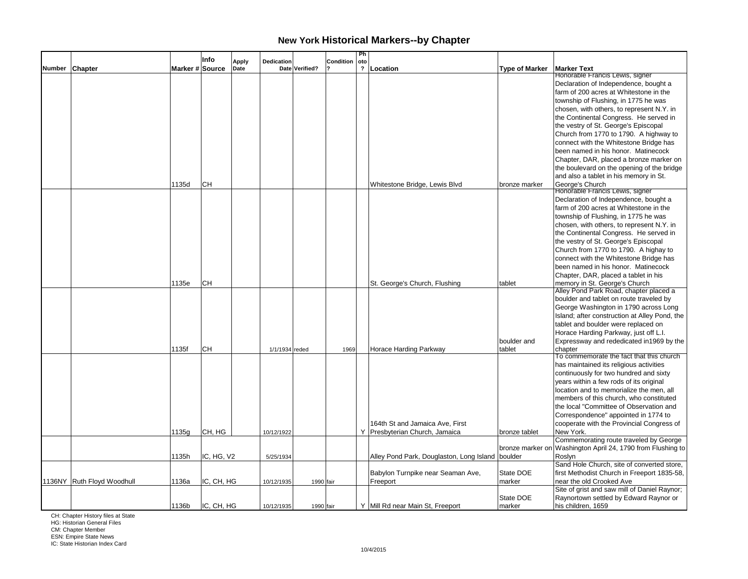|        |                            |                 | Info       | Dedication           |                | Condition | Ph<br>oto               |                                                  |                       |                                                                                  |
|--------|----------------------------|-----------------|------------|----------------------|----------------|-----------|-------------------------|--------------------------------------------------|-----------------------|----------------------------------------------------------------------------------|
| Number | <b>Chapter</b>             | Marker # Source |            | <b>Apply</b><br>Date | Date Verified? |           | $\overline{\mathbf{?}}$ | Location                                         | <b>Type of Marker</b> | <b>Marker Text</b>                                                               |
|        |                            |                 |            |                      |                |           |                         |                                                  |                       | Honorable Francis Lewis, signer                                                  |
|        |                            |                 |            |                      |                |           |                         |                                                  |                       | Declaration of Independence, bought a                                            |
|        |                            |                 |            |                      |                |           |                         |                                                  |                       | farm of 200 acres at Whitestone in the                                           |
|        |                            |                 |            |                      |                |           |                         |                                                  |                       | township of Flushing, in 1775 he was                                             |
|        |                            |                 |            |                      |                |           |                         |                                                  |                       | chosen, with others, to represent N.Y. in                                        |
|        |                            |                 |            |                      |                |           |                         |                                                  |                       | the Continental Congress. He served in                                           |
|        |                            |                 |            |                      |                |           |                         |                                                  |                       | the vestry of St. George's Episcopal                                             |
|        |                            |                 |            |                      |                |           |                         |                                                  |                       | Church from 1770 to 1790. A highway to<br>connect with the Whitestone Bridge has |
|        |                            |                 |            |                      |                |           |                         |                                                  |                       | been named in his honor. Matinecock                                              |
|        |                            |                 |            |                      |                |           |                         |                                                  |                       | Chapter, DAR, placed a bronze marker on                                          |
|        |                            |                 |            |                      |                |           |                         |                                                  |                       | the boulevard on the opening of the bridge                                       |
|        |                            |                 |            |                      |                |           |                         |                                                  |                       | and also a tablet in his memory in St.                                           |
|        |                            | 1135d           | <b>CH</b>  |                      |                |           |                         | Whitestone Bridge, Lewis Blvd                    | bronze marker         | George's Church                                                                  |
|        |                            |                 |            |                      |                |           |                         |                                                  |                       | Honorable Francis Lewis, signer                                                  |
|        |                            |                 |            |                      |                |           |                         |                                                  |                       | Declaration of Independence, bought a                                            |
|        |                            |                 |            |                      |                |           |                         |                                                  |                       | farm of 200 acres at Whitestone in the                                           |
|        |                            |                 |            |                      |                |           |                         |                                                  |                       | township of Flushing, in 1775 he was                                             |
|        |                            |                 |            |                      |                |           |                         |                                                  |                       | chosen, with others, to represent N.Y. in                                        |
|        |                            |                 |            |                      |                |           |                         |                                                  |                       | the Continental Congress. He served in                                           |
|        |                            |                 |            |                      |                |           |                         |                                                  |                       | the vestry of St. George's Episcopal                                             |
|        |                            |                 |            |                      |                |           |                         |                                                  |                       | Church from 1770 to 1790. A highay to                                            |
|        |                            |                 |            |                      |                |           |                         |                                                  |                       | connect with the Whitestone Bridge has                                           |
|        |                            |                 |            |                      |                |           |                         |                                                  |                       | been named in his honor. Matinecock                                              |
|        |                            |                 |            |                      |                |           |                         |                                                  |                       | Chapter, DAR, placed a tablet in his                                             |
|        |                            | 1135e           | lсн        |                      |                |           |                         | St. George's Church, Flushing                    | tablet                | memory in St. George's Church                                                    |
|        |                            |                 |            |                      |                |           |                         |                                                  |                       | Alley Pond Park Road, chapter placed a                                           |
|        |                            |                 |            |                      |                |           |                         |                                                  |                       | boulder and tablet on route traveled by                                          |
|        |                            |                 |            |                      |                |           |                         |                                                  |                       | George Washington in 1790 across Long                                            |
|        |                            |                 |            |                      |                |           |                         |                                                  |                       | Island; after construction at Alley Pond, the                                    |
|        |                            |                 |            |                      |                |           |                         |                                                  |                       | tablet and boulder were replaced on<br>Horace Harding Parkway, just off L.I.     |
|        |                            |                 |            |                      |                |           |                         |                                                  | boulder and           | Expressway and rededicated in 1969 by the                                        |
|        |                            | 1135f           | <b>CH</b>  | 1/1/1934 reded       |                | 1969      |                         | Horace Harding Parkway                           | tablet                | chapter                                                                          |
|        |                            |                 |            |                      |                |           |                         |                                                  |                       | To commemorate the fact that this church                                         |
|        |                            |                 |            |                      |                |           |                         |                                                  |                       | has maintained its religious activities                                          |
|        |                            |                 |            |                      |                |           |                         |                                                  |                       | continuously for two hundred and sixty                                           |
|        |                            |                 |            |                      |                |           |                         |                                                  |                       | years within a few rods of its original                                          |
|        |                            |                 |            |                      |                |           |                         |                                                  |                       | location and to memorialize the men, all                                         |
|        |                            |                 |            |                      |                |           |                         |                                                  |                       | members of this church, who constituted                                          |
|        |                            |                 |            |                      |                |           |                         |                                                  |                       | the local "Committee of Observation and                                          |
|        |                            |                 |            |                      |                |           |                         |                                                  |                       | Correspondence" appointed in 1774 to                                             |
|        |                            |                 |            |                      |                |           |                         | 164th St and Jamaica Ave, First                  |                       | cooperate with the Provincial Congress of                                        |
|        |                            | 1135g           | CH, HG     | 10/12/1922           |                |           |                         | Y   Presbyterian Church, Jamaica                 | bronze tablet         | New York.                                                                        |
|        |                            |                 |            |                      |                |           |                         |                                                  |                       | Commemorating route traveled by George                                           |
|        |                            |                 |            |                      |                |           |                         |                                                  | bronze marker on      | Washington April 24, 1790 from Flushing to                                       |
|        |                            | 1135h           | IC, HG, V2 | 5/25/1934            |                |           |                         | Alley Pond Park, Douglaston, Long Island boulder |                       | Roslyn                                                                           |
|        |                            |                 |            |                      |                |           |                         |                                                  |                       | Sand Hole Church, site of converted store,                                       |
|        |                            |                 |            |                      |                |           |                         | Babylon Turnpike near Seaman Ave,                | State DOE             | first Methodist Church in Freeport 1835-58,                                      |
|        | 1136NY Ruth Floyd Woodhull | 1136a           | IC, CH, HG | 10/12/1935           | 1990 fair      |           |                         | Freeport                                         | marker                | near the old Crooked Ave                                                         |
|        |                            |                 |            |                      |                |           |                         |                                                  |                       | Site of grist and saw mill of Daniel Raynor;                                     |
|        |                            | 1136b           | IC, CH, HG |                      |                |           |                         | Y Mill Rd near Main St, Freeport                 | State DOE             | Raynortown settled by Edward Raynor or                                           |
|        |                            |                 |            | 10/12/1935           | 1990 fair      |           |                         |                                                  | marker                | his children, 1659                                                               |

CH: Chapter History files at State HG: Historian General Files

CM: Chapter Member ESN: Empire State News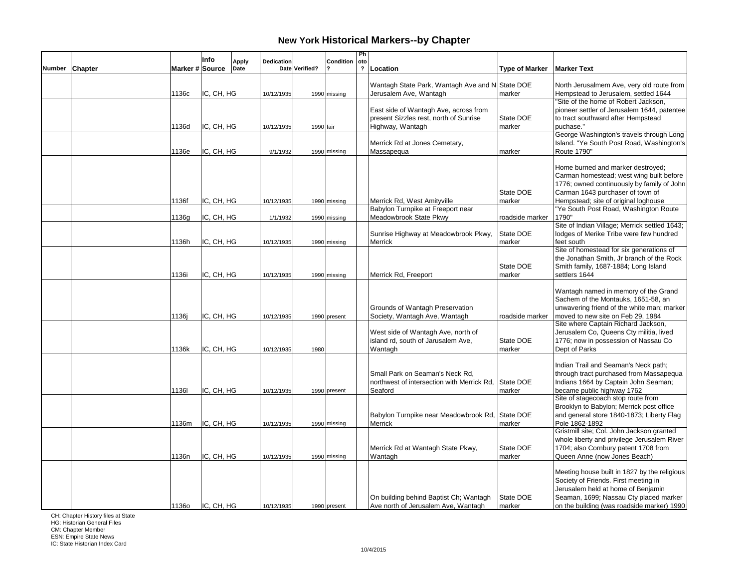|                |                 | Info       | <b>Apply</b> | Dedication |                | Condition    | Ph<br>oto               |                                                 |                       |                                                                                       |
|----------------|-----------------|------------|--------------|------------|----------------|--------------|-------------------------|-------------------------------------------------|-----------------------|---------------------------------------------------------------------------------------|
| Number Chapter | Marker # Source |            | Date         |            | Date Verified? |              | $\overline{\mathbf{?}}$ | Location                                        | <b>Type of Marker</b> | <b>Marker Text</b>                                                                    |
|                |                 |            |              |            |                |              |                         |                                                 |                       |                                                                                       |
|                |                 |            |              |            |                |              |                         | Wantagh State Park, Wantagh Ave and N State DOE |                       | North Jerusalmem Ave, very old route from                                             |
|                | 1136c           | IC, CH, HG |              | 10/12/1935 |                | 1990 missing |                         | Jerusalem Ave, Wantagh                          | marker                | Hempstead to Jerusalem, settled 1644                                                  |
|                |                 |            |              |            |                |              |                         |                                                 |                       | "Site of the home of Robert Jackson,                                                  |
|                |                 |            |              |            |                |              |                         | East side of Wantagh Ave, across from           |                       | pioneer settler of Jerusalem 1644, patentee                                           |
|                |                 |            |              |            |                |              |                         | present Sizzles rest, north of Sunrise          | State DOE             | to tract southward after Hempstead                                                    |
|                | 1136d           | IC, CH, HG |              | 10/12/1935 | 1990 fair      |              |                         | Highway, Wantagh                                | marker                | puchase."                                                                             |
|                |                 |            |              |            |                |              |                         | Merrick Rd at Jones Cemetary,                   |                       | George Washington's travels through Long<br>Island. "Ye South Post Road, Washington's |
|                | 1136e           | IC, CH, HG |              | 9/1/1932   |                |              |                         | Massapequa                                      | marker                | Route 1790"                                                                           |
|                |                 |            |              |            |                | 1990 missing |                         |                                                 |                       |                                                                                       |
|                |                 |            |              |            |                |              |                         |                                                 |                       | Home burned and marker destroyed;                                                     |
|                |                 |            |              |            |                |              |                         |                                                 |                       | Carman homestead; west wing built before                                              |
|                |                 |            |              |            |                |              |                         |                                                 |                       | 1776; owned continuously by family of John                                            |
|                |                 |            |              |            |                |              |                         |                                                 | State DOE             | Carman 1643 purchaser of town of                                                      |
|                | 1136f           | IC, CH, HG |              | 10/12/1935 |                | 1990 missing |                         | Merrick Rd. West Amityville                     | marker                | Hempstead; site of original loghouse                                                  |
|                |                 |            |              |            |                |              |                         | Babylon Turnpike at Freeport near               |                       | "Ye South Post Road, Washington Route                                                 |
|                | 1136g           | IC, CH, HG |              | 1/1/1932   |                | 1990 missing |                         | Meadowbrook State Pkwy                          | roadside marker       | 1790"                                                                                 |
|                |                 |            |              |            |                |              |                         |                                                 |                       | Site of Indian Village; Merrick settled 1643;                                         |
|                |                 |            |              |            |                |              |                         | Sunrise Highway at Meadowbrook Pkwy,            | State DOE             | lodges of Merike Tribe were few hundred                                               |
|                | 1136h           | IC, CH, HG |              | 10/12/1935 |                | 1990 missing |                         | Merrick                                         | marker                | feet south                                                                            |
|                |                 |            |              |            |                |              |                         |                                                 |                       | Site of homestead for six generations of                                              |
|                |                 |            |              |            |                |              |                         |                                                 |                       | the Jonathan Smith, Jr branch of the Rock                                             |
|                |                 |            |              |            |                |              |                         |                                                 | State DOE             | Smith family, 1687-1884; Long Island                                                  |
|                | 1136i           | IC, CH, HG |              | 10/12/1935 |                | 1990 missing |                         | Merrick Rd, Freeport                            | marker                | settlers 1644                                                                         |
|                |                 |            |              |            |                |              |                         |                                                 |                       |                                                                                       |
|                |                 |            |              |            |                |              |                         |                                                 |                       | Wantagh named in memory of the Grand                                                  |
|                |                 |            |              |            |                |              |                         |                                                 |                       | Sachem of the Montauks, 1651-58, an                                                   |
|                |                 |            |              |            |                |              |                         | Grounds of Wantagh Preservation                 |                       | unwavering friend of the white man; marker                                            |
|                | 1136j           | IC, CH, HG |              | 10/12/1935 |                | 1990 present |                         | Society, Wantagh Ave, Wantagh                   | roadside marker       | moved to new site on Feb 29, 1984                                                     |
|                |                 |            |              |            |                |              |                         |                                                 |                       | Site where Captain Richard Jackson,                                                   |
|                |                 |            |              |            |                |              |                         | West side of Wantagh Ave, north of              |                       | Jerusalem Co, Queens Cty militia, lived                                               |
|                |                 |            |              |            |                |              |                         | island rd, south of Jarusalem Ave,              | State DOE             | 1776; now in possession of Nassau Co                                                  |
|                | 1136k           | IC, CH, HG |              | 10/12/1935 | 1980           |              |                         | Wantagh                                         | marker                | Dept of Parks                                                                         |
|                |                 |            |              |            |                |              |                         |                                                 |                       |                                                                                       |
|                |                 |            |              |            |                |              |                         |                                                 |                       | Indian Trail and Seaman's Neck path;                                                  |
|                |                 |            |              |            |                |              |                         | Small Park on Seaman's Neck Rd.                 |                       | through tract purchased from Massapequa                                               |
|                |                 |            |              |            |                |              |                         | northwest of intersection with Merrick Rd.      | State DOE             | Indians 1664 by Captain John Seaman;                                                  |
|                | 11361           | IC, CH, HG |              | 10/12/1935 |                | 1990 present |                         | Seaford                                         | marker                | became public highway 1762<br>Site of stagecoach stop route from                      |
|                |                 |            |              |            |                |              |                         |                                                 |                       |                                                                                       |
|                |                 |            |              |            |                |              |                         | Babylon Turnpike near Meadowbrook Rd, State DOE |                       | Brooklyn to Babylon; Merrick post office<br>and general store 1840-1873; Liberty Flag |
|                | 1136m           | IC, CH, HG |              |            |                |              |                         | Merrick                                         | marker                | Pole 1862-1892                                                                        |
|                |                 |            |              | 10/12/1935 |                | 1990 missing |                         |                                                 |                       | Gristmill site; Col. John Jackson granted                                             |
|                |                 |            |              |            |                |              |                         |                                                 |                       | whole liberty and privilege Jerusalem River                                           |
|                |                 |            |              |            |                |              |                         | Merrick Rd at Wantagh State Pkwy,               | State DOE             | 1704; also Cornbury patent 1708 from                                                  |
|                | 1136n           | IC, CH, HG |              | 10/12/1935 |                | 1990 missing |                         | Wantagh                                         | marker                | Queen Anne (now Jones Beach)                                                          |
|                |                 |            |              |            |                |              |                         |                                                 |                       |                                                                                       |
|                |                 |            |              |            |                |              |                         |                                                 |                       | Meeting house built in 1827 by the religious                                          |
|                |                 |            |              |            |                |              |                         |                                                 |                       | Society of Friends. First meeting in                                                  |
|                |                 |            |              |            |                |              |                         |                                                 |                       | Jerusalem held at home of Benjamin                                                    |
|                |                 |            |              |            |                |              |                         | On building behind Baptist Ch; Wantagh          | State DOE             | Seaman, 1699; Nassau Cty placed marker                                                |
|                | 11360           | IC, CH, HG |              | 10/12/1935 |                | 1990 present |                         | Ave north of Jerusalem Ave, Wantagh             | marker                | on the building (was roadside marker) 1990                                            |

CH: Chapter History files at State HG: Historian General Files

CM: Chapter Member ESN: Empire State News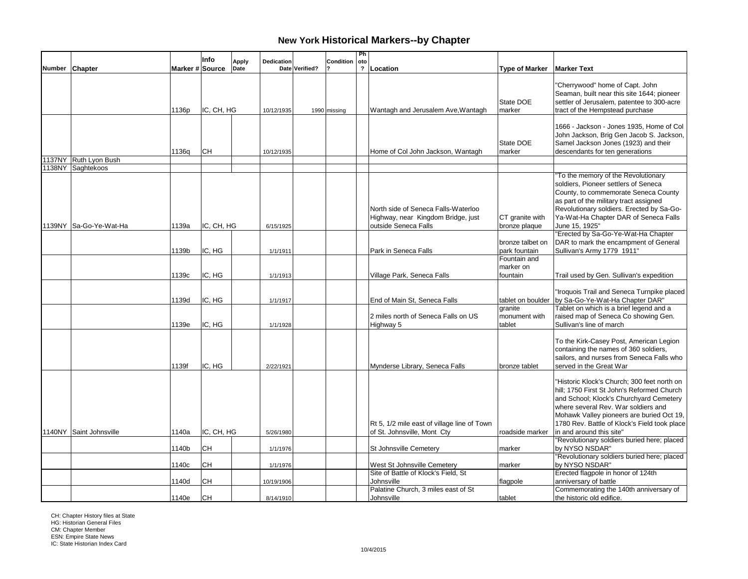|        |                         |                 | Info       | <b>Apply</b> | Dedication |                | Condition    | Ph<br>oto               |                                                                                                   |                                       |                                                                                                                                                                                                                                                                          |
|--------|-------------------------|-----------------|------------|--------------|------------|----------------|--------------|-------------------------|---------------------------------------------------------------------------------------------------|---------------------------------------|--------------------------------------------------------------------------------------------------------------------------------------------------------------------------------------------------------------------------------------------------------------------------|
| Number | Chapter                 | Marker # Source |            | Date         |            | Date Verified? |              | $\overline{\mathbf{?}}$ | Location                                                                                          | <b>Type of Marker</b>                 | <b>Marker Text</b>                                                                                                                                                                                                                                                       |
|        |                         | 1136p           | IC, CH, HG |              | 10/12/1935 |                | 1990 missing |                         | Wantagh and Jerusalem Ave, Wantagh                                                                | State DOE<br>marker                   | "Cherrywood" home of Capt. John<br>Seaman, built near this site 1644; pioneer<br>settler of Jerusalem, patentee to 300-acre<br>tract of the Hempstead purchase                                                                                                           |
|        | 1137NY Ruth Lyon Bush   | 1136g           | CН         |              | 10/12/1935 |                |              |                         | Home of Col John Jackson, Wantagh                                                                 | State DOE<br>marker                   | 1666 - Jackson - Jones 1935, Home of Col<br>John Jackson, Brig Gen Jacob S. Jackson,<br>Samel Jackson Jones (1923) and their<br>descendants for ten generations                                                                                                          |
|        | 1138NY Saghtekoos       |                 |            |              |            |                |              |                         |                                                                                                   |                                       |                                                                                                                                                                                                                                                                          |
|        | 1139NY Sa-Go-Ye-Wat-Ha  | 1139a           | IC, CH, HG |              | 6/15/1925  |                |              |                         | North side of Seneca Falls-Waterloo<br>Highway, near Kingdom Bridge, just<br>outside Seneca Falls | CT granite with<br>bronze plaque      | 'To the memory of the Revolutionary<br>soldiers, Pioneer settlers of Seneca<br>County, to commemorate Seneca County<br>as part of the military tract assigned<br>Revolutionary soldiers. Erected by Sa-Go-<br>Ya-Wat-Ha Chapter DAR of Seneca Falls<br>June 15, 1925"    |
|        |                         | 1139b           | IC, HG     |              | 1/1/1911   |                |              |                         | Park in Seneca Falls                                                                              | bronze talbet on<br>park fountain     | "Erected by Sa-Go-Ye-Wat-Ha Chapter<br>DAR to mark the encampment of General<br>Sullivan's Army 1779 1911"                                                                                                                                                               |
|        |                         | 1139c           | IC, HG     |              | 1/1/1913   |                |              |                         | Village Park, Seneca Falls                                                                        | Fountain and<br>marker on<br>fountain | Trail used by Gen. Sullivan's expedition                                                                                                                                                                                                                                 |
|        |                         | 1139d           | IC, HG     |              | 1/1/1917   |                |              |                         | End of Main St, Seneca Falls                                                                      | tablet on boulder                     | 'Iroquois Trail and Seneca Turnpike placed<br>by Sa-Go-Ye-Wat-Ha Chapter DAR"                                                                                                                                                                                            |
|        |                         | 1139e           | IC, HG     |              | 1/1/1928   |                |              |                         | 2 miles north of Seneca Falls on US<br>Highway 5                                                  | granite<br>monument with<br>tablet    | Tablet on which is a brief legend and a<br>raised map of Seneca Co showing Gen.<br>Sullivan's line of march                                                                                                                                                              |
|        |                         | 1139f           | IC. HG     |              | 2/22/1921  |                |              |                         | Mynderse Library, Seneca Falls                                                                    | bronze tablet                         | To the Kirk-Casey Post, American Legion<br>containing the names of 360 soldiers,<br>sailors, and nurses from Seneca Falls who<br>served in the Great War                                                                                                                 |
|        |                         |                 |            |              |            |                |              |                         | Rt 5, 1/2 mile east of village line of Town                                                       |                                       | "Historic Klock's Church; 300 feet north on<br>hill; 1750 First St John's Reformed Church<br>and School; Klock's Churchyard Cemetery<br>where several Rev. War soldiers and<br>Mohawk Valley pioneers are buried Oct 19,<br>1780 Rev. Battle of Klock's Field took place |
|        | 1140NY Saint Johnsville | 1140a           | IC, CH, HG |              | 5/26/1980  |                |              |                         | of St. Johnsville, Mont Cty                                                                       | roadside marker                       | in and around this site"                                                                                                                                                                                                                                                 |
|        |                         | 1140b           | CH         |              | 1/1/1976   |                |              |                         | St Johnsville Cemetery                                                                            | marker                                | 'Revolutionary soldiers buried here; placed<br>by NYSO NSDAR"                                                                                                                                                                                                            |
|        |                         | 1140c           | CН         |              | 1/1/1976   |                |              |                         | West St Johnsville Cemetery<br>Site of Battle of Klock's Field, St                                | marker                                | "Revolutionary soldiers buried here; placed<br>by NYSO NSDAR"<br>Erected flagpole in honor of 124th                                                                                                                                                                      |
|        |                         | 1140d           | CН         |              | 10/19/1906 |                |              |                         | Johnsville                                                                                        | flagpole                              | anniversary of battle                                                                                                                                                                                                                                                    |
|        |                         | 1140e           | <b>CH</b>  |              | 8/14/1910  |                |              |                         | Palatine Church, 3 miles east of St<br>Johnsville                                                 | tablet                                | Commemorating the 140th anniversary of<br>the historic old edifice.                                                                                                                                                                                                      |

CH: Chapter History files at State HG: Historian General Files CM: Chapter Member ESN: Empire State News IC: State Historian Index Card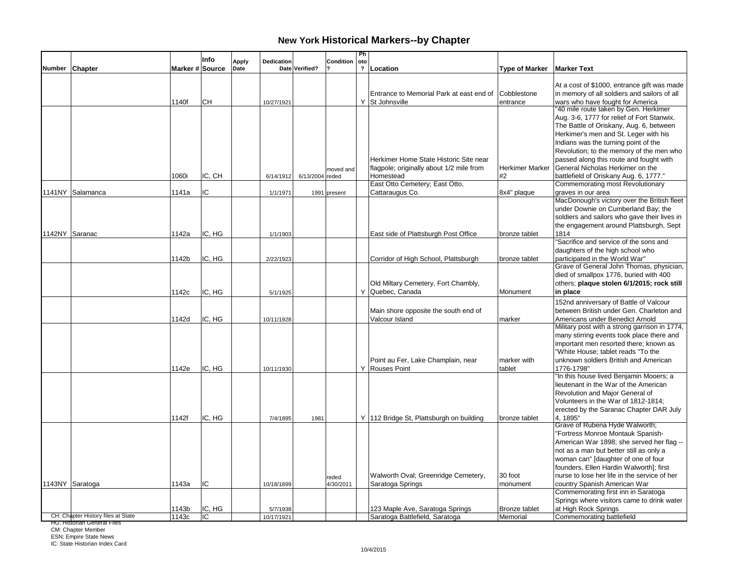|        |                                    |                 | Info   |                             |                 |              | Ph                    |                                                             |                         |                                                                                                                                                                                                                    |
|--------|------------------------------------|-----------------|--------|-----------------------------|-----------------|--------------|-----------------------|-------------------------------------------------------------|-------------------------|--------------------------------------------------------------------------------------------------------------------------------------------------------------------------------------------------------------------|
| Number | <b>Chapter</b>                     | Marker # Source |        | Dedication<br>Apply<br>Date | Date Verified?  | Condition    | oto<br>$\overline{?}$ | Location                                                    | <b>Type of Marker</b>   | <b>Marker Text</b>                                                                                                                                                                                                 |
|        |                                    |                 |        |                             |                 |              |                       |                                                             |                         |                                                                                                                                                                                                                    |
|        |                                    | 1140f           | CН     | 10/27/1921                  |                 |              |                       | Entrance to Memorial Park at east end of<br>Y St Johnsville | Cobblestone<br>entrance | At a cost of \$1000, entrance gift was made<br>in memory of all soldiers and sailors of all<br>wars who have fought for America<br>"40 mile route taken by Gen. Herkimer                                           |
|        |                                    |                 |        |                             |                 |              |                       |                                                             |                         | Aug. 3-6, 1777 for relief of Fort Stanwix.<br>The Battle of Oriskany, Aug. 6, between<br>Herkimer's men and St. Leger with his<br>Indians was the turning point of the<br>Revolution; to the memory of the men who |
|        |                                    |                 |        |                             |                 |              |                       | Herkimer Home State Historic Site near                      |                         | passed along this route and fought with                                                                                                                                                                            |
|        |                                    |                 |        |                             |                 | moved and    |                       | flagpole; originally about 1/2 mile from                    | Herkimer Marker         | General Nicholas Herkimer on the                                                                                                                                                                                   |
|        |                                    | 1060i           | IC. CH | 6/14/1912                   | 6/13/2004 reded |              |                       | Homestead                                                   | #2                      | battlefield of Oriskany Aug. 6, 1777."                                                                                                                                                                             |
|        |                                    |                 |        |                             |                 |              |                       | East Otto Cemetery; East Otto,                              |                         | Commemorating most Revolutionary                                                                                                                                                                                   |
|        | 1141NY Salamanca                   | 1141a           | IC     | 1/1/1971                    |                 | 1991 present |                       | Cattaraugus Co.                                             | 8x4" plaque             | graves in our area                                                                                                                                                                                                 |
|        |                                    |                 |        |                             |                 |              |                       |                                                             |                         | MacDonough's victory over the British fleet                                                                                                                                                                        |
|        |                                    |                 |        |                             |                 |              |                       |                                                             |                         | under Downie on Cumberland Bay; the                                                                                                                                                                                |
|        |                                    |                 |        |                             |                 |              |                       |                                                             |                         | soldiers and sailors who gave their lives in                                                                                                                                                                       |
|        |                                    |                 |        |                             |                 |              |                       |                                                             |                         | the engagement around Plattsburgh, Sept                                                                                                                                                                            |
|        | 1142NY Saranac                     | 1142a           | IC, HG | 1/1/1903                    |                 |              |                       | East side of Plattsburgh Post Office                        | bronze tablet           | 1814                                                                                                                                                                                                               |
|        |                                    |                 |        |                             |                 |              |                       |                                                             |                         | "Sacrifice and service of the sons and                                                                                                                                                                             |
|        |                                    |                 |        |                             |                 |              |                       |                                                             |                         | daughters of the high school who                                                                                                                                                                                   |
|        |                                    | 1142b           | IC, HG | 2/22/1923                   |                 |              |                       | Corridor of High School, Plattsburgh                        | bronze tablet           | participated in the World War"                                                                                                                                                                                     |
|        |                                    |                 |        |                             |                 |              |                       |                                                             |                         | Grave of General John Thomas, physician,                                                                                                                                                                           |
|        |                                    |                 |        |                             |                 |              |                       |                                                             |                         | died of smallpox 1776, buried with 400                                                                                                                                                                             |
|        |                                    |                 |        |                             |                 |              |                       | Old Miltary Cemetery, Fort Chambly,                         |                         | others; plaque stolen 6/1/2015; rock still                                                                                                                                                                         |
|        |                                    | 1142c           | IC, HG | 5/1/1925                    |                 |              |                       | Y Quebec, Canada                                            | Monument                | in place                                                                                                                                                                                                           |
|        |                                    |                 |        |                             |                 |              |                       |                                                             |                         | 152nd anniversary of Battle of Valcour                                                                                                                                                                             |
|        |                                    |                 |        |                             |                 |              |                       | Main shore opposite the south end of                        |                         | between British under Gen. Charleton and                                                                                                                                                                           |
|        |                                    | 1142d           | IC, HG | 10/11/1928                  |                 |              |                       | Valcour Island                                              | marker                  | Americans under Benedict Arnold                                                                                                                                                                                    |
|        |                                    |                 |        |                             |                 |              |                       |                                                             |                         | Military post with a strong garrison in 1774,                                                                                                                                                                      |
|        |                                    |                 |        |                             |                 |              |                       |                                                             |                         | many stirring events took place there and                                                                                                                                                                          |
|        |                                    |                 |        |                             |                 |              |                       |                                                             |                         | important men resorted there; known as                                                                                                                                                                             |
|        |                                    |                 |        |                             |                 |              |                       |                                                             |                         | "White House; tablet reads "To the                                                                                                                                                                                 |
|        |                                    |                 |        |                             |                 |              |                       | Point au Fer, Lake Champlain, near                          | marker with             | unknown soldiers British and American                                                                                                                                                                              |
|        |                                    | 1142e           | IC, HG | 10/11/1930                  |                 |              |                       | Y Rouses Point                                              | tablet                  | 1776-1798"                                                                                                                                                                                                         |
|        |                                    |                 |        |                             |                 |              |                       |                                                             |                         | "In this house lived Benjamin Mooers; a                                                                                                                                                                            |
|        |                                    |                 |        |                             |                 |              |                       |                                                             |                         | lieutenant in the War of the American                                                                                                                                                                              |
|        |                                    |                 |        |                             |                 |              |                       |                                                             |                         | Revolution and Major General of                                                                                                                                                                                    |
|        |                                    |                 |        |                             |                 |              |                       |                                                             |                         | Volunteers in the War of 1812-1814;                                                                                                                                                                                |
|        |                                    |                 |        |                             |                 |              |                       |                                                             |                         | erected by the Saranac Chapter DAR July                                                                                                                                                                            |
|        |                                    | 1142f           | IC, HG | 7/4/1895                    | 1981            |              |                       | Y   112 Bridge St, Plattsburgh on building                  | bronze tablet           | 4, 1895"                                                                                                                                                                                                           |
|        |                                    |                 |        |                             |                 |              |                       |                                                             |                         | Grave of Rubena Hyde Walworth;                                                                                                                                                                                     |
|        |                                    |                 |        |                             |                 |              |                       |                                                             |                         | "Fortress Monroe Montauk Spanish-                                                                                                                                                                                  |
|        |                                    |                 |        |                             |                 |              |                       |                                                             |                         | American War 1898; she served her flag --                                                                                                                                                                          |
|        |                                    |                 |        |                             |                 |              |                       |                                                             |                         | not as a man but better still as only a                                                                                                                                                                            |
|        |                                    |                 |        |                             |                 |              |                       |                                                             |                         | woman can" [daughter of one of four                                                                                                                                                                                |
|        |                                    |                 |        |                             |                 |              |                       |                                                             |                         | founders, Ellen Hardin Walworth]; first                                                                                                                                                                            |
|        |                                    |                 |        |                             |                 | reded        |                       | Walworth Oval; Greenridge Cemetery,                         | 30 foot                 | nurse to lose her life in the service of her                                                                                                                                                                       |
|        | 1143NY Saratoga                    | 1143a           | IC     | 10/18/1899                  |                 | 4/30/2011    |                       | Saratoga Springs                                            | monument                | country Spanish American War                                                                                                                                                                                       |
|        |                                    |                 |        |                             |                 |              |                       |                                                             |                         | Commemorating first inn in Saratoga                                                                                                                                                                                |
|        |                                    |                 |        |                             |                 |              |                       |                                                             |                         | Springs where visitors came to drink water                                                                                                                                                                         |
|        |                                    | 1143b           | IC, HG | 5/7/1938                    |                 |              |                       | 123 Maple Ave, Saratoga Springs                             | Bronze tablet           | at High Rock Springs                                                                                                                                                                                               |
|        | CH: Chapter History files at State | 1143c           | IC     | 10/17/1921                  |                 |              |                       | Saratoga Battlefield, Saratoga                              | Memorial                | Commemorating battlefield                                                                                                                                                                                          |

HG: Historian General Files

CM: Chapter Member ESN: Empire State News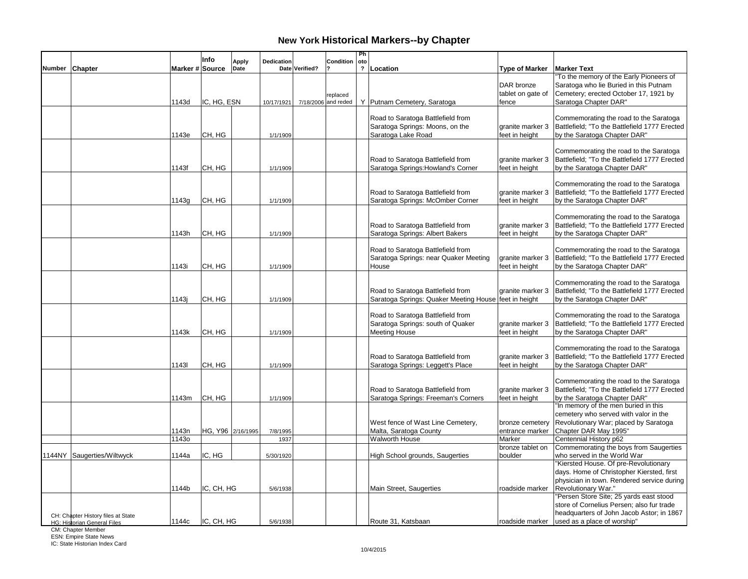|        |                                                                          |                 | Info              | <b>Apply</b> | Dedication |                | Condition                       | Ph<br>oto               |                                                                                                |                                          |                                                                                                                                                                                                    |
|--------|--------------------------------------------------------------------------|-----------------|-------------------|--------------|------------|----------------|---------------------------------|-------------------------|------------------------------------------------------------------------------------------------|------------------------------------------|----------------------------------------------------------------------------------------------------------------------------------------------------------------------------------------------------|
| Number | <b>Chapter</b>                                                           | Marker # Source |                   | Date         |            | Date Verified? |                                 | $\overline{\mathbf{r}}$ | Location                                                                                       | <b>Type of Marker</b>                    | <b>Marker Text</b>                                                                                                                                                                                 |
|        |                                                                          | 1143d           | IC, HG, ESN       |              | 10/17/1921 |                | replaced<br>7/18/2006 and reded |                         | Y   Putnam Cemetery, Saratoga                                                                  | DAR bronze<br>tablet on gate of<br>fence | 'To the memory of the Early Pioneers of<br>Saratoga who lie Buried in this Putnam<br>Cemetery; erected October 17, 1921 by<br>Saratoga Chapter DAR"                                                |
|        |                                                                          | 1143e           | CH, HG            |              | 1/1/1909   |                |                                 |                         | Road to Saratoga Battlefield from<br>Saratoga Springs: Moons, on the<br>Saratoga Lake Road     | granite marker 3<br>feet in height       | Commemorating the road to the Saratoga<br>Battlefield; "To the Battlefield 1777 Erected<br>by the Saratoga Chapter DAR"                                                                            |
|        |                                                                          | 1143f           | CH, HG            |              | 1/1/1909   |                |                                 |                         | Road to Saratoga Battlefield from<br>Saratoga Springs: Howland's Corner                        | granite marker 3<br>feet in height       | Commemorating the road to the Saratoga<br>Battlefield; "To the Battlefield 1777 Erected<br>by the Saratoga Chapter DAR"                                                                            |
|        |                                                                          | 1143g           | CH, HG            |              | 1/1/1909   |                |                                 |                         | Road to Saratoga Battlefield from<br>Saratoga Springs: McOmber Corner                          | granite marker 3<br>feet in height       | Commemorating the road to the Saratoga<br>Battlefield; "To the Battlefield 1777 Erected<br>by the Saratoga Chapter DAR"                                                                            |
|        |                                                                          | 1143h           | CH, HG            |              | 1/1/1909   |                |                                 |                         | Road to Saratoga Battlefield from<br>Saratoga Springs: Albert Bakers                           | granite marker 3<br>feet in height       | Commemorating the road to the Saratoga<br>Battlefield; "To the Battlefield 1777 Erected<br>by the Saratoga Chapter DAR"                                                                            |
|        |                                                                          | 1143i           | CH, HG            |              | 1/1/1909   |                |                                 |                         | Road to Saratoga Battlefield from<br>Saratoga Springs: near Quaker Meeting<br>House            | granite marker 3<br>feet in height       | Commemorating the road to the Saratoga<br>Battlefield: "To the Battlefield 1777 Erected<br>by the Saratoga Chapter DAR"                                                                            |
|        |                                                                          | 1143i           | CH, HG            |              | 1/1/1909   |                |                                 |                         | Road to Saratoga Battlefield from<br>Saratoga Springs: Quaker Meeting House feet in height     | granite marker 3                         | Commemorating the road to the Saratoga<br>Battlefield; "To the Battlefield 1777 Erected<br>by the Saratoga Chapter DAR"                                                                            |
|        |                                                                          | 1143k           | CH, HG            |              | 1/1/1909   |                |                                 |                         | Road to Saratoga Battlefield from<br>Saratoga Springs: south of Quaker<br><b>Meeting House</b> | granite marker 3<br>feet in height       | Commemorating the road to the Saratoga<br>Battlefield; "To the Battlefield 1777 Erected<br>by the Saratoga Chapter DAR"                                                                            |
|        |                                                                          | 11431           | CH, HG            |              | 1/1/1909   |                |                                 |                         | Road to Saratoga Battlefield from<br>Saratoga Springs: Leggett's Place                         | granite marker 3<br>feet in height       | Commemorating the road to the Saratoga<br>Battlefield; "To the Battlefield 1777 Erected<br>by the Saratoga Chapter DAR"                                                                            |
|        |                                                                          | 1143m           | CH, HG            |              | 1/1/1909   |                |                                 |                         | Road to Saratoga Battlefield from<br>Saratoga Springs: Freeman's Corners                       | granite marker 3<br>feet in height       | Commemorating the road to the Saratoga<br>Battlefield; "To the Battlefield 1777 Erected<br>by the Saratoga Chapter DAR"                                                                            |
|        |                                                                          | 1143n           | HG, Y96 2/16/1995 |              | 7/8/1995   |                |                                 |                         | West fence of Wast Line Cemetery,<br>Malta, Saratoga County                                    | bronze cemetery<br>entrance marker       | "In memory of the men buried in this<br>cemetery who served with valor in the<br>Revolutionary War; placed by Saratoga<br>Chapter DAR May 1995"                                                    |
|        |                                                                          | 11430           |                   |              | 1937       |                |                                 |                         | <b>Walworth House</b>                                                                          | Marker<br>bronze tablet on               | Centennial History p62<br>Commemorating the boys from Saugerties                                                                                                                                   |
|        | 1144NY Saugerties/Wiltwyck                                               | 1144a           | IC, HG            |              | 5/30/1920  |                |                                 |                         | High School grounds, Saugerties                                                                | boulder                                  | who served in the World War                                                                                                                                                                        |
|        |                                                                          | 1144b           | IC, CH, HG        |              | 5/6/1938   |                |                                 |                         | Main Street, Saugerties                                                                        | roadside marker                          | "Kiersted House. Of pre-Revolutionary<br>days. Home of Christopher Kiersted, first<br>physician in town. Rendered service during<br>Revolutionary War."<br>"Persen Store Site; 25 yards east stood |
|        | CH: Chapter History files at State<br><b>HG: Historian General Files</b> | 1144с           | IC, CH, HG        |              | 5/6/1938   |                |                                 |                         | Route 31, Katsbaan                                                                             | roadside marker                          | store of Cornelius Persen; also fur trade<br>headquarters of John Jacob Astor; in 1867<br>used as a place of worship"                                                                              |

CM: Chapter Member ESN: Empire State News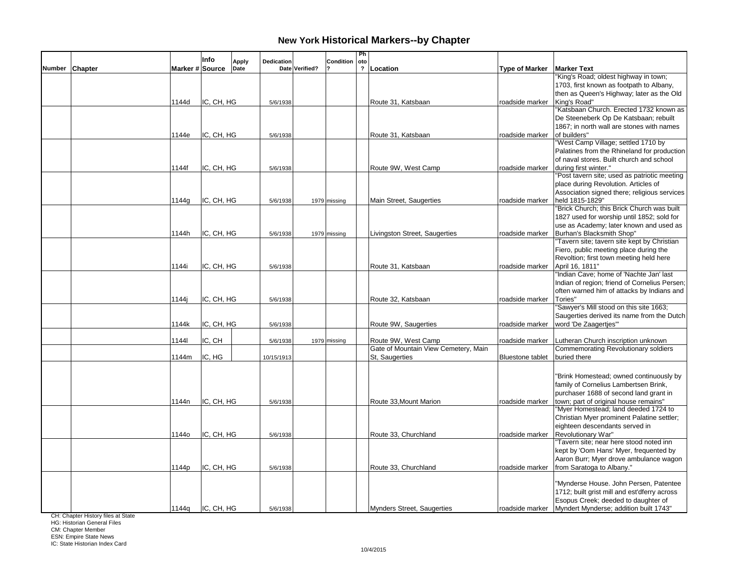|                |                 | Info       | Dedication<br><b>Apply</b> |                | Condition    | Ph<br>oto               |                                      |                         |                                                     |
|----------------|-----------------|------------|----------------------------|----------------|--------------|-------------------------|--------------------------------------|-------------------------|-----------------------------------------------------|
| Number Chapter | Marker # Source |            | Date                       | Date Verified? |              | $\overline{\mathbf{?}}$ | Location                             | <b>Type of Marker</b>   | <b>Marker Text</b>                                  |
|                |                 |            |                            |                |              |                         |                                      |                         | "King's Road; oldest highway in town;               |
|                |                 |            |                            |                |              |                         |                                      |                         | 1703, first known as footpath to Albany,            |
|                |                 |            |                            |                |              |                         |                                      |                         | then as Queen's Highway; later as the Old           |
|                | 1144d           | IC, CH, HG | 5/6/1938                   |                |              |                         | Route 31. Katsbaan                   | roadside marker         | King's Road"                                        |
|                |                 |            |                            |                |              |                         |                                      |                         | "Katsbaan Church. Erected 1732 known as             |
|                |                 |            |                            |                |              |                         |                                      |                         | De Steeneberk Op De Katsbaan; rebuilt               |
|                |                 |            |                            |                |              |                         |                                      |                         | 1867: in north wall are stones with names           |
|                | 1144e           | IC, CH, HG | 5/6/1938                   |                |              |                         | Route 31, Katsbaan                   | roadside marker         | of builders"                                        |
|                |                 |            |                            |                |              |                         |                                      |                         | "West Camp Village; settled 1710 by                 |
|                |                 |            |                            |                |              |                         |                                      |                         | Palatines from the Rhineland for production         |
|                |                 |            |                            |                |              |                         |                                      |                         | of naval stores. Built church and school            |
|                | 1144f           | IC, CH, HG | 5/6/1938                   |                |              |                         | Route 9W, West Camp                  | roadside marker         | during first winter."                               |
|                |                 |            |                            |                |              |                         |                                      |                         | "Post tavern site; used as patriotic meeting        |
|                |                 |            |                            |                |              |                         |                                      |                         | place during Revolution. Articles of                |
|                |                 |            |                            |                |              |                         |                                      |                         | Association signed there; religious services        |
|                | 1144g           | IC, CH, HG | 5/6/1938                   |                | 1979 missing |                         | Main Street, Saugerties              | roadside marker         | held 1815-1829"                                     |
|                |                 |            |                            |                |              |                         |                                      |                         | "Brick Church; this Brick Church was built          |
|                |                 |            |                            |                |              |                         |                                      |                         | 1827 used for worship until 1852; sold for          |
|                |                 |            |                            |                |              |                         |                                      |                         | use as Academy; later known and used as             |
|                | 1144h           | IC, CH, HG | 5/6/1938                   |                | 1979 missing |                         | Livingston Street, Saugerties        |                         | roadside marker   Burhan's Blacksmith Shop"         |
|                |                 |            |                            |                |              |                         |                                      |                         | "Tavern site; tavern site kept by Christian         |
|                |                 |            |                            |                |              |                         |                                      |                         | Fiero, public meeting place during the              |
|                |                 |            |                            |                |              |                         |                                      |                         | Revoltion; first town meeting held here             |
|                | 1144i           | IC, CH, HG | 5/6/1938                   |                |              |                         | Route 31, Katsbaan                   | roadside marker         | April 16, 1811"                                     |
|                |                 |            |                            |                |              |                         |                                      |                         | "Indian Cave; home of 'Nachte Jan' last             |
|                |                 |            |                            |                |              |                         |                                      |                         | Indian of region; friend of Cornelius Persen;       |
|                |                 |            |                            |                |              |                         |                                      |                         | often warned him of attacks by Indians and          |
|                | 1144i           | IC, CH, HG | 5/6/1938                   |                |              |                         | Route 32, Katsbaan                   | roadside marker         | Tories"                                             |
|                |                 |            |                            |                |              |                         |                                      |                         | "Sawyer's Mill stood on this site 1663;             |
|                |                 |            |                            |                |              |                         |                                      |                         | Saugerties derived its name from the Dutch          |
|                | 1144k           | IC, CH, HG | 5/6/1938                   |                |              |                         | Route 9W, Saugerties                 | roadside marker         | word 'De Zaagertjes'"                               |
|                |                 |            |                            |                |              |                         |                                      |                         |                                                     |
|                | 11441           | IC, CH     | 5/6/1938                   |                | 1979 missing |                         | Route 9W, West Camp                  |                         | roadside marker Lutheran Church inscription unknown |
|                |                 |            |                            |                |              |                         | Gate of Mountain View Cemetery, Main |                         | Commemorating Revolutionary soldiers                |
|                | 1144m           | IC, HG     | 10/15/1913                 |                |              |                         | St. Saugerties                       | <b>Bluestone tablet</b> | buried there                                        |
|                |                 |            |                            |                |              |                         |                                      |                         |                                                     |
|                |                 |            |                            |                |              |                         |                                      |                         |                                                     |
|                |                 |            |                            |                |              |                         |                                      |                         | "Brink Homestead; owned continuously by             |
|                |                 |            |                            |                |              |                         |                                      |                         | family of Cornelius Lambertsen Brink,               |
|                |                 |            |                            |                |              |                         |                                      |                         | purchaser 1688 of second land grant in              |
|                | 1144n           | IC, CH, HG | 5/6/1938                   |                |              |                         | Route 33, Mount Marion               | roadside marker         | town; part of original house remains"               |
|                |                 |            |                            |                |              |                         |                                      |                         | "Myer Homestead; land deeded 1724 to                |
|                |                 |            |                            |                |              |                         |                                      |                         | Christian Myer prominent Palatine settler;          |
|                |                 |            |                            |                |              |                         |                                      |                         | eighteen descendants served in                      |
|                | 1144o           | IC, CH, HG | 5/6/1938                   |                |              |                         | Route 33, Churchland                 | roadside marker         | Revolutionary War"                                  |
|                |                 |            |                            |                |              |                         |                                      |                         | Tavern site; near here stood noted inn              |
|                |                 |            |                            |                |              |                         |                                      |                         | kept by 'Oom Hans' Myer, frequented by              |
|                |                 |            |                            |                |              |                         |                                      |                         | Aaron Burr; Myer drove ambulance wagon              |
|                | 1144p           | IC, CH, HG | 5/6/1938                   |                |              |                         | Route 33, Churchland                 | roadside marker         | from Saratoga to Albany."                           |
|                |                 |            |                            |                |              |                         |                                      |                         |                                                     |
|                |                 |            |                            |                |              |                         |                                      |                         | "Mynderse House. John Persen, Patentee              |
|                |                 |            |                            |                |              |                         |                                      |                         | 1712; built grist mill and est'dferry across        |
|                |                 |            |                            |                |              |                         |                                      |                         | Esopus Creek; deeded to daughter of                 |
|                | 1144q           | IC, CH, HG | 5/6/1938                   |                |              |                         | <b>Mynders Street, Saugerties</b>    | roadside marker         | Myndert Mynderse; addition built 1743"              |

CH: Chapter History files at State

HG: Historian General Files

CM: Chapter Member ESN: Empire State News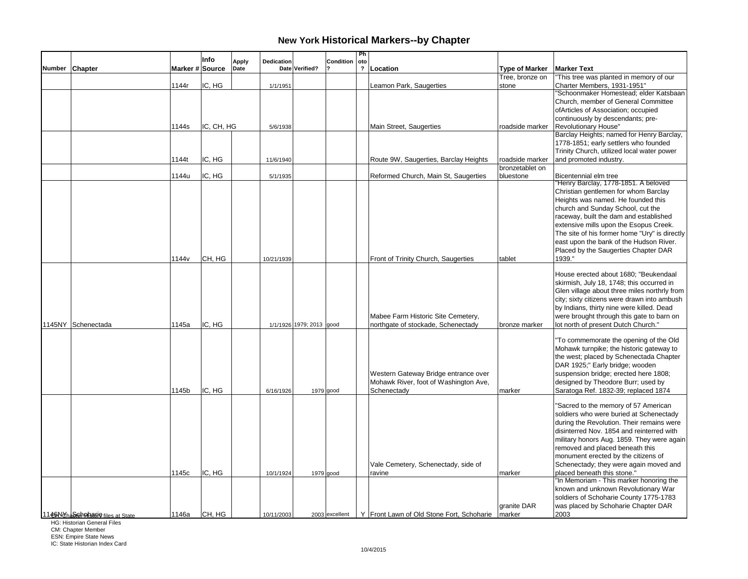|               |                                   |                   | Info       | <b>Apply</b> | Dedication |                          | Condition      | Ph<br>oto      |                                                    |                       |                                                                                      |
|---------------|-----------------------------------|-------------------|------------|--------------|------------|--------------------------|----------------|----------------|----------------------------------------------------|-----------------------|--------------------------------------------------------------------------------------|
| <b>Number</b> | Chapter                           | Marker # Source   |            | Date         |            | Date Verified?           |                | $\overline{2}$ | Location                                           | <b>Type of Marker</b> | <b>Marker Text</b>                                                                   |
|               |                                   |                   |            |              |            |                          |                |                |                                                    | Tree, bronze on       | "This tree was planted in memory of our                                              |
|               |                                   | 1144r             | IC, HG     |              | 1/1/1951   |                          |                |                | Leamon Park, Saugerties                            | stone                 | Charter Members, 1931-1951"                                                          |
|               |                                   |                   |            |              |            |                          |                |                |                                                    |                       | "Schoonmaker Homestead; elder Katsbaan                                               |
|               |                                   |                   |            |              |            |                          |                |                |                                                    |                       | Church, member of General Committee                                                  |
|               |                                   |                   |            |              |            |                          |                |                |                                                    |                       | ofArticles of Association; occupied                                                  |
|               |                                   |                   |            |              |            |                          |                |                |                                                    |                       | continuously by descendants; pre-                                                    |
|               |                                   | 1144s             | IC, CH, HG |              | 5/6/1938   |                          |                |                | Main Street, Saugerties                            | roadside marker       | <b>Revolutionary House"</b>                                                          |
|               |                                   |                   |            |              |            |                          |                |                |                                                    |                       | Barclay Heights; named for Henry Barclay,                                            |
|               |                                   |                   |            |              |            |                          |                |                |                                                    |                       | 1778-1851; early settlers who founded                                                |
|               |                                   |                   |            |              |            |                          |                |                |                                                    |                       | Trinity Church, utilized local water power                                           |
|               |                                   | 1144t             | IC. HG     |              | 11/6/1940  |                          |                |                | Route 9W, Saugerties, Barclay Heights              | roadside marker       | and promoted industry.                                                               |
|               |                                   |                   |            |              |            |                          |                |                |                                                    | bronzetablet on       |                                                                                      |
|               |                                   | 1144u             | IC, HG     |              | 5/1/1935   |                          |                |                | Reformed Church, Main St, Saugerties               | bluestone             | Bicentennial elm tree<br>"Henry Barclay, 1778-1851. A beloved                        |
|               |                                   |                   |            |              |            |                          |                |                |                                                    |                       | Christian gentlemen for whom Barclay                                                 |
|               |                                   |                   |            |              |            |                          |                |                |                                                    |                       | Heights was named. He founded this                                                   |
|               |                                   |                   |            |              |            |                          |                |                |                                                    |                       | church and Sunday School, cut the                                                    |
|               |                                   |                   |            |              |            |                          |                |                |                                                    |                       | raceway, built the dam and established                                               |
|               |                                   |                   |            |              |            |                          |                |                |                                                    |                       | extensive mills upon the Esopus Creek.                                               |
|               |                                   |                   |            |              |            |                          |                |                |                                                    |                       | The site of his former home "Ury" is directly                                        |
|               |                                   |                   |            |              |            |                          |                |                |                                                    |                       | east upon the bank of the Hudson River.                                              |
|               |                                   |                   |            |              |            |                          |                |                |                                                    |                       | Placed by the Saugerties Chapter DAR                                                 |
|               |                                   | 1144 <sub>v</sub> | CH, HG     |              | 10/21/1939 |                          |                |                | Front of Trinity Church, Saugerties                | tablet                | 1939."                                                                               |
|               |                                   |                   |            |              |            |                          |                |                |                                                    |                       |                                                                                      |
|               |                                   |                   |            |              |            |                          |                |                |                                                    |                       | House erected about 1680; "Beukendaal                                                |
|               |                                   |                   |            |              |            |                          |                |                |                                                    |                       | skirmish, July 18, 1748; this occurred in                                            |
|               |                                   |                   |            |              |            |                          |                |                |                                                    |                       | Glen village about three miles northrly from                                         |
|               |                                   |                   |            |              |            |                          |                |                |                                                    |                       | city; sixty citizens were drawn into ambush                                          |
|               |                                   |                   |            |              |            |                          |                |                |                                                    |                       | by Indians, thirty nine were killed. Dead                                            |
|               |                                   |                   |            |              |            |                          |                |                | Mabee Farm Historic Site Cemetery,                 |                       | were brought through this gate to barn on                                            |
|               | 1145NY Schenectada                | 1145a             | IC. HG     |              |            | 1/1/1926 1979; 2013 good |                |                | northgate of stockade, Schenectady                 | bronze marker         | lot north of present Dutch Church."                                                  |
|               |                                   |                   |            |              |            |                          |                |                |                                                    |                       |                                                                                      |
|               |                                   |                   |            |              |            |                          |                |                |                                                    |                       | "To commemorate the opening of the Old                                               |
|               |                                   |                   |            |              |            |                          |                |                |                                                    |                       | Mohawk turnpike; the historic gateway to                                             |
|               |                                   |                   |            |              |            |                          |                |                |                                                    |                       | the west; placed by Schenectada Chapter                                              |
|               |                                   |                   |            |              |            |                          |                |                |                                                    |                       | DAR 1925;" Early bridge; wooden                                                      |
|               |                                   |                   |            |              |            |                          |                |                | Western Gateway Bridge entrance over               |                       | suspension bridge; erected here 1808;                                                |
|               |                                   |                   |            |              |            |                          |                |                | Mohawk River, foot of Washington Ave,              |                       | designed by Theodore Burr; used by                                                   |
|               |                                   | 1145b             | IC. HG     |              | 6/16/1926  |                          | 1979 good      |                | Schenectady                                        | marker                | Saratoga Ref. 1832-39; replaced 1874                                                 |
|               |                                   |                   |            |              |            |                          |                |                |                                                    |                       |                                                                                      |
|               |                                   |                   |            |              |            |                          |                |                |                                                    |                       | "Sacred to the memory of 57 American                                                 |
|               |                                   |                   |            |              |            |                          |                |                |                                                    |                       | soldiers who were buried at Schenectady<br>during the Revolution. Their remains were |
|               |                                   |                   |            |              |            |                          |                |                |                                                    |                       |                                                                                      |
|               |                                   |                   |            |              |            |                          |                |                |                                                    |                       | disinterred Nov. 1854 and reinterred with                                            |
|               |                                   |                   |            |              |            |                          |                |                |                                                    |                       | military honors Aug. 1859. They were again                                           |
|               |                                   |                   |            |              |            |                          |                |                |                                                    |                       | removed and placed beneath this                                                      |
|               |                                   |                   |            |              |            |                          |                |                |                                                    |                       | monument erected by the citizens of                                                  |
|               |                                   |                   |            |              |            |                          |                |                | Vale Cemetery, Schenectady, side of                |                       | Schenectady; they were again moved and                                               |
|               |                                   | 1145c             | IC, HG     |              | 10/1/1924  |                          | $1979$ good    |                | ravine                                             | marker                | placed beneath this stone."<br>"In Memoriam - This marker honoring the               |
|               |                                   |                   |            |              |            |                          |                |                |                                                    |                       | known and unknown Revolutionary War                                                  |
|               |                                   |                   |            |              |            |                          |                |                |                                                    |                       | soldiers of Schoharie County 1775-1783                                               |
|               |                                   |                   |            |              |            |                          |                |                |                                                    | granite DAR           | was placed by Schoharie Chapter DAR                                                  |
|               |                                   | 1146a             | CH, HG     |              | 10/11/2003 |                          | 2003 excellent |                | Y Front Lawn of Old Stone Fort, Schoharie   marker |                       | 2003                                                                                 |
|               | 1146 Non Schonavic files at State |                   |            |              |            |                          |                |                |                                                    |                       |                                                                                      |

HG: Historian General Files

CM: Chapter Member ESN: Empire State News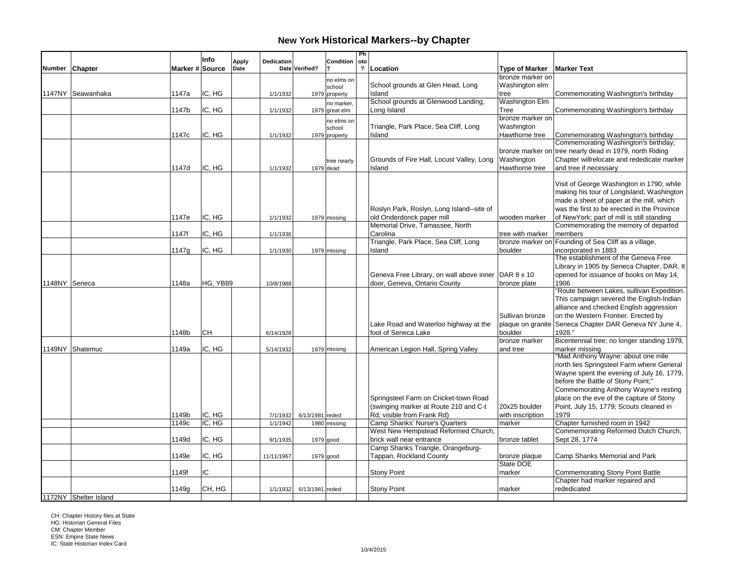|        |                       |                 | Info     | Dedication<br><b>Apply</b> |                 | <b>Condition</b>     | Ph<br>oto               |                                                                 |                            |                                                         |
|--------|-----------------------|-----------------|----------|----------------------------|-----------------|----------------------|-------------------------|-----------------------------------------------------------------|----------------------------|---------------------------------------------------------|
| Number | Chapter               | Marker # Source |          | Date                       | Date Verified?  |                      | $\overline{\mathbf{r}}$ | Location                                                        | <b>Type of Marker</b>      | <b>Marker Text</b>                                      |
|        |                       |                 |          |                            |                 |                      |                         |                                                                 | bronze marker on           |                                                         |
|        |                       |                 |          |                            |                 | no elms on<br>school |                         | School grounds at Glen Head, Long                               | Washington elm             |                                                         |
|        | 1147NY Seawanhaka     | 1147a           | IC, HG   | 1/1/1932                   |                 | 1979 property        |                         | Island                                                          | tree                       | Commemorating Washington's birthday                     |
|        |                       |                 |          |                            |                 | no marker.           |                         | School grounds at Glenwood Landing,                             | <b>Washington Elm</b>      |                                                         |
|        |                       | 1147b           | IC, HG   | 1/1/1932                   |                 | 1979 great elm       |                         | Long Island                                                     | Tree                       | Commemorating Washington's birthday                     |
|        |                       |                 |          |                            |                 |                      |                         |                                                                 | bronze marker on           |                                                         |
|        |                       |                 |          |                            |                 | no elms on<br>school |                         | Triangle, Park Place, Sea Cliff, Long                           | Washington                 |                                                         |
|        |                       | 1147c           | IC, HG   | 1/1/1932                   |                 | 1979 property        |                         | Island                                                          | Hawthorne tree             | Commemorating Washington's birthday                     |
|        |                       |                 |          |                            |                 |                      |                         |                                                                 |                            | Commemorating Washington's birthday;                    |
|        |                       |                 |          |                            |                 |                      |                         |                                                                 |                            | bronze marker on tree nearly dead in 1979, north Riding |
|        |                       |                 |          |                            |                 | tree nearly          |                         | Grounds of Fire Hall, Locust Valley, Long                       | Washington                 | Chapter willrelocate and rededicate marker              |
|        |                       | 1147d           | IC, HG   | 1/1/1932                   |                 | 1979 dead            |                         | Island                                                          | Hawthorne tree             | and tree if necessary                                   |
|        |                       |                 |          |                            |                 |                      |                         |                                                                 |                            |                                                         |
|        |                       |                 |          |                            |                 |                      |                         |                                                                 |                            | Visit of George Washington in 1790; while               |
|        |                       |                 |          |                            |                 |                      |                         |                                                                 |                            | making his tour of LongIsland, Washington               |
|        |                       |                 |          |                            |                 |                      |                         |                                                                 |                            | made a sheet of paper at the mill, which                |
|        |                       |                 |          |                            |                 |                      |                         | Roslyn Park, Roslyn, Long Island--site of                       |                            | was the first to be erected in the Province             |
|        |                       | 1147e           | IC, HG   | 1/1/1932                   |                 | 1979 missing         |                         | old Onderdonck paper mill                                       | wooden marker              | of New York; part of mill is still standing             |
|        |                       |                 |          |                            |                 |                      |                         | Memorial Drive, Tamassee, North                                 |                            | Commemorating the memory of departed                    |
|        |                       | 1147f           | IC, HG   | 1/1/1936                   |                 |                      |                         | Carolina                                                        | tree with marker           | members                                                 |
|        |                       |                 |          |                            |                 |                      |                         | Triangle, Park Place, Sea Cliff, Long                           |                            | bronze marker on Founding of Sea Cliff as a village,    |
|        |                       | 1147g           | IC, HG   | 1/1/1930                   |                 | 1979 missing         |                         | Island                                                          | boulder                    | incorporated in 1883                                    |
|        |                       |                 |          |                            |                 |                      |                         |                                                                 |                            | The establishment of the Geneva Free                    |
|        |                       |                 |          |                            |                 |                      |                         |                                                                 |                            | Library in 1905 by Seneca Chapter, DAR. It              |
|        |                       |                 |          |                            |                 |                      |                         | Geneva Free Library, on wall above inner DAR 8 x 10             |                            | opened for issuance of books on May 14,                 |
|        | 1148NY Seneca         | 1148a           | HG, YB89 | 10/8/1988                  |                 |                      |                         | door, Geneva, Ontario County                                    | bronze plate               | 1906                                                    |
|        |                       |                 |          |                            |                 |                      |                         |                                                                 |                            | "Route between Lakes, sullivan Expedition.              |
|        |                       |                 |          |                            |                 |                      |                         |                                                                 |                            | This campaign severed the English-Indian                |
|        |                       |                 |          |                            |                 |                      |                         |                                                                 |                            | alliance and checked English aggression                 |
|        |                       |                 |          |                            |                 |                      |                         |                                                                 | Sullivan bronze            | on the Western Frontier. Erected by                     |
|        |                       |                 |          |                            |                 |                      |                         | Lake Road and Waterloo highway at the                           | plaque on granite          | Seneca Chapter DAR Geneva NY June 4,                    |
|        |                       | 1148b           | CН       | 6/14/1928                  |                 |                      |                         | foot of Seneca Lake                                             | boulder                    | 1928."                                                  |
|        |                       |                 |          |                            |                 |                      |                         |                                                                 | bronze marker              | Bicentennial tree; no longer standing 1979,             |
|        | 1149NY Shatemuc       | 1149a           | IC. HG   | 5/14/1932                  |                 | 1979 missing         |                         | American Legion Hall, Spring Valley                             | and tree                   | marker missing                                          |
|        |                       |                 |          |                            |                 |                      |                         |                                                                 |                            | "Mad Anthony Wayne: about one mile                      |
|        |                       |                 |          |                            |                 |                      |                         |                                                                 |                            | north lies Springsteel Farm where General               |
|        |                       |                 |          |                            |                 |                      |                         |                                                                 |                            | Wayne spent the evening of July 16, 1779,               |
|        |                       |                 |          |                            |                 |                      |                         |                                                                 |                            | before the Battle of Stony Point;"                      |
|        |                       |                 |          |                            |                 |                      |                         |                                                                 |                            | Commemorating Anthony Wayne's resting                   |
|        |                       |                 |          |                            |                 |                      |                         | Springsteel Farm on Cricket-town Road                           |                            | place on the eve of the capture of Stony                |
|        |                       |                 |          |                            |                 |                      |                         | (swinging marker at Route 210 and C-t                           | 20x25 boulder              | Point, July 15, 1779; Scouts cleaned in                 |
|        |                       | 1149b           | IC, HG   | 7/1/1932                   | 6/13/1981 reded |                      |                         | Rd; visible from Frank Rd)                                      | with inscription           | 1979                                                    |
|        |                       | 1149c           | IC, HG   | 1/1/1942                   |                 | 1980 missing         |                         | Camp Shanks' Nurse's Quarters                                   |                            | Chapter furnished room in 1942                          |
|        |                       |                 |          |                            |                 |                      |                         |                                                                 | marker                     |                                                         |
|        |                       | 1149d           | IC. HG   |                            |                 |                      |                         | West New Hempstead Reformed Church,<br>brick wall near entrance |                            | Commemorating Reformed Dutch Church,<br>Sept 28, 1774   |
|        |                       |                 |          | 9/1/1935                   |                 | $1979$ good          |                         | Camp Shanks Triangle, Orangeburg-                               | bronze tablet              |                                                         |
|        |                       |                 |          |                            |                 |                      |                         |                                                                 |                            |                                                         |
|        |                       | 1149e           | IC, HG   | 11/11/1967                 |                 | 1979 good            |                         | Tappan, Rockland County                                         | bronze plaque<br>State DOE | Camp Shanks Memorial and Park                           |
|        |                       |                 | IC       |                            |                 |                      |                         |                                                                 |                            |                                                         |
|        |                       | 1149f           |          |                            |                 |                      |                         | <b>Stony Point</b>                                              | Imarker                    | <b>Commemorating Stony Point Battle</b>                 |
|        |                       | 1149q           | CH, HG   |                            |                 |                      |                         | <b>Stony Point</b>                                              | marker                     | Chapter had marker repaired and<br>rededicated          |
|        | 1172NY Shelter Island |                 |          | 1/1/1932                   | 6/13/1981 reded |                      |                         |                                                                 |                            |                                                         |
|        |                       |                 |          |                            |                 |                      |                         |                                                                 |                            |                                                         |

CH: Chapter History files at State HG: Historian General Files CM: Chapter Member ESN: Empire State News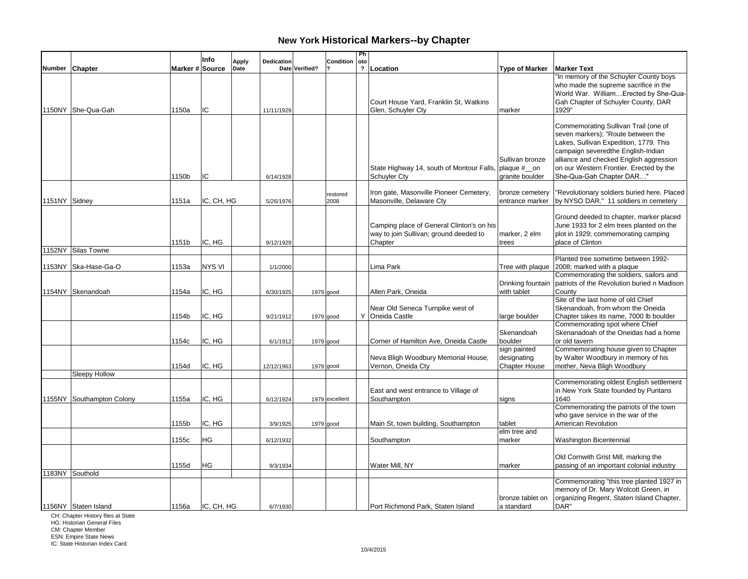|               |                           |                 | Info          | <b>Apply</b> | Dedication |                | Condition        | Ph<br>oto               |                                                                                                |                                                     |                                                                                                                                                                                                                                                                              |
|---------------|---------------------------|-----------------|---------------|--------------|------------|----------------|------------------|-------------------------|------------------------------------------------------------------------------------------------|-----------------------------------------------------|------------------------------------------------------------------------------------------------------------------------------------------------------------------------------------------------------------------------------------------------------------------------------|
| <b>Number</b> | <b>Chapter</b>            | Marker # Source |               | Date         |            | Date Verified? |                  | $\overline{\mathbf{?}}$ | Location                                                                                       | <b>Type of Marker</b>                               | <b>Marker Text</b>                                                                                                                                                                                                                                                           |
|               | 1150NY She-Qua-Gah        | 1150a           | IC            |              | 11/11/1929 |                |                  |                         | Court House Yard, Franklin St, Watkins<br>Glen, Schuyler Cty                                   | marker                                              | "In memory of the Schuyler County boys<br>who made the supreme sacrifice in the<br>World War. William Erected by She-Qua-<br>Gah Chapter of Schuyler County, DAR<br>1929"                                                                                                    |
|               |                           | 1150b           | IC            |              | 6/14/1928  |                |                  |                         | State Highway 14, south of Montour Falls, plaque # __ on<br><b>Schuyler Cty</b>                | Sullivan bronze<br>granite boulder                  | Commemorating Sullivan Trail (one of<br>seven markers); "Route between the<br>Lakes, Sullivan Expedition, 1779. This<br>campaign severedthe English-Indian<br>alliance and checked English aggression<br>on our Western Frontier. Erected by the<br>She-Qua-Gah Chapter DAR" |
| 1151NY Sidney |                           | 1151a           | IC, CH, HG    |              | 5/26/1976  |                | restored<br>2008 |                         | Iron gate, Masonville Pioneer Cemetery,<br>Masonville, Delaware Cty                            | bronze cemetery<br>entrance marker                  | 'Revolutionary soldiers buried here. Placed<br>by NYSO DAR." 11 soldiers in cemetery                                                                                                                                                                                         |
|               |                           | 1151b           | IC, HG        |              | 9/12/1929  |                |                  |                         | Camping place of General Clinton's on his<br>way to join Sullivan; ground deeded to<br>Chapter | marker, 2 elm<br>trees                              | Ground deeded to chapter, marker placed<br>June 1933 for 2 elm trees planted on the<br>plot in 1929; commemorating camping<br>place of Clinton                                                                                                                               |
| 1152NY        | Silas Towne               |                 |               |              |            |                |                  |                         |                                                                                                |                                                     |                                                                                                                                                                                                                                                                              |
|               |                           |                 | <b>NYS VI</b> |              |            |                |                  |                         | Lima Park                                                                                      |                                                     | Planted tree sometime between 1992-                                                                                                                                                                                                                                          |
|               | 1153NY Ska-Hase-Ga-O      | 1153a           |               |              | 1/1/2000   |                |                  |                         |                                                                                                |                                                     | Tree with plaque 2008; marked with a plaque<br>Commemorating the soldiers, sailors and                                                                                                                                                                                       |
|               | 1154NY Skenandoah         | 1154a           | IC, HG        |              | 6/30/1925  |                | 1979 good        |                         | Allen Park, Oneida                                                                             | Drinking fountain<br>with tablet                    | patriots of the Revolution buried n Madison<br>County                                                                                                                                                                                                                        |
|               |                           | 1154b           | IC, HG        |              | 9/21/1912  |                | $1979$ good      |                         | Near Old Seneca Turnpike west of<br>Y Oneida Castle                                            | large boulder                                       | Site of the last home of old Chief<br>Skenandoah, from whom the Oneida<br>Chapter takes its name, 7000 lb boulder                                                                                                                                                            |
|               |                           | 1154с           | IC, HG        |              | 6/1/1912   |                | 1979 good        |                         | Corner of Hamilton Ave, Oneida Castle                                                          | Skenandoah<br>boulder                               | Commemorating spot where Chief<br>Skenanadoah of the Oneidas had a home<br>or old tavern                                                                                                                                                                                     |
|               |                           | 1154d           | IC, HG        |              | 12/12/1963 |                | 1979 good        |                         | Neva Bligh Woodbury Memorial House,<br>Vernon, Oneida Cty                                      | sign painted<br>designating<br><b>Chapter House</b> | Commemorating house given to Chapter<br>by Walter Woodbury in memory of his<br>mother, Neva Bligh Woodbury                                                                                                                                                                   |
|               | Sleepy Hollow             |                 |               |              |            |                |                  |                         |                                                                                                |                                                     | Commemorating oldest English settlement                                                                                                                                                                                                                                      |
|               | 1155NY Southampton Colony | 1155a           | IC, HG        |              | 6/12/1924  |                | 1979 excellent   |                         | East and west entrance to Village of<br>Southampton                                            | signs                                               | in New York State founded by Puritans<br>1640                                                                                                                                                                                                                                |
|               |                           | 1155b           | IC, HG        |              | 3/9/1925   |                | 1979 good        |                         | Main St, town building, Southampton                                                            | tablet                                              | Commemorating the patriots of the town<br>who gave service in the war of the<br>American Revolution                                                                                                                                                                          |
|               |                           |                 |               |              |            |                |                  |                         |                                                                                                | elm tree and                                        |                                                                                                                                                                                                                                                                              |
|               |                           | 1155c           | HG            |              | 6/12/1932  |                |                  |                         | Southampton                                                                                    | marker                                              | Washington Bicentennial                                                                                                                                                                                                                                                      |
|               | 1183NY Southold           | 1155d           | ΗG            |              | 9/3/1934   |                |                  |                         | Water Mill, NY                                                                                 | marker                                              | Old Cornwith Grist Mill, marking the<br>passing of an important colonial industry                                                                                                                                                                                            |
|               | 1156NY Staten Island      | 1156a           | IC, CH, HG    |              | 6/7/1930   |                |                  |                         | Port Richmond Park, Staten Island                                                              | bronze tablet on<br>a standard                      | Commemorating "this tree planted 1927 in<br>memory of Dr. Mary Wolcott Green, in<br>organizing Regent, Staten Island Chapter,<br>DAR"                                                                                                                                        |

CH: Chapter History files at State HG: Historian General Files

CM: Chapter Member ESN: Empire State News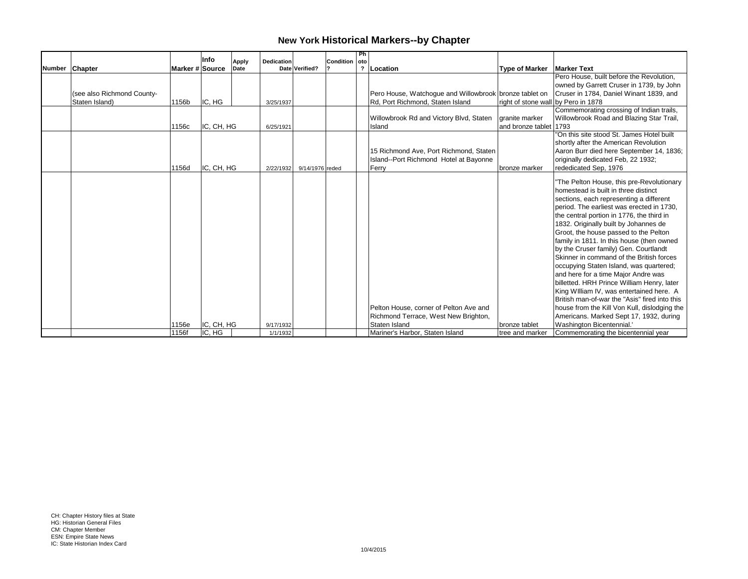|                            |                 | Info       |                      |            |                           | Condition | -Ph  |                                                        |                                     |                                               |
|----------------------------|-----------------|------------|----------------------|------------|---------------------------|-----------|------|--------------------------------------------------------|-------------------------------------|-----------------------------------------------|
| Number Chapter             | Marker # Source |            | <b>Apply</b><br>Date | Dedication | Date Verified?            |           | loto | ? Location                                             | <b>Type of Marker</b>               | <b>Marker Text</b>                            |
|                            |                 |            |                      |            |                           |           |      |                                                        |                                     | Pero House, built before the Revolution,      |
|                            |                 |            |                      |            |                           |           |      |                                                        |                                     | owned by Garrett Cruser in 1739, by John      |
| (see also Richmond County- |                 |            |                      |            |                           |           |      | Pero House, Watchogue and Willowbrook bronze tablet on |                                     | Cruser in 1784. Daniel Winant 1839, and       |
| Staten Island)             | 1156b           | IC, HG     |                      | 3/25/1937  |                           |           |      | Rd, Port Richmond, Staten Island                       | right of stone wall by Pero in 1878 |                                               |
|                            |                 |            |                      |            |                           |           |      |                                                        |                                     | Commemorating crossing of Indian trails,      |
|                            |                 |            |                      |            |                           |           |      | Willowbrook Rd and Victory Blvd, Staten                | aranite marker                      | Willowbrook Road and Blazing Star Trail,      |
|                            | 1156c           | IC, CH, HG |                      | 6/25/1921  |                           |           |      | Island                                                 | and bronze tablet 1793              |                                               |
|                            |                 |            |                      |            |                           |           |      |                                                        |                                     | "On this site stood St. James Hotel built     |
|                            |                 |            |                      |            |                           |           |      |                                                        |                                     | shortly after the American Revolution         |
|                            |                 |            |                      |            |                           |           |      | 15 Richmond Ave, Port Richmond, Staten                 |                                     | Aaron Burr died here September 14, 1836;      |
|                            |                 |            |                      |            |                           |           |      | Island--Port Richmond Hotel at Bayonne                 |                                     | originally dedicated Feb, 22 1932;            |
|                            | 1156d           | IC, CH, HG |                      |            | 2/22/1932 9/14/1976 reded |           |      | Ferry                                                  | bronze marker                       | rededicated Sep, 1976                         |
|                            |                 |            |                      |            |                           |           |      |                                                        |                                     | "The Pelton House, this pre-Revolutionary     |
|                            |                 |            |                      |            |                           |           |      |                                                        |                                     | homestead is built in three distinct          |
|                            |                 |            |                      |            |                           |           |      |                                                        |                                     | sections, each representing a different       |
|                            |                 |            |                      |            |                           |           |      |                                                        |                                     | period. The earliest was erected in 1730,     |
|                            |                 |            |                      |            |                           |           |      |                                                        |                                     | the central portion in 1776, the third in     |
|                            |                 |            |                      |            |                           |           |      |                                                        |                                     | 1832. Originally built by Johannes de         |
|                            |                 |            |                      |            |                           |           |      |                                                        |                                     | Groot, the house passed to the Pelton         |
|                            |                 |            |                      |            |                           |           |      |                                                        |                                     | family in 1811. In this house (then owned     |
|                            |                 |            |                      |            |                           |           |      |                                                        |                                     | by the Cruser family) Gen. Courtlandt         |
|                            |                 |            |                      |            |                           |           |      |                                                        |                                     | Skinner in command of the British forces      |
|                            |                 |            |                      |            |                           |           |      |                                                        |                                     | occupying Staten Island, was quartered;       |
|                            |                 |            |                      |            |                           |           |      |                                                        |                                     | and here for a time Major Andre was           |
|                            |                 |            |                      |            |                           |           |      |                                                        |                                     | billetted. HRH Prince William Henry, later    |
|                            |                 |            |                      |            |                           |           |      |                                                        |                                     | King William IV, was entertained here. A      |
|                            |                 |            |                      |            |                           |           |      |                                                        |                                     | British man-of-war the "Asis" fired into this |
|                            |                 |            |                      |            |                           |           |      | Pelton House, corner of Pelton Ave and                 |                                     | house from the Kill Von Kull, dislodging the  |
|                            |                 |            |                      |            |                           |           |      | Richmond Terrace, West New Brighton,                   |                                     | Americans. Marked Sept 17, 1932, during       |
|                            | 1156e           | IC, CH, HG |                      | 9/17/1932  |                           |           |      | Staten Island                                          | bronze tablet                       | Washington Bicentennial.'                     |
|                            | 1156f           | IC, HG     |                      | 1/1/1932   |                           |           |      | Mariner's Harbor, Staten Island                        | tree and marker                     | Commemorating the bicentennial year           |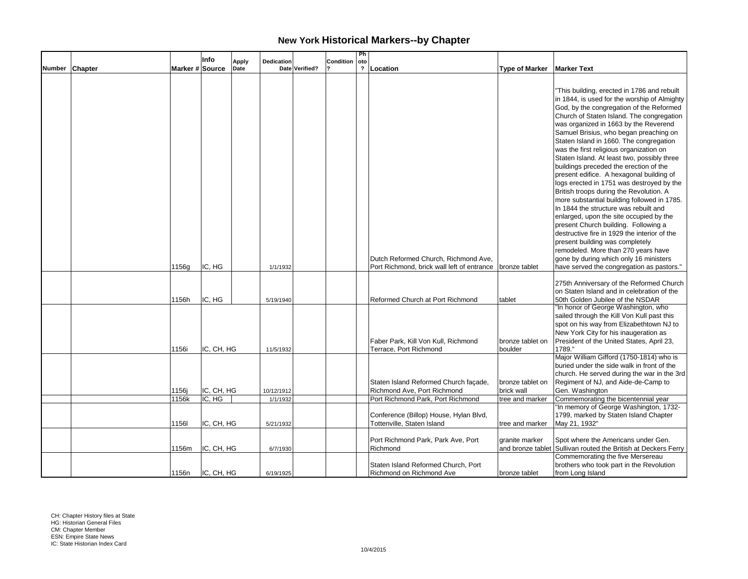|                |                 | Info       |               |            |                |           | Ph                  |                                                          |                       |                                              |
|----------------|-----------------|------------|---------------|------------|----------------|-----------|---------------------|----------------------------------------------------------|-----------------------|----------------------------------------------|
| Number Chapter | Marker # Source |            | Apply<br>Date | Dedication | Date Verified? | Condition | oto<br>$\mathbf{r}$ | Location                                                 | <b>Type of Marker</b> | <b>Marker Text</b>                           |
|                |                 |            |               |            |                |           |                     |                                                          |                       |                                              |
|                |                 |            |               |            |                |           |                     |                                                          |                       |                                              |
|                |                 |            |               |            |                |           |                     |                                                          |                       | "This building, erected in 1786 and rebuilt  |
|                |                 |            |               |            |                |           |                     |                                                          |                       | in 1844, is used for the worship of Almighty |
|                |                 |            |               |            |                |           |                     |                                                          |                       | God, by the congregation of the Reformed     |
|                |                 |            |               |            |                |           |                     |                                                          |                       | Church of Staten Island. The congregation    |
|                |                 |            |               |            |                |           |                     |                                                          |                       | was organized in 1663 by the Reverend        |
|                |                 |            |               |            |                |           |                     |                                                          |                       | Samuel Brisius, who began preaching on       |
|                |                 |            |               |            |                |           |                     |                                                          |                       | Staten Island in 1660. The congregation      |
|                |                 |            |               |            |                |           |                     |                                                          |                       | was the first religious organization on      |
|                |                 |            |               |            |                |           |                     |                                                          |                       | Staten Island. At least two, possibly three  |
|                |                 |            |               |            |                |           |                     |                                                          |                       | buildings preceded the erection of the       |
|                |                 |            |               |            |                |           |                     |                                                          |                       | present edifice. A hexagonal building of     |
|                |                 |            |               |            |                |           |                     |                                                          |                       | logs erected in 1751 was destroyed by the    |
|                |                 |            |               |            |                |           |                     |                                                          |                       | British troops during the Revolution. A      |
|                |                 |            |               |            |                |           |                     |                                                          |                       | more substantial building followed in 1785.  |
|                |                 |            |               |            |                |           |                     |                                                          |                       | In 1844 the structure was rebuilt and        |
|                |                 |            |               |            |                |           |                     |                                                          |                       | enlarged, upon the site occupied by the      |
|                |                 |            |               |            |                |           |                     |                                                          |                       | present Church building. Following a         |
|                |                 |            |               |            |                |           |                     |                                                          |                       | destructive fire in 1929 the interior of the |
|                |                 |            |               |            |                |           |                     |                                                          |                       | present building was completely              |
|                |                 |            |               |            |                |           |                     |                                                          |                       | remodeled. More than 270 years have          |
|                |                 |            |               |            |                |           |                     | Dutch Reformed Church, Richmond Ave,                     |                       | gone by during which only 16 ministers       |
|                | 1156g           | IC, HG     |               | 1/1/1932   |                |           |                     | Port Richmond, brick wall left of entrance bronze tablet |                       | have served the congregation as pastors."    |
|                |                 |            |               |            |                |           |                     |                                                          |                       |                                              |
|                |                 |            |               |            |                |           |                     |                                                          |                       | 275th Anniversary of the Reformed Church     |
|                |                 |            |               |            |                |           |                     |                                                          |                       | on Staten Island and in celebration of the   |
|                | 1156h           | IC. HG     |               | 5/19/1940  |                |           |                     | Reformed Church at Port Richmond                         | tablet                | 50th Golden Jubilee of the NSDAR             |
|                |                 |            |               |            |                |           |                     |                                                          |                       | "In honor of George Washington, who          |
|                |                 |            |               |            |                |           |                     |                                                          |                       | sailed through the Kill Von Kull past this   |
|                |                 |            |               |            |                |           |                     |                                                          |                       | spot on his way from Elizabethtown NJ to     |
|                |                 |            |               |            |                |           |                     |                                                          |                       | New York City for his inaugeration as        |
|                |                 |            |               |            |                |           |                     | Faber Park, Kill Von Kull, Richmond                      | bronze tablet on      | President of the United States, April 23,    |
|                | 1156i           | IC, CH, HG |               | 11/5/1932  |                |           |                     | Terrace, Port Richmond                                   | boulder               | 1789."                                       |
|                |                 |            |               |            |                |           |                     |                                                          |                       | Major William Gifford (1750-1814) who is     |
|                |                 |            |               |            |                |           |                     |                                                          |                       | buried under the side walk in front of the   |
|                |                 |            |               |            |                |           |                     |                                                          |                       | church. He served during the war in the 3rd  |
|                |                 |            |               |            |                |           |                     | Staten Island Reformed Church façade,                    | bronze tablet on      | Regiment of NJ, and Aide-de-Camp to          |
|                | 1156j           | IC, CH, HG |               | 10/12/1912 |                |           |                     | Richmond Ave, Port Richmond                              | brick wall            | Gen. Washington                              |
|                | 1156k           | IC, HG     |               | 1/1/1932   |                |           |                     | Port Richmond Park, Port Richmond                        | tree and marker       | Commemorating the bicentennial year          |
|                |                 |            |               |            |                |           |                     |                                                          |                       | "In memory of George Washington, 1732-       |
|                |                 |            |               |            |                |           |                     | Conference (Billop) House, Hylan Blvd,                   |                       | 1799, marked by Staten Island Chapter        |
|                | 11561           | IC, CH, HG |               | 5/21/1932  |                |           |                     | Tottenville, Staten Island                               | tree and marker       | May 21, 1932"                                |
|                |                 |            |               |            |                |           |                     |                                                          |                       |                                              |
|                |                 |            |               |            |                |           |                     | Port Richmond Park, Park Ave, Port                       | granite marker        | Spot where the Americans under Gen.          |
|                | 1156m           | IC, CH, HG |               | 6/7/1930   |                |           |                     | Richmond                                                 | and bronze tablet     | Sullivan routed the British at Deckers Ferry |
|                |                 |            |               |            |                |           |                     |                                                          |                       | Commemorating the five Mersereau             |
|                |                 |            |               |            |                |           |                     | Staten Island Reformed Church, Port                      |                       | brothers who took part in the Revolution     |
|                | 1156n           | IC, CH, HG |               | 6/19/1925  |                |           |                     | Richmond on Richmond Ave                                 | bronze tablet         | from Long Island                             |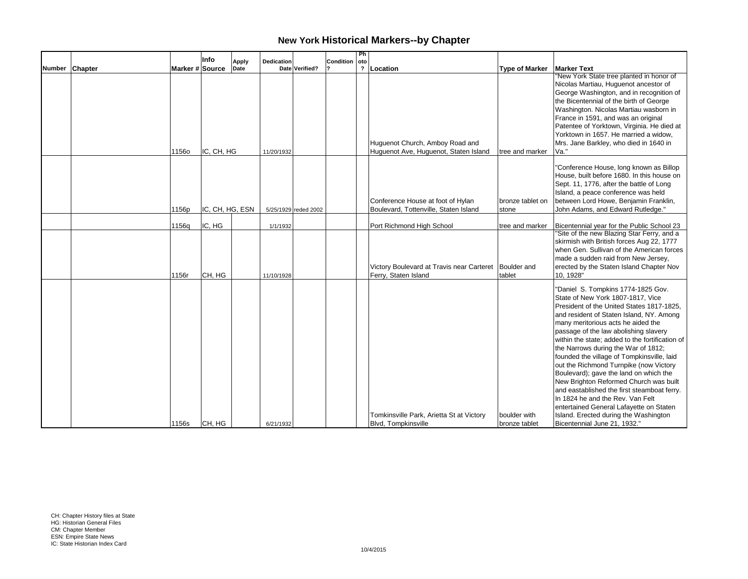|                |                 | Info            | <b>Apply</b> | Dedication             |                      | <b>Condition</b> | Ph<br>l oto |                                                                                 |                               |                                                                                                                                                                                                                                                                                                                                                                                                                                                                                                                                                                                                                                                                                                                              |
|----------------|-----------------|-----------------|--------------|------------------------|----------------------|------------------|-------------|---------------------------------------------------------------------------------|-------------------------------|------------------------------------------------------------------------------------------------------------------------------------------------------------------------------------------------------------------------------------------------------------------------------------------------------------------------------------------------------------------------------------------------------------------------------------------------------------------------------------------------------------------------------------------------------------------------------------------------------------------------------------------------------------------------------------------------------------------------------|
| Number Chapter | Marker # Source |                 | Date         |                        | Date Verified?       |                  |             | ? Location                                                                      | <b>Type of Marker</b>         | <b>Marker Text</b>                                                                                                                                                                                                                                                                                                                                                                                                                                                                                                                                                                                                                                                                                                           |
|                | <b>1156o</b>    | IC, CH, HG      |              | 11/20/1932             |                      |                  |             | Huguenot Church, Amboy Road and<br>Huguenot Ave, Huguenot, Staten Island        | tree and marker               | "New York State tree planted in honor of<br>Nicolas Martiau, Huguenot ancestor of<br>George Washington, and in recognition of<br>the Bicentennial of the birth of George<br>Washington. Nicolas Martiau wasborn in<br>France in 1591, and was an original<br>Patentee of Yorktown, Virginia. He died at<br>Yorktown in 1657. He married a widow,<br>Mrs. Jane Barkley, who died in 1640 in<br>Va."                                                                                                                                                                                                                                                                                                                           |
|                | 1156p           | IC, CH, HG, ESN |              |                        | 5/25/1929 reded 2002 |                  |             | Conference House at foot of Hylan<br>Boulevard, Tottenville, Staten Island      | bronze tablet on<br>stone     | "Conference House, long known as Billop<br>House, built before 1680. In this house on<br>Sept. 11, 1776, after the battle of Long<br>Island, a peace conference was held<br>between Lord Howe, Benjamin Franklin,<br>John Adams, and Edward Rutledge."                                                                                                                                                                                                                                                                                                                                                                                                                                                                       |
|                |                 | IC, HG          |              |                        |                      |                  |             | Port Richmond High School                                                       |                               | Bicentennial year for the Public School 23                                                                                                                                                                                                                                                                                                                                                                                                                                                                                                                                                                                                                                                                                   |
|                | 1156q<br>1156r  | CH, HG          |              | 1/1/1932<br>11/10/1928 |                      |                  |             | Victory Boulevard at Travis near Carteret   Boulder and<br>Ferry, Staten Island | tree and marker<br>tablet     | "Site of the new Blazing Star Ferry, and a<br>skirmish with British forces Aug 22, 1777<br>when Gen. Sullivan of the American forces<br>made a sudden raid from New Jersey,<br>erected by the Staten Island Chapter Nov<br>10, 1928"                                                                                                                                                                                                                                                                                                                                                                                                                                                                                         |
|                | 1156s           | CH, HG          |              | 6/21/1932              |                      |                  |             | Tomkinsville Park, Arietta St at Victory<br><b>Blvd, Tompkinsville</b>          | boulder with<br>bronze tablet | "Daniel S. Tompkins 1774-1825 Gov.<br>State of New York 1807-1817. Vice<br>President of the United States 1817-1825,<br>and resident of Staten Island, NY. Among<br>many meritorious acts he aided the<br>passage of the law abolishing slavery<br>within the state; added to the fortification of<br>the Narrows during the War of 1812;<br>founded the village of Tompkinsville, laid<br>out the Richmond Turnpike (now Victory<br>Boulevard); gave the land on which the<br>New Brighton Reformed Church was built<br>and eastablished the first steamboat ferry.<br>In 1824 he and the Rev. Van Felt<br>entertained General Lafayette on Staten<br>Island. Erected during the Washington<br>Bicentennial June 21, 1932." |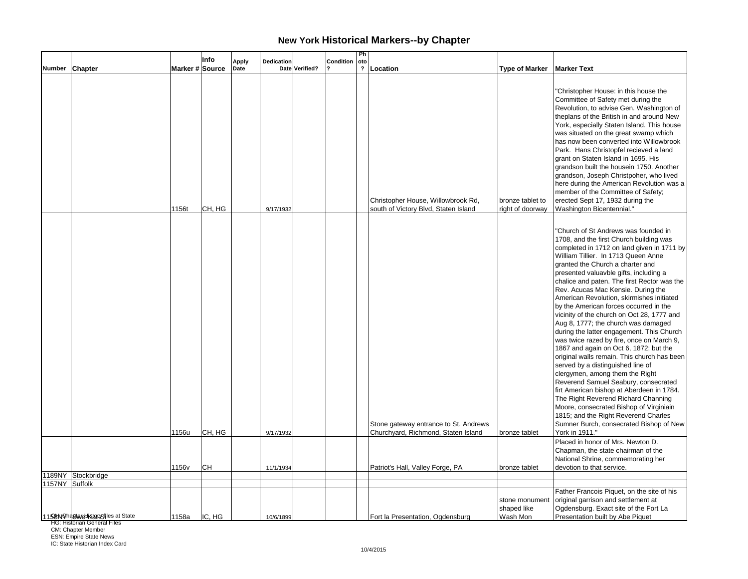|                |                                 |                 | Info   | <b>Apply</b> | Dedication |                | Condition | Ph<br>oto      |                                                                              |                                           |                                                                                                                                                                                                                                                                                                                                                                                                                                                                                                                                                                                                                                                                                                                                                                                                                                                                                                                                                                                                                                                            |
|----------------|---------------------------------|-----------------|--------|--------------|------------|----------------|-----------|----------------|------------------------------------------------------------------------------|-------------------------------------------|------------------------------------------------------------------------------------------------------------------------------------------------------------------------------------------------------------------------------------------------------------------------------------------------------------------------------------------------------------------------------------------------------------------------------------------------------------------------------------------------------------------------------------------------------------------------------------------------------------------------------------------------------------------------------------------------------------------------------------------------------------------------------------------------------------------------------------------------------------------------------------------------------------------------------------------------------------------------------------------------------------------------------------------------------------|
| Number Chapter |                                 | Marker # Source |        | Date         |            | Date Verified? |           | $\overline{?}$ | Location                                                                     | <b>Type of Marker</b>                     | <b>Marker Text</b>                                                                                                                                                                                                                                                                                                                                                                                                                                                                                                                                                                                                                                                                                                                                                                                                                                                                                                                                                                                                                                         |
|                |                                 | 1156t           | CH, HG |              | 9/17/1932  |                |           |                | Christopher House, Willowbrook Rd,<br>south of Victory Blvd, Staten Island   | bronze tablet to<br>right of doorway      | "Christopher House: in this house the<br>Committee of Safety met during the<br>Revolution, to advise Gen. Washington of<br>theplans of the British in and around New<br>York, especially Staten Island. This house<br>was situated on the great swamp which<br>has now been converted into Willowbrook<br>Park. Hans Christopfel recieved a land<br>grant on Staten Island in 1695. His<br>grandson built the housein 1750. Another<br>grandson, Joseph Christpoher, who lived<br>here during the American Revolution was a<br>member of the Committee of Safety;<br>erected Sept 17, 1932 during the<br>Washington Bicentennial."                                                                                                                                                                                                                                                                                                                                                                                                                         |
|                |                                 | 1156u           | CH, HG |              | 9/17/1932  |                |           |                | Stone gateway entrance to St. Andrews<br>Churchyard, Richmond, Staten Island | bronze tablet                             | "Church of St Andrews was founded in<br>1708, and the first Church building was<br>completed in 1712 on land given in 1711 by<br>William Tillier. In 1713 Queen Anne<br>granted the Church a charter and<br>presented valuavble gifts, including a<br>chalice and paten. The first Rector was the<br>Rev. Acucas Mac Kensie. During the<br>American Revolution, skirmishes initiated<br>by the American forces occurred in the<br>vicinity of the church on Oct 28, 1777 and<br>Aug 8, 1777; the church was damaged<br>during the latter engagement. This Church<br>was twice razed by fire, once on March 9,<br>1867 and again on Oct 6, 1872; but the<br>original walls remain. This church has been<br>served by a distinguished line of<br>clergymen, among them the Right<br>Reverend Samuel Seabury, consecrated<br>firt American bishop at Aberdeen in 1784.<br>The Right Reverend Richard Channing<br>Moore, consecrated Bishop of Virginiain<br>1815; and the Right Reverend Charles<br>Sumner Burch, consecrated Bishop of New<br>York in 1911." |
|                |                                 |                 |        |              |            |                |           |                |                                                                              |                                           | Placed in honor of Mrs. Newton D.<br>Chapman, the state chairman of the<br>National Shrine, commemorating her                                                                                                                                                                                                                                                                                                                                                                                                                                                                                                                                                                                                                                                                                                                                                                                                                                                                                                                                              |
|                |                                 | 1156v           | CН     |              | 11/1/1934  |                |           |                | Patriot's Hall, Valley Forge, PA                                             | bronze tablet                             | devotion to that service.                                                                                                                                                                                                                                                                                                                                                                                                                                                                                                                                                                                                                                                                                                                                                                                                                                                                                                                                                                                                                                  |
|                | 1189NY Stockbridge              |                 |        |              |            |                |           |                |                                                                              |                                           |                                                                                                                                                                                                                                                                                                                                                                                                                                                                                                                                                                                                                                                                                                                                                                                                                                                                                                                                                                                                                                                            |
| 1157NY Suffolk |                                 |                 |        |              |            |                |           |                |                                                                              |                                           | Father Francois Piquet, on the site of his                                                                                                                                                                                                                                                                                                                                                                                                                                                                                                                                                                                                                                                                                                                                                                                                                                                                                                                                                                                                                 |
|                | 11 SUN Chastere Kappen at State | 1158a           | IC, HG |              | 10/6/1899  |                |           |                | Fort la Presentation, Ogdensburg                                             | stone monument<br>shaped like<br>Wash Mon | original garrison and settlement at<br>Ogdensburg. Exact site of the Fort La<br>Presentation built by Abe Piquet                                                                                                                                                                                                                                                                                                                                                                                                                                                                                                                                                                                                                                                                                                                                                                                                                                                                                                                                           |

**HG: Historian General Files** 

CM: Chapter Member ESN: Empire State News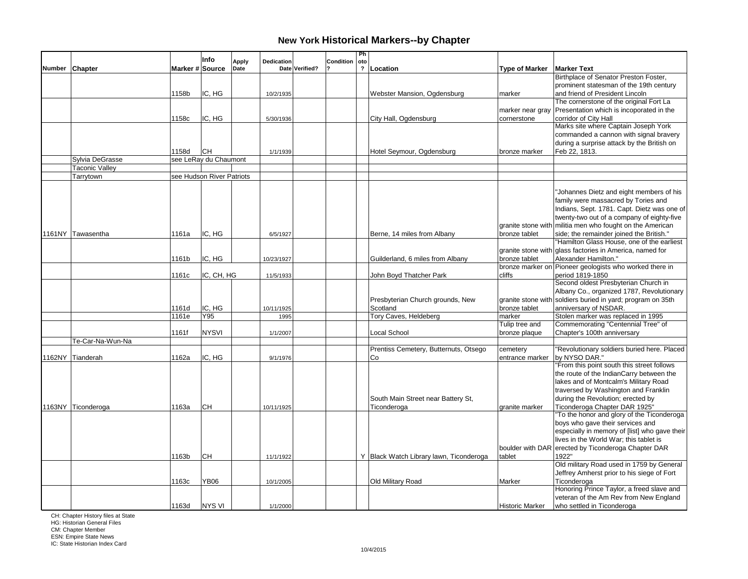|               |                       |                 | Info                      | <b>Apply</b> | Dedication |                | Condition | Ph<br>oto               |                                                   |                             |                                                                                                                                                                                                                                                                                                                                                                                                                                                                                            |
|---------------|-----------------------|-----------------|---------------------------|--------------|------------|----------------|-----------|-------------------------|---------------------------------------------------|-----------------------------|--------------------------------------------------------------------------------------------------------------------------------------------------------------------------------------------------------------------------------------------------------------------------------------------------------------------------------------------------------------------------------------------------------------------------------------------------------------------------------------------|
| <b>Number</b> | <b>Chapter</b>        | Marker # Source |                           | Date         |            | Date Verified? |           | $\overline{\mathbf{?}}$ | Location                                          | <b>Type of Marker</b>       | <b>Marker Text</b>                                                                                                                                                                                                                                                                                                                                                                                                                                                                         |
|               |                       |                 |                           |              |            |                |           |                         |                                                   |                             | Birthplace of Senator Preston Foster.                                                                                                                                                                                                                                                                                                                                                                                                                                                      |
|               |                       |                 |                           |              |            |                |           |                         |                                                   |                             | prominent statesman of the 19th century                                                                                                                                                                                                                                                                                                                                                                                                                                                    |
|               |                       | 1158b           | IC, HG                    |              | 10/2/1935  |                |           |                         | Webster Mansion, Ogdensburg                       | marker                      | and friend of President Lincoln                                                                                                                                                                                                                                                                                                                                                                                                                                                            |
|               |                       |                 |                           |              |            |                |           |                         |                                                   |                             | The cornerstone of the original Fort La                                                                                                                                                                                                                                                                                                                                                                                                                                                    |
|               |                       |                 |                           |              |            |                |           |                         |                                                   | marker near gray            | Presentation which is incoporated in the                                                                                                                                                                                                                                                                                                                                                                                                                                                   |
|               |                       | 1158c           | IC, HG                    |              | 5/30/1936  |                |           |                         | City Hall, Ogdensburg                             | cornerstone                 | corridor of City Hall                                                                                                                                                                                                                                                                                                                                                                                                                                                                      |
|               |                       |                 |                           |              |            |                |           |                         |                                                   |                             | Marks site where Captain Joseph York                                                                                                                                                                                                                                                                                                                                                                                                                                                       |
|               |                       |                 |                           |              |            |                |           |                         |                                                   |                             | commanded a cannon with signal bravery                                                                                                                                                                                                                                                                                                                                                                                                                                                     |
|               |                       |                 |                           |              |            |                |           |                         |                                                   |                             | during a surprise attack by the British on                                                                                                                                                                                                                                                                                                                                                                                                                                                 |
|               |                       | 1158d           | IСH                       |              | 1/1/1939   |                |           |                         | Hotel Seymour, Ogdensburg                         | bronze marker               | Feb 22, 1813.                                                                                                                                                                                                                                                                                                                                                                                                                                                                              |
|               | Sylvia DeGrasse       |                 | see LeRay du Chaumont     |              |            |                |           |                         |                                                   |                             |                                                                                                                                                                                                                                                                                                                                                                                                                                                                                            |
|               | <b>Taconic Valley</b> |                 |                           |              |            |                |           |                         |                                                   |                             |                                                                                                                                                                                                                                                                                                                                                                                                                                                                                            |
|               | Tarrytown             |                 | see Hudson River Patriots |              |            |                |           |                         |                                                   |                             |                                                                                                                                                                                                                                                                                                                                                                                                                                                                                            |
|               |                       |                 |                           |              |            |                |           |                         |                                                   |                             | "Johannes Dietz and eight members of his<br>family were massacred by Tories and<br>Indians, Sept. 1781. Capt. Dietz was one of<br>twenty-two out of a company of eighty-five<br>granite stone with militia men who fought on the American                                                                                                                                                                                                                                                  |
|               | 1161NY Tawasentha     | 1161a           | IC, HG                    |              | 6/5/1927   |                |           |                         | Berne, 14 miles from Albany                       | bronze tablet               | side; the remainder joined the British."                                                                                                                                                                                                                                                                                                                                                                                                                                                   |
|               |                       |                 |                           |              |            |                |           |                         |                                                   |                             | "Hamilton Glass House, one of the earliest                                                                                                                                                                                                                                                                                                                                                                                                                                                 |
|               |                       |                 |                           |              |            |                |           |                         |                                                   |                             | granite stone with glass factories in America, named for                                                                                                                                                                                                                                                                                                                                                                                                                                   |
|               |                       | 1161b           | IC, HG                    |              | 10/23/1927 |                |           |                         | Guilderland, 6 miles from Albany                  | bronze tablet               | Alexander Hamilton."                                                                                                                                                                                                                                                                                                                                                                                                                                                                       |
|               |                       |                 |                           |              |            |                |           |                         |                                                   |                             | bronze marker on Pioneer geologists who worked there in                                                                                                                                                                                                                                                                                                                                                                                                                                    |
|               |                       | 1161c           | IC, CH, HG                |              | 11/5/1933  |                |           |                         | John Boyd Thatcher Park                           | cliffs                      | period 1819-1850                                                                                                                                                                                                                                                                                                                                                                                                                                                                           |
|               |                       |                 |                           |              |            |                |           |                         |                                                   |                             | Second oldest Presbyterian Church in                                                                                                                                                                                                                                                                                                                                                                                                                                                       |
|               |                       |                 |                           |              |            |                |           |                         |                                                   |                             | Albany Co., organized 1787, Revolutionary                                                                                                                                                                                                                                                                                                                                                                                                                                                  |
|               |                       |                 |                           |              |            |                |           |                         | Presbyterian Church grounds, New                  |                             | granite stone with soldiers buried in yard; program on 35th                                                                                                                                                                                                                                                                                                                                                                                                                                |
|               |                       | 1161d           | IC, HG                    |              | 10/11/1925 |                |           |                         | Scotland                                          | bronze tablet               | anniversary of NSDAR.                                                                                                                                                                                                                                                                                                                                                                                                                                                                      |
|               |                       | 1161e           | Y95                       |              | 1995       |                |           |                         | Tory Caves, Heldeberg                             | marker                      | Stolen marker was replaced in 1995                                                                                                                                                                                                                                                                                                                                                                                                                                                         |
|               |                       |                 |                           |              |            |                |           |                         |                                                   | Tulip tree and              | Commemorating "Centennial Tree" of                                                                                                                                                                                                                                                                                                                                                                                                                                                         |
|               |                       | 1161f           | <b>NYSVI</b>              |              | 1/1/2007   |                |           |                         | Local School                                      | bronze plaque               | Chapter's 100th anniversary                                                                                                                                                                                                                                                                                                                                                                                                                                                                |
|               | Te-Car-Na-Wun-Na      |                 |                           |              |            |                |           |                         |                                                   |                             |                                                                                                                                                                                                                                                                                                                                                                                                                                                                                            |
|               | 1162NY Tianderah      | 1162a           | IC, HG                    |              | 9/1/1976   |                |           |                         | Prentiss Cemetery, Butternuts, Otsego<br>Co       | cemetery<br>entrance marker | "Revolutionary soldiers buried here. Placed<br>by NYSO DAR."                                                                                                                                                                                                                                                                                                                                                                                                                               |
|               | 1163NY Ticonderoga    | 1163a<br>1163b  | CН<br>CН                  |              | 10/11/1925 |                |           |                         | South Main Street near Battery St,<br>Ticonderoga | granite marker<br>tablet    | "From this point south this street follows<br>the route of the IndianCarry between the<br>lakes and of Montcalm's Military Road<br>traversed by Washington and Franklin<br>during the Revolution; erected by<br>Ticonderoga Chapter DAR 1925"<br>"To the honor and glory of the Ticonderoga<br>boys who gave their services and<br>especially in memory of [list] who gave their<br>lives in the World War; this tablet is<br>boulder with DAR erected by Ticonderoga Chapter DAR<br>1922" |
|               |                       |                 |                           |              | 11/1/1922  |                |           |                         | Y Black Watch Library lawn, Ticonderoga           |                             |                                                                                                                                                                                                                                                                                                                                                                                                                                                                                            |
|               |                       |                 |                           |              |            |                |           |                         |                                                   |                             | Old military Road used in 1759 by General                                                                                                                                                                                                                                                                                                                                                                                                                                                  |
|               |                       |                 |                           |              |            |                |           |                         |                                                   |                             | Jeffrey Amherst prior to his siege of Fort                                                                                                                                                                                                                                                                                                                                                                                                                                                 |
|               |                       | 1163c           | <b>YB06</b>               |              | 10/1/2005  |                |           |                         | Old Military Road                                 | Marker                      | Ticonderoga                                                                                                                                                                                                                                                                                                                                                                                                                                                                                |
|               |                       |                 |                           |              |            |                |           |                         |                                                   |                             | Honoring Prince Taylor, a freed slave and<br>veteran of the Am Rev from New England                                                                                                                                                                                                                                                                                                                                                                                                        |
|               |                       | 1163d           | <b>NYS VI</b>             |              | 1/1/2000   |                |           |                         |                                                   | <b>Historic Marker</b>      | who settled in Ticonderoga                                                                                                                                                                                                                                                                                                                                                                                                                                                                 |
|               |                       |                 |                           |              |            |                |           |                         |                                                   |                             |                                                                                                                                                                                                                                                                                                                                                                                                                                                                                            |

CH: Chapter History files at State HG: Historian General Files

CM: Chapter Member ESN: Empire State News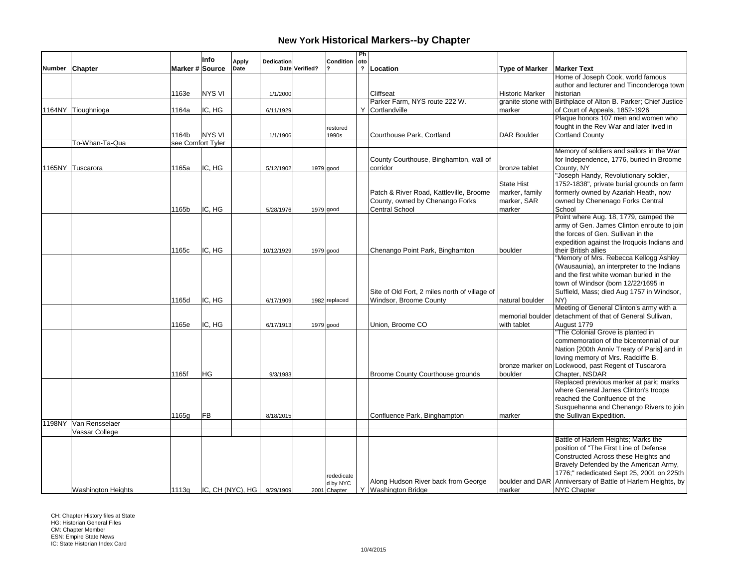|                           |                   | Info             | <b>Apply</b> | Dedication |                | Condition     | Ph<br>oto    |                                               |                        |                                                                 |
|---------------------------|-------------------|------------------|--------------|------------|----------------|---------------|--------------|-----------------------------------------------|------------------------|-----------------------------------------------------------------|
| Number Chapter            | Marker # Source   |                  | Date         |            | Date Verified? |               | $\mathbf{r}$ | Location                                      | <b>Type of Marker</b>  | <b>Marker Text</b>                                              |
|                           |                   |                  |              |            |                |               |              |                                               |                        | Home of Joseph Cook, world famous                               |
|                           |                   |                  |              |            |                |               |              |                                               |                        | author and lecturer and Tinconderoga town                       |
|                           | 1163e             | NYS VI           |              | 1/1/2000   |                |               |              | <b>Cliffseat</b>                              | <b>Historic Marker</b> | historian                                                       |
|                           |                   |                  |              |            |                |               |              | Parker Farm, NYS route 222 W.                 |                        | granite stone with Birthplace of Alton B. Parker; Chief Justice |
| 1164NY Tioughnioga        | 1164a             | IC, HG           |              | 6/11/1929  |                |               |              | Y Cortlandville                               | marker                 | of Court of Appeals, 1852-1926                                  |
|                           |                   |                  |              |            |                |               |              |                                               |                        | Plaque honors 107 men and women who                             |
|                           |                   |                  |              |            |                | restored      |              |                                               |                        | fought in the Rev War and later lived in                        |
|                           | 1164b             | <b>NYS VI</b>    |              | 1/1/1906   |                | 1990s         |              | Courthouse Park, Cortland                     | <b>DAR Boulder</b>     | <b>Cortland County</b>                                          |
| To-Whan-Ta-Qua            | see Comfort Tyler |                  |              |            |                |               |              |                                               |                        |                                                                 |
|                           |                   |                  |              |            |                |               |              |                                               |                        | Memory of soldiers and sailors in the War                       |
|                           |                   |                  |              |            |                |               |              | County Courthouse, Binghamton, wall of        |                        | for Independence, 1776, buried in Broome                        |
| 1165NY Tuscarora          | 1165a             | IC, HG           |              | 5/12/1902  |                | $1979$ good   |              | corridor                                      | bronze tablet          | County, NY<br>"Joseph Handy, Revolutionary soldier,             |
|                           |                   |                  |              |            |                |               |              |                                               | <b>State Hist</b>      | 1752-1838", private burial grounds on farm                      |
|                           |                   |                  |              |            |                |               |              | Patch & River Road, Kattleville, Broome       | marker, family         | formerly owned by Azariah Heath, now                            |
|                           |                   |                  |              |            |                |               |              | County, owned by Chenango Forks               | marker, SAR            | owned by Chenenago Forks Central                                |
|                           | 1165b             | IC, HG           |              | 5/28/1976  |                | 1979 good     |              | <b>Central School</b>                         | marker                 | School                                                          |
|                           |                   |                  |              |            |                |               |              |                                               |                        | Point where Aug. 18, 1779, camped the                           |
|                           |                   |                  |              |            |                |               |              |                                               |                        | army of Gen. James Clinton enroute to join                      |
|                           |                   |                  |              |            |                |               |              |                                               |                        | the forces of Gen. Sullivan in the                              |
|                           |                   |                  |              |            |                |               |              |                                               |                        | expedition against the Iroquois Indians and                     |
|                           | 1165с             | IC, HG           |              | 10/12/1929 |                | $1979$ good   |              | Chenango Point Park, Binghamton               | boulder                | their British allies                                            |
|                           |                   |                  |              |            |                |               |              |                                               |                        | "Memory of Mrs. Rebecca Kellogg Ashley                          |
|                           |                   |                  |              |            |                |               |              |                                               |                        | (Wausaunia), an interpreter to the Indians                      |
|                           |                   |                  |              |            |                |               |              |                                               |                        | and the first white woman buried in the                         |
|                           |                   |                  |              |            |                |               |              |                                               |                        | town of Windsor (born 12/22/1695 in                             |
|                           |                   |                  |              |            |                |               |              | Site of Old Fort, 2 miles north of village of |                        | Suffield, Mass; died Aug 1757 in Windsor,                       |
|                           | 1165d             | IC, HG           |              | 6/17/1909  |                | 1982 replaced |              | Windsor, Broome County                        | natural boulder        | NY)                                                             |
|                           |                   |                  |              |            |                |               |              |                                               |                        | Meeting of General Clinton's army with a                        |
|                           |                   |                  |              |            |                |               |              |                                               | memorial boulder       | detachment of that of General Sullivan,                         |
|                           | 1165e             | IC, HG           |              | 6/17/1913  |                | 1979 good     |              | Union, Broome CO                              | with tablet            | August 1779                                                     |
|                           |                   |                  |              |            |                |               |              |                                               |                        | "The Colonial Grove is planted in                               |
|                           |                   |                  |              |            |                |               |              |                                               |                        | commemoration of the bicentennial of our                        |
|                           |                   |                  |              |            |                |               |              |                                               |                        | Nation [200th Anniv Treaty of Paris] and in                     |
|                           |                   |                  |              |            |                |               |              |                                               |                        | loving memory of Mrs. Radcliffe B.                              |
|                           |                   |                  |              |            |                |               |              |                                               |                        | bronze marker on Lockwood, past Regent of Tuscarora             |
|                           | 1165f             | <b>HG</b>        |              | 9/3/1983   |                |               |              | Broome County Courthouse grounds              | boulder                | Chapter, NSDAR<br>Replaced previous marker at park; marks       |
|                           |                   |                  |              |            |                |               |              |                                               |                        | where General James Clinton's troops                            |
|                           |                   |                  |              |            |                |               |              |                                               |                        | reached the Conlfuence of the                                   |
|                           |                   |                  |              |            |                |               |              |                                               |                        | Susquehanna and Chenango Rivers to join                         |
|                           | 1165g             | FB               |              | 8/18/2015  |                |               |              | Confluence Park, Binghampton                  | marker                 | the Sullivan Expedition.                                        |
| 1198NY Van Rensselaer     |                   |                  |              |            |                |               |              |                                               |                        |                                                                 |
| Vassar College            |                   |                  |              |            |                |               |              |                                               |                        |                                                                 |
|                           |                   |                  |              |            |                |               |              |                                               |                        | Battle of Harlem Heights; Marks the                             |
|                           |                   |                  |              |            |                |               |              |                                               |                        | position of "The First Line of Defense                          |
|                           |                   |                  |              |            |                |               |              |                                               |                        | Constructed Across these Heights and                            |
|                           |                   |                  |              |            |                |               |              |                                               |                        | Bravely Defended by the American Army,                          |
|                           |                   |                  |              |            |                | rededicate    |              |                                               |                        | 1776;" rededicated Sept 25, 2001 on 225th                       |
|                           |                   |                  |              |            |                | d by NYC      |              | Along Hudson River back from George           |                        | boulder and DAR Anniversary of Battle of Harlem Heights, by     |
| <b>Washington Heights</b> | 1113g             | IC, CH (NYC), HG |              | 9/29/1909  |                | 2001 Chapter  |              | Y Washington Bridge                           | marker                 | <b>NYC Chapter</b>                                              |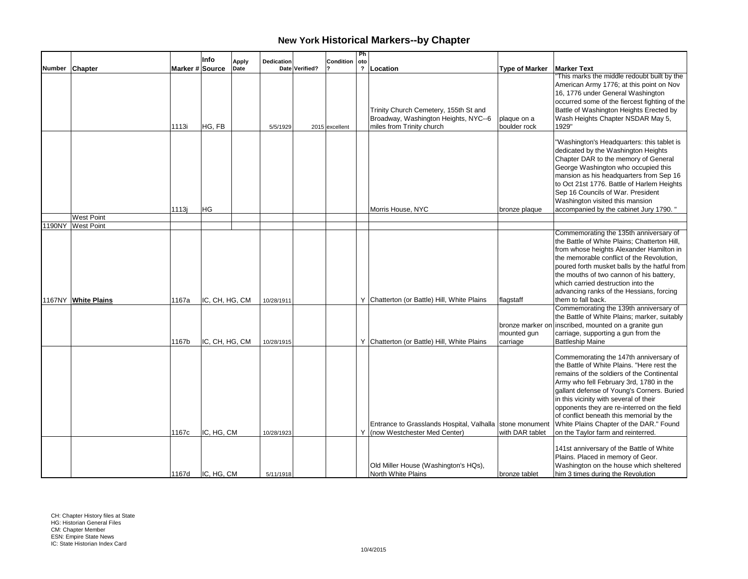|        |                                          |                 | Info                         | <b>Apply</b> | Dedication               |                | Condition      | Ph<br>oto    |                                                                                                                                         |                             |                                                                                                                                                                                                                                                                                                                                                                                                                                                                                                                                                                              |
|--------|------------------------------------------|-----------------|------------------------------|--------------|--------------------------|----------------|----------------|--------------|-----------------------------------------------------------------------------------------------------------------------------------------|-----------------------------|------------------------------------------------------------------------------------------------------------------------------------------------------------------------------------------------------------------------------------------------------------------------------------------------------------------------------------------------------------------------------------------------------------------------------------------------------------------------------------------------------------------------------------------------------------------------------|
| Number | <b>Chapter</b>                           | Marker # Source |                              | Date         |                          | Date Verified? |                | $\mathbf{r}$ | Location                                                                                                                                | <b>Type of Marker</b>       | <b>Marker Text</b>                                                                                                                                                                                                                                                                                                                                                                                                                                                                                                                                                           |
|        |                                          | 1113i           | HG, FB                       |              | 5/5/1929                 |                | 2015 excellent |              | Trinity Church Cemetery, 155th St and<br>Broadway, Washington Heights, NYC--6<br>miles from Trinity church                              | plaque on a<br>boulder rock | This marks the middle redoubt built by the<br>American Army 1776; at this point on Nov<br>16, 1776 under General Washington<br>occurred some of the fiercest fighting of the<br>Battle of Washington Heights Erected by<br>Wash Heights Chapter NSDAR May 5,<br>1929"                                                                                                                                                                                                                                                                                                        |
|        |                                          | 1113j           | HG                           |              |                          |                |                |              | Morris House, NYC                                                                                                                       | bronze plaque               | "Washington's Headquarters: this tablet is<br>dedicated by the Washington Heights<br>Chapter DAR to the memory of General<br>George Washington who occupied this<br>mansion as his headquarters from Sep 16<br>to Oct 21st 1776. Battle of Harlem Heights<br>Sep 16 Councils of War. President<br>Washington visited this mansion<br>accompanied by the cabinet Jury 1790."                                                                                                                                                                                                  |
|        | <b>West Point</b>                        |                 |                              |              |                          |                |                |              |                                                                                                                                         |                             |                                                                                                                                                                                                                                                                                                                                                                                                                                                                                                                                                                              |
|        | 1190NY West Point<br>1167NY White Plains | 1167a           | IC, CH, HG, CM               |              | 10/28/1911               |                |                |              | Y Chatterton (or Battle) Hill, White Plains                                                                                             | flagstaff<br>mounted gun    | Commemorating the 135th anniversary of<br>the Battle of White Plains; Chatterton Hill,<br>from whose heights Alexander Hamilton in<br>the memorable conflict of the Revolution.<br>poured forth musket balls by the hatful from<br>the mouths of two cannon of his battery,<br>which carried destruction into the<br>advancing ranks of the Hessians, forcing<br>them to fall back.<br>Commemorating the 139th anniversary of<br>the Battle of White Plains; marker, suitably<br>bronze marker on inscribed, mounted on a granite gun<br>carriage, supporting a gun from the |
|        |                                          | 1167b<br>1167c  | IC, CH, HG, CM<br>IC, HG, CM |              | 10/28/1915<br>10/28/1923 |                |                | Y            | Y Chatterton (or Battle) Hill, White Plains<br>Entrance to Grasslands Hospital, Valhalla Stone monument<br>(now Westchester Med Center) | carriage<br>with DAR tablet | <b>Battleship Maine</b><br>Commemorating the 147th anniversary of<br>the Battle of White Plains. "Here rest the<br>remains of the soldiers of the Continental<br>Army who fell February 3rd, 1780 in the<br>gallant defense of Young's Corners. Buried<br>in this vicinity with several of their<br>opponents they are re-interred on the field<br>of conflict beneath this memorial by the<br>White Plains Chapter of the DAR." Found<br>on the Taylor farm and reinterred.<br>141st anniversary of the Battle of White<br>Plains. Placed in memory of Geor.                |
|        |                                          |                 | 1167d IC. HG. CM             |              | 5/11/1918                |                |                |              | Old Miller House (Washington's HQs),<br>North White Plains                                                                              | bronze tablet               | Washington on the house which sheltered<br>him 3 times during the Revolution                                                                                                                                                                                                                                                                                                                                                                                                                                                                                                 |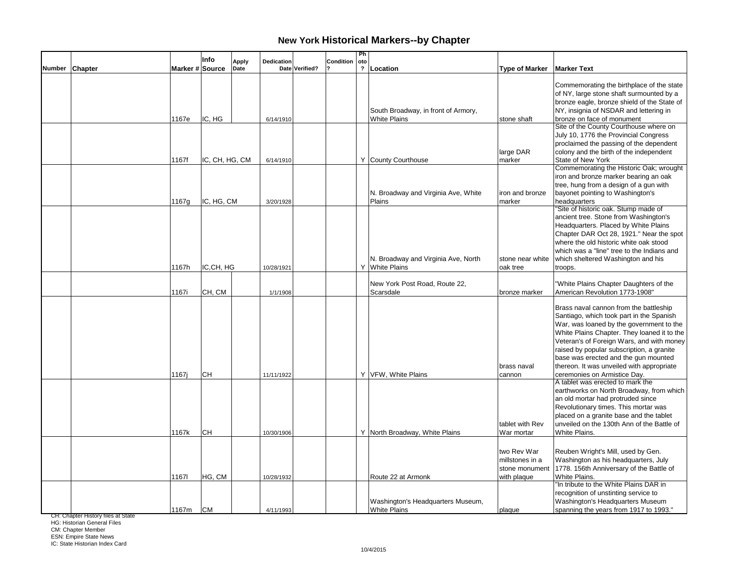|                |                 | Info           | <b>Apply</b> | Dedication |                | Condition | Ph<br>oto |                                                            |                                                                 |                                                                                                                                                                                                                                                                                                                                                              |
|----------------|-----------------|----------------|--------------|------------|----------------|-----------|-----------|------------------------------------------------------------|-----------------------------------------------------------------|--------------------------------------------------------------------------------------------------------------------------------------------------------------------------------------------------------------------------------------------------------------------------------------------------------------------------------------------------------------|
| Number Chapter | Marker # Source |                | Date         |            | Date Verified? |           |           | ? Location                                                 | <b>Type of Marker</b>                                           | <b>Marker Text</b>                                                                                                                                                                                                                                                                                                                                           |
|                | 1167e           | IC, HG         |              | 6/14/1910  |                |           |           | South Broadway, in front of Armory,<br><b>White Plains</b> | stone shaft                                                     | Commemorating the birthplace of the state<br>of NY, large stone shaft surmounted by a<br>bronze eagle, bronze shield of the State of<br>NY, insignia of NSDAR and lettering in<br>bronze on face of monument                                                                                                                                                 |
|                |                 |                |              |            |                |           |           |                                                            |                                                                 | Site of the County Courthouse where on                                                                                                                                                                                                                                                                                                                       |
|                | 1167f           | IC, CH, HG, CM |              | 6/14/1910  |                |           |           | Y County Courthouse                                        | large DAR<br>marker                                             | July 10, 1776 the Provincial Congress<br>proclaimed the passing of the dependent<br>colony and the birth of the independent<br>State of New York                                                                                                                                                                                                             |
|                | 1167g           | IC, HG, CM     |              | 3/20/1928  |                |           |           | N. Broadway and Virginia Ave, White<br>Plains              | iron and bronze<br>marker                                       | Commemorating the Historic Oak; wrought<br>iron and bronze marker bearing an oak<br>tree, hung from a design of a gun with<br>bayonet pointing to Washington's<br>headquarters                                                                                                                                                                               |
|                | 1167h           | IC,CH, HG      |              | 10/28/1921 |                |           |           | N. Broadway and Virginia Ave, North<br>Y White Plains      | stone near white<br>oak tree                                    | "Site of historic oak. Stump made of<br>ancient tree. Stone from Washington's<br>Headquarters. Placed by White Plains<br>Chapter DAR Oct 28, 1921." Near the spot<br>where the old historic white oak stood<br>which was a "line" tree to the Indians and<br>which sheltered Washington and his<br>troops.                                                   |
|                | 1167i           | CH, CM         |              | 1/1/1908   |                |           |           | New York Post Road, Route 22,<br>Scarsdale                 | bronze marker                                                   | "White Plains Chapter Daughters of the<br>American Revolution 1773-1908"                                                                                                                                                                                                                                                                                     |
|                |                 |                |              |            |                |           |           |                                                            | brass naval                                                     | Brass naval cannon from the battleship<br>Santiago, which took part in the Spanish<br>War, was loaned by the government to the<br>White Plains Chapter. They loaned it to the<br>Veteran's of Foreign Wars, and with money<br>raised by popular subscription, a granite<br>base was erected and the gun mounted<br>thereon. It was unveiled with appropriate |
|                | 1167i           | <b>CH</b>      |              | 11/11/1922 |                |           |           | Y VFW, White Plains                                        | cannon<br>tablet with Rev                                       | ceremonies on Armistice Day.<br>A tablet was erected to mark the<br>earthworks on North Broadway, from which<br>an old mortar had protruded since<br>Revolutionary times. This mortar was<br>placed on a granite base and the tablet<br>unveiled on the 130th Ann of the Battle of                                                                           |
|                | 1167k           | <b>CH</b>      |              | 10/30/1906 |                |           |           | Y North Broadway, White Plains                             | War mortar                                                      | White Plains.                                                                                                                                                                                                                                                                                                                                                |
|                | 11671           | HG, CM         |              | 10/28/1932 |                |           |           | Route 22 at Armonk                                         | two Rev War<br>millstones in a<br>stone monument<br>with plaque | Reuben Wright's Mill, used by Gen.<br>Washington as his headquarters, July<br>1778. 156th Anniversary of the Battle of<br>White Plains.<br>"In tribute to the White Plains DAR in                                                                                                                                                                            |
|                | 1167m           | <b>CM</b>      |              | 4/11/1993  |                |           |           | Washington's Headquarters Museum,<br><b>White Plains</b>   | plaque                                                          | recognition of unstinting service to<br>Washington's Headquarters Museum<br>spanning the years from 1917 to 1993."                                                                                                                                                                                                                                           |

CH: Chapter History files at State HG: Historian General Files

CM: Chapter Member

ESN: Empire State News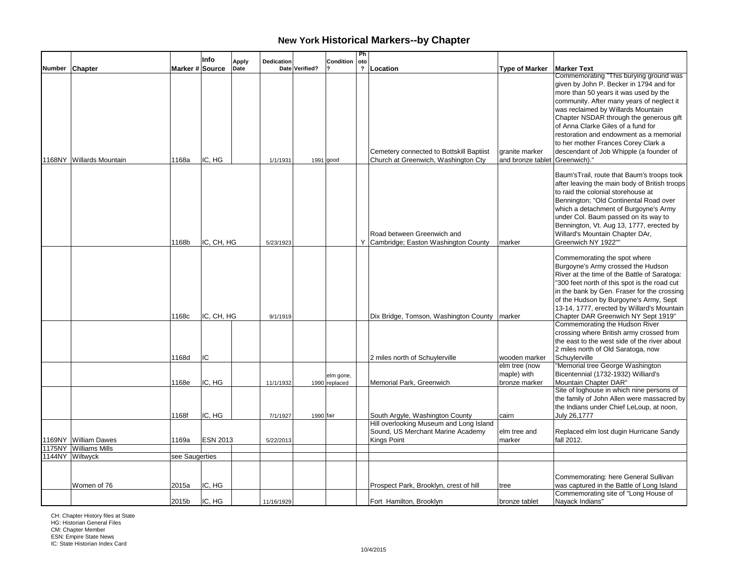|               |                          |                 | Info            | Apply | Dedication |                | Condition                  | Ph<br>oto               |                                                                                             |                                                  |                                                                                                                                                                                                                                                                                                                                                                                                                             |
|---------------|--------------------------|-----------------|-----------------|-------|------------|----------------|----------------------------|-------------------------|---------------------------------------------------------------------------------------------|--------------------------------------------------|-----------------------------------------------------------------------------------------------------------------------------------------------------------------------------------------------------------------------------------------------------------------------------------------------------------------------------------------------------------------------------------------------------------------------------|
| <b>Number</b> | Chapter                  | Marker # Source |                 | Date  |            | Date Verified? |                            | $\overline{\mathbf{r}}$ | Location                                                                                    | <b>Type of Marker</b>                            | <b>Marker Text</b>                                                                                                                                                                                                                                                                                                                                                                                                          |
|               | 1168NY Willards Mountain | 1168a           | IC. HG          |       | 1/1/1931   |                | $1991$ good                |                         | Cemetery connected to Bottskill Baptiist<br>Church at Greenwich, Washington Cty             | granite marker<br>and bronze tablet Greenwich)." | Commemorating "This burying ground was<br>given by John P. Becker in 1794 and for<br>more than 50 years it was used by the<br>community. After many years of neglect it<br>was reclaimed by Willards Mountain<br>Chapter NSDAR through the generous gift<br>of Anna Clarke Giles of a fund for<br>restoration and endowment as a memorial<br>to her mother Frances Corey Clark a<br>descendant of Job Whipple (a founder of |
|               |                          | 1168b           | IC, CH, HG      |       | 5/23/1923  |                |                            |                         | Road between Greenwich and<br>Y Cambridge; Easton Washington County                         | marker                                           | Baum'sTrail, route that Baum's troops took<br>after leaving the main body of British troops<br>to raid the colonial storehouse at<br>Bennington; "Old Continental Road over<br>which a detachment of Burgoyne's Army<br>under Col. Baum passed on its way to<br>Bennington, Vt. Aug 13, 1777, erected by<br>Willard's Mountain Chapter DAr,<br>Greenwich NY 1922""                                                          |
|               |                          | 1168c           | IC, CH, HG      |       | 9/1/1919   |                |                            |                         | Dix Bridge, Tomson, Washington County   marker                                              |                                                  | Commemorating the spot where<br>Burgoyne's Army crossed the Hudson<br>River at the time of the Battle of Saratoga:<br>"300 feet north of this spot is the road cut<br>in the bank by Gen. Fraser for the crossing<br>of the Hudson by Burgoyne's Army, Sept<br>13-14, 1777, erected by Willard's Mountain  <br>Chapter DAR Greenwich NY Sept 1919"<br>Commemorating the Hudson River                                        |
|               |                          | 1168d           | IC              |       |            |                |                            |                         | 2 miles north of Schuylerville                                                              | wooden marker                                    | crossing where British army crossed from<br>the east to the west side of the river about<br>2 miles north of Old Saratoga, now<br>Schuvlerville                                                                                                                                                                                                                                                                             |
|               |                          | 1168e           | IC, HG          |       | 11/1/1932  |                | elm gone,<br>1990 replaced |                         | Memorial Park, Greenwich                                                                    | elm tree (now<br>maple) with<br>bronze marker    | "Memorial tree George Washington<br>Bicentennial (1732-1932) Williard's<br>Mountain Chapter DAR"<br>Site of loghouse in which nine persons of                                                                                                                                                                                                                                                                               |
|               |                          | 1168f           | IC. HG          |       | 7/1/1927   | 1990 fair      |                            |                         | South Argyle, Washington County                                                             | cairn                                            | the family of John Allen were massacred by<br>the Indians under Chief LeLoup, at noon,<br>July 26,1777                                                                                                                                                                                                                                                                                                                      |
| 1169NY        | <b>William Dawes</b>     | 1169a           | <b>ESN 2013</b> |       | 5/22/2013  |                |                            |                         | Hill overlooking Museum and Long Island<br>Sound, US Merchant Marine Academy<br>Kings Point | elm tree and<br>marker                           | Replaced elm lost dugin Hurricane Sandy<br>fall 2012.                                                                                                                                                                                                                                                                                                                                                                       |
| 1175NY        | <b>Williams Mills</b>    |                 |                 |       |            |                |                            |                         |                                                                                             |                                                  |                                                                                                                                                                                                                                                                                                                                                                                                                             |
|               | 1144NY Wiltwyck          | see Saugerties  |                 |       |            |                |                            |                         |                                                                                             |                                                  |                                                                                                                                                                                                                                                                                                                                                                                                                             |
|               | Women of 76              | 2015a           | IC, HG          |       |            |                |                            |                         | Prospect Park, Brooklyn, crest of hill                                                      | tree                                             | Commemorating: here General Sullivan<br>was captured in the Battle of Long Island                                                                                                                                                                                                                                                                                                                                           |
|               |                          | 2015b           | IC, HG          |       | 11/16/1929 |                |                            |                         | Fort Hamilton, Brooklyn                                                                     | bronze tablet                                    | Commemorating site of "Long House of<br>Nayack Indians"                                                                                                                                                                                                                                                                                                                                                                     |

CH: Chapter History files at State HG: Historian General Files CM: Chapter Member ESN: Empire State News IC: State Historian Index Card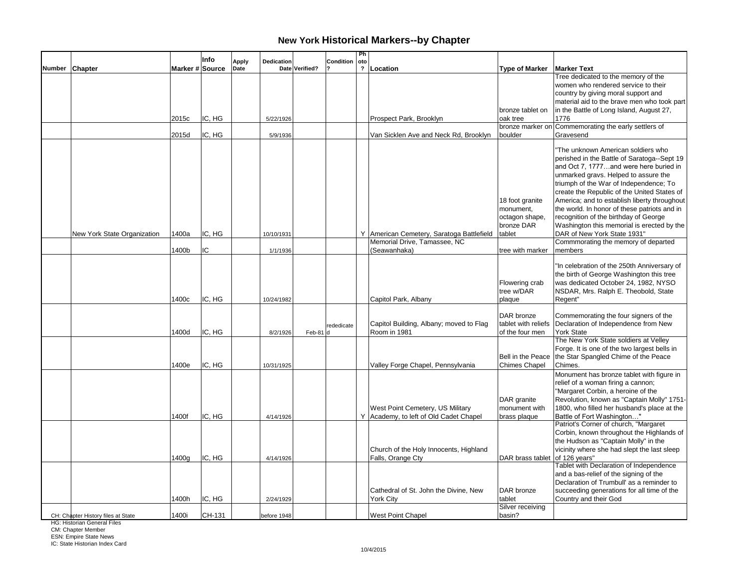|        |                                    |                 | Info   | Apply | Dedication  |                | Condition  | Ph<br>oto               |                                                                            |                                                                        |                                                                                                                                                                                                                                                                                                                                                                                                                                                                                    |
|--------|------------------------------------|-----------------|--------|-------|-------------|----------------|------------|-------------------------|----------------------------------------------------------------------------|------------------------------------------------------------------------|------------------------------------------------------------------------------------------------------------------------------------------------------------------------------------------------------------------------------------------------------------------------------------------------------------------------------------------------------------------------------------------------------------------------------------------------------------------------------------|
| Number | <b>Chapter</b>                     | Marker # Source |        | Date  |             | Date Verified? |            | $\overline{\mathbf{?}}$ | Location                                                                   | <b>Type of Marker</b>                                                  | <b>Marker Text</b>                                                                                                                                                                                                                                                                                                                                                                                                                                                                 |
|        |                                    | 2015c           | IC, HG |       | 5/22/1926   |                |            |                         | Prospect Park, Brooklyn                                                    | bronze tablet on<br>oak tree                                           | Tree dedicated to the memory of the<br>women who rendered service to their<br>country by giving moral support and<br>material aid to the brave men who took part<br>in the Battle of Long Island, August 27,<br>1776                                                                                                                                                                                                                                                               |
|        |                                    |                 |        |       |             |                |            |                         |                                                                            |                                                                        | bronze marker on Commemorating the early settlers of                                                                                                                                                                                                                                                                                                                                                                                                                               |
|        |                                    | 2015d           | IC, HG |       | 5/9/1936    |                |            |                         | Van Sicklen Ave and Neck Rd, Brooklyn                                      | boulder                                                                | Gravesend                                                                                                                                                                                                                                                                                                                                                                                                                                                                          |
|        | New York State Organization        | 1400a           | IC, HG |       | 10/10/1931  |                |            |                         | Y American Cemetery, Saratoga Battlefield                                  | 18 foot granite<br>monument,<br>octagon shape,<br>bronze DAR<br>tablet | "The unknown American soldiers who<br>perished in the Battle of Saratoga--Sept 19<br>and Oct 7, 1777and were here buried in<br>unmarked gravs. Helped to assure the<br>triumph of the War of Independence; To<br>create the Republic of the United States of<br>America; and to establish liberty throughout<br>the world. In honor of these patriots and in<br>recognition of the birthday of George<br>Washington this memorial is erected by the<br>DAR of New York State 1931" |
|        |                                    |                 |        |       |             |                |            |                         | Memorial Drive, Tamassee, NC                                               |                                                                        | Commmorating the memory of departed                                                                                                                                                                                                                                                                                                                                                                                                                                                |
|        |                                    | 1400b           | IC     |       | 1/1/1936    |                |            |                         | (Seawanhaka)                                                               | tree with marker                                                       | members                                                                                                                                                                                                                                                                                                                                                                                                                                                                            |
|        |                                    | 1400c           | IC, HG |       | 10/24/1982  |                |            |                         | Capitol Park, Albany                                                       | Flowering crab<br>tree w/DAR<br>plaque                                 | "In celebration of the 250th Anniversary of<br>the birth of George Washington this tree<br>was dedicated October 24, 1982, NYSO<br>NSDAR, Mrs. Ralph E. Theobold, State<br>Regent"                                                                                                                                                                                                                                                                                                 |
|        |                                    | 1400d           | IC, HG |       | 8/2/1926    | Feb-81         | rededicate |                         | Capitol Building, Albany; moved to Flag<br>Room in 1981                    | DAR bronze<br>tablet with reliefs<br>of the four men                   | Commemorating the four signers of the<br>Declaration of Independence from New<br><b>York State</b>                                                                                                                                                                                                                                                                                                                                                                                 |
|        |                                    | 1400e           | IC, HG |       | 10/31/1925  |                |            |                         | Valley Forge Chapel, Pennsylvania                                          | Bell in the Peace<br>Chimes Chapel                                     | The New York State soldiers at Velley<br>Forge. It is one of the two largest bells in<br>the Star Spangled Chime of the Peace<br>Chimes.                                                                                                                                                                                                                                                                                                                                           |
|        |                                    | 1400f           | IC, HG |       | 4/14/1926   |                |            |                         | West Point Cemetery, US Military<br>Y Academy, to left of Old Cadet Chapel | DAR granite<br>monument with<br>brass plaque                           | Monument has bronze tablet with figure in<br>relief of a woman firing a cannon;<br>"Margaret Corbin, a heroine of the<br>Revolution, known as "Captain Molly" 1751-<br>1800, who filled her husband's place at the<br>Battle of Fort Washington"                                                                                                                                                                                                                                   |
|        |                                    | 1400a           | IC, HG |       | 4/14/1926   |                |            |                         | Church of the Holy Innocents, Highland<br>Falls, Orange Cty                | DAR brass tablet of 126 years"                                         | Patriot's Corner of church, "Margaret<br>Corbin, known throughout the Highlands of<br>the Hudson as "Captain Molly" in the<br>vicinity where she had slept the last sleep<br>Tablet with Declaration of Independence                                                                                                                                                                                                                                                               |
|        |                                    | 1400h           | IC, HG |       | 2/24/1929   |                |            |                         | Cathedral of St. John the Divine, New<br><b>York City</b>                  | DAR bronze<br>tablet<br>Silver receiving                               | and a bas-relief of the signing of the<br>Declaration of Trumbull' as a reminder to<br>succeeding generations for all time of the<br>Country and their God                                                                                                                                                                                                                                                                                                                         |
|        | CH: Chapter History files at State | 1400i           | CH-131 |       | before 1948 |                |            |                         | <b>West Point Chapel</b>                                                   | basin?                                                                 |                                                                                                                                                                                                                                                                                                                                                                                                                                                                                    |

HG: Historian General Files

CM: Chapter Member ESN: Empire State News